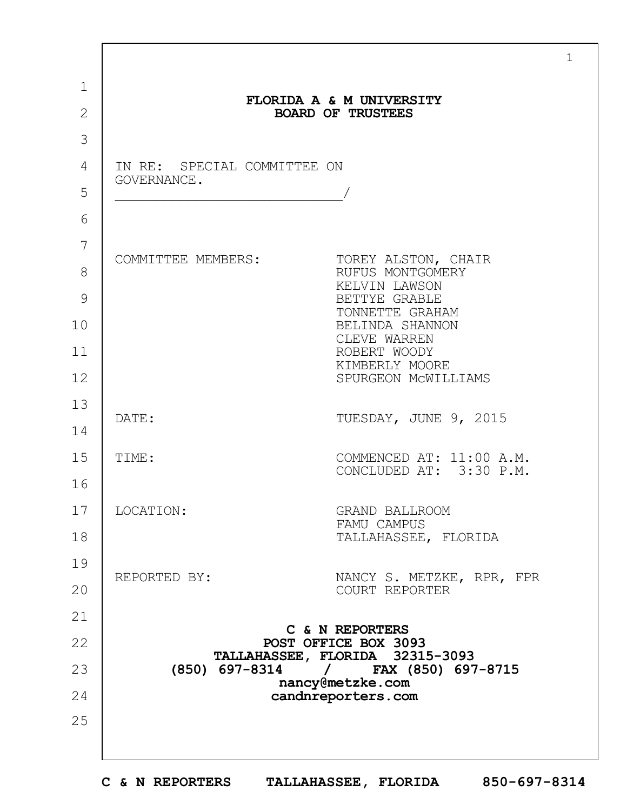|                |                                            | $\mathbf 1$                                                                                                                                   |  |
|----------------|--------------------------------------------|-----------------------------------------------------------------------------------------------------------------------------------------------|--|
| $\mathbf 1$    | FLORIDA A & M UNIVERSITY                   |                                                                                                                                               |  |
| $\overline{2}$ | <b>BOARD OF TRUSTEES</b>                   |                                                                                                                                               |  |
| 3              |                                            |                                                                                                                                               |  |
| 4              | IN RE: SPECIAL COMMITTEE ON<br>GOVERNANCE. |                                                                                                                                               |  |
| 5              |                                            |                                                                                                                                               |  |
| 6              |                                            |                                                                                                                                               |  |
| 7              | COMMITTEE MEMBERS:                         | TOREY ALSTON, CHAIR                                                                                                                           |  |
| 8              |                                            | RUFUS MONTGOMERY<br>KELVIN LAWSON                                                                                                             |  |
| 9              |                                            | BETTYE GRABLE<br>TONNETTE GRAHAM                                                                                                              |  |
| 10             |                                            | BELINDA SHANNON<br>CLEVE WARREN                                                                                                               |  |
| 11             |                                            | ROBERT WOODY<br>KIMBERLY MOORE                                                                                                                |  |
| 12             |                                            | SPURGEON MCWILLIAMS                                                                                                                           |  |
| 13             | DATE:                                      | TUESDAY, JUNE 9, 2015                                                                                                                         |  |
| 14             |                                            |                                                                                                                                               |  |
| 15             | TIME:                                      | COMMENCED AT: 11:00 A.M.<br>CONCLUDED AT: 3:30 P.M.                                                                                           |  |
| 16             |                                            |                                                                                                                                               |  |
| 17             | LOCATION:                                  | GRAND BALLROOM<br>FAMU CAMPUS                                                                                                                 |  |
| 18             |                                            | TALLAHASSEE, FLORIDA                                                                                                                          |  |
| 19             | REPORTED BY:                               | NANCY S. METZKE, RPR, FPR                                                                                                                     |  |
| 20             |                                            | COURT REPORTER                                                                                                                                |  |
| 21             | C & N REPORTERS                            |                                                                                                                                               |  |
| 22             |                                            | POST OFFICE BOX 3093<br>TALLAHASSEE, FLORIDA 32315-3093<br>$(850)$ 697-8314 /<br>FAX (850) 697-8715<br>nancy@metzke.com<br>candnreporters.com |  |
| 23             |                                            |                                                                                                                                               |  |
| 24             |                                            |                                                                                                                                               |  |
| 25             |                                            |                                                                                                                                               |  |
|                |                                            |                                                                                                                                               |  |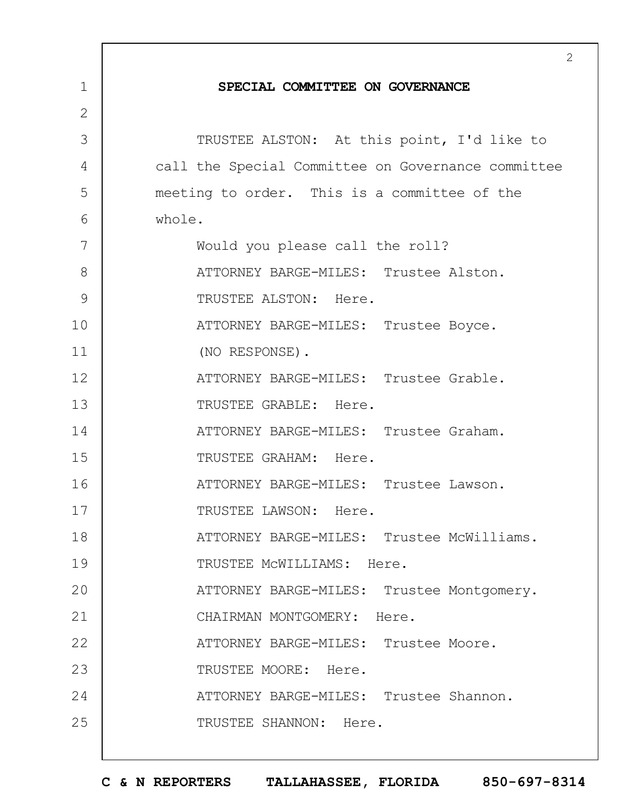|              | $\overline{2}$                                     |
|--------------|----------------------------------------------------|
| 1            | SPECIAL COMMITTEE ON GOVERNANCE                    |
| $\mathbf{2}$ |                                                    |
| 3            | TRUSTEE ALSTON: At this point, I'd like to         |
| 4            | call the Special Committee on Governance committee |
| 5            | meeting to order. This is a committee of the       |
| 6            | whole.                                             |
| 7            | Would you please call the roll?                    |
| 8            | ATTORNEY BARGE-MILES: Trustee Alston.              |
| 9            | TRUSTEE ALSTON: Here.                              |
| 10           | ATTORNEY BARGE-MILES: Trustee Boyce.               |
| 11           | (NO RESPONSE).                                     |
| 12           | ATTORNEY BARGE-MILES: Trustee Grable.              |
| 13           | TRUSTEE GRABLE: Here.                              |
| 14           | ATTORNEY BARGE-MILES: Trustee Graham.              |
| 15           | TRUSTEE GRAHAM: Here.                              |
| 16           | ATTORNEY BARGE-MILES: Trustee Lawson.              |
| 17           | TRUSTEE LAWSON: Here.                              |
| 18           | ATTORNEY BARGE-MILES: Trustee McWilliams.          |
| 19           | TRUSTEE MCWILLIAMS: Here.                          |
| 20           | ATTORNEY BARGE-MILES: Trustee Montgomery.          |
| 21           | CHAIRMAN MONTGOMERY: Here.                         |
| 22           | ATTORNEY BARGE-MILES: Trustee Moore.               |
| 23           | TRUSTEE MOORE: Here.                               |
| 24           | ATTORNEY BARGE-MILES: Trustee Shannon.             |
| 25           | TRUSTEE SHANNON: Here.                             |
|              |                                                    |

 $\overline{1}$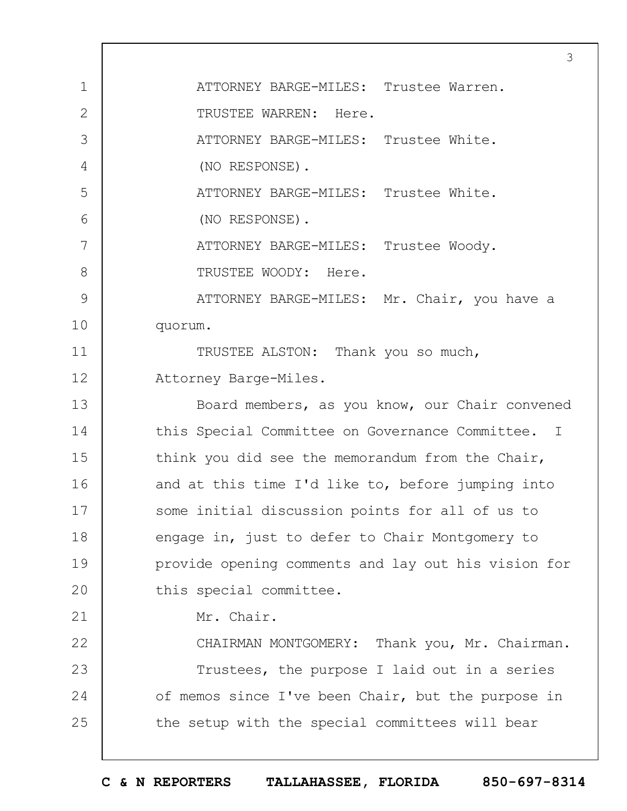1 2 3 4 5 6 7 8 9 10 11 12 13 14 15 16 17 18 19  $20$ 21 22 23 24 25 3 ATTORNEY BARGE-MILES: Trustee Warren. TRUSTEE WARREN: Here. ATTORNEY BARGE-MILES: Trustee White. (NO RESPONSE). ATTORNEY BARGE-MILES: Trustee White. (NO RESPONSE). ATTORNEY BARGE-MILES: Trustee Woody. TRUSTEE WOODY: Here. ATTORNEY BARGE-MILES: Mr. Chair, you have a quorum. TRUSTEE ALSTON: Thank you so much, Attorney Barge-Miles. Board members, as you know, our Chair convened this Special Committee on Governance Committee. I think you did see the memorandum from the Chair, and at this time I'd like to, before jumping into some initial discussion points for all of us to engage in, just to defer to Chair Montgomery to provide opening comments and lay out his vision for this special committee. Mr. Chair. CHAIRMAN MONTGOMERY: Thank you, Mr. Chairman. Trustees, the purpose I laid out in a series of memos since I've been Chair, but the purpose in the setup with the special committees will bear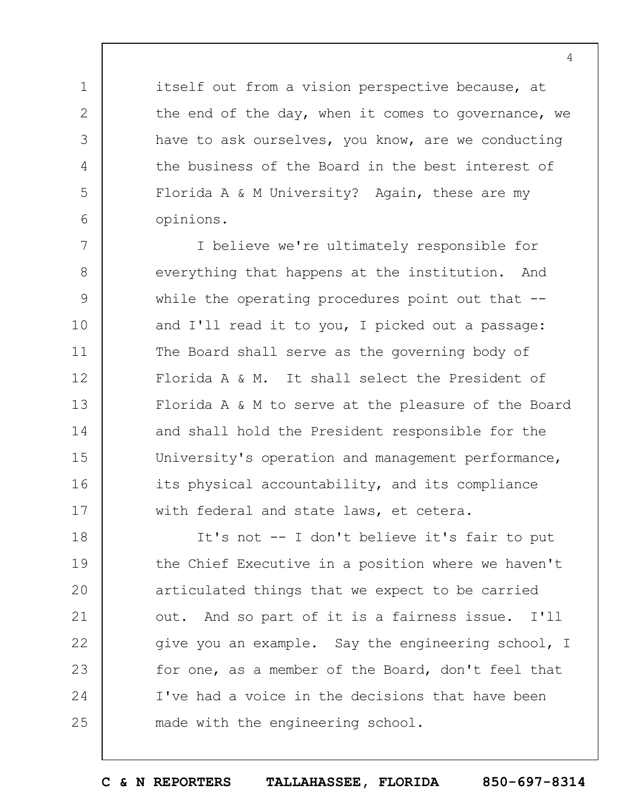itself out from a vision perspective because, at the end of the day, when it comes to governance, we have to ask ourselves, you know, are we conducting the business of the Board in the best interest of Florida A & M University? Again, these are my opinions.

1

2

3

4

5

6

7 8 9 10 11 12 13 14 15 16 17 I believe we're ultimately responsible for everything that happens at the institution. And while the operating procedures point out that  $$ and I'll read it to you, I picked out a passage: The Board shall serve as the governing body of Florida A & M. It shall select the President of Florida A & M to serve at the pleasure of the Board and shall hold the President responsible for the University's operation and management performance, its physical accountability, and its compliance with federal and state laws, et cetera.

18 19  $20$ 21 22 23 24 25 It's not -- I don't believe it's fair to put the Chief Executive in a position where we haven't articulated things that we expect to be carried out. And so part of it is a fairness issue. I'll give you an example. Say the engineering school, I for one, as a member of the Board, don't feel that I've had a voice in the decisions that have been made with the engineering school.

**C & N REPORTERS TALLAHASSEE, FLORIDA 850-697-8314**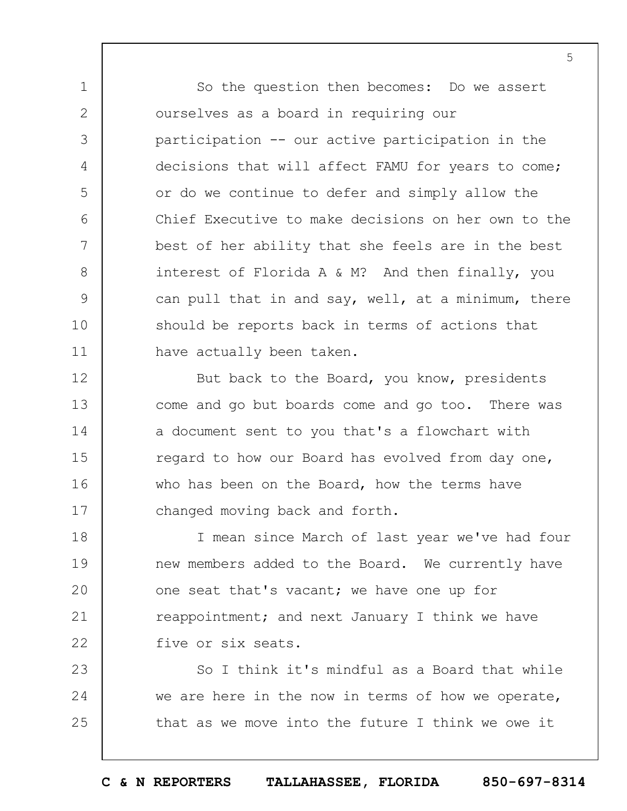So the question then becomes: Do we assert ourselves as a board in requiring our participation -- our active participation in the decisions that will affect FAMU for years to come; or do we continue to defer and simply allow the Chief Executive to make decisions on her own to the best of her ability that she feels are in the best interest of Florida A & M? And then finally, you can pull that in and say, well, at a minimum, there should be reports back in terms of actions that have actually been taken.

1

2

3

4

5

6

7

8

9

10

11

12 13 14 15 16 17 But back to the Board, you know, presidents come and go but boards come and go too. There was a document sent to you that's a flowchart with regard to how our Board has evolved from day one, who has been on the Board, how the terms have changed moving back and forth.

18 19  $20$ 21 22 I mean since March of last year we've had four new members added to the Board. We currently have one seat that's vacant; we have one up for reappointment; and next January I think we have five or six seats.

23 24 25 So I think it's mindful as a Board that while we are here in the now in terms of how we operate, that as we move into the future I think we owe it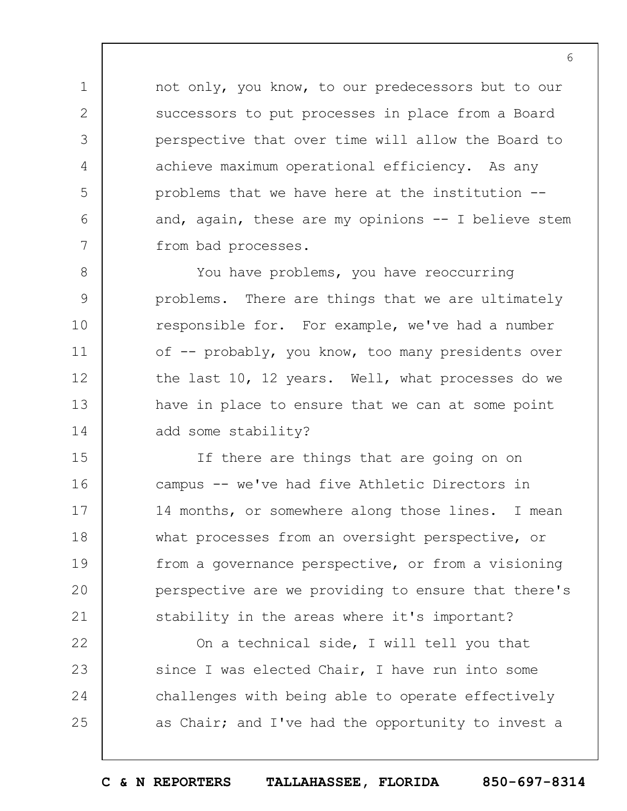not only, you know, to our predecessors but to our successors to put processes in place from a Board perspective that over time will allow the Board to achieve maximum operational efficiency. As any problems that we have here at the institution - and, again, these are my opinions  $-$  I believe stem from bad processes.

1

2

3

4

5

6

7

8

9

10

11

14

12 13 You have problems, you have reoccurring problems. There are things that we are ultimately responsible for. For example, we've had a number of -- probably, you know, too many presidents over the last 10, 12 years. Well, what processes do we have in place to ensure that we can at some point add some stability?

15 16 17 18 19  $20$ 21 If there are things that are going on on campus -- we've had five Athletic Directors in 14 months, or somewhere along those lines. I mean what processes from an oversight perspective, or from a governance perspective, or from a visioning perspective are we providing to ensure that there's stability in the areas where it's important?

22 23 24 25 On a technical side, I will tell you that since I was elected Chair, I have run into some challenges with being able to operate effectively as Chair; and I've had the opportunity to invest a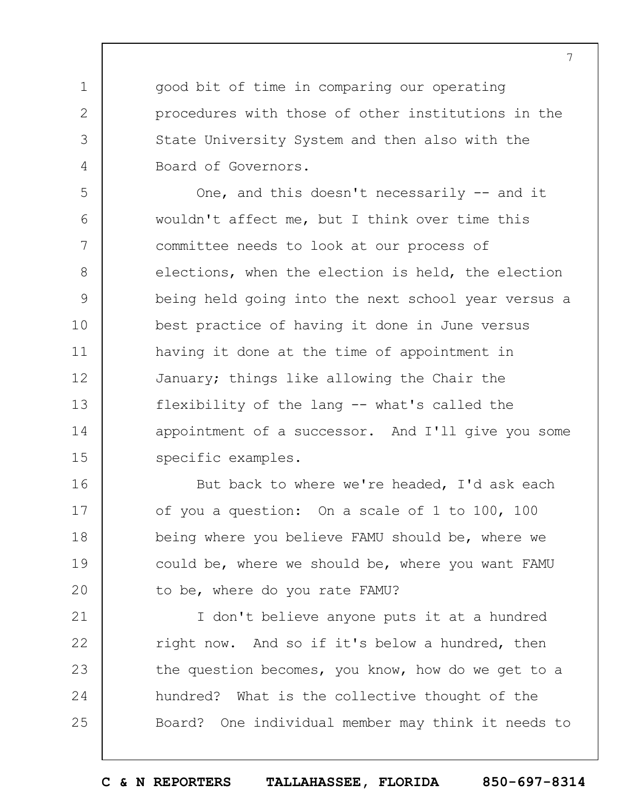good bit of time in comparing our operating procedures with those of other institutions in the State University System and then also with the Board of Governors.

1

2

3

4

5 6 7 8 9 10 11 12 13 14 15 One, and this doesn't necessarily -- and it wouldn't affect me, but I think over time this committee needs to look at our process of elections, when the election is held, the election being held going into the next school year versus a best practice of having it done in June versus having it done at the time of appointment in January; things like allowing the Chair the flexibility of the lang -- what's called the appointment of a successor. And I'll give you some specific examples.

16 17 18 19  $20$ But back to where we're headed, I'd ask each of you a question: On a scale of 1 to 100, 100 being where you believe FAMU should be, where we could be, where we should be, where you want FAMU to be, where do you rate FAMU?

21 22 23 24 25 I don't believe anyone puts it at a hundred right now. And so if it's below a hundred, then the question becomes, you know, how do we get to a hundred? What is the collective thought of the Board? One individual member may think it needs to

**C & N REPORTERS TALLAHASSEE, FLORIDA 850-697-8314**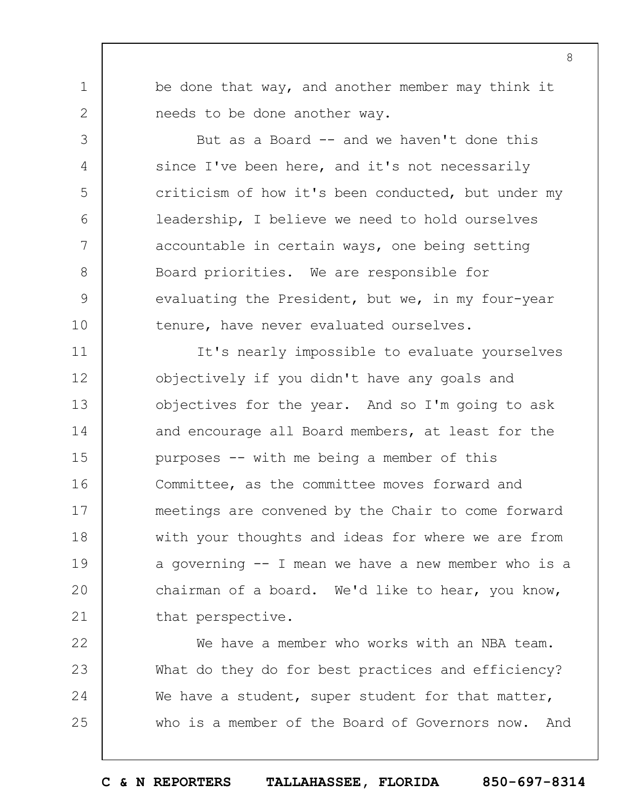be done that way, and another member may think it needs to be done another way.

1

2

3

4

5

6

7

8

9

10

But as a Board -- and we haven't done this since I've been here, and it's not necessarily criticism of how it's been conducted, but under my leadership, I believe we need to hold ourselves accountable in certain ways, one being setting Board priorities. We are responsible for evaluating the President, but we, in my four-year tenure, have never evaluated ourselves.

11 12 13 14 15 16 17 18 19  $20$ 21 It's nearly impossible to evaluate yourselves objectively if you didn't have any goals and objectives for the year. And so I'm going to ask and encourage all Board members, at least for the purposes -- with me being a member of this Committee, as the committee moves forward and meetings are convened by the Chair to come forward with your thoughts and ideas for where we are from a governing -- I mean we have a new member who is a chairman of a board. We'd like to hear, you know, that perspective.

22 23 24 25 We have a member who works with an NBA team. What do they do for best practices and efficiency? We have a student, super student for that matter, who is a member of the Board of Governors now. And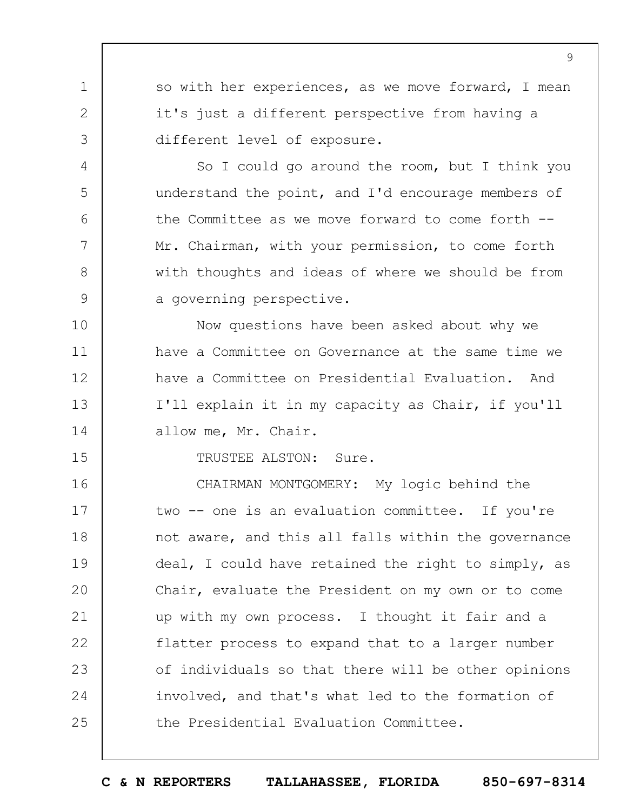so with her experiences, as we move forward, I mean it's just a different perspective from having a different level of exposure.

So I could go around the room, but I think you understand the point, and I'd encourage members of the Committee as we move forward to come forth -- Mr. Chairman, with your permission, to come forth with thoughts and ideas of where we should be from a governing perspective.

10 11 12 13 14 Now questions have been asked about why we have a Committee on Governance at the same time we have a Committee on Presidential Evaluation. And I'll explain it in my capacity as Chair, if you'll allow me, Mr. Chair.

15

1

2

3

4

5

6

7

8

9

TRUSTEE ALSTON: Sure.

16 17 18 19  $20$ 21 22 23 24 25 CHAIRMAN MONTGOMERY: My logic behind the two -- one is an evaluation committee. If you're not aware, and this all falls within the governance deal, I could have retained the right to simply, as Chair, evaluate the President on my own or to come up with my own process. I thought it fair and a flatter process to expand that to a larger number of individuals so that there will be other opinions involved, and that's what led to the formation of the Presidential Evaluation Committee.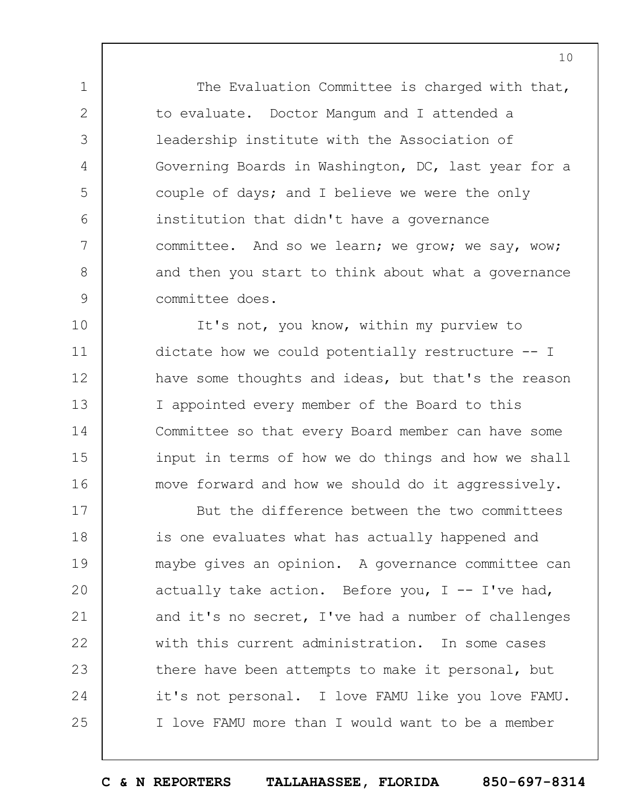The Evaluation Committee is charged with that, to evaluate. Doctor Mangum and I attended a leadership institute with the Association of Governing Boards in Washington, DC, last year for a couple of days; and I believe we were the only institution that didn't have a governance committee. And so we learn; we grow; we say, wow; and then you start to think about what a governance committee does.

1

2

3

4

5

6

7

8

9

10 11 12 13 14 15 16 It's not, you know, within my purview to dictate how we could potentially restructure -- I have some thoughts and ideas, but that's the reason I appointed every member of the Board to this Committee so that every Board member can have some input in terms of how we do things and how we shall move forward and how we should do it aggressively.

17 18 19  $20$ 21 22 23 24 25 But the difference between the two committees is one evaluates what has actually happened and maybe gives an opinion. A governance committee can actually take action. Before you,  $I$  -- I've had, and it's no secret, I've had a number of challenges with this current administration. In some cases there have been attempts to make it personal, but it's not personal. I love FAMU like you love FAMU. I love FAMU more than I would want to be a member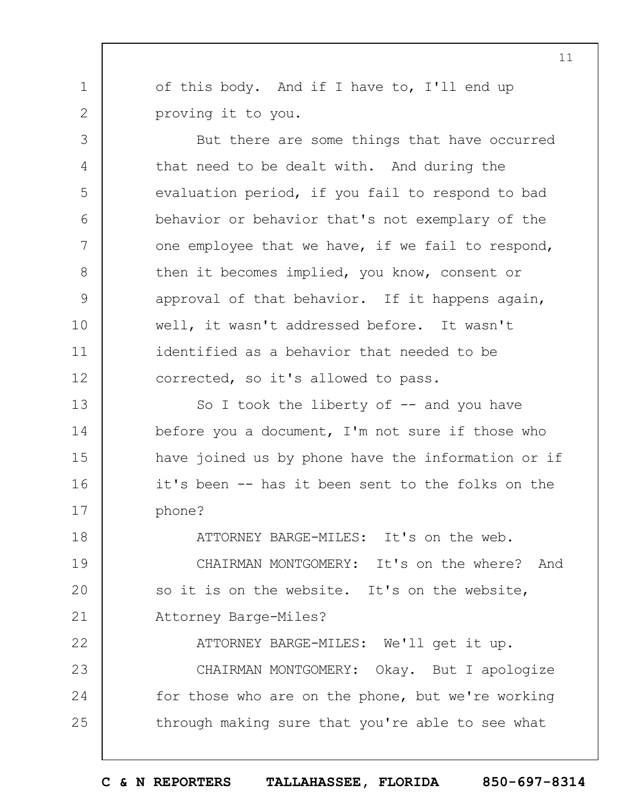of this body. And if I have to, I'll end up proving it to you.

1

2

3

4

5

6

7

8

9

10

11

12

But there are some things that have occurred that need to be dealt with. And during the evaluation period, if you fail to respond to bad behavior or behavior that's not exemplary of the one employee that we have, if we fail to respond, then it becomes implied, you know, consent or approval of that behavior. If it happens again, well, it wasn't addressed before. It wasn't identified as a behavior that needed to be corrected, so it's allowed to pass.

13 14 15 16 17 So I took the liberty of  $-$  and you have before you a document, I'm not sure if those who have joined us by phone have the information or if it's been -- has it been sent to the folks on the phone?

18 19  $20$ 21 22 23 24 25 ATTORNEY BARGE-MILES: It's on the web. CHAIRMAN MONTGOMERY: It's on the where? And so it is on the website. It's on the website, Attorney Barge-Miles? ATTORNEY BARGE-MILES: We'll get it up. CHAIRMAN MONTGOMERY: Okay. But I apologize for those who are on the phone, but we're working through making sure that you're able to see what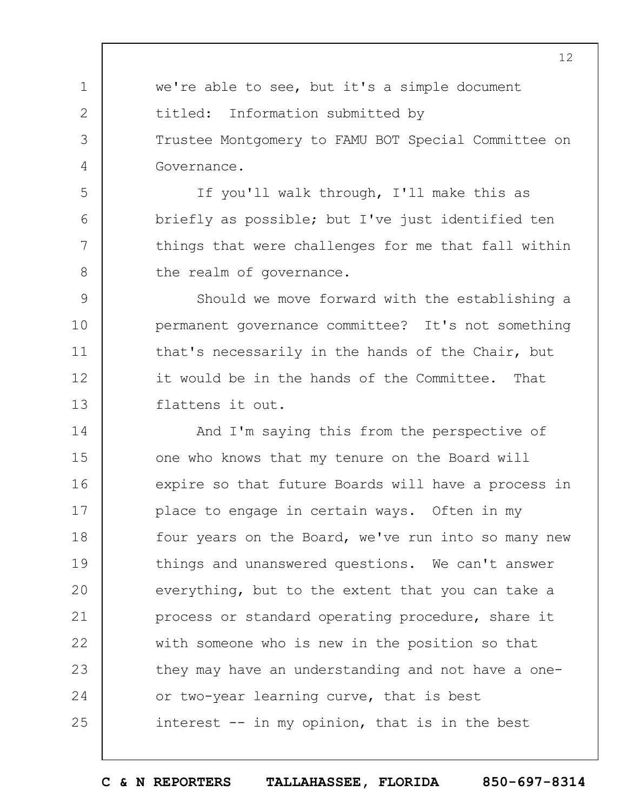we're able to see, but it's a simple document titled: Information submitted by Trustee Montgomery to FAMU BOT Special Committee on Governance.

1

2

3

4

5

6

7

8

If you'll walk through, I'll make this as briefly as possible; but I've just identified ten things that were challenges for me that fall within the realm of governance.

9 10 11 12 13 Should we move forward with the establishing a permanent governance committee? It's not something that's necessarily in the hands of the Chair, but it would be in the hands of the Committee. That flattens it out.

14 15 16 17 18 19  $20$ 21 22 23 24 25 And I'm saying this from the perspective of one who knows that my tenure on the Board will expire so that future Boards will have a process in place to engage in certain ways. Often in my four years on the Board, we've run into so many new things and unanswered questions. We can't answer everything, but to the extent that you can take a process or standard operating procedure, share it with someone who is new in the position so that they may have an understanding and not have a oneor two-year learning curve, that is best interest -- in my opinion, that is in the best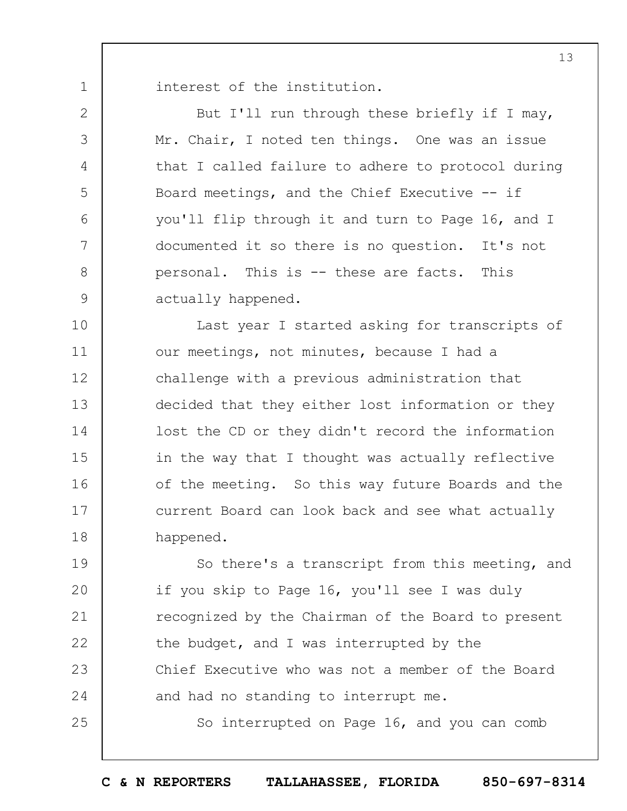interest of the institution.

1

2

3

4

5

6

7

8

9

25

But I'll run through these briefly if I may, Mr. Chair, I noted ten things. One was an issue that I called failure to adhere to protocol during Board meetings, and the Chief Executive -- if you'll flip through it and turn to Page 16, and I documented it so there is no question. It's not personal. This is -- these are facts. This actually happened.

10 11 12 13 14 15 16 17 18 Last year I started asking for transcripts of our meetings, not minutes, because I had a challenge with a previous administration that decided that they either lost information or they lost the CD or they didn't record the information in the way that I thought was actually reflective of the meeting. So this way future Boards and the current Board can look back and see what actually happened.

19  $20$ 21 22 23 24 So there's a transcript from this meeting, and if you skip to Page 16, you'll see I was duly recognized by the Chairman of the Board to present the budget, and I was interrupted by the Chief Executive who was not a member of the Board and had no standing to interrupt me.

So interrupted on Page 16, and you can comb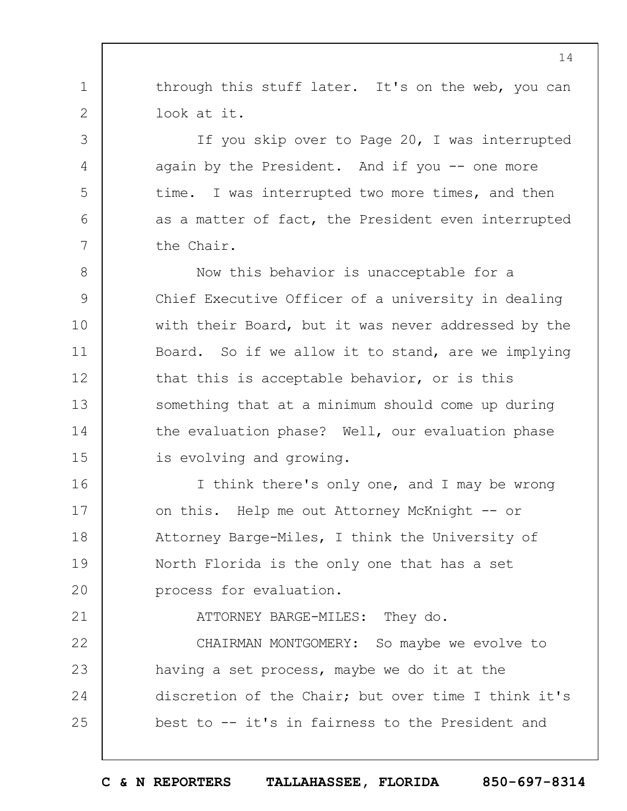through this stuff later. It's on the web, you can look at it.

1

2

3

4

5

6

7

21

If you skip over to Page 20, I was interrupted again by the President. And if you  $-$  one more time. I was interrupted two more times, and then as a matter of fact, the President even interrupted the Chair.

8 9 10 11 12 13 14 15 Now this behavior is unacceptable for a Chief Executive Officer of a university in dealing with their Board, but it was never addressed by the Board. So if we allow it to stand, are we implying that this is acceptable behavior, or is this something that at a minimum should come up during the evaluation phase? Well, our evaluation phase is evolving and growing.

16 17 18 19  $20$ I think there's only one, and I may be wrong on this. Help me out Attorney McKnight -- or Attorney Barge-Miles, I think the University of North Florida is the only one that has a set process for evaluation.

ATTORNEY BARGE-MILES: They do.

22 23 24 25 CHAIRMAN MONTGOMERY: So maybe we evolve to having a set process, maybe we do it at the discretion of the Chair; but over time I think it's best to -- it's in fairness to the President and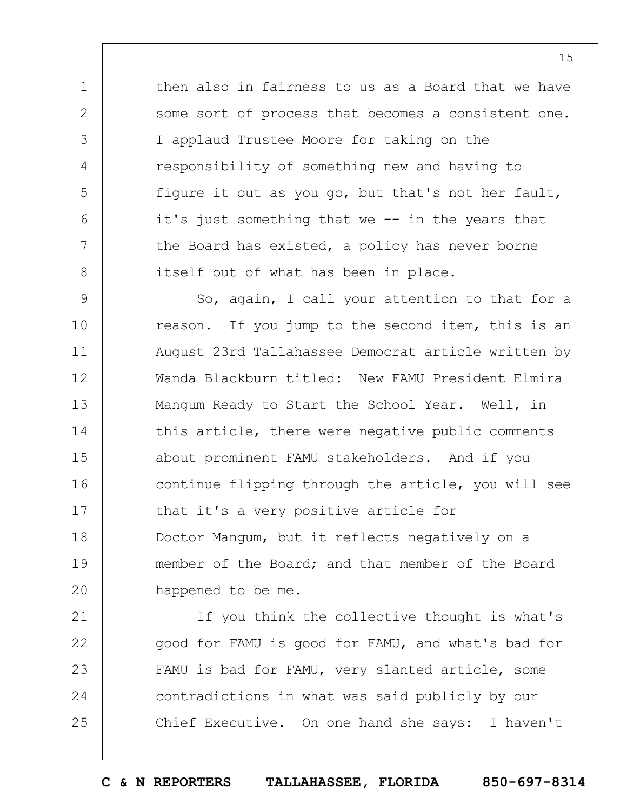then also in fairness to us as a Board that we have some sort of process that becomes a consistent one. I applaud Trustee Moore for taking on the responsibility of something new and having to figure it out as you go, but that's not her fault, it's just something that we -- in the years that the Board has existed, a policy has never borne itself out of what has been in place.

1

2

3

4

5

6

7

8

9 10 11 12 13 14 15 16 17 18 19  $20$ So, again, I call your attention to that for a reason. If you jump to the second item, this is an August 23rd Tallahassee Democrat article written by Wanda Blackburn titled: New FAMU President Elmira Mangum Ready to Start the School Year. Well, in this article, there were negative public comments about prominent FAMU stakeholders. And if you continue flipping through the article, you will see that it's a very positive article for Doctor Mangum, but it reflects negatively on a member of the Board; and that member of the Board happened to be me.

21 22 23 24 25 If you think the collective thought is what's good for FAMU is good for FAMU, and what's bad for FAMU is bad for FAMU, very slanted article, some contradictions in what was said publicly by our Chief Executive. On one hand she says: I haven't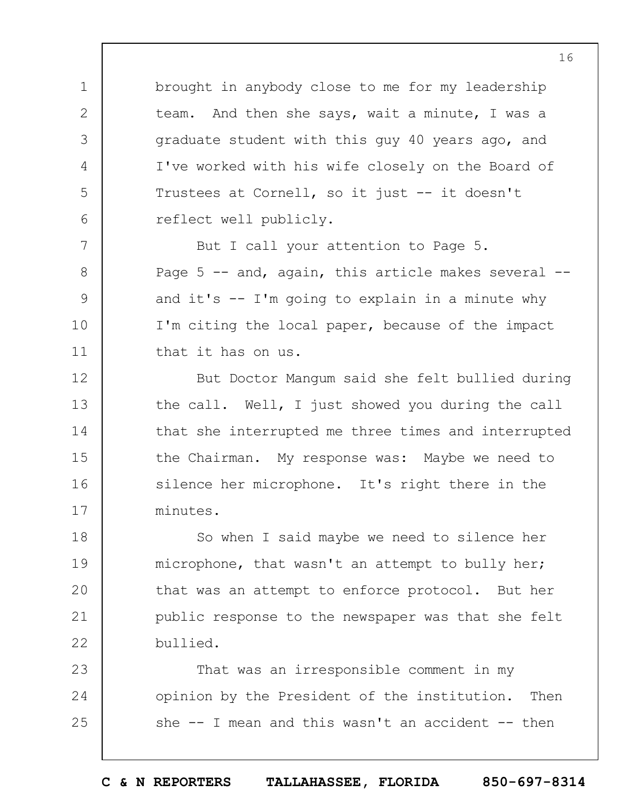brought in anybody close to me for my leadership team. And then she says, wait a minute, I was a graduate student with this guy 40 years ago, and I've worked with his wife closely on the Board of Trustees at Cornell, so it just -- it doesn't reflect well publicly.

1

2

3

4

5

6

7

8

9

10

11

But I call your attention to Page 5. Page  $5$  -- and, again, this article makes several -and it's  $-$  I'm going to explain in a minute why I'm citing the local paper, because of the impact that it has on us.

12 13 14 15 16 17 But Doctor Mangum said she felt bullied during the call. Well, I just showed you during the call that she interrupted me three times and interrupted the Chairman. My response was: Maybe we need to silence her microphone. It's right there in the minutes.

18 19  $20$ 21 22 So when I said maybe we need to silence her microphone, that wasn't an attempt to bully her; that was an attempt to enforce protocol. But her public response to the newspaper was that she felt bullied.

23 24 25 That was an irresponsible comment in my opinion by the President of the institution. Then she  $-$  I mean and this wasn't an accident  $-$  then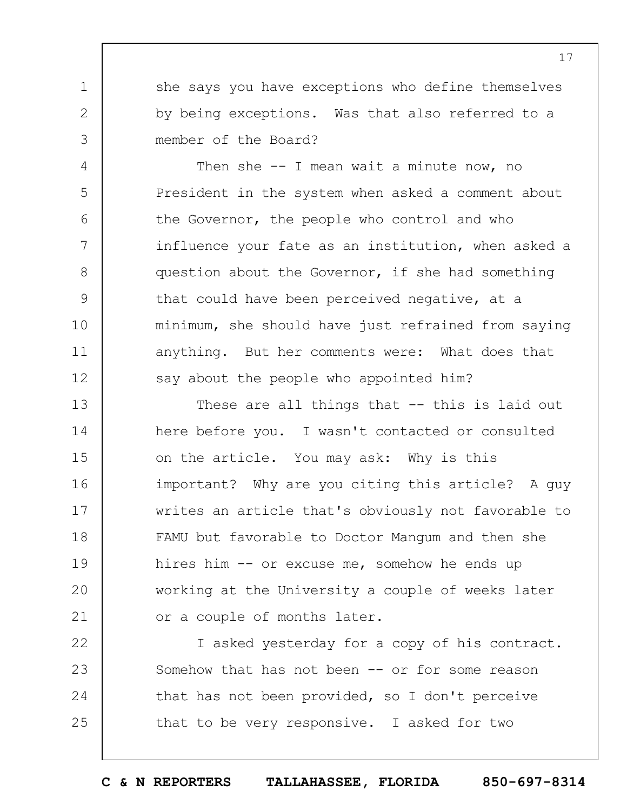she says you have exceptions who define themselves by being exceptions. Was that also referred to a member of the Board?

1

2

3

4

5

6

7

8

9

10

11

12

Then she  $-$  I mean wait a minute now, no President in the system when asked a comment about the Governor, the people who control and who influence your fate as an institution, when asked a question about the Governor, if she had something that could have been perceived negative, at a minimum, she should have just refrained from saying anything. But her comments were: What does that say about the people who appointed him?

13 14 15 16 17 18 19  $20$ 21 These are all things that -- this is laid out here before you. I wasn't contacted or consulted on the article. You may ask: Why is this important? Why are you citing this article? A guy writes an article that's obviously not favorable to FAMU but favorable to Doctor Mangum and then she hires him -- or excuse me, somehow he ends up working at the University a couple of weeks later or a couple of months later.

22 23 24 25 I asked yesterday for a copy of his contract. Somehow that has not been -- or for some reason that has not been provided, so I don't perceive that to be very responsive. I asked for two

17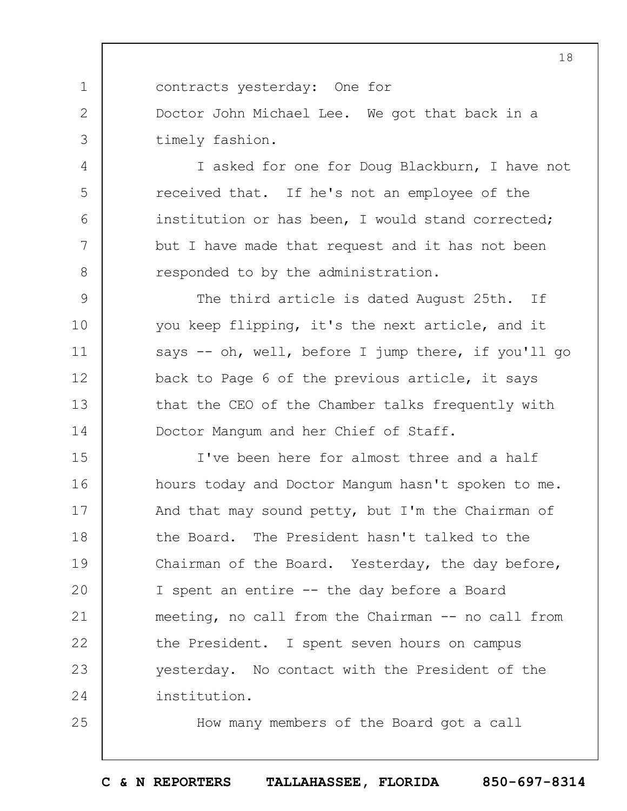contracts yesterday: One for Doctor John Michael Lee. We got that back in a timely fashion.

1

2

3

4

5

6

7

8

25

I asked for one for Doug Blackburn, I have not received that. If he's not an employee of the institution or has been, I would stand corrected; but I have made that request and it has not been responded to by the administration.

9 10 11 12 13 14 The third article is dated August 25th. If you keep flipping, it's the next article, and it says -- oh, well, before I jump there, if you'll go back to Page 6 of the previous article, it says that the CEO of the Chamber talks frequently with Doctor Mangum and her Chief of Staff.

15 16 17 18 19  $20$ 21 22 23 24 I've been here for almost three and a half hours today and Doctor Mangum hasn't spoken to me. And that may sound petty, but I'm the Chairman of the Board. The President hasn't talked to the Chairman of the Board. Yesterday, the day before, I spent an entire -- the day before a Board meeting, no call from the Chairman -- no call from the President. I spent seven hours on campus yesterday. No contact with the President of the institution.

How many members of the Board got a call

**C & N REPORTERS TALLAHASSEE, FLORIDA 850-697-8314**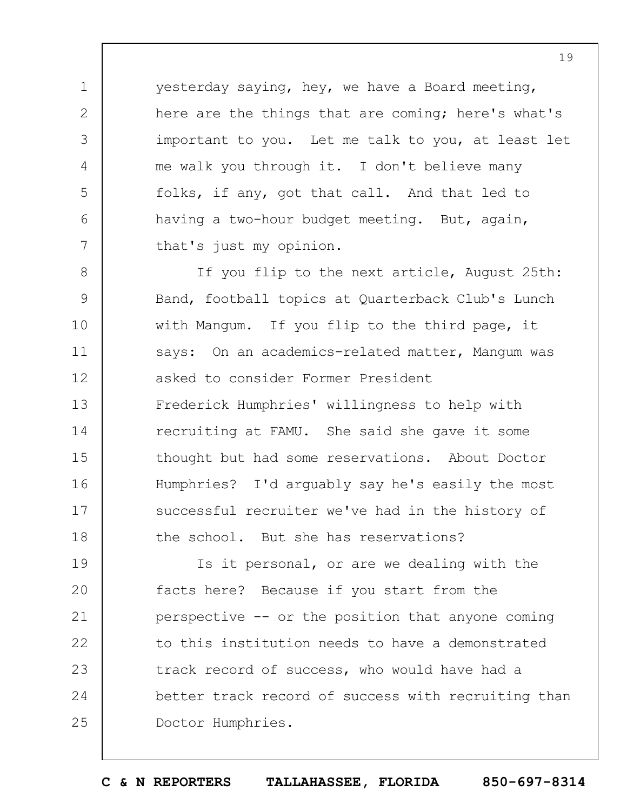yesterday saying, hey, we have a Board meeting, here are the things that are coming; here's what's important to you. Let me talk to you, at least let me walk you through it. I don't believe many folks, if any, got that call. And that led to having a two-hour budget meeting. But, again, that's just my opinion.

1

2

3

4

5

6

7

8 9 10 11 12 13 14 15 16 17 18 If you flip to the next article, August 25th: Band, football topics at Quarterback Club's Lunch with Mangum. If you flip to the third page, it says: On an academics-related matter, Mangum was asked to consider Former President Frederick Humphries' willingness to help with recruiting at FAMU. She said she gave it some thought but had some reservations. About Doctor Humphries? I'd arguably say he's easily the most successful recruiter we've had in the history of the school. But she has reservations?

19  $20$ 21 22 23 24 25 Is it personal, or are we dealing with the facts here? Because if you start from the perspective -- or the position that anyone coming to this institution needs to have a demonstrated track record of success, who would have had a better track record of success with recruiting than Doctor Humphries.

**C & N REPORTERS TALLAHASSEE, FLORIDA 850-697-8314**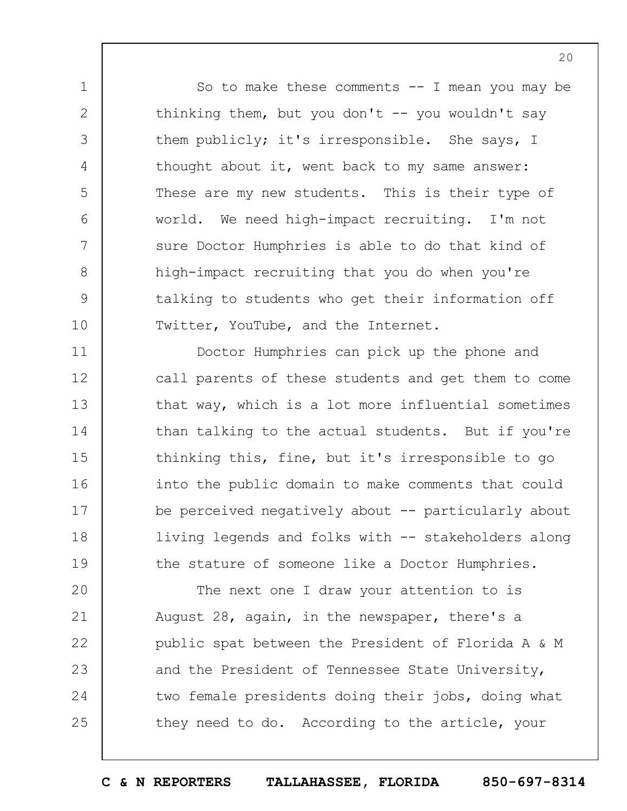So to make these comments  $-$  I mean you may be thinking them, but you don't  $-$  you wouldn't say them publicly; it's irresponsible. She says, I thought about it, went back to my same answer: These are my new students. This is their type of world. We need high-impact recruiting. I'm not sure Doctor Humphries is able to do that kind of high-impact recruiting that you do when you're talking to students who get their information off Twitter, YouTube, and the Internet.

1

2

3

4

5

6

7

8

9

10

11 12 13 14 15 16 17 18 19 Doctor Humphries can pick up the phone and call parents of these students and get them to come that way, which is a lot more influential sometimes than talking to the actual students. But if you're thinking this, fine, but it's irresponsible to go into the public domain to make comments that could be perceived negatively about -- particularly about living legends and folks with -- stakeholders along the stature of someone like a Doctor Humphries.

 $20$ 21 22 23 24 25 The next one I draw your attention to is August 28, again, in the newspaper, there's a public spat between the President of Florida A & M and the President of Tennessee State University, two female presidents doing their jobs, doing what they need to do. According to the article, your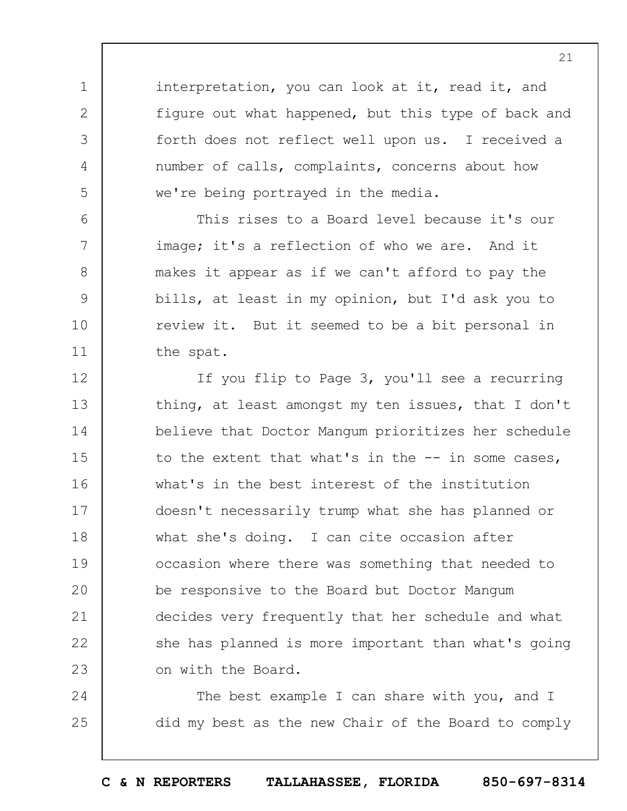interpretation, you can look at it, read it, and figure out what happened, but this type of back and forth does not reflect well upon us. I received a number of calls, complaints, concerns about how we're being portrayed in the media.

1

2

3

4

5

6

7

8

9

10

11

This rises to a Board level because it's our image; it's a reflection of who we are. And it makes it appear as if we can't afford to pay the bills, at least in my opinion, but I'd ask you to review it. But it seemed to be a bit personal in the spat.

12 13 14 15 16 17 18 19  $20$ 21 22 23 If you flip to Page 3, you'll see a recurring thing, at least amongst my ten issues, that I don't believe that Doctor Mangum prioritizes her schedule to the extent that what's in the -- in some cases, what's in the best interest of the institution doesn't necessarily trump what she has planned or what she's doing. I can cite occasion after occasion where there was something that needed to be responsive to the Board but Doctor Mangum decides very frequently that her schedule and what she has planned is more important than what's going on with the Board.

24 25 The best example I can share with you, and I did my best as the new Chair of the Board to comply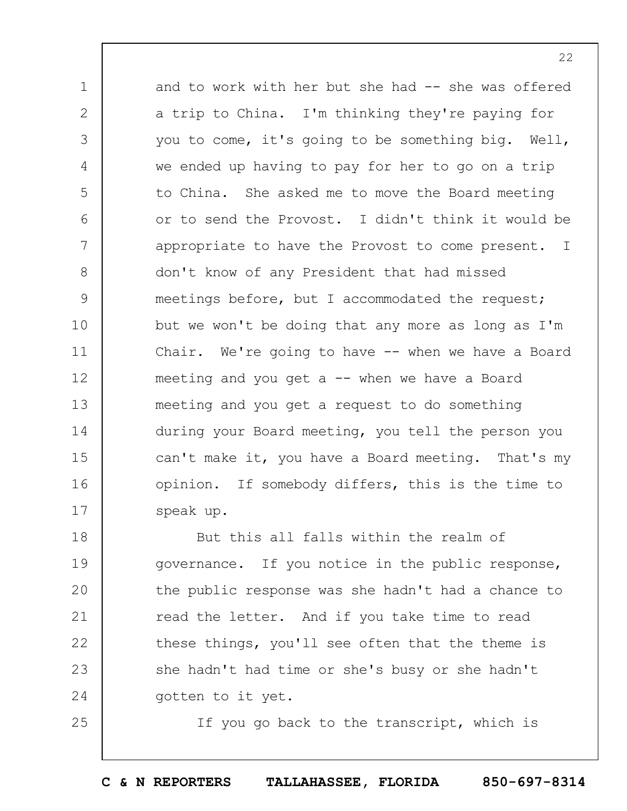1 2 3 4 5 6 7 8 9 10 11 12 13 14 15 16 17 and to work with her but she had -- she was offered a trip to China. I'm thinking they're paying for you to come, it's going to be something big. Well, we ended up having to pay for her to go on a trip to China. She asked me to move the Board meeting or to send the Provost. I didn't think it would be appropriate to have the Provost to come present. I don't know of any President that had missed meetings before, but I accommodated the request; but we won't be doing that any more as long as I'm Chair. We're going to have -- when we have a Board meeting and you get a  $--$  when we have a Board meeting and you get a request to do something during your Board meeting, you tell the person you can't make it, you have a Board meeting. That's my opinion. If somebody differs, this is the time to speak up.

18 19  $20$ 21 22 23 24 But this all falls within the realm of governance. If you notice in the public response, the public response was she hadn't had a chance to read the letter. And if you take time to read these things, you'll see often that the theme is she hadn't had time or she's busy or she hadn't gotten to it yet.

25

If you go back to the transcript, which is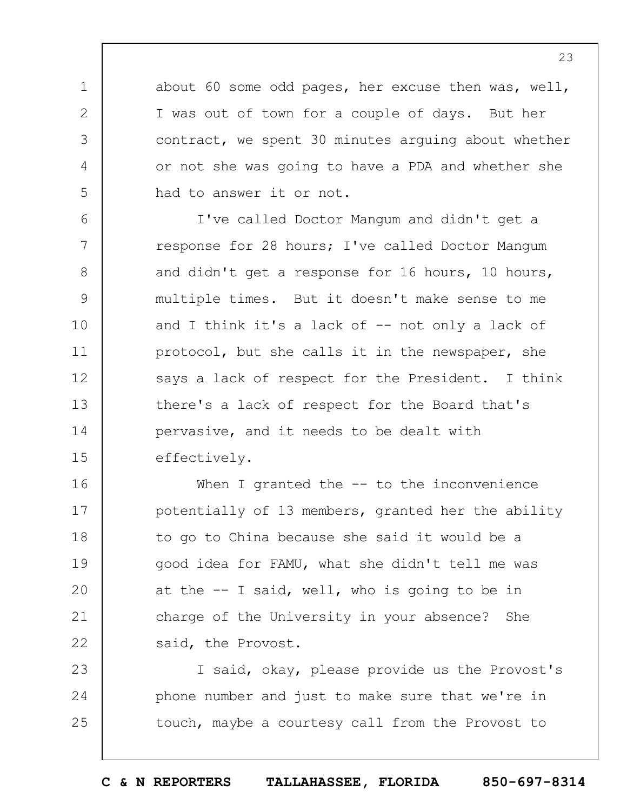about 60 some odd pages, her excuse then was, well, I was out of town for a couple of days. But her contract, we spent 30 minutes arguing about whether or not she was going to have a PDA and whether she had to answer it or not.

1

2

3

4

5

23

24

25

6 7 8 9 10 11 12 13 14 15 I've called Doctor Mangum and didn't get a response for 28 hours; I've called Doctor Mangum and didn't get a response for 16 hours, 10 hours, multiple times. But it doesn't make sense to me and I think it's a lack of  $-$  not only a lack of protocol, but she calls it in the newspaper, she says a lack of respect for the President. I think there's a lack of respect for the Board that's pervasive, and it needs to be dealt with effectively.

16 17 18 19  $20$ 21 22 When I granted the -- to the inconvenience potentially of 13 members, granted her the ability to go to China because she said it would be a good idea for FAMU, what she didn't tell me was at the -- I said, well, who is going to be in charge of the University in your absence? She said, the Provost.

I said, okay, please provide us the Provost's phone number and just to make sure that we're in touch, maybe a courtesy call from the Provost to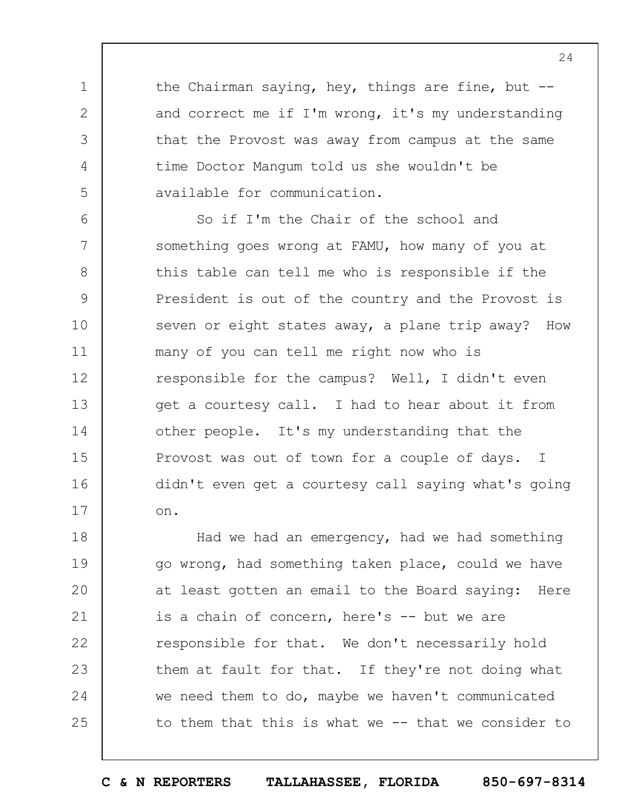the Chairman saying, hey, things are fine, but - and correct me if I'm wrong, it's my understanding that the Provost was away from campus at the same time Doctor Mangum told us she wouldn't be available for communication.

1

2

3

4

5

6 7 8 9 10 11 12 13 14 15 16 17 So if I'm the Chair of the school and something goes wrong at FAMU, how many of you at this table can tell me who is responsible if the President is out of the country and the Provost is seven or eight states away, a plane trip away? How many of you can tell me right now who is responsible for the campus? Well, I didn't even get a courtesy call. I had to hear about it from other people. It's my understanding that the Provost was out of town for a couple of days. I didn't even get a courtesy call saying what's going on.

18 19  $20$ 21 22 23 24 25 Had we had an emergency, had we had something go wrong, had something taken place, could we have at least gotten an email to the Board saying: Here is a chain of concern, here's -- but we are responsible for that. We don't necessarily hold them at fault for that. If they're not doing what we need them to do, maybe we haven't communicated to them that this is what we -- that we consider to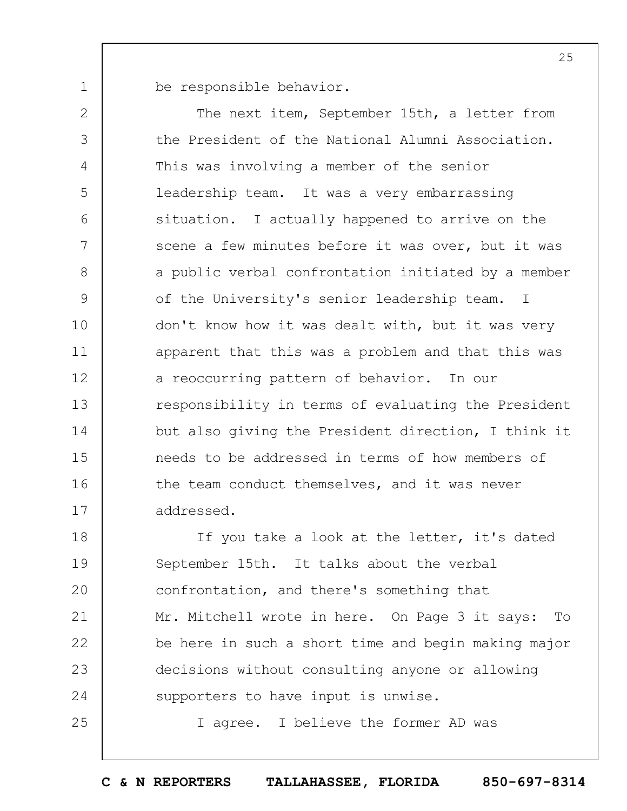be responsible behavior.

1

25

2 3 4 5 6 7 8 9 10 11 12 13 14 15 16 17 The next item, September 15th, a letter from the President of the National Alumni Association. This was involving a member of the senior leadership team. It was a very embarrassing situation. I actually happened to arrive on the scene a few minutes before it was over, but it was a public verbal confrontation initiated by a member of the University's senior leadership team. I don't know how it was dealt with, but it was very apparent that this was a problem and that this was a reoccurring pattern of behavior. In our responsibility in terms of evaluating the President but also giving the President direction, I think it needs to be addressed in terms of how members of the team conduct themselves, and it was never addressed.

18 19  $20$ 21 22 23 24 If you take a look at the letter, it's dated September 15th. It talks about the verbal confrontation, and there's something that Mr. Mitchell wrote in here. On Page 3 it says: To be here in such a short time and begin making major decisions without consulting anyone or allowing supporters to have input is unwise.

I agree. I believe the former AD was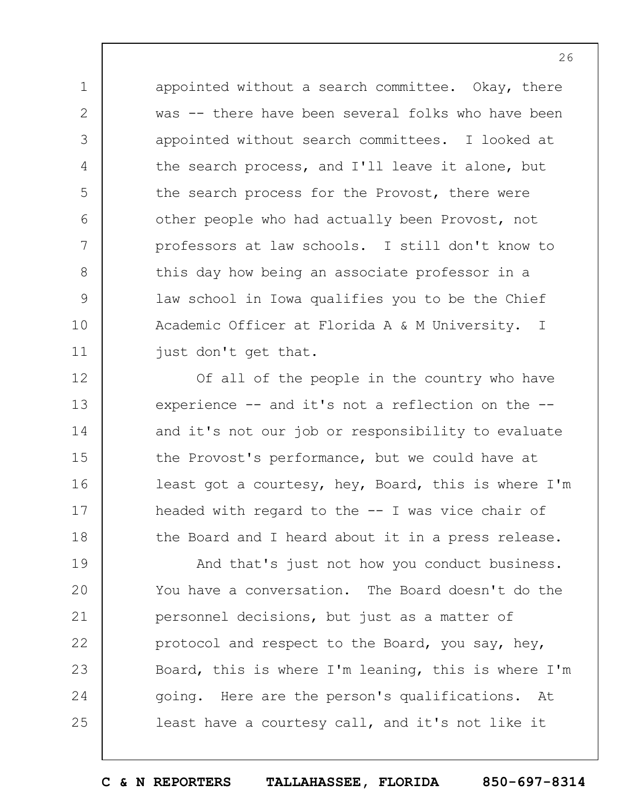appointed without a search committee. Okay, there was -- there have been several folks who have been appointed without search committees. I looked at the search process, and I'll leave it alone, but the search process for the Provost, there were other people who had actually been Provost, not professors at law schools. I still don't know to this day how being an associate professor in a law school in Iowa qualifies you to be the Chief Academic Officer at Florida A & M University. I just don't get that.

1

2

3

4

5

6

7

8

9

10

11

12 13 14 15 16 17 18 Of all of the people in the country who have experience -- and it's not a reflection on the - and it's not our job or responsibility to evaluate the Provost's performance, but we could have at least got a courtesy, hey, Board, this is where I'm headed with regard to the  $-$ - I was vice chair of the Board and I heard about it in a press release.

19  $20$ 21 22 23 24 25 And that's just not how you conduct business. You have a conversation. The Board doesn't do the personnel decisions, but just as a matter of protocol and respect to the Board, you say, hey, Board, this is where I'm leaning, this is where I'm going. Here are the person's qualifications. At least have a courtesy call, and it's not like it

**C & N REPORTERS TALLAHASSEE, FLORIDA 850-697-8314**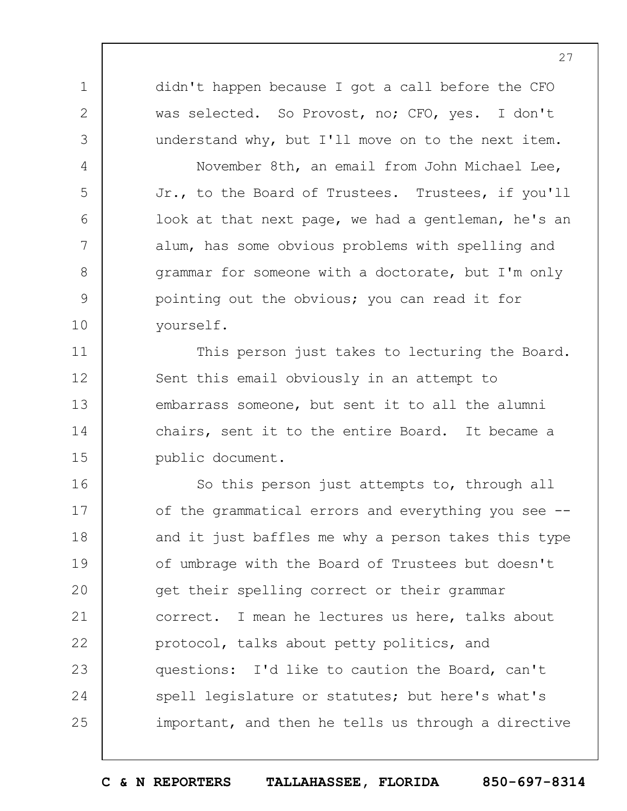didn't happen because I got a call before the CFO was selected. So Provost, no; CFO, yes. I don't understand why, but I'll move on to the next item.

1

2

3

4

5

6

7

8

9

10

11

12

13

14

15

November 8th, an email from John Michael Lee, Jr., to the Board of Trustees. Trustees, if you'll look at that next page, we had a gentleman, he's an alum, has some obvious problems with spelling and grammar for someone with a doctorate, but I'm only pointing out the obvious; you can read it for yourself.

This person just takes to lecturing the Board. Sent this email obviously in an attempt to embarrass someone, but sent it to all the alumni chairs, sent it to the entire Board. It became a public document.

16 17 18 19  $20$ 21 22 23 24 25 So this person just attempts to, through all of the grammatical errors and everything you see - and it just baffles me why a person takes this type of umbrage with the Board of Trustees but doesn't get their spelling correct or their grammar correct. I mean he lectures us here, talks about protocol, talks about petty politics, and questions: I'd like to caution the Board, can't spell legislature or statutes; but here's what's important, and then he tells us through a directive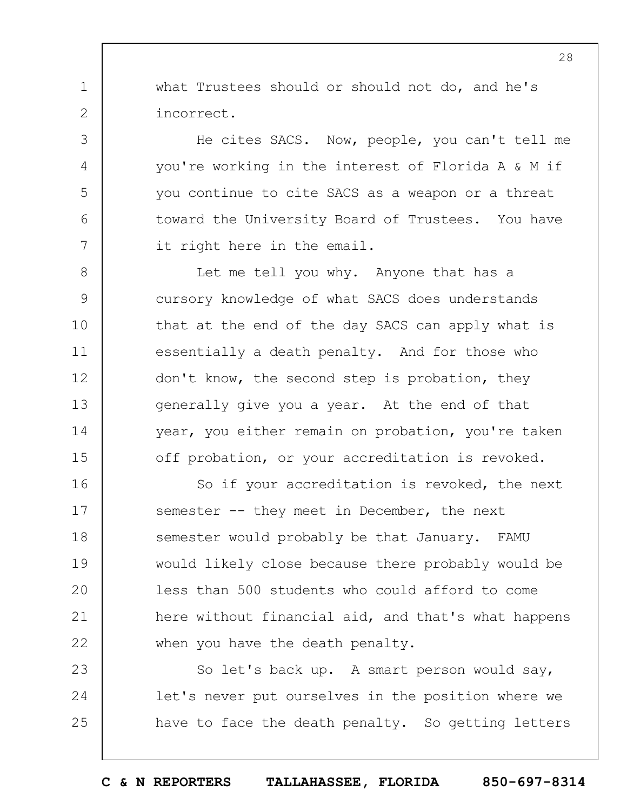what Trustees should or should not do, and he's incorrect.

1

2

3

4

5

6

7

He cites SACS. Now, people, you can't tell me you're working in the interest of Florida A & M if you continue to cite SACS as a weapon or a threat toward the University Board of Trustees. You have it right here in the email.

8 9 10 11 12 13 14 15 Let me tell you why. Anyone that has a cursory knowledge of what SACS does understands that at the end of the day SACS can apply what is essentially a death penalty. And for those who don't know, the second step is probation, they generally give you a year. At the end of that year, you either remain on probation, you're taken off probation, or your accreditation is revoked.

16 17 18 19  $20$ 21 22 So if your accreditation is revoked, the next semester -- they meet in December, the next semester would probably be that January. FAMU would likely close because there probably would be less than 500 students who could afford to come here without financial aid, and that's what happens when you have the death penalty.

23 24 25 So let's back up. A smart person would say, let's never put ourselves in the position where we have to face the death penalty. So getting letters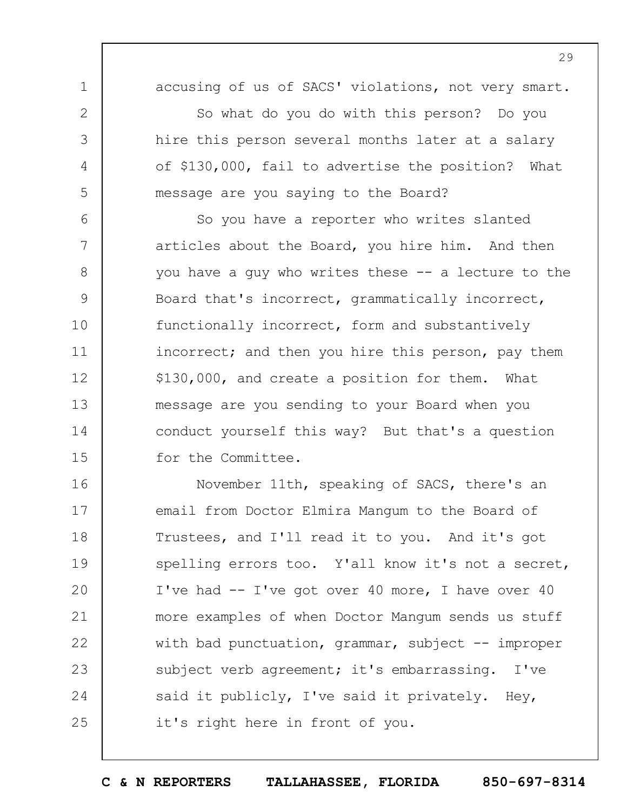1

2

3

4

5

accusing of us of SACS' violations, not very smart.

So what do you do with this person? Do you hire this person several months later at a salary of \$130,000, fail to advertise the position? What message are you saying to the Board?

6 7 8 9 10 11 12 13 14 15 So you have a reporter who writes slanted articles about the Board, you hire him. And then you have a guy who writes these -- a lecture to the Board that's incorrect, grammatically incorrect, functionally incorrect, form and substantively incorrect; and then you hire this person, pay them \$130,000, and create a position for them. What message are you sending to your Board when you conduct yourself this way? But that's a question for the Committee.

16 17 18 19  $20$ 21 22 23 24 25 November 11th, speaking of SACS, there's an email from Doctor Elmira Mangum to the Board of Trustees, and I'll read it to you. And it's got spelling errors too. Y'all know it's not a secret, I've had -- I've got over 40 more, I have over 40 more examples of when Doctor Mangum sends us stuff with bad punctuation, grammar, subject  $-$  improper subject verb agreement; it's embarrassing. I've said it publicly, I've said it privately. Hey, it's right here in front of you.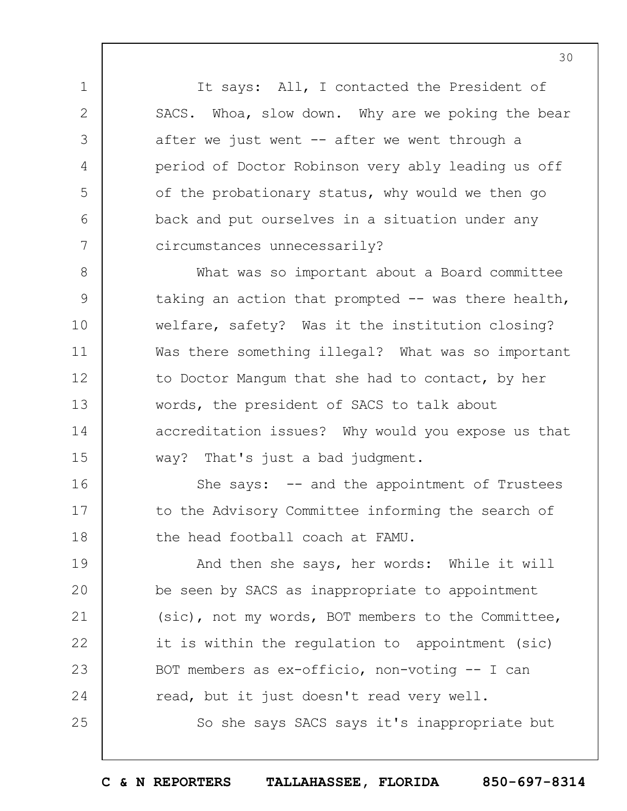It says: All, I contacted the President of SACS. Whoa, slow down. Why are we poking the bear after we just went  $-$  after we went through a period of Doctor Robinson very ably leading us off of the probationary status, why would we then go back and put ourselves in a situation under any circumstances unnecessarily?

1

2

3

4

5

6

7

16

17

18

25

8 9 10 11 12 13 14 15 What was so important about a Board committee taking an action that prompted -- was there health, welfare, safety? Was it the institution closing? Was there something illegal? What was so important to Doctor Mangum that she had to contact, by her words, the president of SACS to talk about accreditation issues? Why would you expose us that way? That's just a bad judgment.

She says:  $-$  and the appointment of Trustees to the Advisory Committee informing the search of the head football coach at FAMU.

19  $20$ 21 22 23 24 And then she says, her words: While it will be seen by SACS as inappropriate to appointment (sic), not my words, BOT members to the Committee, it is within the regulation to appointment (sic) BOT members as ex-officio, non-voting -- I can read, but it just doesn't read very well.

So she says SACS says it's inappropriate but

**C & N REPORTERS TALLAHASSEE, FLORIDA 850-697-8314**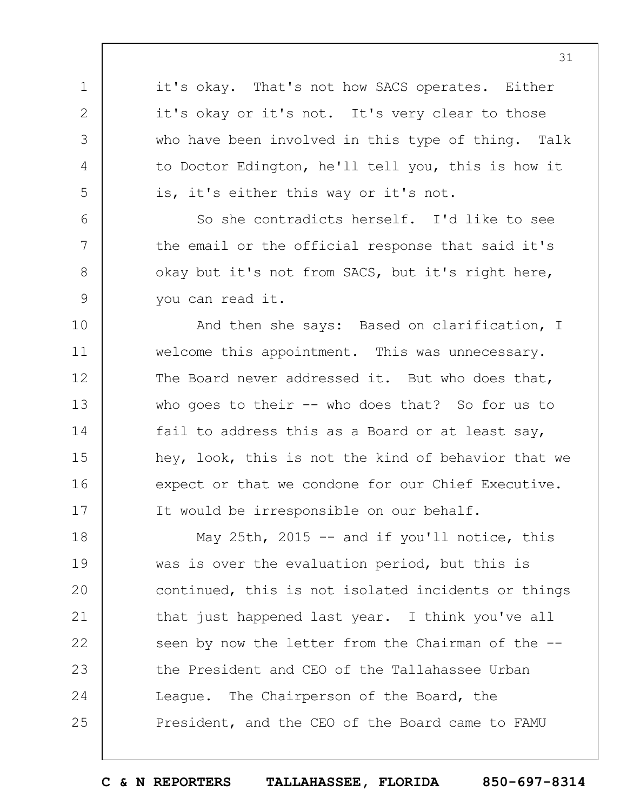it's okay. That's not how SACS operates. Either it's okay or it's not. It's very clear to those who have been involved in this type of thing. Talk to Doctor Edington, he'll tell you, this is how it is, it's either this way or it's not.

1

2

3

4

5

6

7

8

9

So she contradicts herself. I'd like to see the email or the official response that said it's okay but it's not from SACS, but it's right here, you can read it.

10 11 12 13 14 15 16 17 And then she says: Based on clarification, I welcome this appointment. This was unnecessary. The Board never addressed it. But who does that, who goes to their -- who does that? So for us to fail to address this as a Board or at least say, hey, look, this is not the kind of behavior that we expect or that we condone for our Chief Executive. It would be irresponsible on our behalf.

18 19  $20$ 21 22 23 24 25 May 25th, 2015 -- and if you'll notice, this was is over the evaluation period, but this is continued, this is not isolated incidents or things that just happened last year. I think you've all seen by now the letter from the Chairman of the -the President and CEO of the Tallahassee Urban League. The Chairperson of the Board, the President, and the CEO of the Board came to FAMU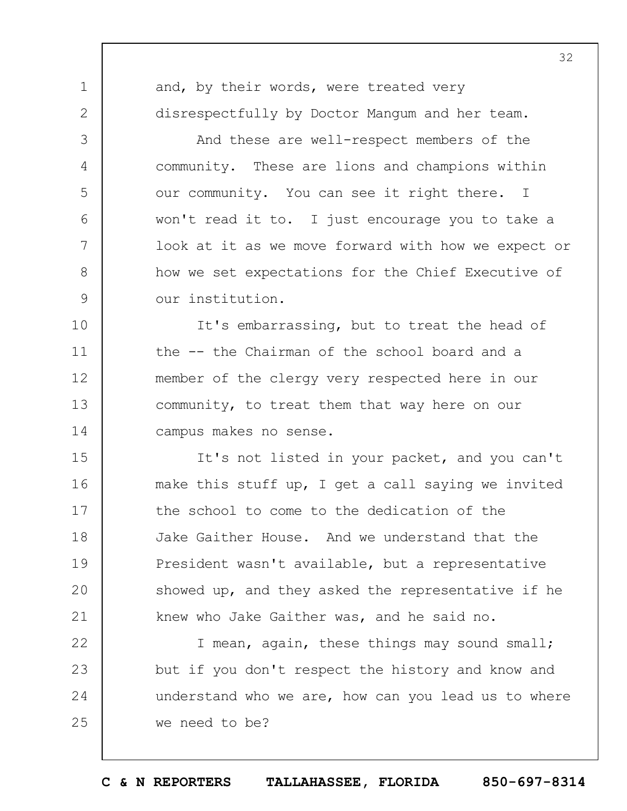1 2 3 4 5 6 7 8 9 10 11 12 13 14 15 16 17 and, by their words, were treated very disrespectfully by Doctor Mangum and her team. And these are well-respect members of the community. These are lions and champions within our community. You can see it right there. I won't read it to. I just encourage you to take a look at it as we move forward with how we expect or how we set expectations for the Chief Executive of our institution. It's embarrassing, but to treat the head of the -- the Chairman of the school board and a member of the clergy very respected here in our community, to treat them that way here on our campus makes no sense. It's not listed in your packet, and you can't make this stuff up, I get a call saying we invited the school to come to the dedication of the

21 22 23 24 25 knew who Jake Gaither was, and he said no. I mean, again, these things may sound small; but if you don't respect the history and know and understand who we are, how can you lead us to where we need to be?

Jake Gaither House. And we understand that the

President wasn't available, but a representative

showed up, and they asked the representative if he

18

19

 $20$ 

**C & N REPORTERS TALLAHASSEE, FLORIDA 850-697-8314**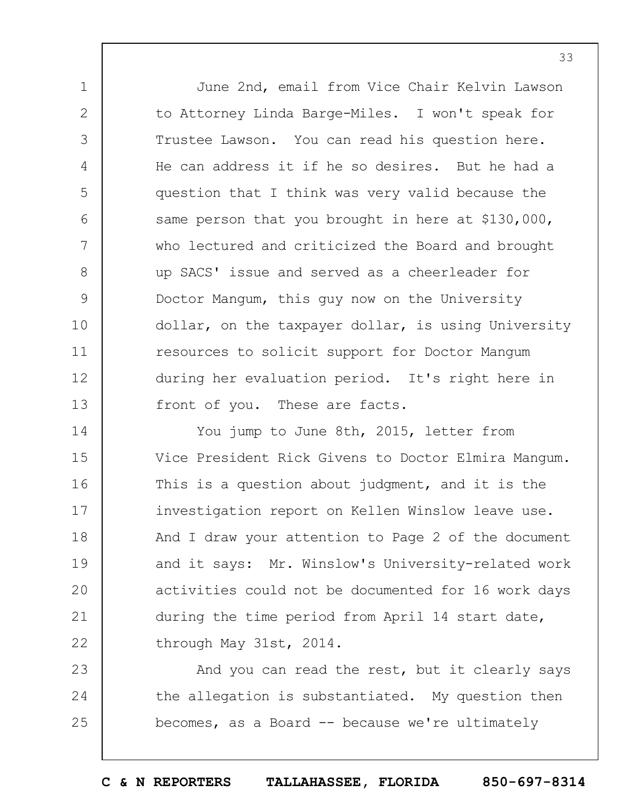June 2nd, email from Vice Chair Kelvin Lawson to Attorney Linda Barge-Miles. I won't speak for Trustee Lawson. You can read his question here. He can address it if he so desires. But he had a question that I think was very valid because the same person that you brought in here at \$130,000, who lectured and criticized the Board and brought up SACS' issue and served as a cheerleader for Doctor Mangum, this guy now on the University dollar, on the taxpayer dollar, is using University resources to solicit support for Doctor Mangum during her evaluation period. It's right here in front of you. These are facts.

1

2

3

4

5

6

7

8

9

10

11

12

13

14 15 16 17 18 19  $20$ 21 22 You jump to June 8th, 2015, letter from Vice President Rick Givens to Doctor Elmira Mangum. This is a question about judgment, and it is the investigation report on Kellen Winslow leave use. And I draw your attention to Page 2 of the document and it says: Mr. Winslow's University-related work activities could not be documented for 16 work days during the time period from April 14 start date, through May 31st, 2014.

23 24 25 And you can read the rest, but it clearly says the allegation is substantiated. My question then becomes, as a Board -- because we're ultimately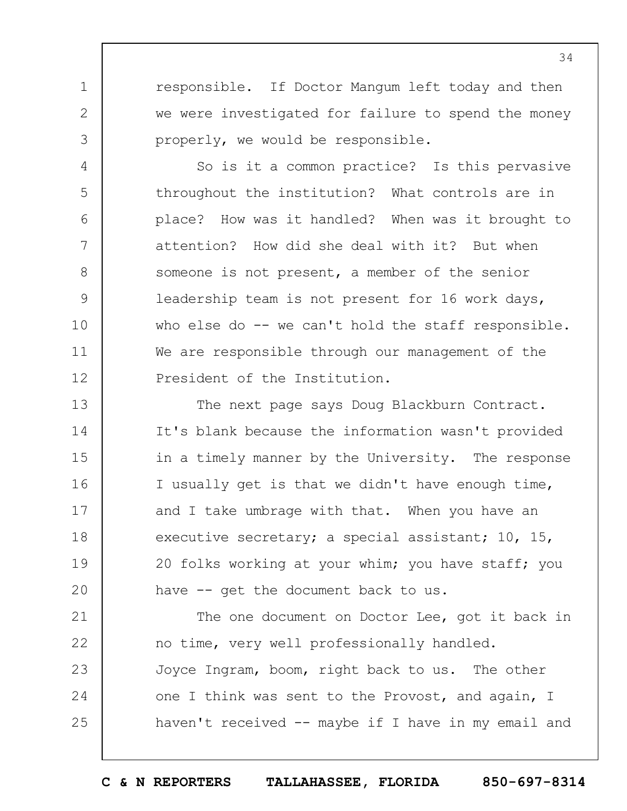responsible. If Doctor Mangum left today and then we were investigated for failure to spend the money properly, we would be responsible.

1

2

3

4

5

6

7

8

9

10

11

12

So is it a common practice? Is this pervasive throughout the institution? What controls are in place? How was it handled? When was it brought to attention? How did she deal with it? But when someone is not present, a member of the senior leadership team is not present for 16 work days, who else do -- we can't hold the staff responsible. We are responsible through our management of the President of the Institution.

13 14 15 16 17 18 19  $20$ The next page says Doug Blackburn Contract. It's blank because the information wasn't provided in a timely manner by the University. The response I usually get is that we didn't have enough time, and I take umbrage with that. When you have an executive secretary; a special assistant; 10, 15, 20 folks working at your whim; you have staff; you have -- get the document back to us.

21 22 23 24 25 The one document on Doctor Lee, got it back in no time, very well professionally handled. Joyce Ingram, boom, right back to us. The other one I think was sent to the Provost, and again, I haven't received -- maybe if I have in my email and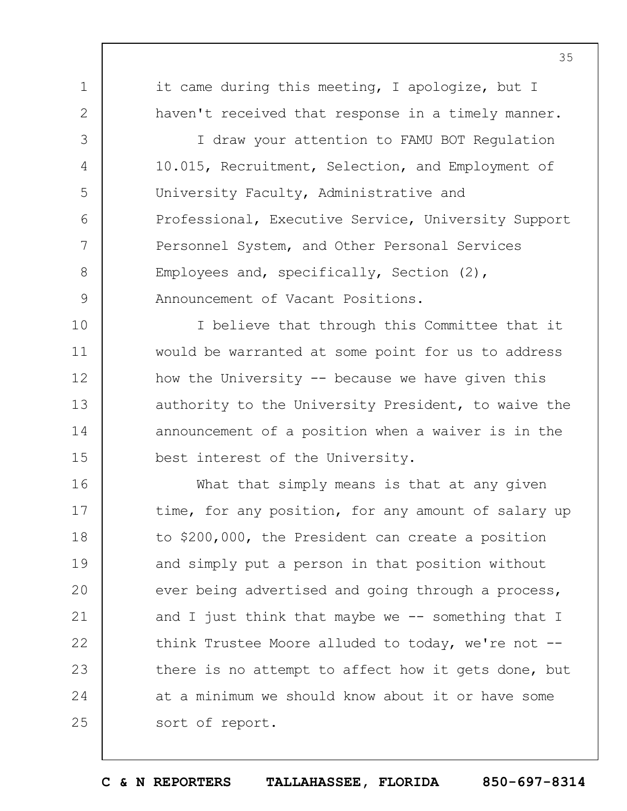1 2 3 4 5 6 7 8 9 10 11 12 13 14 15 16 17 18 19  $20$ 21 22 23 24 25 it came during this meeting, I apologize, but I haven't received that response in a timely manner. I draw your attention to FAMU BOT Regulation 10.015, Recruitment, Selection, and Employment of University Faculty, Administrative and Professional, Executive Service, University Support Personnel System, and Other Personal Services Employees and, specifically, Section (2), Announcement of Vacant Positions. I believe that through this Committee that it would be warranted at some point for us to address how the University  $-$  because we have given this authority to the University President, to waive the announcement of a position when a waiver is in the best interest of the University. What that simply means is that at any given time, for any position, for any amount of salary up to \$200,000, the President can create a position and simply put a person in that position without ever being advertised and going through a process, and I just think that maybe we  $-$ - something that I think Trustee Moore alluded to today, we're not -there is no attempt to affect how it gets done, but at a minimum we should know about it or have some sort of report.

35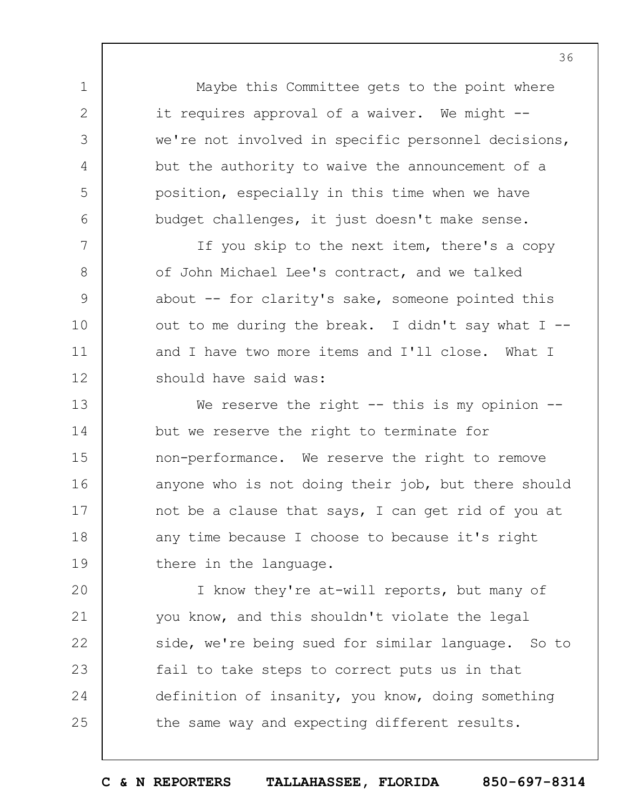Maybe this Committee gets to the point where it requires approval of a waiver. We might -we're not involved in specific personnel decisions, but the authority to waive the announcement of a position, especially in this time when we have budget challenges, it just doesn't make sense.

1

2

3

4

5

6

7

8

9

10

11

12

If you skip to the next item, there's a copy of John Michael Lee's contract, and we talked about -- for clarity's sake, someone pointed this out to me during the break. I didn't say what  $I$  -and I have two more items and I'll close. What I should have said was:

13 14 15 16 17 18 19 We reserve the right  $--$  this is my opinion  $-$ but we reserve the right to terminate for non-performance. We reserve the right to remove anyone who is not doing their job, but there should not be a clause that says, I can get rid of you at any time because I choose to because it's right there in the language.

 $20$ 21 22 23 24 25 I know they're at-will reports, but many of you know, and this shouldn't violate the legal side, we're being sued for similar language. So to fail to take steps to correct puts us in that definition of insanity, you know, doing something the same way and expecting different results.

**C & N REPORTERS TALLAHASSEE, FLORIDA 850-697-8314**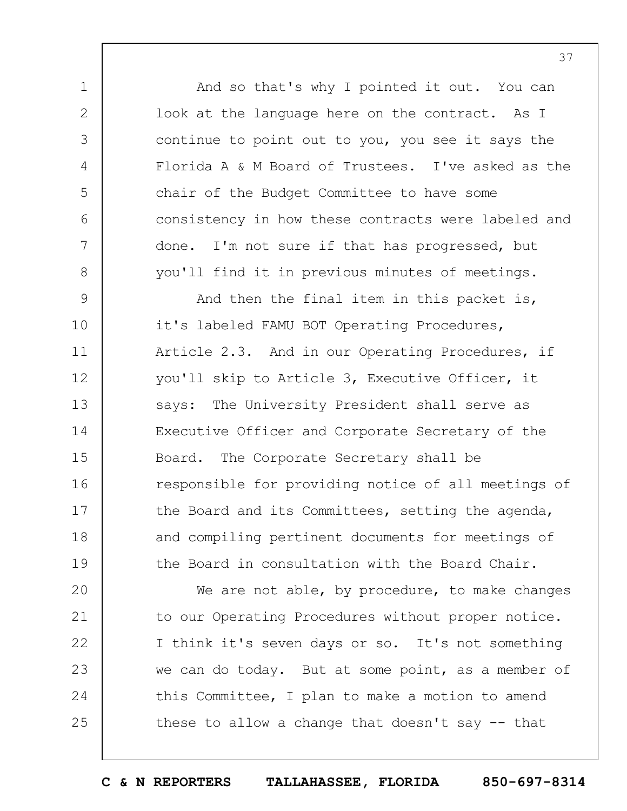And so that's why I pointed it out. You can look at the language here on the contract. As I continue to point out to you, you see it says the Florida A & M Board of Trustees. I've asked as the chair of the Budget Committee to have some consistency in how these contracts were labeled and done. I'm not sure if that has progressed, but you'll find it in previous minutes of meetings.

1

2

3

4

5

6

7

8

9 10 11 12 13 14 15 16 17 18 19 And then the final item in this packet is, it's labeled FAMU BOT Operating Procedures, Article 2.3. And in our Operating Procedures, if you'll skip to Article 3, Executive Officer, it says: The University President shall serve as Executive Officer and Corporate Secretary of the Board. The Corporate Secretary shall be responsible for providing notice of all meetings of the Board and its Committees, setting the agenda, and compiling pertinent documents for meetings of the Board in consultation with the Board Chair.

 $20$ 21 22 23 24 25 We are not able, by procedure, to make changes to our Operating Procedures without proper notice. I think it's seven days or so. It's not something we can do today. But at some point, as a member of this Committee, I plan to make a motion to amend these to allow a change that doesn't say  $-$  that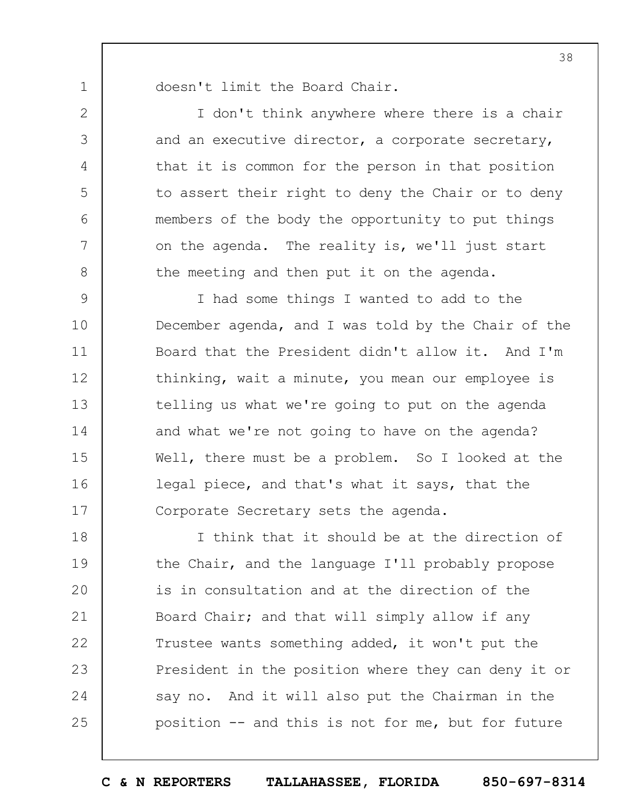1 2

3

4

5

6

7

8

doesn't limit the Board Chair.

I don't think anywhere where there is a chair and an executive director, a corporate secretary, that it is common for the person in that position to assert their right to deny the Chair or to deny members of the body the opportunity to put things on the agenda. The reality is, we'll just start the meeting and then put it on the agenda.

9 10 11 12 13 14 15 16 17 I had some things I wanted to add to the December agenda, and I was told by the Chair of the Board that the President didn't allow it. And I'm thinking, wait a minute, you mean our employee is telling us what we're going to put on the agenda and what we're not going to have on the agenda? Well, there must be a problem. So I looked at the legal piece, and that's what it says, that the Corporate Secretary sets the agenda.

18 19  $20$ 21 22 23 24 25 I think that it should be at the direction of the Chair, and the language I'll probably propose is in consultation and at the direction of the Board Chair; and that will simply allow if any Trustee wants something added, it won't put the President in the position where they can deny it or say no. And it will also put the Chairman in the position -- and this is not for me, but for future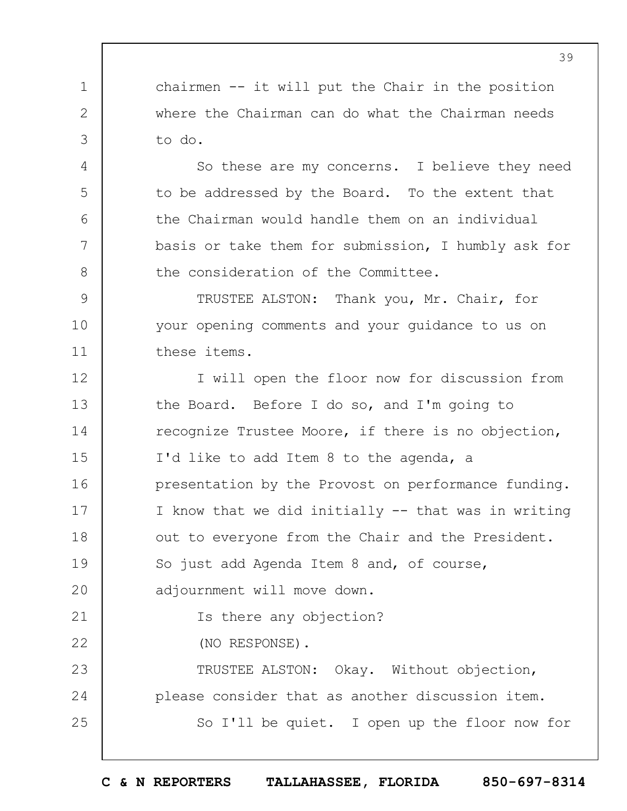1 2 3 chairmen -- it will put the Chair in the position where the Chairman can do what the Chairman needs to do.

4

5

6

7

8

So these are my concerns. I believe they need to be addressed by the Board. To the extent that the Chairman would handle them on an individual basis or take them for submission, I humbly ask for the consideration of the Committee.

9 10 11 TRUSTEE ALSTON: Thank you, Mr. Chair, for your opening comments and your guidance to us on these items.

12 13 14 15 16 17 18 19  $20$ 21 22 23 24 25 I will open the floor now for discussion from the Board. Before I do so, and I'm going to recognize Trustee Moore, if there is no objection, I'd like to add Item 8 to the agenda, a presentation by the Provost on performance funding. I know that we did initially -- that was in writing out to everyone from the Chair and the President. So just add Agenda Item 8 and, of course, adjournment will move down. Is there any objection? (NO RESPONSE). TRUSTEE ALSTON: Okay. Without objection, please consider that as another discussion item. So I'll be quiet. I open up the floor now for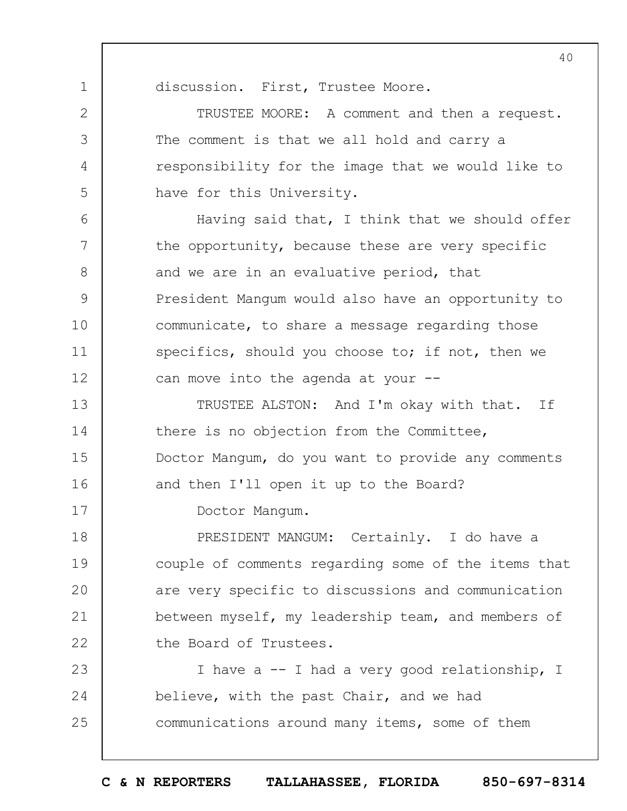discussion. First, Trustee Moore.

1

2

3

4

5

6

7

8

9

10

11

12

17

TRUSTEE MOORE: A comment and then a request. The comment is that we all hold and carry a responsibility for the image that we would like to have for this University.

Having said that, I think that we should offer the opportunity, because these are very specific and we are in an evaluative period, that President Mangum would also have an opportunity to communicate, to share a message regarding those specifics, should you choose to; if not, then we can move into the agenda at your --

13 14 15 16 TRUSTEE ALSTON: And I'm okay with that. If there is no objection from the Committee, Doctor Mangum, do you want to provide any comments and then I'll open it up to the Board?

Doctor Mangum.

18 19  $20$ 21 22 PRESIDENT MANGUM: Certainly. I do have a couple of comments regarding some of the items that are very specific to discussions and communication between myself, my leadership team, and members of the Board of Trustees.

23 24 25 I have a -- I had a very good relationship, I believe, with the past Chair, and we had communications around many items, some of them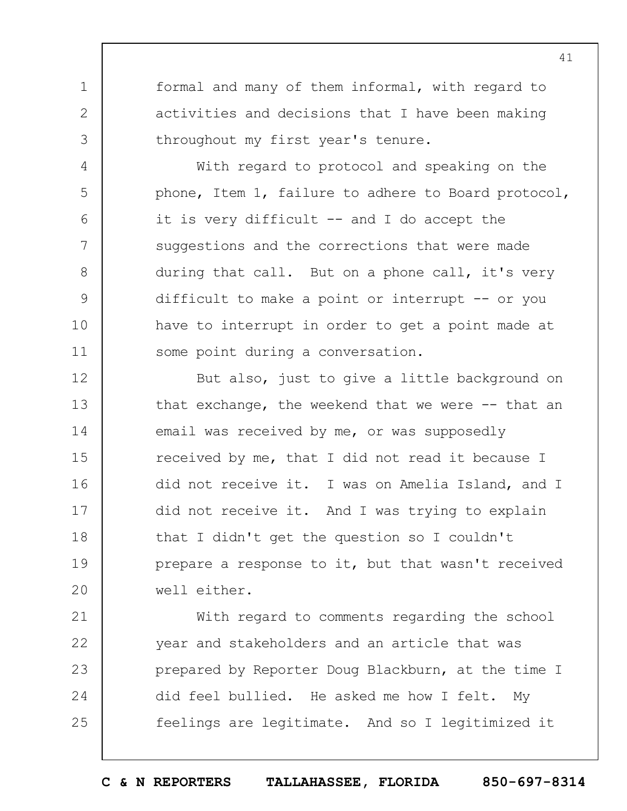formal and many of them informal, with regard to activities and decisions that I have been making throughout my first year's tenure.

1

2

3

4

5

6

7

8

9

10

11

With regard to protocol and speaking on the phone, Item 1, failure to adhere to Board protocol, it is very difficult  $--$  and I do accept the suggestions and the corrections that were made during that call. But on a phone call, it's very difficult to make a point or interrupt -- or you have to interrupt in order to get a point made at some point during a conversation.

12 13 14 15 16 17 18 19  $20$ But also, just to give a little background on that exchange, the weekend that we were  $-$ - that an email was received by me, or was supposedly received by me, that I did not read it because I did not receive it. I was on Amelia Island, and I did not receive it. And I was trying to explain that I didn't get the question so I couldn't prepare a response to it, but that wasn't received well either.

21 22 23 24 25 With regard to comments regarding the school year and stakeholders and an article that was prepared by Reporter Doug Blackburn, at the time I did feel bullied. He asked me how I felt. My feelings are legitimate. And so I legitimized it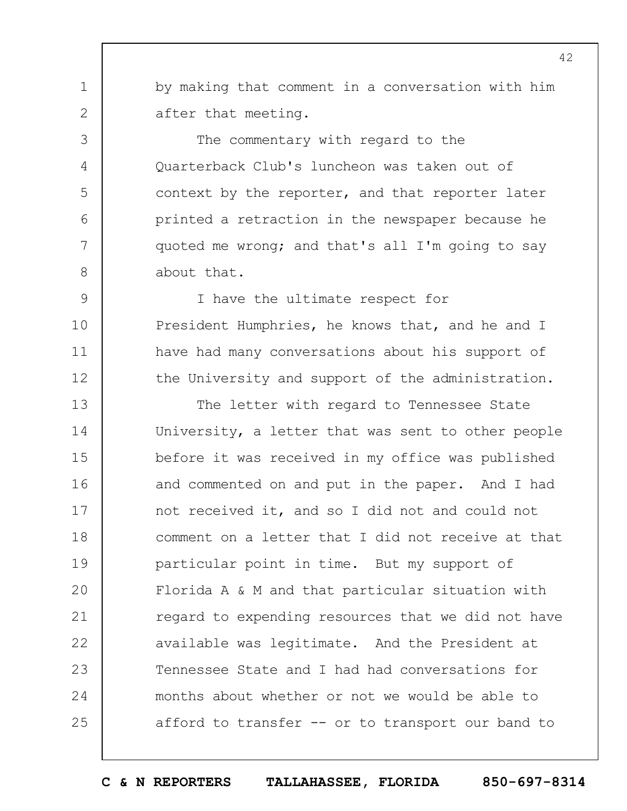by making that comment in a conversation with him after that meeting.

1

2

3

4

5

6

7

8

9

10

11

12

The commentary with regard to the Quarterback Club's luncheon was taken out of context by the reporter, and that reporter later printed a retraction in the newspaper because he quoted me wrong; and that's all I'm going to say about that.

I have the ultimate respect for President Humphries, he knows that, and he and I have had many conversations about his support of the University and support of the administration.

13 14 15 16 17 18 19  $20$ 21 22 23 24 25 The letter with regard to Tennessee State University, a letter that was sent to other people before it was received in my office was published and commented on and put in the paper. And I had not received it, and so I did not and could not comment on a letter that I did not receive at that particular point in time. But my support of Florida A & M and that particular situation with regard to expending resources that we did not have available was legitimate. And the President at Tennessee State and I had had conversations for months about whether or not we would be able to afford to transfer -- or to transport our band to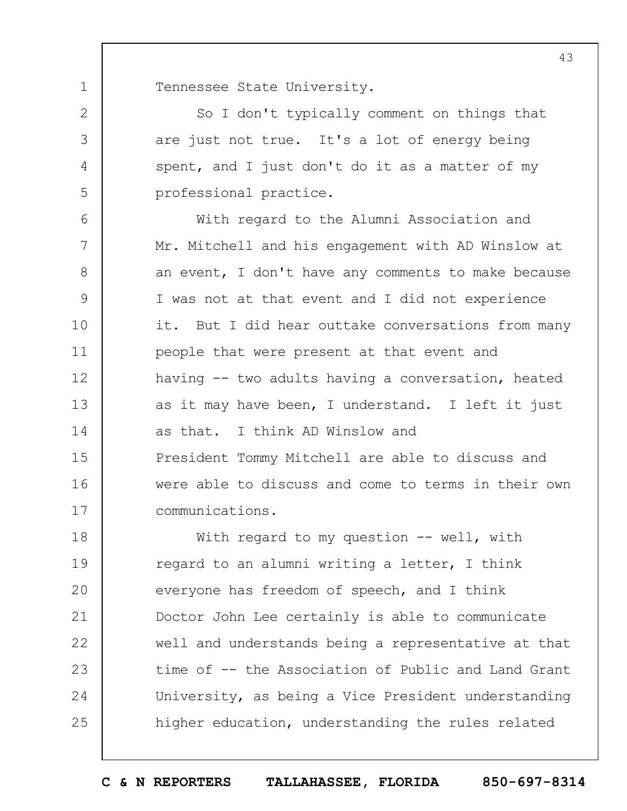1 Tennessee State University.

2

3

4

5

So I don't typically comment on things that are just not true. It's a lot of energy being spent, and I just don't do it as a matter of my professional practice.

6 7 8 9 10 11 12 13 14 15 16 17 With regard to the Alumni Association and Mr. Mitchell and his engagement with AD Winslow at an event, I don't have any comments to make because I was not at that event and I did not experience it. But I did hear outtake conversations from many people that were present at that event and having -- two adults having a conversation, heated as it may have been, I understand. I left it just as that. I think AD Winslow and President Tommy Mitchell are able to discuss and were able to discuss and come to terms in their own communications.

18 19  $20$ 21 22 23 24 25 With regard to my question -- well, with regard to an alumni writing a letter, I think everyone has freedom of speech, and I think Doctor John Lee certainly is able to communicate well and understands being a representative at that time of -- the Association of Public and Land Grant University, as being a Vice President understanding higher education, understanding the rules related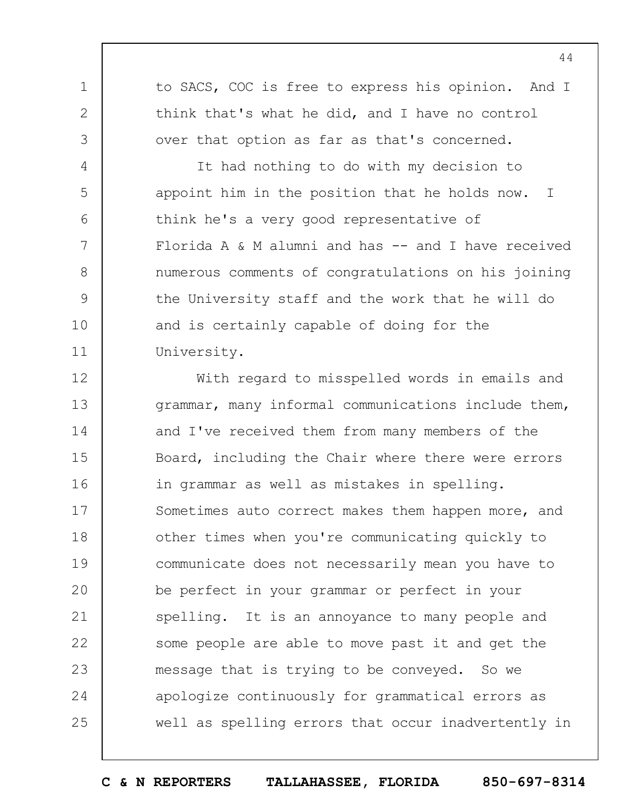to SACS, COC is free to express his opinion. And I think that's what he did, and I have no control over that option as far as that's concerned.

1

2

3

4

5

6

7

8

9

10

11

It had nothing to do with my decision to appoint him in the position that he holds now. I think he's a very good representative of Florida A  $\&$  M alumni and has  $--$  and I have received numerous comments of congratulations on his joining the University staff and the work that he will do and is certainly capable of doing for the University.

12 13 14 15 16 17 18 19  $20$ 21 22 23 24 25 With regard to misspelled words in emails and grammar, many informal communications include them, and I've received them from many members of the Board, including the Chair where there were errors in grammar as well as mistakes in spelling. Sometimes auto correct makes them happen more, and other times when you're communicating quickly to communicate does not necessarily mean you have to be perfect in your grammar or perfect in your spelling. It is an annoyance to many people and some people are able to move past it and get the message that is trying to be conveyed. So we apologize continuously for grammatical errors as well as spelling errors that occur inadvertently in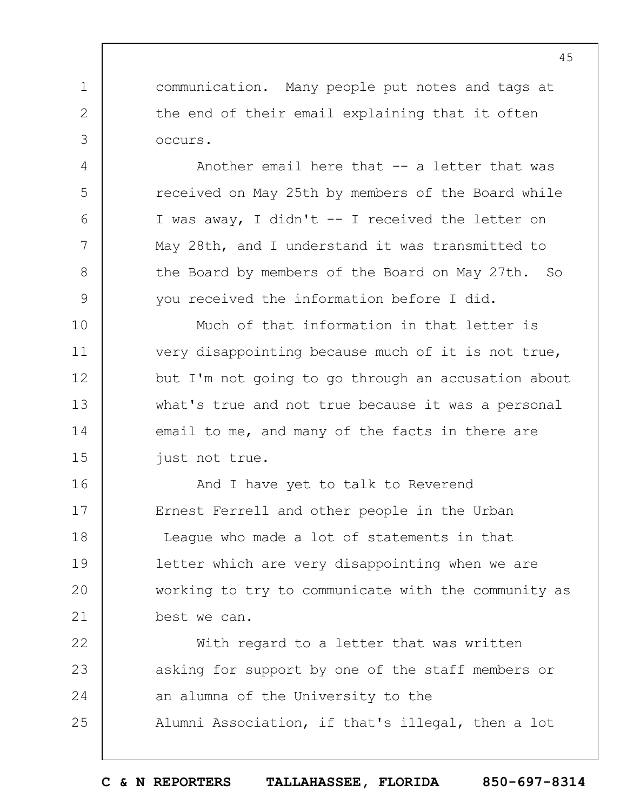communication. Many people put notes and tags at the end of their email explaining that it often occurs.

1

2

3

4

5

6

7

8

9

Another email here that -- a letter that was received on May 25th by members of the Board while I was away, I didn't -- I received the letter on May 28th, and I understand it was transmitted to the Board by members of the Board on May 27th. So you received the information before I did.

10 11 12 13 14 15 Much of that information in that letter is very disappointing because much of it is not true, but I'm not going to go through an accusation about what's true and not true because it was a personal email to me, and many of the facts in there are just not true.

16 17 18 19  $20$ 21 And I have yet to talk to Reverend Ernest Ferrell and other people in the Urban League who made a lot of statements in that letter which are very disappointing when we are working to try to communicate with the community as best we can.

22 23 24 25 With regard to a letter that was written asking for support by one of the staff members or an alumna of the University to the Alumni Association, if that's illegal, then a lot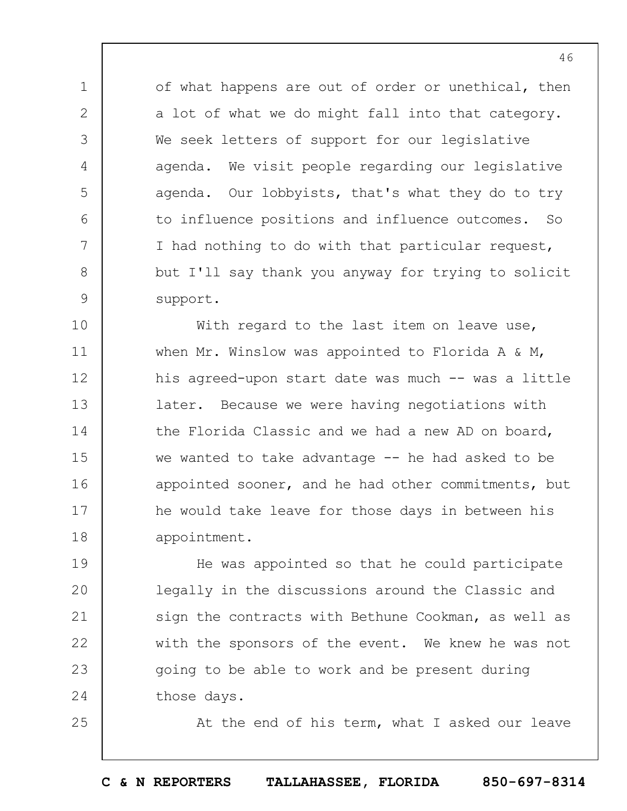of what happens are out of order or unethical, then a lot of what we do might fall into that category. We seek letters of support for our legislative agenda. We visit people regarding our legislative agenda. Our lobbyists, that's what they do to try to influence positions and influence outcomes. So I had nothing to do with that particular request, but I'll say thank you anyway for trying to solicit support.

1

2

3

4

5

6

7

8

9

25

10 11 12 13 14 15 16 17 18 With regard to the last item on leave use, when Mr. Winslow was appointed to Florida A & M, his agreed-upon start date was much -- was a little later. Because we were having negotiations with the Florida Classic and we had a new AD on board, we wanted to take advantage -- he had asked to be appointed sooner, and he had other commitments, but he would take leave for those days in between his appointment.

19  $20$ 21 22 23 24 He was appointed so that he could participate legally in the discussions around the Classic and sign the contracts with Bethune Cookman, as well as with the sponsors of the event. We knew he was not going to be able to work and be present during those days.

At the end of his term, what I asked our leave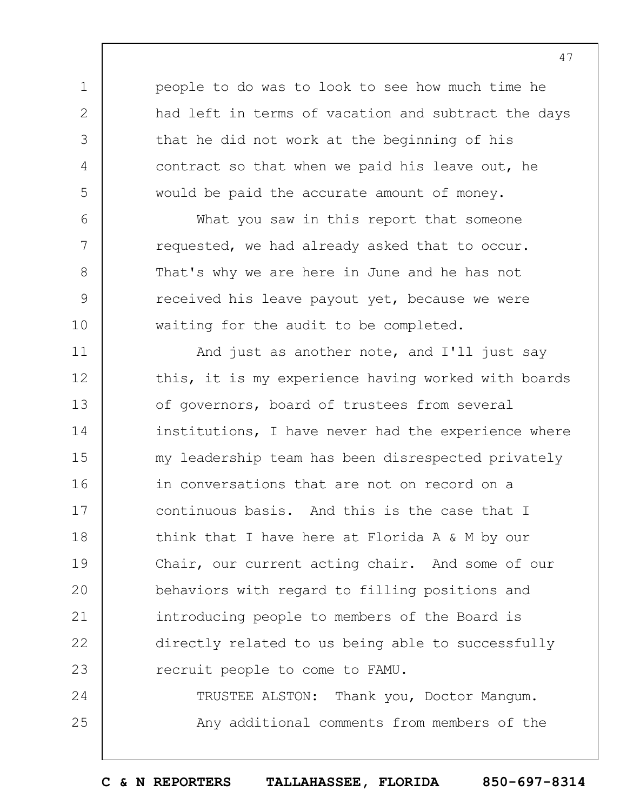people to do was to look to see how much time he had left in terms of vacation and subtract the days that he did not work at the beginning of his contract so that when we paid his leave out, he would be paid the accurate amount of money.

1

2

3

4

5

6

7

8

9

10

What you saw in this report that someone requested, we had already asked that to occur. That's why we are here in June and he has not received his leave payout yet, because we were waiting for the audit to be completed.

11 12 13 14 15 16 17 18 19  $20$ 21 22 23 And just as another note, and I'll just say this, it is my experience having worked with boards of governors, board of trustees from several institutions, I have never had the experience where my leadership team has been disrespected privately in conversations that are not on record on a continuous basis. And this is the case that I think that I have here at Florida A & M by our Chair, our current acting chair. And some of our behaviors with regard to filling positions and introducing people to members of the Board is directly related to us being able to successfully recruit people to come to FAMU.

24 25 TRUSTEE ALSTON: Thank you, Doctor Mangum. Any additional comments from members of the

**C & N REPORTERS TALLAHASSEE, FLORIDA 850-697-8314**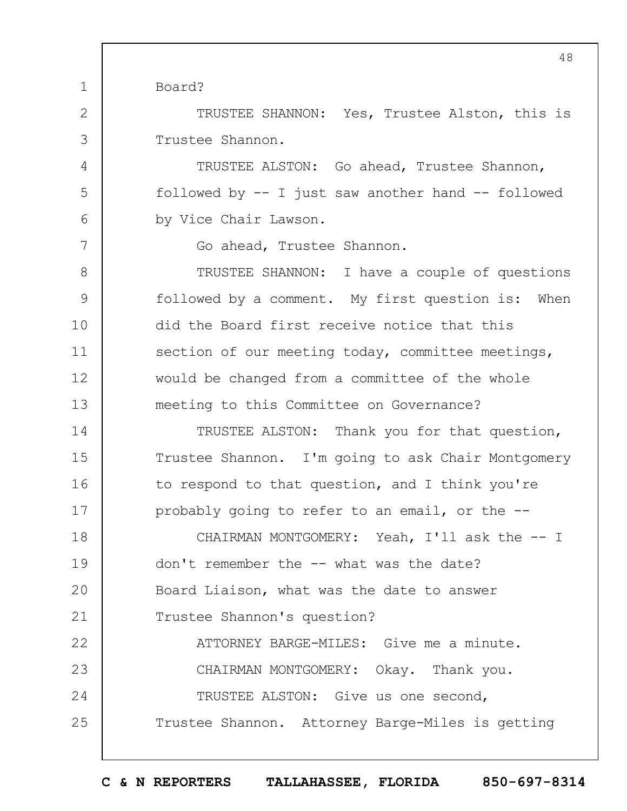Board?

1

2

3

4

5

6

7

TRUSTEE SHANNON: Yes, Trustee Alston, this is Trustee Shannon.

TRUSTEE ALSTON: Go ahead, Trustee Shannon, followed by -- I just saw another hand -- followed by Vice Chair Lawson.

Go ahead, Trustee Shannon.

8 9 10 11 12 13 TRUSTEE SHANNON: I have a couple of questions followed by a comment. My first question is: When did the Board first receive notice that this section of our meeting today, committee meetings, would be changed from a committee of the whole meeting to this Committee on Governance?

14 15 16 17 TRUSTEE ALSTON: Thank you for that question, Trustee Shannon. I'm going to ask Chair Montgomery to respond to that question, and I think you're probably going to refer to an email, or the --

18 19  $20$ 21 22 CHAIRMAN MONTGOMERY: Yeah, I'll ask the -- I don't remember the -- what was the date? Board Liaison, what was the date to answer Trustee Shannon's question? ATTORNEY BARGE-MILES: Give me a minute.

23 24 25 CHAIRMAN MONTGOMERY: Okay. Thank you. TRUSTEE ALSTON: Give us one second, Trustee Shannon. Attorney Barge-Miles is getting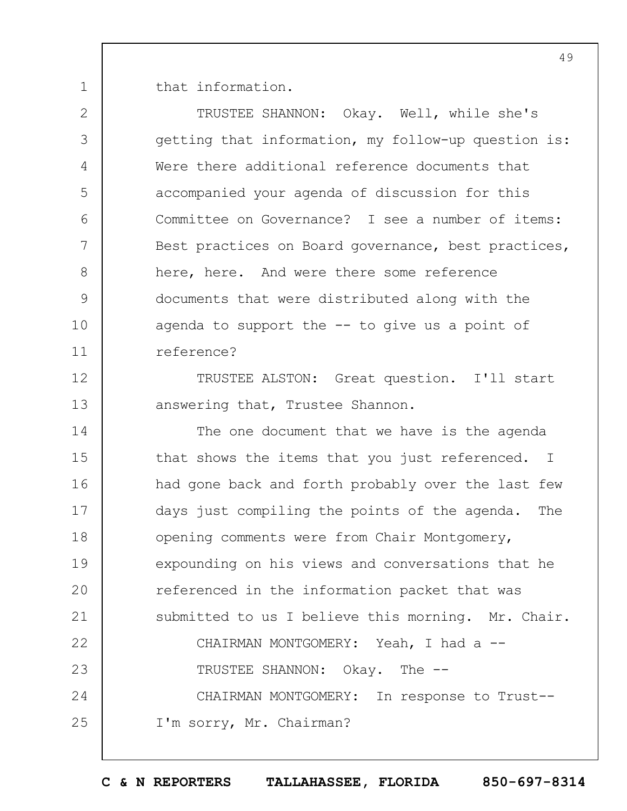1 that information.

2

3

4

5

6

7

8

9

10

11

TRUSTEE SHANNON: Okay. Well, while she's getting that information, my follow-up question is: Were there additional reference documents that accompanied your agenda of discussion for this Committee on Governance? I see a number of items: Best practices on Board governance, best practices, here, here. And were there some reference documents that were distributed along with the agenda to support the -- to give us a point of reference?

12 13 TRUSTEE ALSTON: Great question. I'll start answering that, Trustee Shannon.

14 15 16 17 18 19  $20$ 21 22 23 24 25 The one document that we have is the agenda that shows the items that you just referenced. I had gone back and forth probably over the last few days just compiling the points of the agenda. The opening comments were from Chair Montgomery, expounding on his views and conversations that he referenced in the information packet that was submitted to us I believe this morning. Mr. Chair. CHAIRMAN MONTGOMERY: Yeah, I had a --TRUSTEE SHANNON: Okay. The -- CHAIRMAN MONTGOMERY: In response to Trust-- I'm sorry, Mr. Chairman?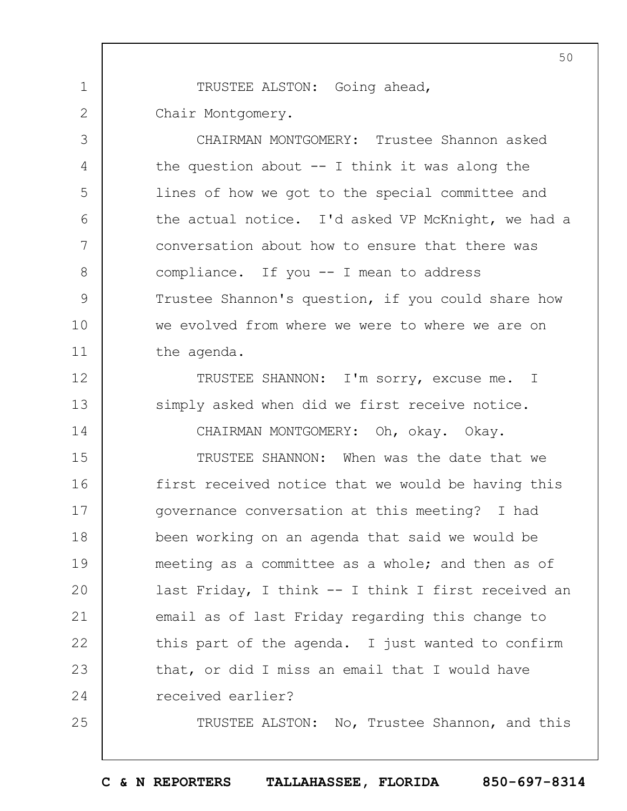1 2 TRUSTEE ALSTON: Going ahead, Chair Montgomery.

3

4

5

6

7

8

9

10

11

12

13

14

25

CHAIRMAN MONTGOMERY: Trustee Shannon asked the question about  $-$  I think it was along the lines of how we got to the special committee and the actual notice. I'd asked VP McKnight, we had a conversation about how to ensure that there was compliance. If you -- I mean to address Trustee Shannon's question, if you could share how we evolved from where we were to where we are on the agenda.

TRUSTEE SHANNON: I'm sorry, excuse me. I simply asked when did we first receive notice.

CHAIRMAN MONTGOMERY: Oh, okay. Okay.

15 16 17 18 19  $20$ 21 22 23 24 TRUSTEE SHANNON: When was the date that we first received notice that we would be having this governance conversation at this meeting? I had been working on an agenda that said we would be meeting as a committee as a whole; and then as of last Friday, I think -- I think I first received an email as of last Friday regarding this change to this part of the agenda. I just wanted to confirm that, or did I miss an email that I would have received earlier?

TRUSTEE ALSTON: No, Trustee Shannon, and this

**C & N REPORTERS TALLAHASSEE, FLORIDA 850-697-8314**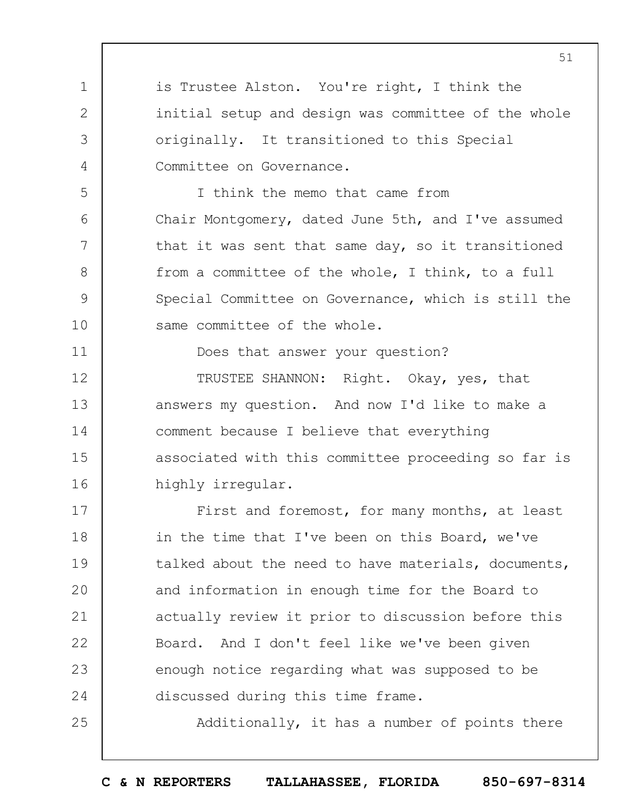is Trustee Alston. You're right, I think the initial setup and design was committee of the whole originally. It transitioned to this Special Committee on Governance.

1

2

3

4

5

6

7

8

9

10

11

25

I think the memo that came from Chair Montgomery, dated June 5th, and I've assumed that it was sent that same day, so it transitioned from a committee of the whole, I think, to a full Special Committee on Governance, which is still the same committee of the whole.

Does that answer your question?

12 13 14 15 16 TRUSTEE SHANNON: Right. Okay, yes, that answers my question. And now I'd like to make a comment because I believe that everything associated with this committee proceeding so far is highly irregular.

17 18 19  $20$ 21 22 23 24 First and foremost, for many months, at least in the time that I've been on this Board, we've talked about the need to have materials, documents, and information in enough time for the Board to actually review it prior to discussion before this Board. And I don't feel like we've been given enough notice regarding what was supposed to be discussed during this time frame.

Additionally, it has a number of points there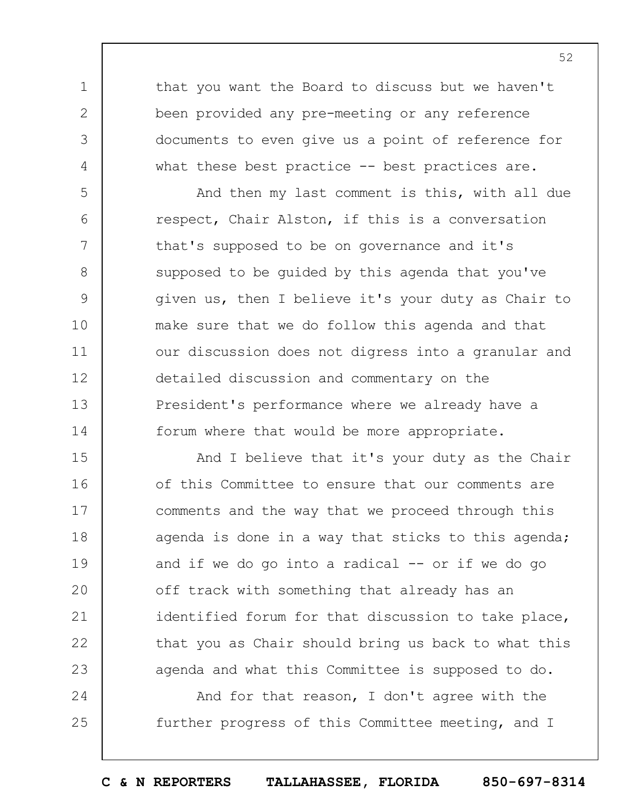that you want the Board to discuss but we haven't been provided any pre-meeting or any reference documents to even give us a point of reference for what these best practice -- best practices are.

1

2

3

4

5

6

7

8

9

10

11

12

14

24

25

13 And then my last comment is this, with all due respect, Chair Alston, if this is a conversation that's supposed to be on governance and it's supposed to be guided by this agenda that you've given us, then I believe it's your duty as Chair to make sure that we do follow this agenda and that our discussion does not digress into a granular and detailed discussion and commentary on the President's performance where we already have a forum where that would be more appropriate.

15 16 17 18 19  $20$ 21 22 23 And I believe that it's your duty as the Chair of this Committee to ensure that our comments are comments and the way that we proceed through this agenda is done in a way that sticks to this agenda; and if we do go into a radical  $-$  or if we do go off track with something that already has an identified forum for that discussion to take place, that you as Chair should bring us back to what this agenda and what this Committee is supposed to do.

And for that reason, I don't agree with the further progress of this Committee meeting, and I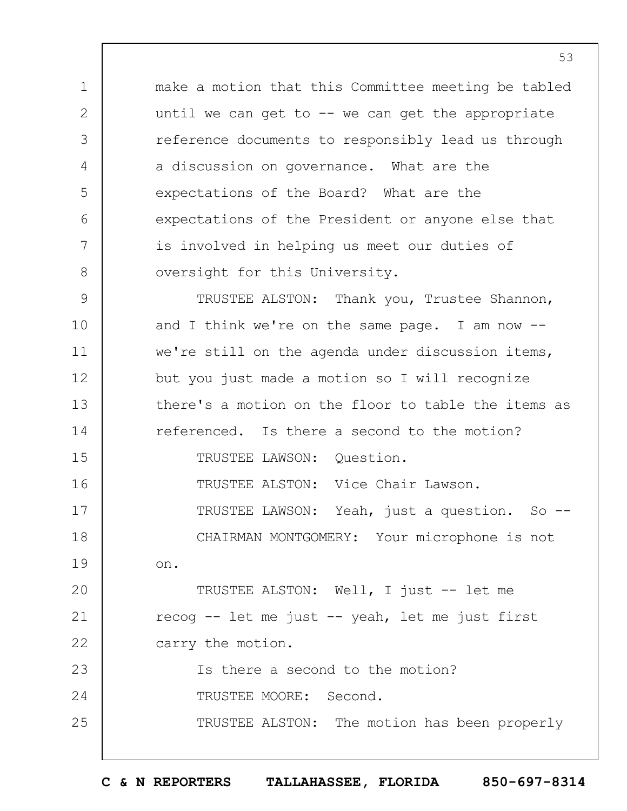1 2 3 4 5 6 7 8 make a motion that this Committee meeting be tabled until we can get to  $-$  we can get the appropriate reference documents to responsibly lead us through a discussion on governance. What are the expectations of the Board? What are the expectations of the President or anyone else that is involved in helping us meet our duties of oversight for this University.

9 10 11 12 13 14 15 16 17 18 19  $20$ 21 22 23 24 25 TRUSTEE ALSTON: Thank you, Trustee Shannon, and I think we're on the same page. I am now - we're still on the agenda under discussion items, but you just made a motion so I will recognize there's a motion on the floor to table the items as referenced. Is there a second to the motion? TRUSTEE LAWSON: Question. TRUSTEE ALSTON: Vice Chair Lawson. TRUSTEE LAWSON: Yeah, just a question. So -- CHAIRMAN MONTGOMERY: Your microphone is not on. TRUSTEE ALSTON: Well, I just -- let me recog -- let me just -- yeah, let me just first carry the motion. Is there a second to the motion? TRUSTEE MOORE: Second. TRUSTEE ALSTON: The motion has been properly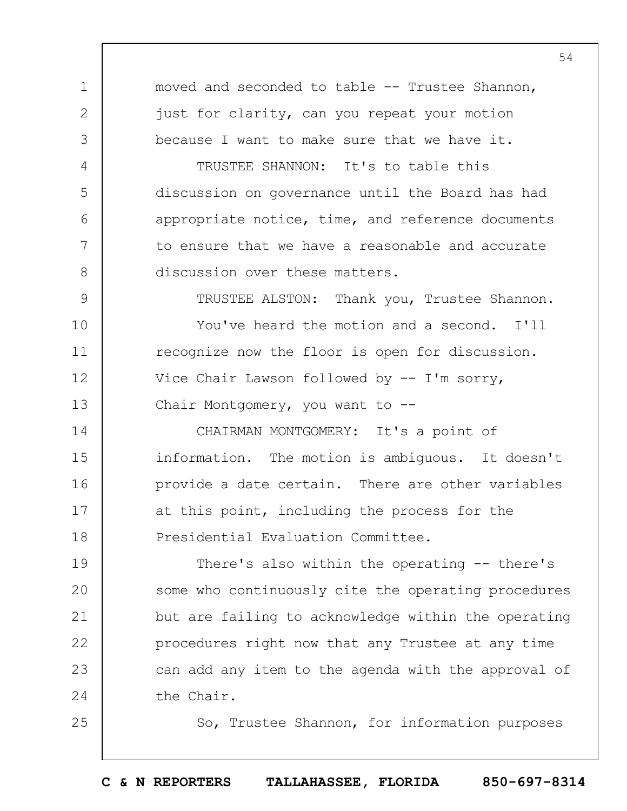1 2 3 4 5 6 7 8 9 10 11 12 13 14 15 16 17 18 19  $20$ 21 22 23 24 25 moved and seconded to table -- Trustee Shannon, just for clarity, can you repeat your motion because I want to make sure that we have it. TRUSTEE SHANNON: It's to table this discussion on governance until the Board has had appropriate notice, time, and reference documents to ensure that we have a reasonable and accurate discussion over these matters. TRUSTEE ALSTON: Thank you, Trustee Shannon. You've heard the motion and a second. I'll recognize now the floor is open for discussion. Vice Chair Lawson followed by -- I'm sorry, Chair Montgomery, you want to -- CHAIRMAN MONTGOMERY: It's a point of information. The motion is ambiguous. It doesn't provide a date certain. There are other variables at this point, including the process for the Presidential Evaluation Committee. There's also within the operating -- there's some who continuously cite the operating procedures but are failing to acknowledge within the operating procedures right now that any Trustee at any time can add any item to the agenda with the approval of the Chair. So, Trustee Shannon, for information purposes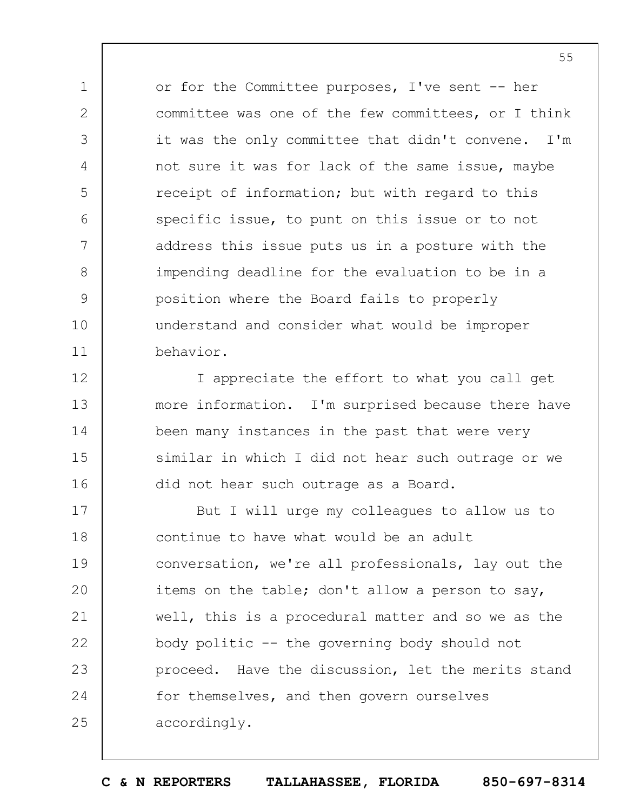or for the Committee purposes, I've sent -- her committee was one of the few committees, or I think it was the only committee that didn't convene. I'm not sure it was for lack of the same issue, maybe receipt of information; but with regard to this specific issue, to punt on this issue or to not address this issue puts us in a posture with the impending deadline for the evaluation to be in a position where the Board fails to properly understand and consider what would be improper behavior.

1

2

3

4

5

6

7

8

9

10

11

12

13

14

15

16

I appreciate the effort to what you call get more information. I'm surprised because there have been many instances in the past that were very similar in which I did not hear such outrage or we did not hear such outrage as a Board.

17 18 19  $20$ 21 22 23 24 25 But I will urge my colleagues to allow us to continue to have what would be an adult conversation, we're all professionals, lay out the items on the table; don't allow a person to say, well, this is a procedural matter and so we as the body politic -- the governing body should not proceed. Have the discussion, let the merits stand for themselves, and then govern ourselves accordingly.

**C & N REPORTERS TALLAHASSEE, FLORIDA 850-697-8314**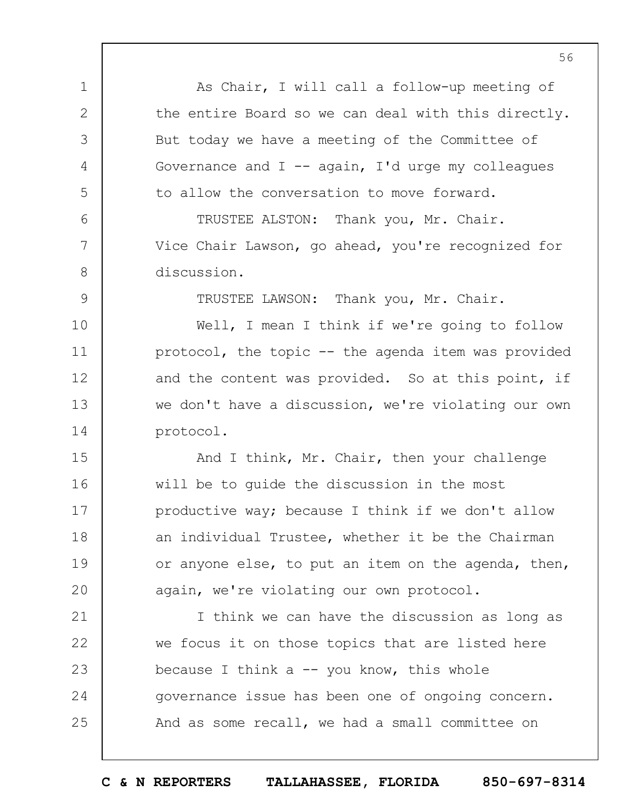1 2 3 4 5 6 7 8 9 10 11 12 13 14 15 16 17 18 19  $20$ 21 22 23 24 25 As Chair, I will call a follow-up meeting of the entire Board so we can deal with this directly. But today we have a meeting of the Committee of Governance and  $I$  -- again, I'd urge my colleagues to allow the conversation to move forward. TRUSTEE ALSTON: Thank you, Mr. Chair. Vice Chair Lawson, go ahead, you're recognized for discussion. TRUSTEE LAWSON: Thank you, Mr. Chair. Well, I mean I think if we're going to follow protocol, the topic -- the agenda item was provided and the content was provided. So at this point, if we don't have a discussion, we're violating our own protocol. And I think, Mr. Chair, then your challenge will be to guide the discussion in the most productive way; because I think if we don't allow an individual Trustee, whether it be the Chairman or anyone else, to put an item on the agenda, then, again, we're violating our own protocol. I think we can have the discussion as long as we focus it on those topics that are listed here because I think a  $-$  you know, this whole governance issue has been one of ongoing concern. And as some recall, we had a small committee on

**C & N REPORTERS TALLAHASSEE, FLORIDA 850-697-8314**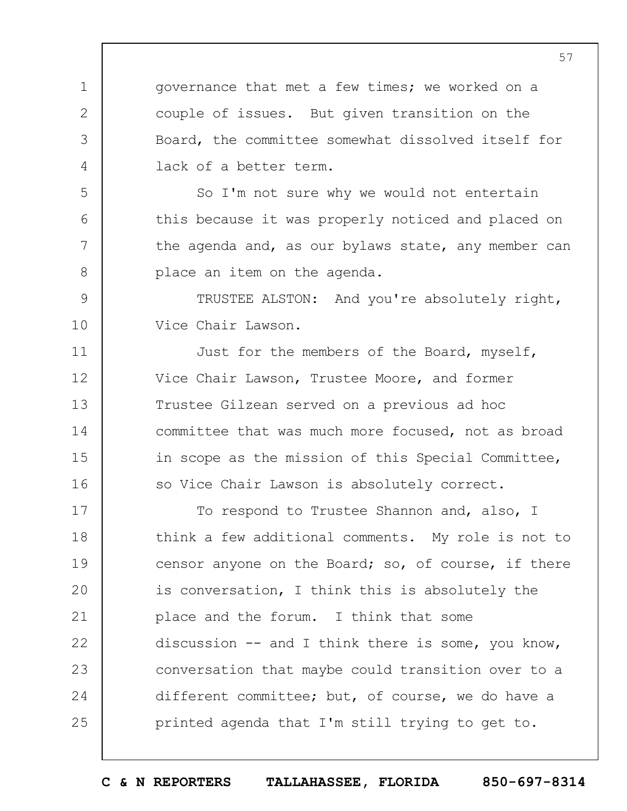governance that met a few times; we worked on a couple of issues. But given transition on the Board, the committee somewhat dissolved itself for lack of a better term.

1

2

3

4

5

6

7

8

11

12

13

14

15

16

So I'm not sure why we would not entertain this because it was properly noticed and placed on the agenda and, as our bylaws state, any member can place an item on the agenda.

9 10 TRUSTEE ALSTON: And you're absolutely right, Vice Chair Lawson.

Just for the members of the Board, myself, Vice Chair Lawson, Trustee Moore, and former Trustee Gilzean served on a previous ad hoc committee that was much more focused, not as broad in scope as the mission of this Special Committee, so Vice Chair Lawson is absolutely correct.

17 18 19  $20$ 21 22 23 24 25 To respond to Trustee Shannon and, also, I think a few additional comments. My role is not to censor anyone on the Board; so, of course, if there is conversation, I think this is absolutely the place and the forum. I think that some discussion -- and I think there is some, you know, conversation that maybe could transition over to a different committee; but, of course, we do have a printed agenda that I'm still trying to get to.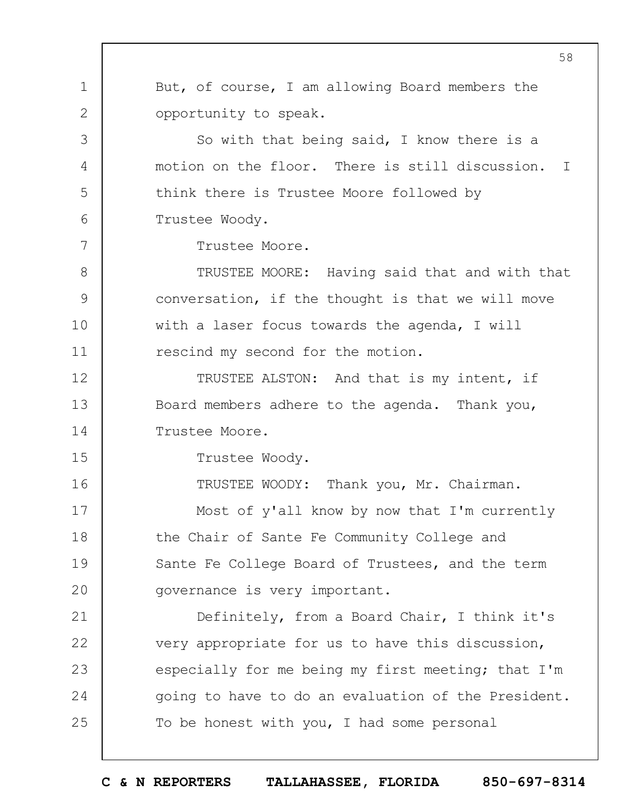1 2 3 4 5 6 7 8 9 10 11 12 13 14 15 16 17 18 19  $20$ 21 22 23 24 25 58 But, of course, I am allowing Board members the opportunity to speak. So with that being said, I know there is a motion on the floor. There is still discussion. I think there is Trustee Moore followed by Trustee Woody. Trustee Moore. TRUSTEE MOORE: Having said that and with that conversation, if the thought is that we will move with a laser focus towards the agenda, I will rescind my second for the motion. TRUSTEE ALSTON: And that is my intent, if Board members adhere to the agenda. Thank you, Trustee Moore. Trustee Woody. TRUSTEE WOODY: Thank you, Mr. Chairman. Most of y'all know by now that I'm currently the Chair of Sante Fe Community College and Sante Fe College Board of Trustees, and the term governance is very important. Definitely, from a Board Chair, I think it's very appropriate for us to have this discussion, especially for me being my first meeting; that I'm going to have to do an evaluation of the President. To be honest with you, I had some personal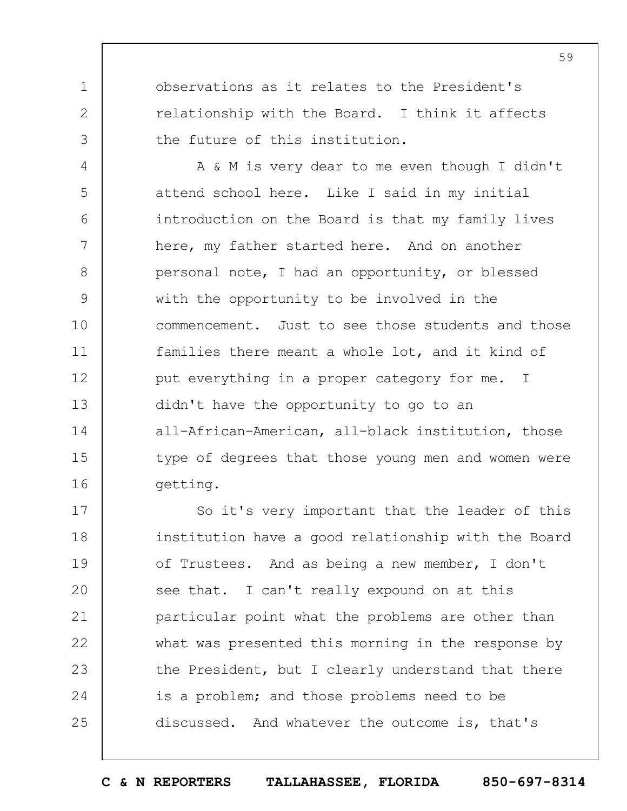observations as it relates to the President's relationship with the Board. I think it affects the future of this institution.

1

2

3

4 5 6 7 8 9 10 11 12 13 14 15 16 A & M is very dear to me even though I didn't attend school here. Like I said in my initial introduction on the Board is that my family lives here, my father started here. And on another personal note, I had an opportunity, or blessed with the opportunity to be involved in the commencement. Just to see those students and those families there meant a whole lot, and it kind of put everything in a proper category for me. I didn't have the opportunity to go to an all-African-American, all-black institution, those type of degrees that those young men and women were getting.

17 18 19  $20$ 21 22 23 24 25 So it's very important that the leader of this institution have a good relationship with the Board of Trustees. And as being a new member, I don't see that. I can't really expound on at this particular point what the problems are other than what was presented this morning in the response by the President, but I clearly understand that there is a problem; and those problems need to be discussed. And whatever the outcome is, that's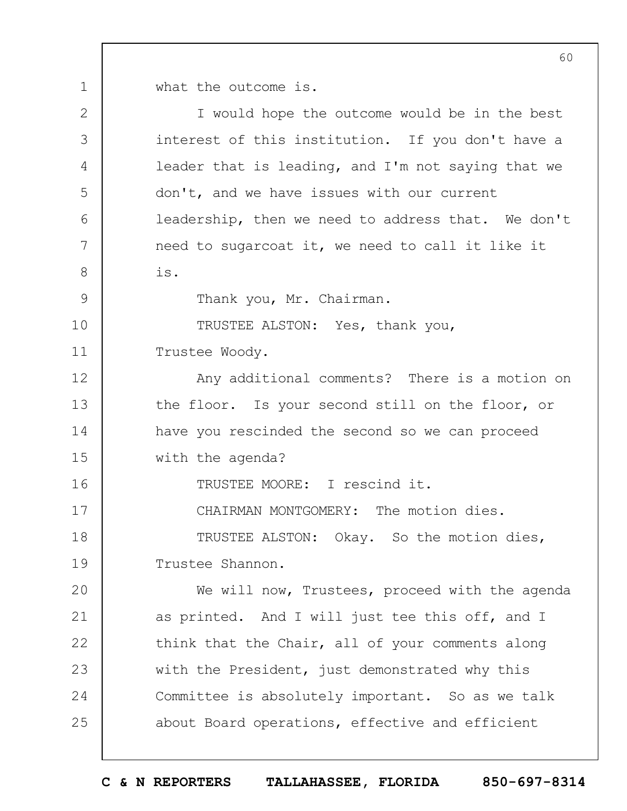1 what the outcome is.

| $\overline{2}$ | I would hope the outcome would be in the best      |
|----------------|----------------------------------------------------|
| 3              | interest of this institution. If you don't have a  |
| 4              | leader that is leading, and I'm not saying that we |
| 5              | don't, and we have issues with our current         |
| 6              | leadership, then we need to address that. We don't |
| 7              | need to sugarcoat it, we need to call it like it   |
| $8\,$          | is.                                                |
| 9              | Thank you, Mr. Chairman.                           |
| 10             | TRUSTEE ALSTON: Yes, thank you,                    |
| 11             | Trustee Woody.                                     |
| 12             | Any additional comments? There is a motion on      |
| 13             | the floor. Is your second still on the floor, or   |
| 14             | have you rescinded the second so we can proceed    |
| 15             | with the agenda?                                   |
| 16             | TRUSTEE MOORE: I rescind it.                       |
| 17             | CHAIRMAN MONTGOMERY: The motion dies.              |
| 18             | TRUSTEE ALSTON: Okay. So the motion dies,          |
| 19             | Trustee Shannon.                                   |
| 20             | We will now, Trustees, proceed with the agenda     |
| 21             | as printed. And I will just tee this off, and I    |
| 22             | think that the Chair, all of your comments along   |
| 23             | with the President, just demonstrated why this     |
| 24             | Committee is absolutely important. So as we talk   |
| 25             | about Board operations, effective and efficient    |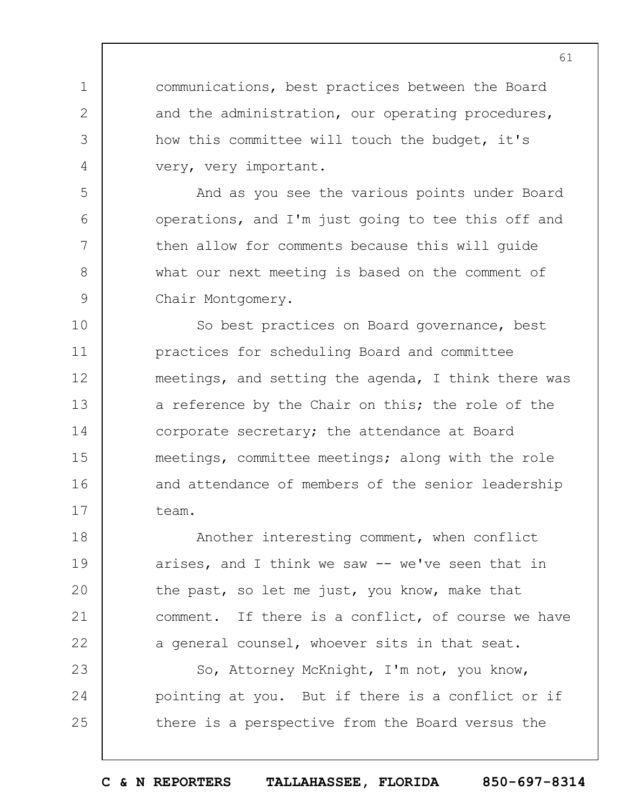communications, best practices between the Board and the administration, our operating procedures, how this committee will touch the budget, it's very, very important.

1

2

3

4

5

6

7

8

9

And as you see the various points under Board operations, and I'm just going to tee this off and then allow for comments because this will guide what our next meeting is based on the comment of Chair Montgomery.

10 11 12 13 14 15 16 17 So best practices on Board governance, best practices for scheduling Board and committee meetings, and setting the agenda, I think there was a reference by the Chair on this; the role of the corporate secretary; the attendance at Board meetings, committee meetings; along with the role and attendance of members of the senior leadership team.

18 19  $20$ 21 22 Another interesting comment, when conflict arises, and I think we saw -- we've seen that in the past, so let me just, you know, make that comment. If there is a conflict, of course we have a general counsel, whoever sits in that seat.

23 24 25 So, Attorney McKnight, I'm not, you know, pointing at you. But if there is a conflict or if there is a perspective from the Board versus the

**C & N REPORTERS TALLAHASSEE, FLORIDA 850-697-8314**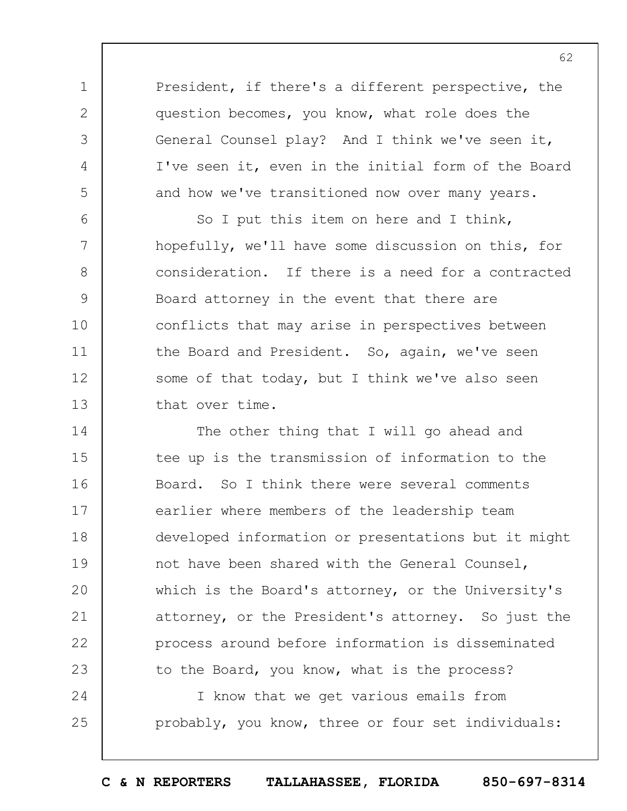President, if there's a different perspective, the question becomes, you know, what role does the General Counsel play? And I think we've seen it, I've seen it, even in the initial form of the Board and how we've transitioned now over many years.

1

2

3

4

5

6 7 8 9 10 11 12 13 So I put this item on here and I think, hopefully, we'll have some discussion on this, for consideration. If there is a need for a contracted Board attorney in the event that there are conflicts that may arise in perspectives between the Board and President. So, again, we've seen some of that today, but I think we've also seen that over time.

14 15 16 17 18 19  $20$ 21 22 23 The other thing that I will go ahead and tee up is the transmission of information to the Board. So I think there were several comments earlier where members of the leadership team developed information or presentations but it might not have been shared with the General Counsel, which is the Board's attorney, or the University's attorney, or the President's attorney. So just the process around before information is disseminated to the Board, you know, what is the process?

24 25 I know that we get various emails from probably, you know, three or four set individuals:

**C & N REPORTERS TALLAHASSEE, FLORIDA 850-697-8314**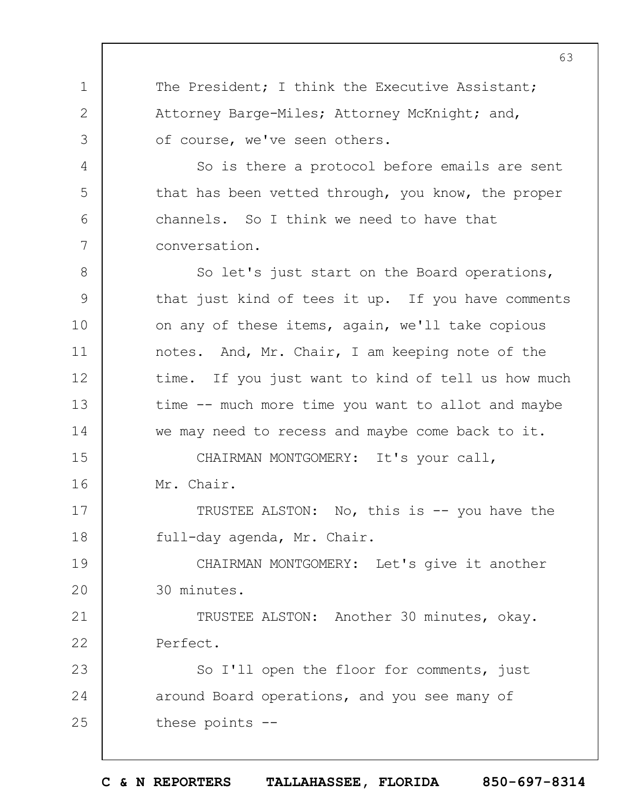The President; I think the Executive Assistant; Attorney Barge-Miles; Attorney McKnight; and, of course, we've seen others.

1

2

3

4

5

6

7

8

9

10

11

12

13

14

So is there a protocol before emails are sent that has been vetted through, you know, the proper channels. So I think we need to have that conversation.

So let's just start on the Board operations, that just kind of tees it up. If you have comments on any of these items, again, we'll take copious notes. And, Mr. Chair, I am keeping note of the time. If you just want to kind of tell us how much time -- much more time you want to allot and maybe we may need to recess and maybe come back to it.

15 16 CHAIRMAN MONTGOMERY: It's your call, Mr. Chair.

17 18 TRUSTEE ALSTON: No, this is -- you have the full-day agenda, Mr. Chair.

19  $20$ CHAIRMAN MONTGOMERY: Let's give it another 30 minutes.

21 22 TRUSTEE ALSTON: Another 30 minutes, okay. Perfect.

23 24 25 So I'll open the floor for comments, just around Board operations, and you see many of these points --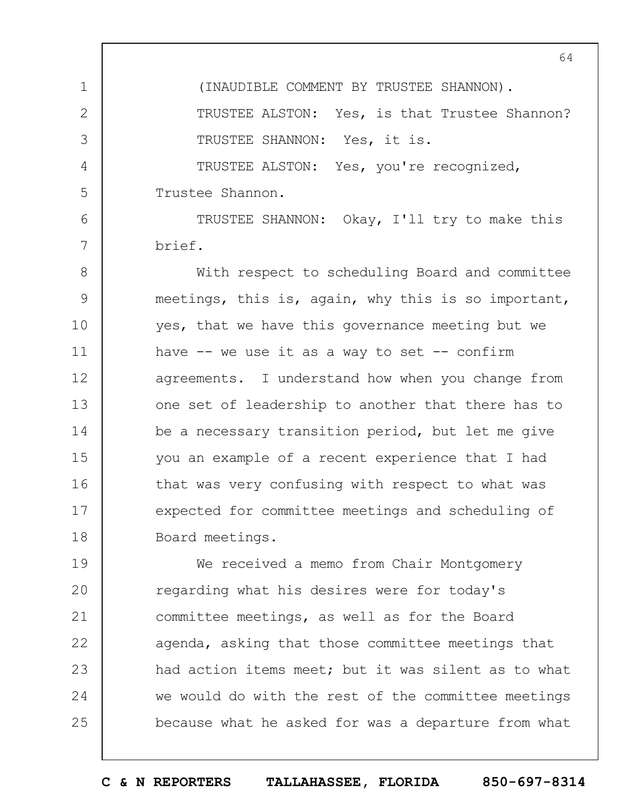1 2 3 4 5 (INAUDIBLE COMMENT BY TRUSTEE SHANNON). TRUSTEE ALSTON: Yes, is that Trustee Shannon? TRUSTEE SHANNON: Yes, it is. TRUSTEE ALSTON: Yes, you're recognized, Trustee Shannon.

TRUSTEE SHANNON: Okay, I'll try to make this brief.

6

7

8 9 10 11 12 13 14 15 16 17 18 With respect to scheduling Board and committee meetings, this is, again, why this is so important, yes, that we have this governance meeting but we have  $--$  we use it as a way to set  $--$  confirm agreements. I understand how when you change from one set of leadership to another that there has to be a necessary transition period, but let me give you an example of a recent experience that I had that was very confusing with respect to what was expected for committee meetings and scheduling of Board meetings.

19  $20$ 21 22 23 24 25 We received a memo from Chair Montgomery regarding what his desires were for today's committee meetings, as well as for the Board agenda, asking that those committee meetings that had action items meet; but it was silent as to what we would do with the rest of the committee meetings because what he asked for was a departure from what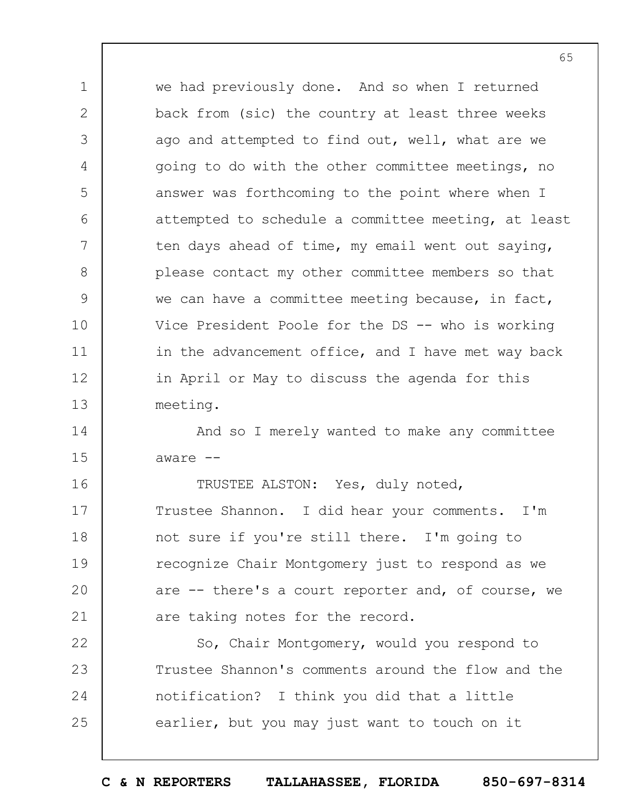we had previously done. And so when I returned back from (sic) the country at least three weeks ago and attempted to find out, well, what are we going to do with the other committee meetings, no answer was forthcoming to the point where when I attempted to schedule a committee meeting, at least ten days ahead of time, my email went out saying, please contact my other committee members so that we can have a committee meeting because, in fact, Vice President Poole for the DS -- who is working in the advancement office, and I have met way back in April or May to discuss the agenda for this meeting.

1

2

3

4

5

6

7

8

9

10

11

12

13

14 15 And so I merely wanted to make any committee aware --

16 17 18 19  $20$ 21 TRUSTEE ALSTON: Yes, duly noted, Trustee Shannon. I did hear your comments. I'm not sure if you're still there. I'm going to recognize Chair Montgomery just to respond as we are -- there's a court reporter and, of course, we are taking notes for the record.

22 23 24 25 So, Chair Montgomery, would you respond to Trustee Shannon's comments around the flow and the notification? I think you did that a little earlier, but you may just want to touch on it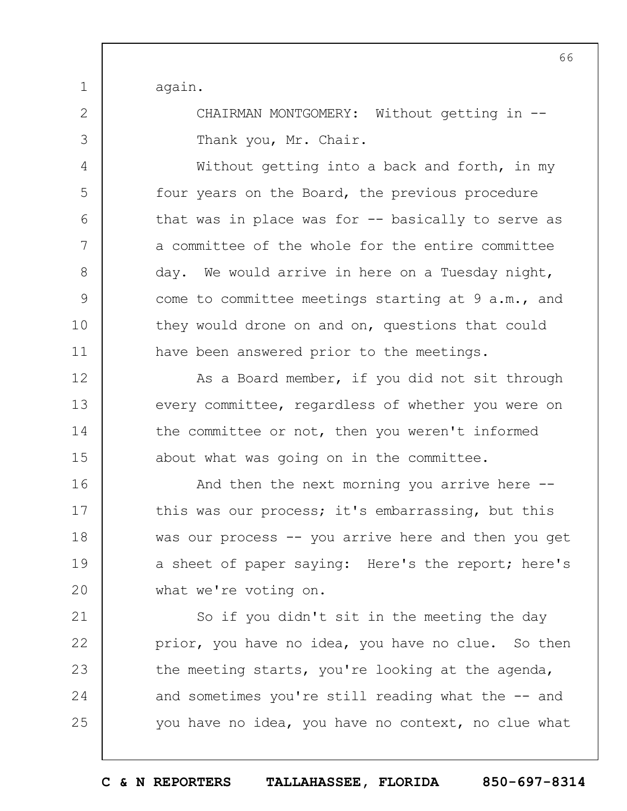again.

1

2

3

4

5

6

7

8

9

10

11

12

14

15

21

22

23

24

25

CHAIRMAN MONTGOMERY: Without getting in --Thank you, Mr. Chair.

Without getting into a back and forth, in my four years on the Board, the previous procedure that was in place was for -- basically to serve as a committee of the whole for the entire committee day. We would arrive in here on a Tuesday night, come to committee meetings starting at 9 a.m., and they would drone on and on, questions that could have been answered prior to the meetings.

13 As a Board member, if you did not sit through every committee, regardless of whether you were on the committee or not, then you weren't informed about what was going on in the committee.

16 17 18 19  $20$ And then the next morning you arrive here - this was our process; it's embarrassing, but this was our process -- you arrive here and then you get a sheet of paper saying: Here's the report; here's what we're voting on.

So if you didn't sit in the meeting the day prior, you have no idea, you have no clue. So then the meeting starts, you're looking at the agenda, and sometimes you're still reading what the -- and you have no idea, you have no context, no clue what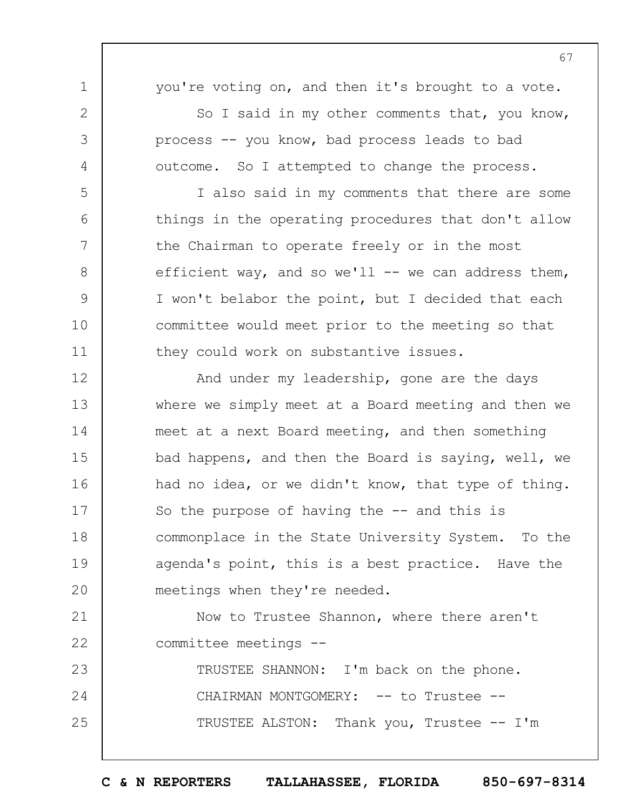you're voting on, and then it's brought to a vote.

1

2

3

4

5

6

7

8

9

10

11

So I said in my other comments that, you know, process -- you know, bad process leads to bad outcome. So I attempted to change the process.

I also said in my comments that there are some things in the operating procedures that don't allow the Chairman to operate freely or in the most efficient way, and so we'll  $--$  we can address them, I won't belabor the point, but I decided that each committee would meet prior to the meeting so that they could work on substantive issues.

12 13 14 15 16 17 18 19  $20$ And under my leadership, gone are the days where we simply meet at a Board meeting and then we meet at a next Board meeting, and then something bad happens, and then the Board is saying, well, we had no idea, or we didn't know, that type of thing. So the purpose of having the  $-$  and this is commonplace in the State University System. To the agenda's point, this is a best practice. Have the meetings when they're needed.

21 22 Now to Trustee Shannon, where there aren't committee meetings --

23 24 25 TRUSTEE SHANNON: I'm back on the phone. CHAIRMAN MONTGOMERY: -- to Trustee --TRUSTEE ALSTON: Thank you, Trustee -- I'm 67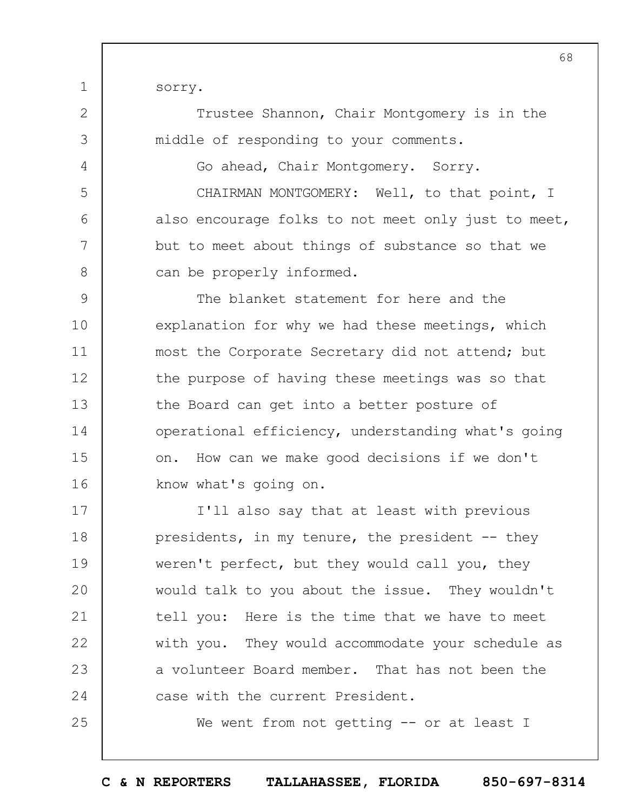sorry.

1

2

3

4

5

6

7

8

25

Trustee Shannon, Chair Montgomery is in the middle of responding to your comments.

Go ahead, Chair Montgomery. Sorry.

CHAIRMAN MONTGOMERY: Well, to that point, I also encourage folks to not meet only just to meet, but to meet about things of substance so that we can be properly informed.

9 10 11 12 13 14 15 16 The blanket statement for here and the explanation for why we had these meetings, which most the Corporate Secretary did not attend; but the purpose of having these meetings was so that the Board can get into a better posture of operational efficiency, understanding what's going on. How can we make good decisions if we don't know what's going on.

17 18 19  $20$ 21 22 23 24 I'll also say that at least with previous presidents, in my tenure, the president -- they weren't perfect, but they would call you, they would talk to you about the issue. They wouldn't tell you: Here is the time that we have to meet with you. They would accommodate your schedule as a volunteer Board member. That has not been the case with the current President.

We went from not getting -- or at least I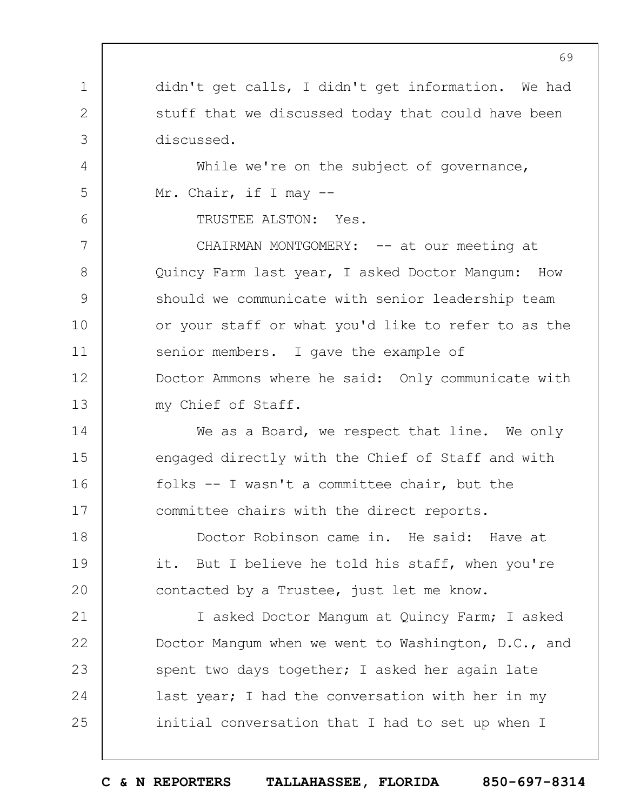didn't get calls, I didn't get information. We had stuff that we discussed today that could have been discussed.

While we're on the subject of governance, Mr. Chair, if I may --

TRUSTEE ALSTON: Yes.

1

2

3

4

5

6

14

15

16

17

7 8 9 10 11 12 13 CHAIRMAN MONTGOMERY: -- at our meeting at Quincy Farm last year, I asked Doctor Mangum: How should we communicate with senior leadership team or your staff or what you'd like to refer to as the senior members. I gave the example of Doctor Ammons where he said: Only communicate with my Chief of Staff.

We as a Board, we respect that line. We only engaged directly with the Chief of Staff and with folks -- I wasn't a committee chair, but the committee chairs with the direct reports.

18 19  $20$ Doctor Robinson came in. He said: Have at it. But I believe he told his staff, when you're contacted by a Trustee, just let me know.

21 22 23 24 25 I asked Doctor Mangum at Quincy Farm; I asked Doctor Mangum when we went to Washington, D.C., and spent two days together; I asked her again late last year; I had the conversation with her in my initial conversation that I had to set up when I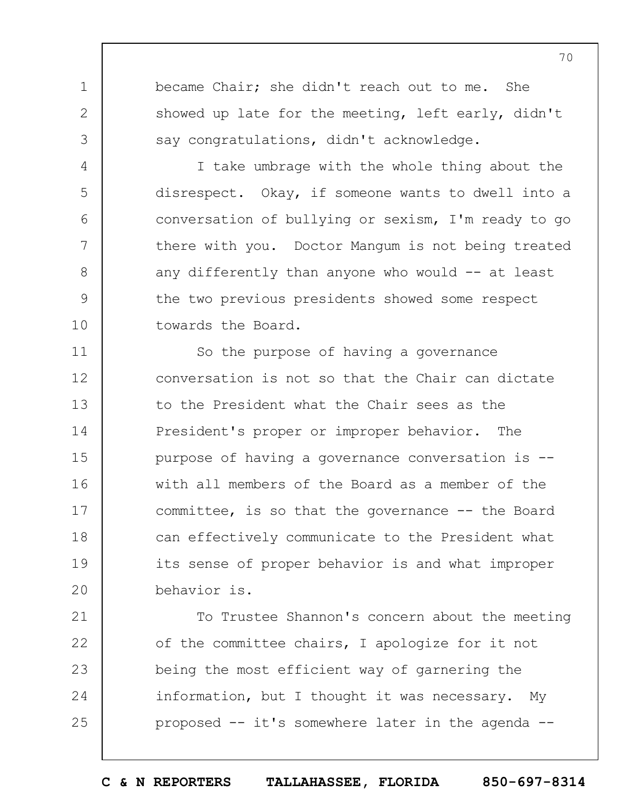became Chair; she didn't reach out to me. She showed up late for the meeting, left early, didn't say congratulations, didn't acknowledge.

1

2

3

4

5

6

7

8

9

10

I take umbrage with the whole thing about the disrespect. Okay, if someone wants to dwell into a conversation of bullying or sexism, I'm ready to go there with you. Doctor Mangum is not being treated any differently than anyone who would  $-$  at least the two previous presidents showed some respect towards the Board.

11 12 13 14 15 16 17 18 19  $20$ So the purpose of having a governance conversation is not so that the Chair can dictate to the President what the Chair sees as the President's proper or improper behavior. The purpose of having a governance conversation is - with all members of the Board as a member of the committee, is so that the governance -- the Board can effectively communicate to the President what its sense of proper behavior is and what improper behavior is.

21 22 23 24 25 To Trustee Shannon's concern about the meeting of the committee chairs, I apologize for it not being the most efficient way of garnering the information, but I thought it was necessary. My proposed -- it's somewhere later in the agenda --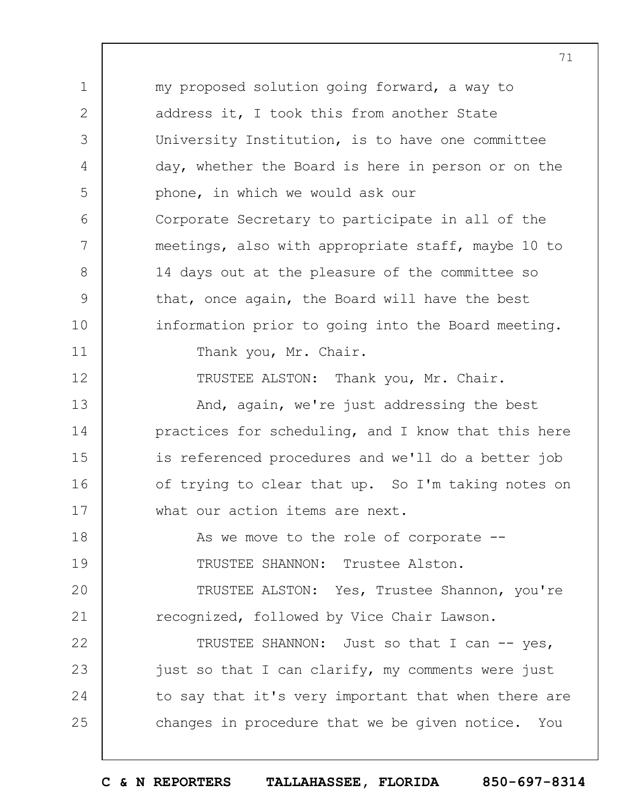1 2 3 4 5 6 7 8 9 10 11 12 13 14 15 16 17 18 19  $20$ 21 22 23 24 25 my proposed solution going forward, a way to address it, I took this from another State University Institution, is to have one committee day, whether the Board is here in person or on the phone, in which we would ask our Corporate Secretary to participate in all of the meetings, also with appropriate staff, maybe 10 to 14 days out at the pleasure of the committee so that, once again, the Board will have the best information prior to going into the Board meeting. Thank you, Mr. Chair. TRUSTEE ALSTON: Thank you, Mr. Chair. And, again, we're just addressing the best practices for scheduling, and I know that this here is referenced procedures and we'll do a better job of trying to clear that up. So I'm taking notes on what our action items are next. As we move to the role of corporate --TRUSTEE SHANNON: Trustee Alston. TRUSTEE ALSTON: Yes, Trustee Shannon, you're recognized, followed by Vice Chair Lawson. TRUSTEE SHANNON: Just so that I can -- yes, just so that I can clarify, my comments were just to say that it's very important that when there are changes in procedure that we be given notice. You

**C & N REPORTERS TALLAHASSEE, FLORIDA 850-697-8314**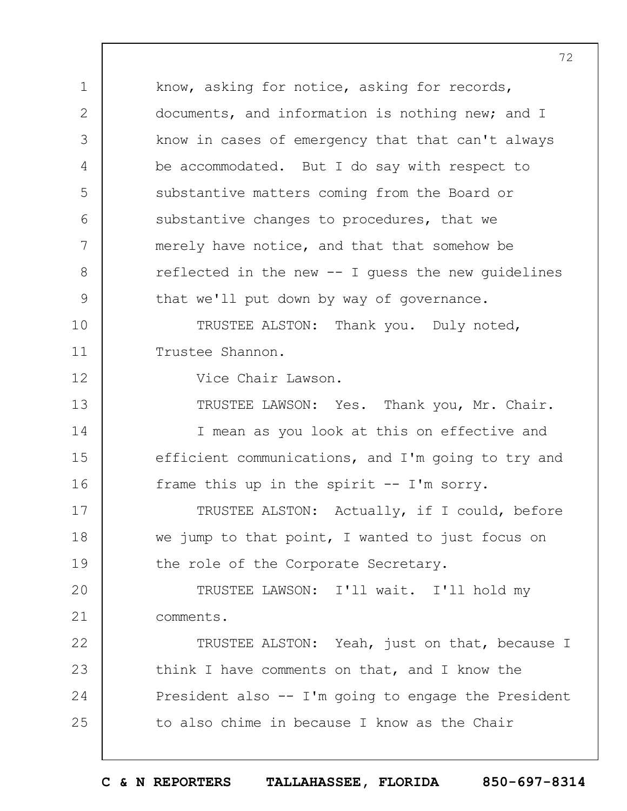1 2 3 4 5 6 7 8 9 10 11 12 13 14 15 16 17 18 19  $20$ 21 22 23 24 25 know, asking for notice, asking for records, documents, and information is nothing new; and I know in cases of emergency that that can't always be accommodated. But I do say with respect to substantive matters coming from the Board or substantive changes to procedures, that we merely have notice, and that that somehow be reflected in the new -- I guess the new guidelines that we'll put down by way of governance. TRUSTEE ALSTON: Thank you. Duly noted, Trustee Shannon. Vice Chair Lawson. TRUSTEE LAWSON: Yes. Thank you, Mr. Chair. I mean as you look at this on effective and efficient communications, and I'm going to try and frame this up in the spirit -- I'm sorry. TRUSTEE ALSTON: Actually, if I could, before we jump to that point, I wanted to just focus on the role of the Corporate Secretary. TRUSTEE LAWSON: I'll wait. I'll hold my comments. TRUSTEE ALSTON: Yeah, just on that, because I think I have comments on that, and I know the President also -- I'm going to engage the President to also chime in because I know as the Chair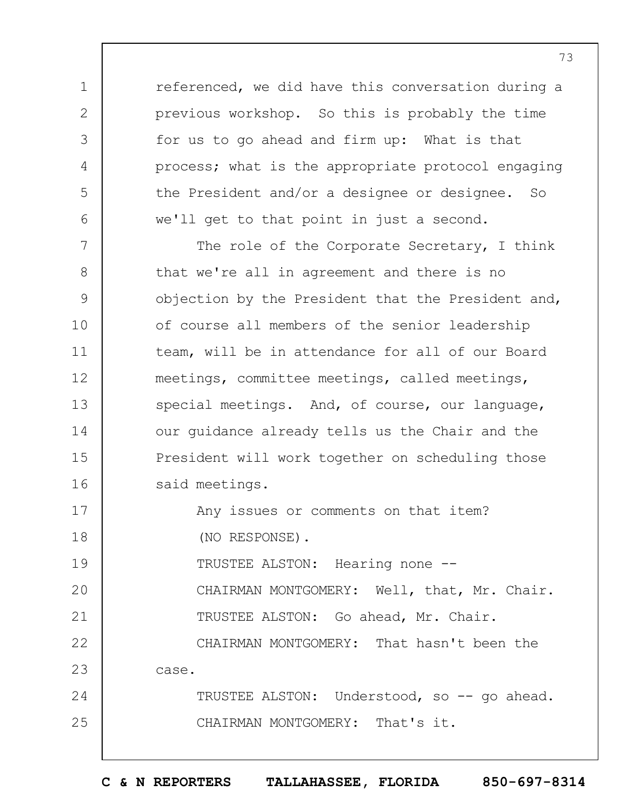referenced, we did have this conversation during a previous workshop. So this is probably the time for us to go ahead and firm up: What is that process; what is the appropriate protocol engaging the President and/or a designee or designee. So we'll get to that point in just a second.

1

2

3

4

5

6

24

25

7 8 9 10 11 12 13 14 15 16 The role of the Corporate Secretary, I think that we're all in agreement and there is no objection by the President that the President and, of course all members of the senior leadership team, will be in attendance for all of our Board meetings, committee meetings, called meetings, special meetings. And, of course, our language, our guidance already tells us the Chair and the President will work together on scheduling those said meetings.

17 18 Any issues or comments on that item? (NO RESPONSE).

19  $20$ 21 TRUSTEE ALSTON: Hearing none -- CHAIRMAN MONTGOMERY: Well, that, Mr. Chair. TRUSTEE ALSTON: Go ahead, Mr. Chair.

22 23 CHAIRMAN MONTGOMERY: That hasn't been the case.

TRUSTEE ALSTON: Understood, so -- go ahead. CHAIRMAN MONTGOMERY: That's it.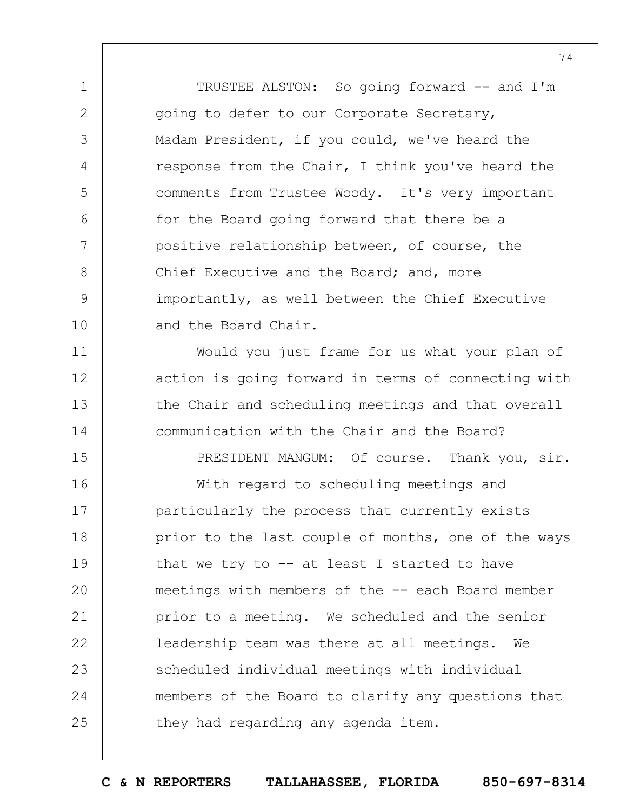TRUSTEE ALSTON: So going forward -- and I'm going to defer to our Corporate Secretary, Madam President, if you could, we've heard the response from the Chair, I think you've heard the comments from Trustee Woody. It's very important for the Board going forward that there be a positive relationship between, of course, the Chief Executive and the Board; and, more importantly, as well between the Chief Executive and the Board Chair.

1

2

3

4

5

6

7

8

9

10

11

12

13

14

15

Would you just frame for us what your plan of action is going forward in terms of connecting with the Chair and scheduling meetings and that overall communication with the Chair and the Board?

16 17 18 19  $20$ 21 22 23 24 25 With regard to scheduling meetings and particularly the process that currently exists prior to the last couple of months, one of the ways that we try to  $-$  at least I started to have meetings with members of the -- each Board member prior to a meeting. We scheduled and the senior leadership team was there at all meetings. We scheduled individual meetings with individual members of the Board to clarify any questions that they had regarding any agenda item.

PRESIDENT MANGUM: Of course. Thank you, sir.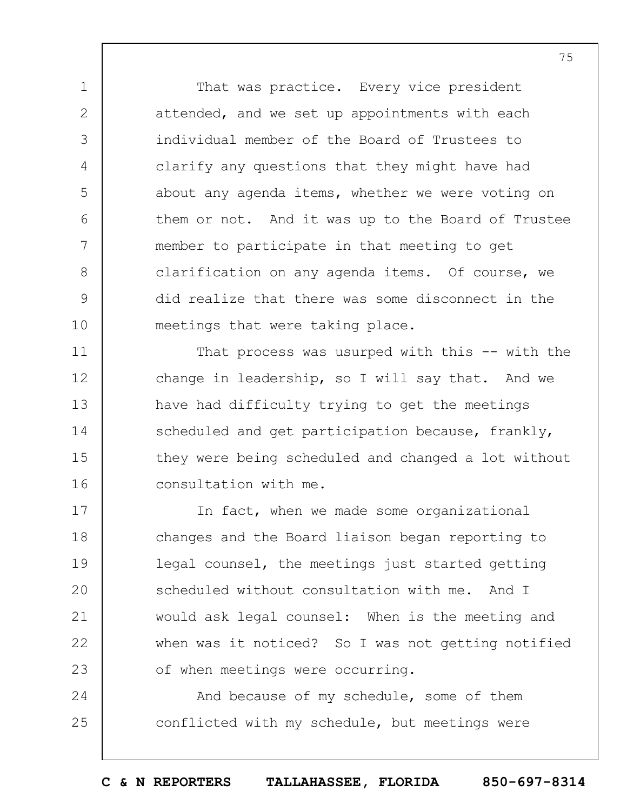That was practice. Every vice president attended, and we set up appointments with each individual member of the Board of Trustees to clarify any questions that they might have had about any agenda items, whether we were voting on them or not. And it was up to the Board of Trustee member to participate in that meeting to get clarification on any agenda items. Of course, we did realize that there was some disconnect in the meetings that were taking place.

1

2

3

4

5

6

7

8

9

10

11

12

13

14

15

16

That process was usurped with this -- with the change in leadership, so I will say that. And we have had difficulty trying to get the meetings scheduled and get participation because, frankly, they were being scheduled and changed a lot without consultation with me.

17 18 19  $20$ 21 22 23 In fact, when we made some organizational changes and the Board liaison began reporting to legal counsel, the meetings just started getting scheduled without consultation with me. And I would ask legal counsel: When is the meeting and when was it noticed? So I was not getting notified of when meetings were occurring.

24 25 And because of my schedule, some of them conflicted with my schedule, but meetings were

**C & N REPORTERS TALLAHASSEE, FLORIDA 850-697-8314**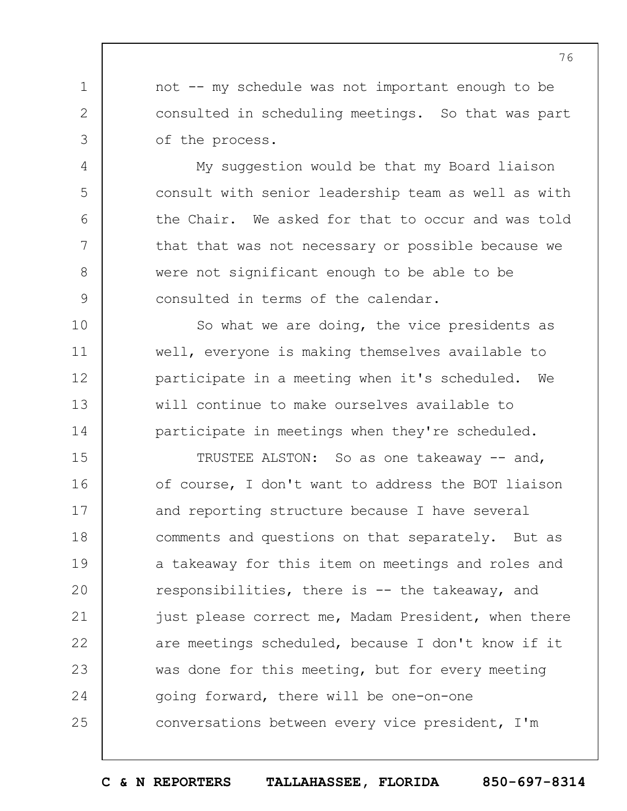not -- my schedule was not important enough to be consulted in scheduling meetings. So that was part of the process.

1

2

3

4

5

6

7

8

9

10

11

12

13

14

My suggestion would be that my Board liaison consult with senior leadership team as well as with the Chair. We asked for that to occur and was told that that was not necessary or possible because we were not significant enough to be able to be consulted in terms of the calendar.

So what we are doing, the vice presidents as well, everyone is making themselves available to participate in a meeting when it's scheduled. We will continue to make ourselves available to participate in meetings when they're scheduled.

15 16 17 18 19  $20$ 21 22 23 24 25 TRUSTEE ALSTON: So as one takeaway -- and, of course, I don't want to address the BOT liaison and reporting structure because I have several comments and questions on that separately. But as a takeaway for this item on meetings and roles and responsibilities, there is -- the takeaway, and just please correct me, Madam President, when there are meetings scheduled, because I don't know if it was done for this meeting, but for every meeting going forward, there will be one-on-one conversations between every vice president, I'm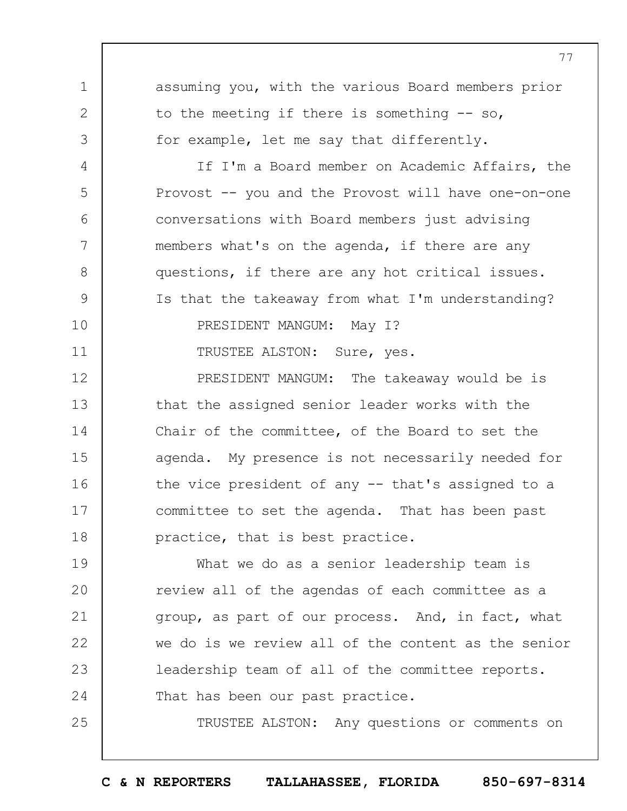1 2 3 4 5 6 7 8 9 10 11 12 13 14 15 16 17 18 19  $20$ 21 22 23 24 25 assuming you, with the various Board members prior to the meeting if there is something -- so, for example, let me say that differently. If I'm a Board member on Academic Affairs, the Provost -- you and the Provost will have one-on-one conversations with Board members just advising members what's on the agenda, if there are any questions, if there are any hot critical issues. Is that the takeaway from what I'm understanding? PRESIDENT MANGUM: May I? TRUSTEE ALSTON: Sure, yes. PRESIDENT MANGUM: The takeaway would be is that the assigned senior leader works with the Chair of the committee, of the Board to set the agenda. My presence is not necessarily needed for the vice president of any -- that's assigned to a committee to set the agenda. That has been past practice, that is best practice. What we do as a senior leadership team is review all of the agendas of each committee as a group, as part of our process. And, in fact, what we do is we review all of the content as the senior leadership team of all of the committee reports. That has been our past practice. TRUSTEE ALSTON: Any questions or comments on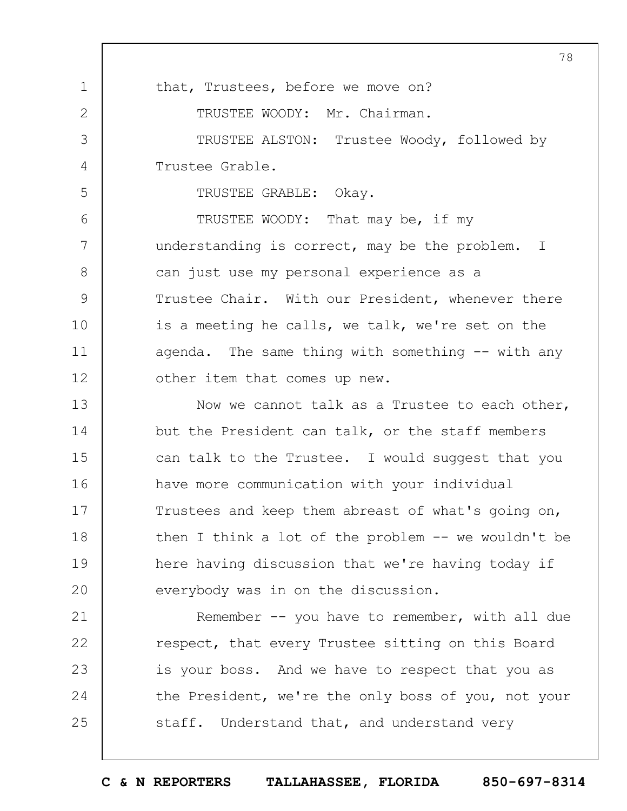1 2 3 4 5 6 7 8 9 10 11 12 13 14 15 16 17 18 19  $20$ 21 22 23 24 25 78 that, Trustees, before we move on? TRUSTEE WOODY: Mr. Chairman. TRUSTEE ALSTON: Trustee Woody, followed by Trustee Grable. TRUSTEE GRABLE: Okay. TRUSTEE WOODY: That may be, if my understanding is correct, may be the problem. I can just use my personal experience as a Trustee Chair. With our President, whenever there is a meeting he calls, we talk, we're set on the agenda. The same thing with something -- with any other item that comes up new. Now we cannot talk as a Trustee to each other, but the President can talk, or the staff members can talk to the Trustee. I would suggest that you have more communication with your individual Trustees and keep them abreast of what's going on, then I think a lot of the problem -- we wouldn't be here having discussion that we're having today if everybody was in on the discussion. Remember -- you have to remember, with all due respect, that every Trustee sitting on this Board is your boss. And we have to respect that you as the President, we're the only boss of you, not your staff. Understand that, and understand very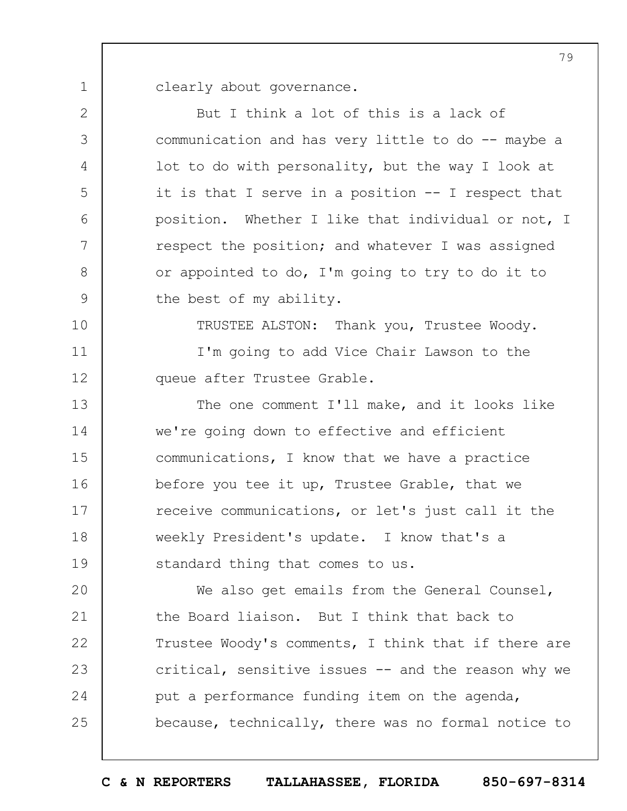1 clearly about governance.

2 3 4 5 6 7 8 9 10 11 12 13 14 15 16 17 18 19  $20$ 21 22 23 24 25 But I think a lot of this is a lack of communication and has very little to do -- maybe a lot to do with personality, but the way I look at it is that I serve in a position -- I respect that position. Whether I like that individual or not, I respect the position; and whatever I was assigned or appointed to do, I'm going to try to do it to the best of my ability. TRUSTEE ALSTON: Thank you, Trustee Woody. I'm going to add Vice Chair Lawson to the queue after Trustee Grable. The one comment I'll make, and it looks like we're going down to effective and efficient communications, I know that we have a practice before you tee it up, Trustee Grable, that we receive communications, or let's just call it the weekly President's update. I know that's a standard thing that comes to us. We also get emails from the General Counsel, the Board liaison. But I think that back to Trustee Woody's comments, I think that if there are critical, sensitive issues -- and the reason why we put a performance funding item on the agenda, because, technically, there was no formal notice to

**C & N REPORTERS TALLAHASSEE, FLORIDA 850-697-8314**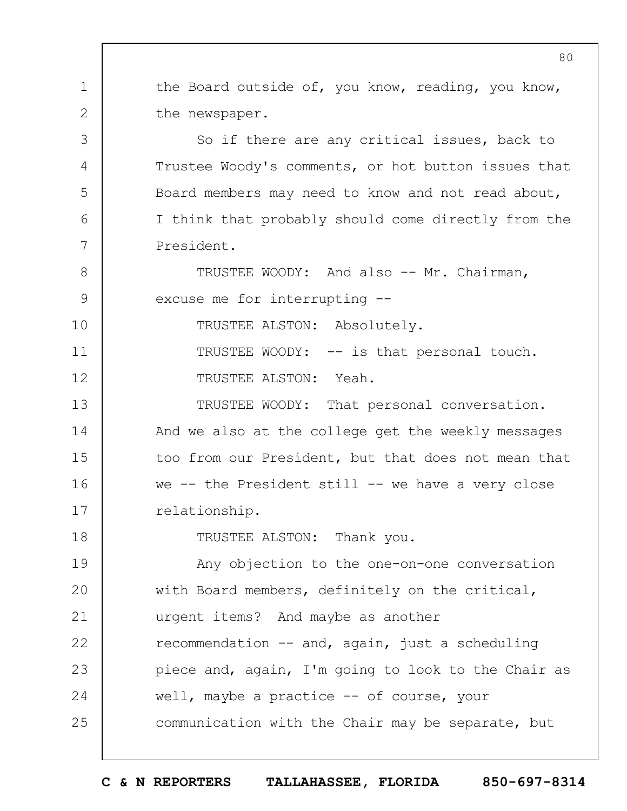1 2 3 4 5 6 7 8 9 10 11 12 13 14 15 16 17 18 19  $20$ 21 22 23 24 25 the Board outside of, you know, reading, you know, the newspaper. So if there are any critical issues, back to Trustee Woody's comments, or hot button issues that Board members may need to know and not read about, I think that probably should come directly from the President. TRUSTEE WOODY: And also -- Mr. Chairman, excuse me for interrupting -- TRUSTEE ALSTON: Absolutely. TRUSTEE WOODY: -- is that personal touch. TRUSTEE ALSTON: Yeah. TRUSTEE WOODY: That personal conversation. And we also at the college get the weekly messages too from our President, but that does not mean that we -- the President still -- we have a very close relationship. TRUSTEE ALSTON: Thank you. Any objection to the one-on-one conversation with Board members, definitely on the critical, urgent items? And maybe as another recommendation -- and, again, just a scheduling piece and, again, I'm going to look to the Chair as well, maybe a practice -- of course, your communication with the Chair may be separate, but

**C & N REPORTERS TALLAHASSEE, FLORIDA 850-697-8314**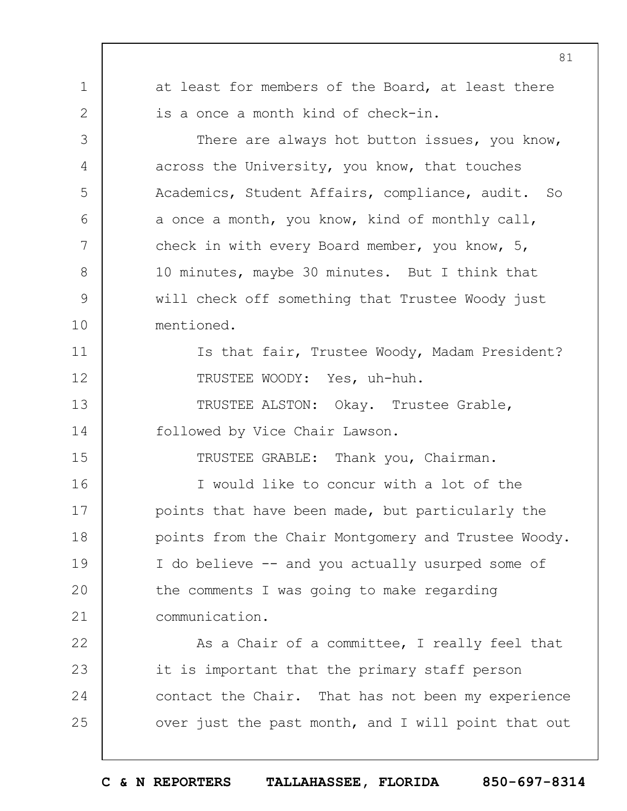1 2 3 4 5 6 7 8 9 10 11 12 13 14 15 16 17 18 19  $20$ 21 22 23 24 25 81 at least for members of the Board, at least there is a once a month kind of check-in. There are always hot button issues, you know, across the University, you know, that touches Academics, Student Affairs, compliance, audit. So a once a month, you know, kind of monthly call, check in with every Board member, you know, 5, 10 minutes, maybe 30 minutes. But I think that will check off something that Trustee Woody just mentioned. Is that fair, Trustee Woody, Madam President? TRUSTEE WOODY: Yes, uh-huh. TRUSTEE ALSTON: Okay. Trustee Grable, followed by Vice Chair Lawson. TRUSTEE GRABLE: Thank you, Chairman. I would like to concur with a lot of the points that have been made, but particularly the points from the Chair Montgomery and Trustee Woody. I do believe -- and you actually usurped some of the comments I was going to make regarding communication. As a Chair of a committee, I really feel that it is important that the primary staff person contact the Chair. That has not been my experience over just the past month, and I will point that out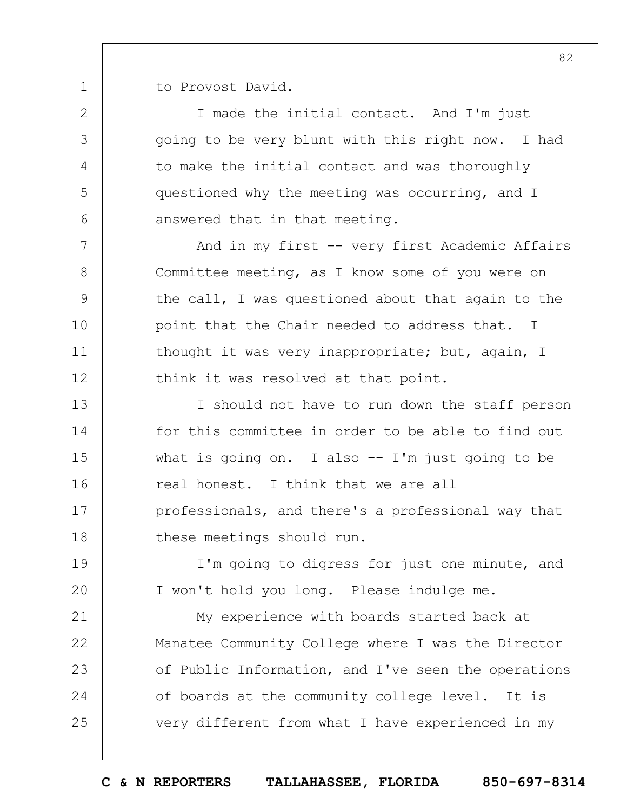1 to Provost David.

2

3

4

5

6

7

8

9

10

11

12

19

 $20$ 

I made the initial contact. And I'm just going to be very blunt with this right now. I had to make the initial contact and was thoroughly questioned why the meeting was occurring, and I answered that in that meeting.

And in my first -- very first Academic Affairs Committee meeting, as I know some of you were on the call, I was questioned about that again to the point that the Chair needed to address that. I thought it was very inappropriate; but, again, I think it was resolved at that point.

13 14 15 16 17 18 I should not have to run down the staff person for this committee in order to be able to find out what is going on. I also  $-$  I'm just going to be real honest. I think that we are all professionals, and there's a professional way that these meetings should run.

I'm going to digress for just one minute, and I won't hold you long. Please indulge me.

21 22 23 24 25 My experience with boards started back at Manatee Community College where I was the Director of Public Information, and I've seen the operations of boards at the community college level. It is very different from what I have experienced in my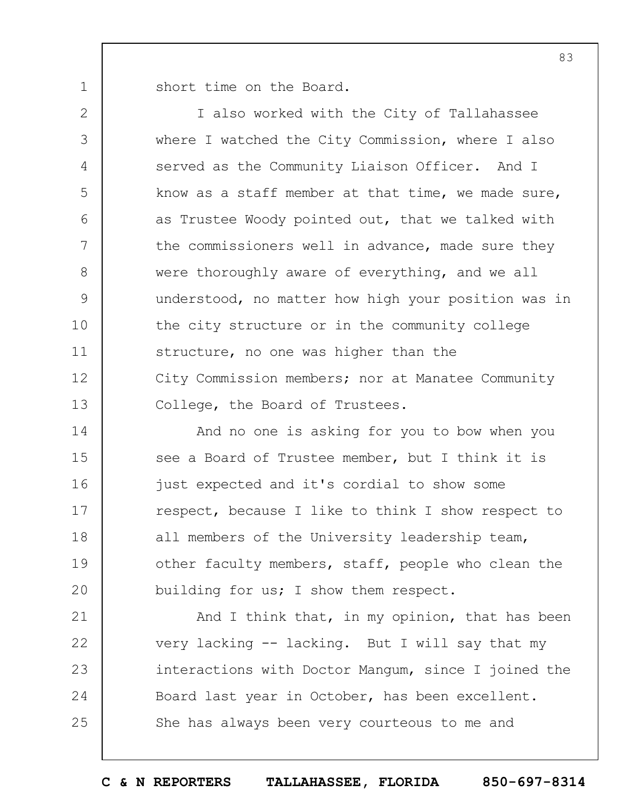short time on the Board.

1

2 3 4 5 6 7 8 9 10 11 12 13 I also worked with the City of Tallahassee where I watched the City Commission, where I also served as the Community Liaison Officer. And I know as a staff member at that time, we made sure, as Trustee Woody pointed out, that we talked with the commissioners well in advance, made sure they were thoroughly aware of everything, and we all understood, no matter how high your position was in the city structure or in the community college structure, no one was higher than the City Commission members; nor at Manatee Community College, the Board of Trustees.

14 15 16 17 18 19  $20$ And no one is asking for you to bow when you see a Board of Trustee member, but I think it is just expected and it's cordial to show some respect, because I like to think I show respect to all members of the University leadership team, other faculty members, staff, people who clean the building for us; I show them respect.

21 22 23 24 25 And I think that, in my opinion, that has been very lacking -- lacking. But I will say that my interactions with Doctor Mangum, since I joined the Board last year in October, has been excellent. She has always been very courteous to me and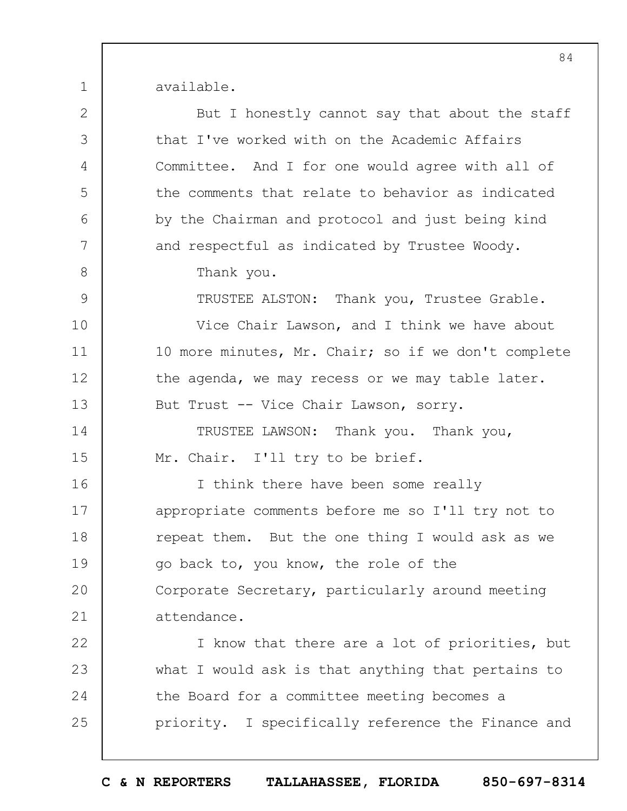available.

| $\overline{2}$ | But I honestly cannot say that about the staff      |
|----------------|-----------------------------------------------------|
| 3              | that I've worked with on the Academic Affairs       |
| 4              | Committee. And I for one would agree with all of    |
| 5              | the comments that relate to behavior as indicated   |
| 6              | by the Chairman and protocol and just being kind    |
| 7              | and respectful as indicated by Trustee Woody.       |
| $8\,$          | Thank you.                                          |
| $\mathsf{9}$   | TRUSTEE ALSTON: Thank you, Trustee Grable.          |
| 10             | Vice Chair Lawson, and I think we have about        |
| 11             | 10 more minutes, Mr. Chair; so if we don't complete |
| 12             | the agenda, we may recess or we may table later.    |
| 13             | But Trust -- Vice Chair Lawson, sorry.              |
| 14             | TRUSTEE LAWSON: Thank you. Thank you,               |
| 15             | Mr. Chair. I'll try to be brief.                    |
| 16             | I think there have been some really                 |
| 17             | appropriate comments before me so I'll try not to   |
| 18             | repeat them. But the one thing I would ask as we    |
| 19             | go back to, you know, the role of the               |
| 20             | Corporate Secretary, particularly around meeting    |
| 21             | attendance.                                         |
| 22             | I know that there are a lot of priorities, but      |
| 23             | what I would ask is that anything that pertains to  |
| 24             | the Board for a committee meeting becomes a         |
| 25             | priority. I specifically reference the Finance and  |
|                |                                                     |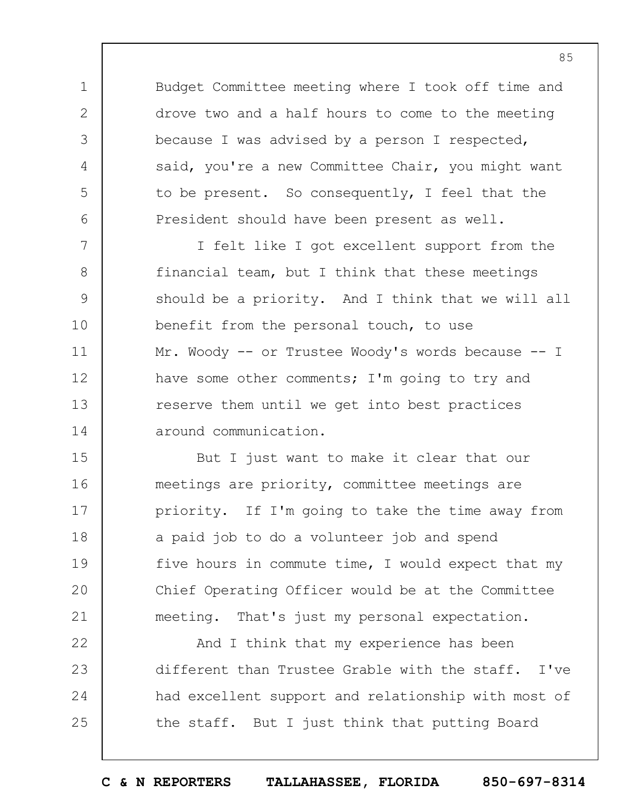Budget Committee meeting where I took off time and drove two and a half hours to come to the meeting because I was advised by a person I respected, said, you're a new Committee Chair, you might want to be present. So consequently, I feel that the President should have been present as well.

1

2

3

4

5

6

7 8 9 10 11 12 13 14 I felt like I got excellent support from the financial team, but I think that these meetings should be a priority. And I think that we will all benefit from the personal touch, to use Mr. Woody -- or Trustee Woody's words because -- I have some other comments; I'm going to try and reserve them until we get into best practices around communication.

15 16 17 18 19  $20$ 21 But I just want to make it clear that our meetings are priority, committee meetings are priority. If I'm going to take the time away from a paid job to do a volunteer job and spend five hours in commute time, I would expect that my Chief Operating Officer would be at the Committee meeting. That's just my personal expectation.

22 23 24 25 And I think that my experience has been different than Trustee Grable with the staff. I've had excellent support and relationship with most of the staff. But I just think that putting Board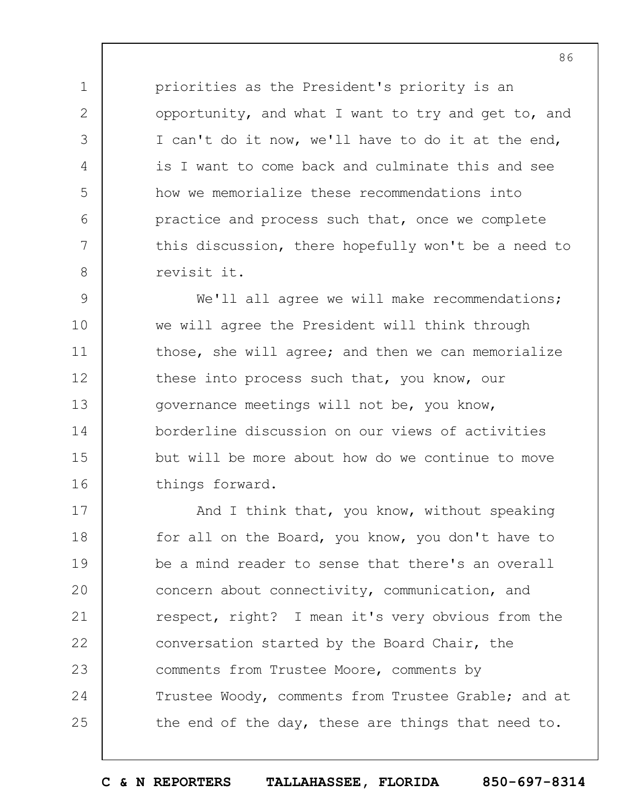priorities as the President's priority is an opportunity, and what I want to try and get to, and I can't do it now, we'll have to do it at the end, is I want to come back and culminate this and see how we memorialize these recommendations into practice and process such that, once we complete this discussion, there hopefully won't be a need to revisit it.

1

2

3

4

5

6

7

8

9 10 11 12 13 14 15 16 We'll all agree we will make recommendations; we will agree the President will think through those, she will agree; and then we can memorialize these into process such that, you know, our governance meetings will not be, you know, borderline discussion on our views of activities but will be more about how do we continue to move things forward.

17 18 19  $20$ 21 22 23 24 25 And I think that, you know, without speaking for all on the Board, you know, you don't have to be a mind reader to sense that there's an overall concern about connectivity, communication, and respect, right? I mean it's very obvious from the conversation started by the Board Chair, the comments from Trustee Moore, comments by Trustee Woody, comments from Trustee Grable; and at the end of the day, these are things that need to.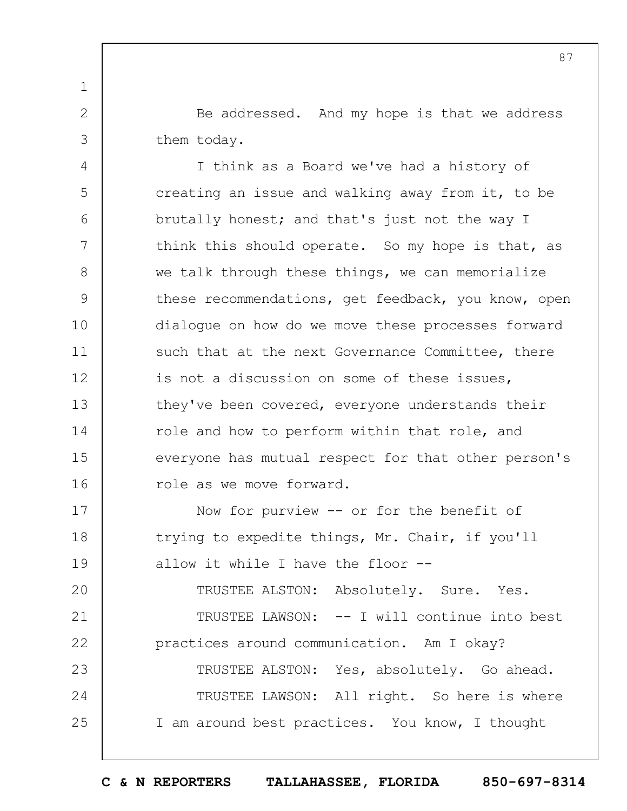Be addressed. And my hope is that we address them today.

1

2

3

4 5 6 7 8 9 10 11 12 13 14 15 16 I think as a Board we've had a history of creating an issue and walking away from it, to be brutally honest; and that's just not the way I think this should operate. So my hope is that, as we talk through these things, we can memorialize these recommendations, get feedback, you know, open dialogue on how do we move these processes forward such that at the next Governance Committee, there is not a discussion on some of these issues, they've been covered, everyone understands their role and how to perform within that role, and everyone has mutual respect for that other person's role as we move forward.

17 18 19 Now for purview -- or for the benefit of trying to expedite things, Mr. Chair, if you'll allow it while I have the floor --

 $20$ 21 22 23 24 25 TRUSTEE ALSTON: Absolutely. Sure. Yes. TRUSTEE LAWSON: -- I will continue into best practices around communication. Am I okay? TRUSTEE ALSTON: Yes, absolutely. Go ahead. TRUSTEE LAWSON: All right. So here is where I am around best practices. You know, I thought

87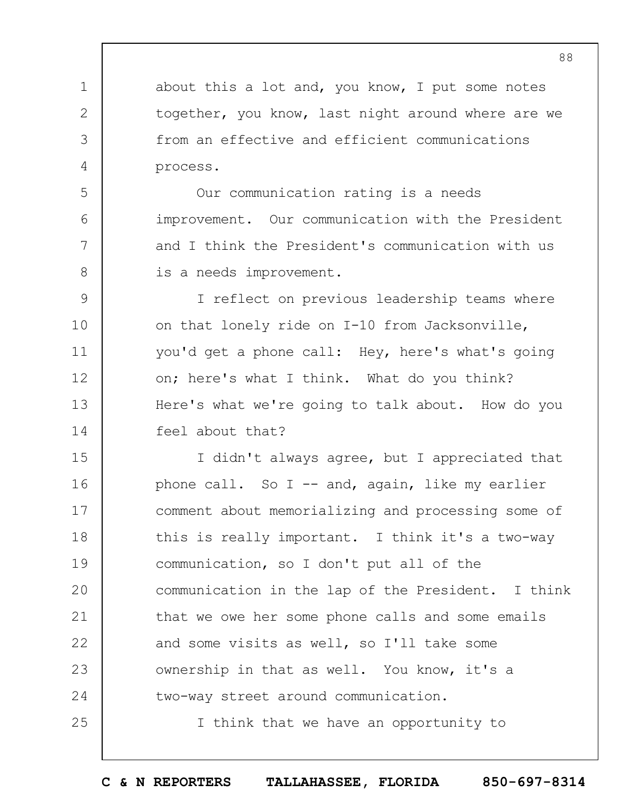about this a lot and, you know, I put some notes together, you know, last night around where are we from an effective and efficient communications process.

1

2

3

4

5

6

7

8

25

Our communication rating is a needs improvement. Our communication with the President and I think the President's communication with us is a needs improvement.

9 10 11 12 13 14 I reflect on previous leadership teams where on that lonely ride on I-10 from Jacksonville, you'd get a phone call: Hey, here's what's going on; here's what I think. What do you think? Here's what we're going to talk about. How do you feel about that?

15 16 17 18 19  $20$ 21 22 23 24 I didn't always agree, but I appreciated that phone call. So I -- and, again, like my earlier comment about memorializing and processing some of this is really important. I think it's a two-way communication, so I don't put all of the communication in the lap of the President. I think that we owe her some phone calls and some emails and some visits as well, so I'll take some ownership in that as well. You know, it's a two-way street around communication.

I think that we have an opportunity to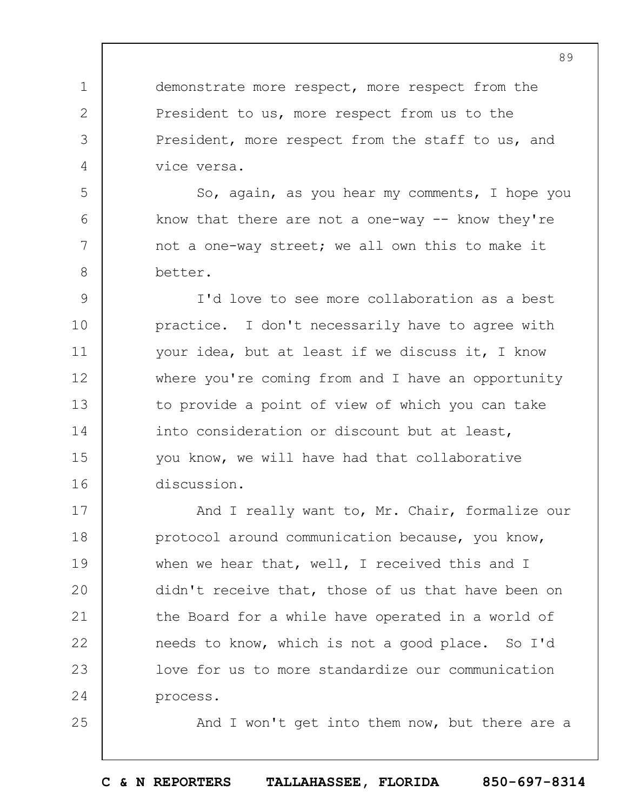demonstrate more respect, more respect from the President to us, more respect from us to the President, more respect from the staff to us, and vice versa.

1

2

3

4

5

6

7

8

25

So, again, as you hear my comments, I hope you know that there are not a one-way -- know they're not a one-way street; we all own this to make it better.

9 10 11 12 13 14 15 16 I'd love to see more collaboration as a best practice. I don't necessarily have to agree with your idea, but at least if we discuss it, I know where you're coming from and I have an opportunity to provide a point of view of which you can take into consideration or discount but at least, you know, we will have had that collaborative discussion.

17 18 19  $20$ 21 22 23 24 And I really want to, Mr. Chair, formalize our protocol around communication because, you know, when we hear that, well, I received this and I didn't receive that, those of us that have been on the Board for a while have operated in a world of needs to know, which is not a good place. So I'd love for us to more standardize our communication process.

And I won't get into them now, but there are a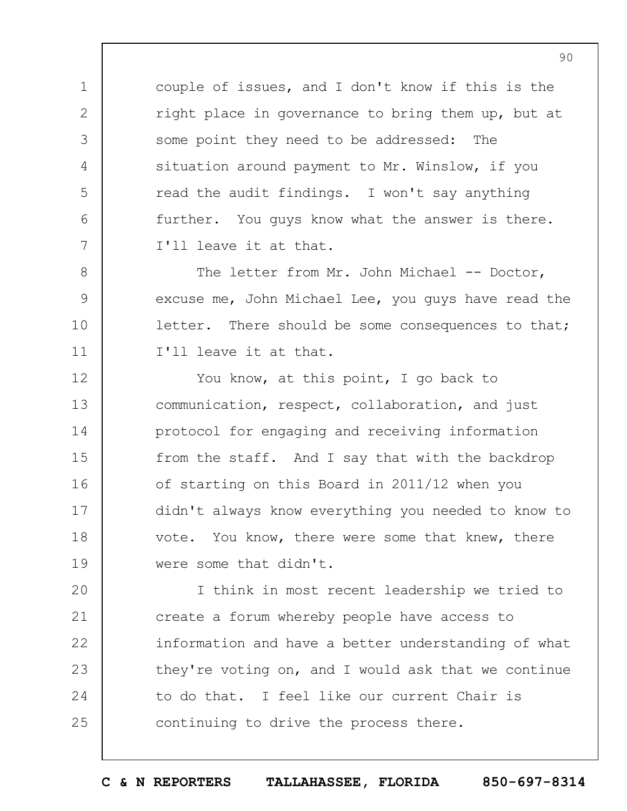couple of issues, and I don't know if this is the right place in governance to bring them up, but at some point they need to be addressed: The situation around payment to Mr. Winslow, if you read the audit findings. I won't say anything further. You guys know what the answer is there. I'll leave it at that.

1

2

3

4

5

6

7

8

9

10

11

The letter from Mr. John Michael -- Doctor, excuse me, John Michael Lee, you guys have read the letter. There should be some consequences to that; I'll leave it at that.

12 13 14 15 16 17 18 19 You know, at this point, I go back to communication, respect, collaboration, and just protocol for engaging and receiving information from the staff. And I say that with the backdrop of starting on this Board in 2011/12 when you didn't always know everything you needed to know to vote. You know, there were some that knew, there were some that didn't.

 $20$ 21 22 23 24 25 I think in most recent leadership we tried to create a forum whereby people have access to information and have a better understanding of what they're voting on, and I would ask that we continue to do that. I feel like our current Chair is continuing to drive the process there.

**C & N REPORTERS TALLAHASSEE, FLORIDA 850-697-8314**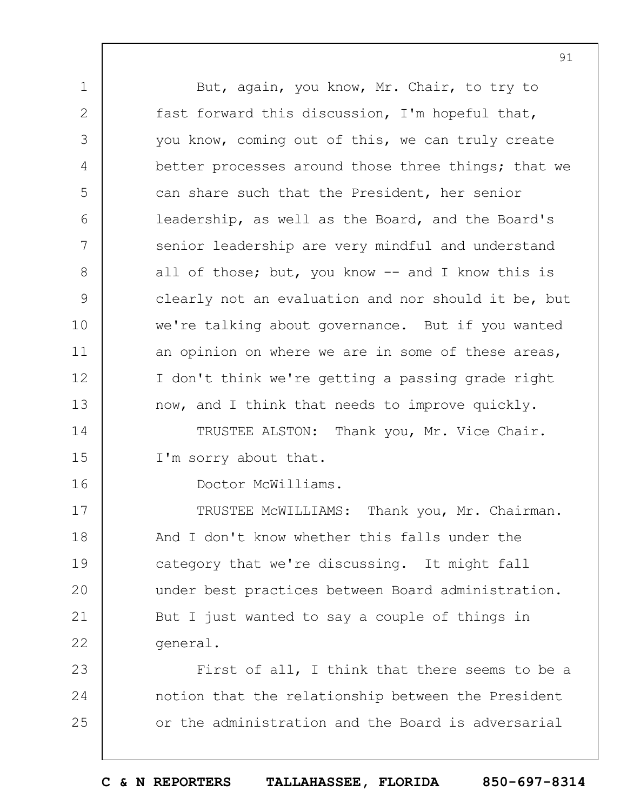1 2 3 4 5 6 7 8 9 10 11 12 13 14 15 16 17 18 19  $20$ 21 But, again, you know, Mr. Chair, to try to fast forward this discussion, I'm hopeful that, you know, coming out of this, we can truly create better processes around those three things; that we can share such that the President, her senior leadership, as well as the Board, and the Board's senior leadership are very mindful and understand all of those; but, you know -- and I know this is clearly not an evaluation and nor should it be, but we're talking about governance. But if you wanted an opinion on where we are in some of these areas, I don't think we're getting a passing grade right now, and I think that needs to improve quickly. TRUSTEE ALSTON: Thank you, Mr. Vice Chair. I'm sorry about that. Doctor McWilliams. TRUSTEE McWILLIAMS: Thank you, Mr. Chairman. And I don't know whether this falls under the category that we're discussing. It might fall under best practices between Board administration. But I just wanted to say a couple of things in

91

22 general.

23 24 25 First of all, I think that there seems to be a notion that the relationship between the President or the administration and the Board is adversarial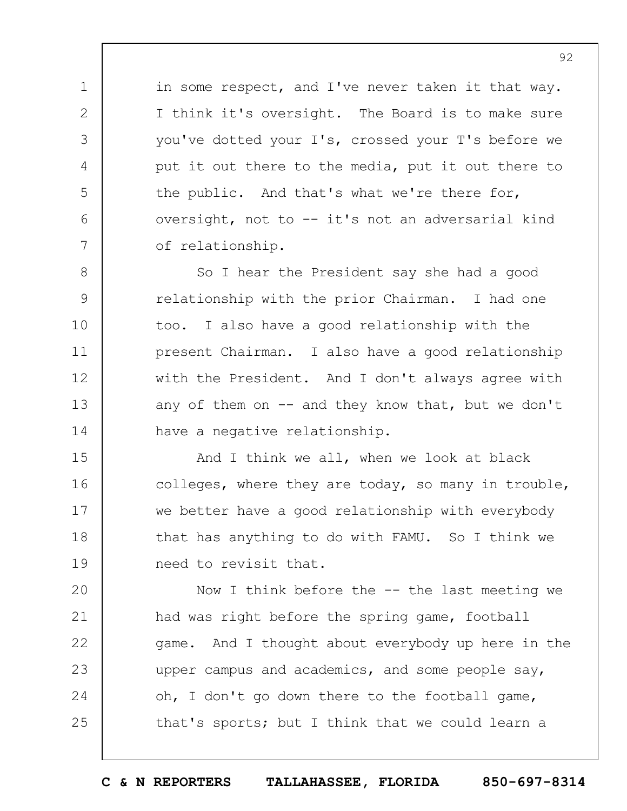in some respect, and I've never taken it that way. I think it's oversight. The Board is to make sure you've dotted your I's, crossed your T's before we put it out there to the media, put it out there to the public. And that's what we're there for, oversight, not to -- it's not an adversarial kind of relationship.

1

2

3

4

5

6

7

8 9 10 11 12 13 14 So I hear the President say she had a good relationship with the prior Chairman. I had one too. I also have a good relationship with the present Chairman. I also have a good relationship with the President. And I don't always agree with any of them on  $-$  and they know that, but we don't have a negative relationship.

15 16 17 18 19 And I think we all, when we look at black colleges, where they are today, so many in trouble, we better have a good relationship with everybody that has anything to do with FAMU. So I think we need to revisit that.

 $20$ 21 22 23 24 25 Now I think before the  $-$ - the last meeting we had was right before the spring game, football game. And I thought about everybody up here in the upper campus and academics, and some people say, oh, I don't go down there to the football game, that's sports; but I think that we could learn a

**C & N REPORTERS TALLAHASSEE, FLORIDA 850-697-8314**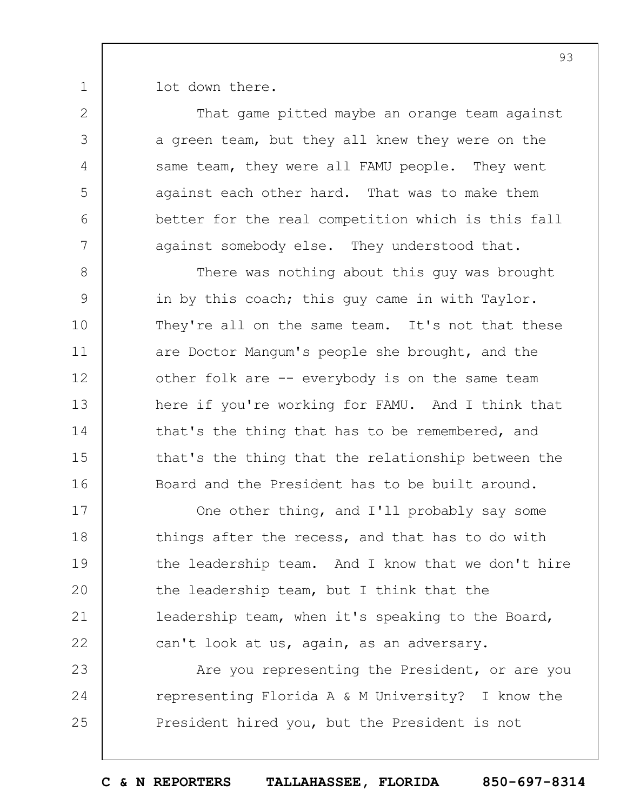lot down there.

1

2

3

4

5

6

7

8

9

10

11

12

13

14

15

That game pitted maybe an orange team against a green team, but they all knew they were on the same team, they were all FAMU people. They went against each other hard. That was to make them better for the real competition which is this fall against somebody else. They understood that. There was nothing about this guy was brought in by this coach; this guy came in with Taylor. They're all on the same team. It's not that these are Doctor Mangum's people she brought, and the

other folk are -- everybody is on the same team

that's the thing that has to be remembered, and

here if you're working for FAMU. And I think that

that's the thing that the relationship between the

16 17 18 19  $20$ 21 22 Board and the President has to be built around. One other thing, and I'll probably say some things after the recess, and that has to do with the leadership team. And I know that we don't hire the leadership team, but I think that the leadership team, when it's speaking to the Board, can't look at us, again, as an adversary.

23 24 25 Are you representing the President, or are you representing Florida A & M University? I know the President hired you, but the President is not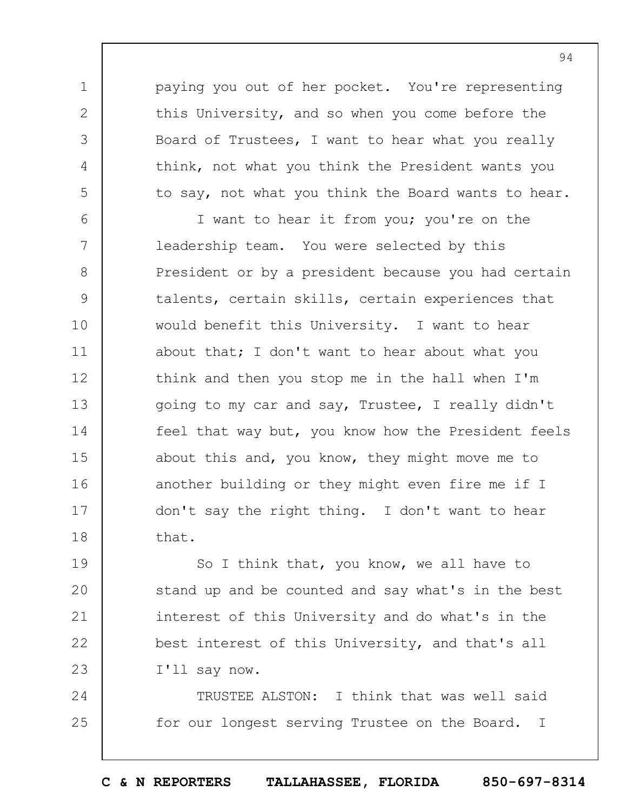paying you out of her pocket. You're representing this University, and so when you come before the Board of Trustees, I want to hear what you really think, not what you think the President wants you to say, not what you think the Board wants to hear.

1

2

3

4

5

6 7 8 9 10 11 12 13 14 15 16 17 18 I want to hear it from you; you're on the leadership team. You were selected by this President or by a president because you had certain talents, certain skills, certain experiences that would benefit this University. I want to hear about that; I don't want to hear about what you think and then you stop me in the hall when I'm going to my car and say, Trustee, I really didn't feel that way but, you know how the President feels about this and, you know, they might move me to another building or they might even fire me if I don't say the right thing. I don't want to hear that.

19  $20$ 21 22 23 So I think that, you know, we all have to stand up and be counted and say what's in the best interest of this University and do what's in the best interest of this University, and that's all I'll say now.

24 25 TRUSTEE ALSTON: I think that was well said for our longest serving Trustee on the Board. I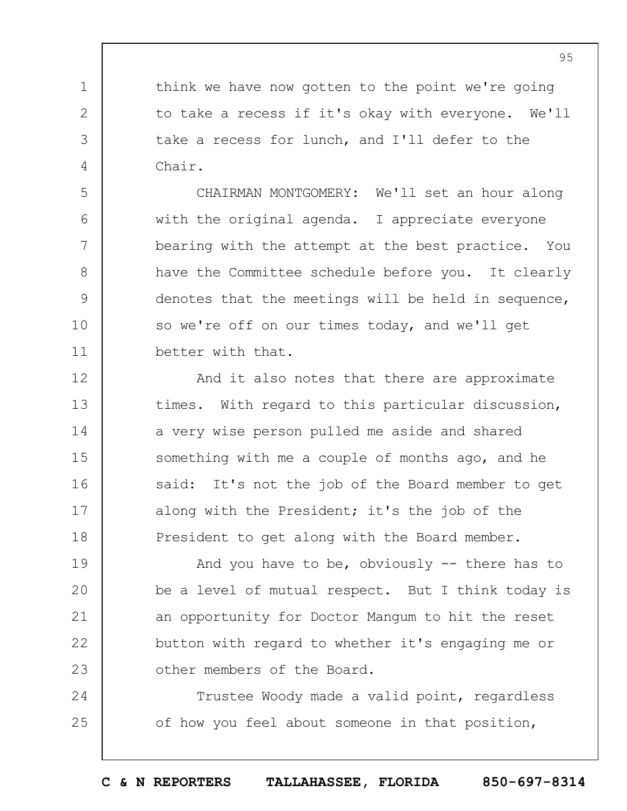think we have now gotten to the point we're going to take a recess if it's okay with everyone. We'll take a recess for lunch, and I'll defer to the Chair.

1

2

3

4

5

6

7

8

9

10

11

12

13

14

15

16

17

18

CHAIRMAN MONTGOMERY: We'll set an hour along with the original agenda. I appreciate everyone bearing with the attempt at the best practice. You have the Committee schedule before you. It clearly denotes that the meetings will be held in sequence, so we're off on our times today, and we'll get better with that.

And it also notes that there are approximate times. With regard to this particular discussion, a very wise person pulled me aside and shared something with me a couple of months ago, and he said: It's not the job of the Board member to get along with the President; it's the job of the President to get along with the Board member.

19  $20$ 21 22 23 And you have to be, obviously -- there has to be a level of mutual respect. But I think today is an opportunity for Doctor Mangum to hit the reset button with regard to whether it's engaging me or other members of the Board.

24 25 Trustee Woody made a valid point, regardless of how you feel about someone in that position,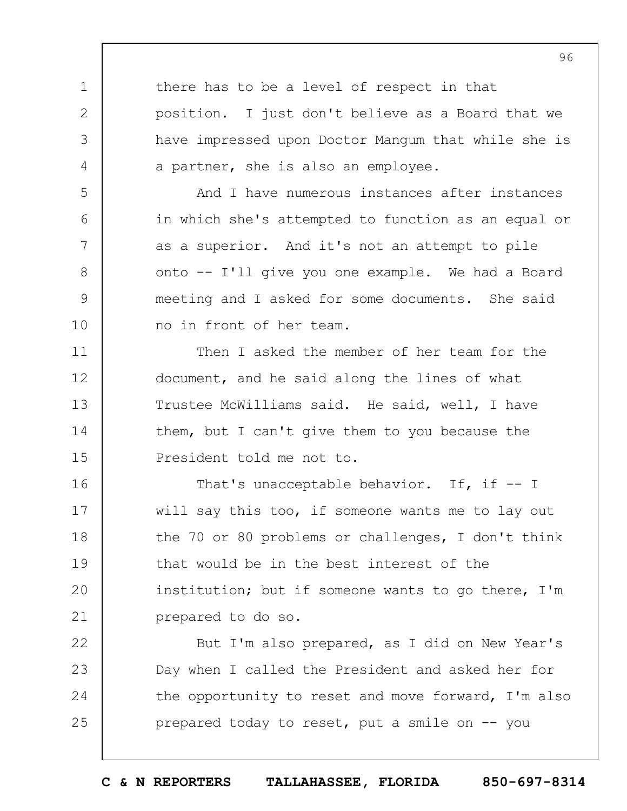1 2 3 4 5 6 7 8 9 10 11 12 13 14 15 there has to be a level of respect in that position. I just don't believe as a Board that we have impressed upon Doctor Mangum that while she is a partner, she is also an employee. And I have numerous instances after instances in which she's attempted to function as an equal or as a superior. And it's not an attempt to pile onto -- I'll give you one example. We had a Board meeting and I asked for some documents. She said no in front of her team. Then I asked the member of her team for the document, and he said along the lines of what Trustee McWilliams said. He said, well, I have them, but I can't give them to you because the President told me not to.

16 17 18 19  $20$ 21 That's unacceptable behavior. If, if -- I will say this too, if someone wants me to lay out the 70 or 80 problems or challenges, I don't think that would be in the best interest of the institution; but if someone wants to go there, I'm prepared to do so.

22 23 24 25 But I'm also prepared, as I did on New Year's Day when I called the President and asked her for the opportunity to reset and move forward, I'm also prepared today to reset, put a smile on -- you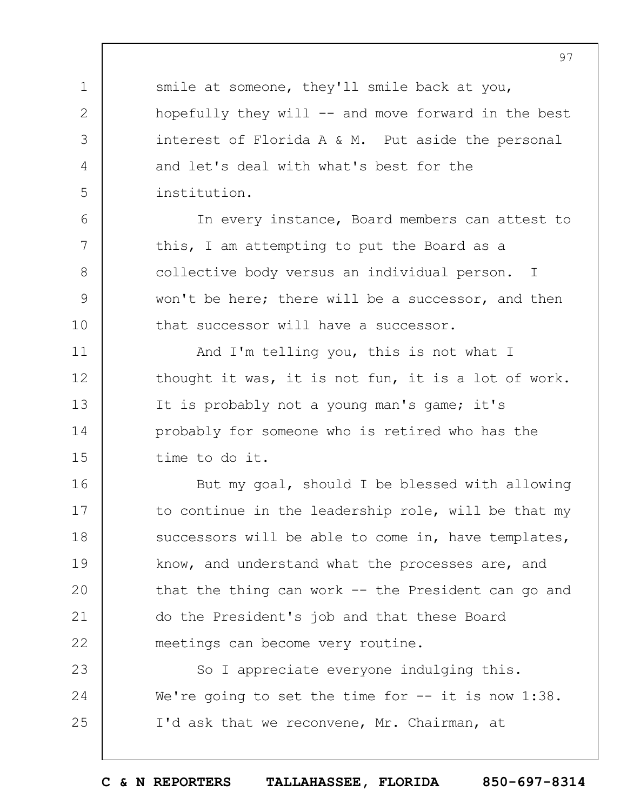smile at someone, they'll smile back at you, hopefully they will  $-$  and move forward in the best interest of Florida A & M. Put aside the personal and let's deal with what's best for the institution.

1

2

3

4

5

6

7

8

9

10

In every instance, Board members can attest to this, I am attempting to put the Board as a collective body versus an individual person. I won't be here; there will be a successor, and then that successor will have a successor.

11 12 13 14 15 And I'm telling you, this is not what I thought it was, it is not fun, it is a lot of work. It is probably not a young man's game; it's probably for someone who is retired who has the time to do it.

16 17 18 19  $20$ 21 22 But my goal, should I be blessed with allowing to continue in the leadership role, will be that my successors will be able to come in, have templates, know, and understand what the processes are, and that the thing can work  $-$  the President can go and do the President's job and that these Board meetings can become very routine.

23 24 25 So I appreciate everyone indulging this. We're going to set the time for -- it is now 1:38. I'd ask that we reconvene, Mr. Chairman, at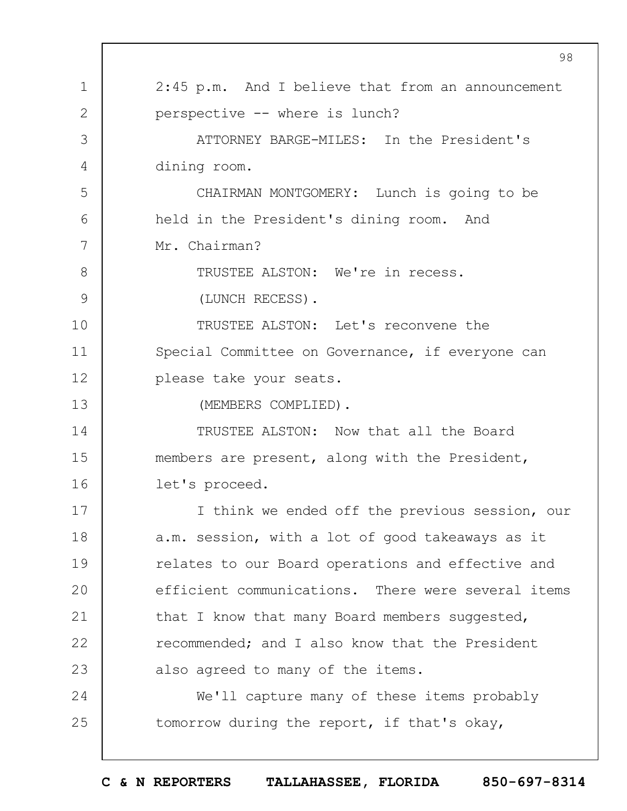1 2 3 4 5 6 7 8 9 10 11 12 13 14 15 16 17 18 19  $20$ 21 22 23 24 25 98 2:45 p.m. And I believe that from an announcement perspective -- where is lunch? ATTORNEY BARGE-MILES: In the President's dining room. CHAIRMAN MONTGOMERY: Lunch is going to be held in the President's dining room. And Mr. Chairman? TRUSTEE ALSTON: We're in recess. (LUNCH RECESS). TRUSTEE ALSTON: Let's reconvene the Special Committee on Governance, if everyone can please take your seats. (MEMBERS COMPLIED). TRUSTEE ALSTON: Now that all the Board members are present, along with the President, let's proceed. I think we ended off the previous session, our a.m. session, with a lot of good takeaways as it relates to our Board operations and effective and efficient communications. There were several items that I know that many Board members suggested, recommended; and I also know that the President also agreed to many of the items. We'll capture many of these items probably tomorrow during the report, if that's okay,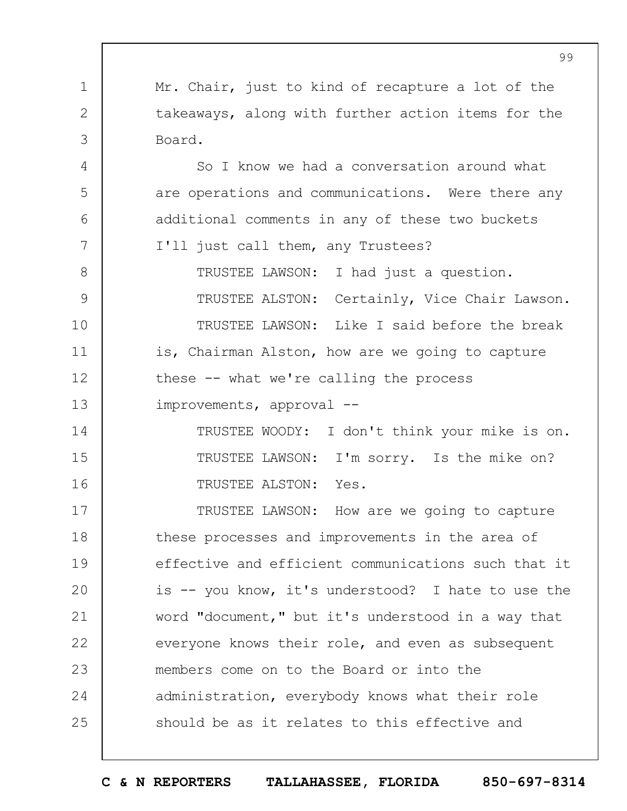1 2 3 4 5 6 7 8 9 10 11 12 13 14 15 16 17 18 19  $20$ 21 22 23 24 25 Mr. Chair, just to kind of recapture a lot of the takeaways, along with further action items for the Board. So I know we had a conversation around what are operations and communications. Were there any additional comments in any of these two buckets I'll just call them, any Trustees? TRUSTEE LAWSON: I had just a question. TRUSTEE ALSTON: Certainly, Vice Chair Lawson. TRUSTEE LAWSON: Like I said before the break is, Chairman Alston, how are we going to capture these -- what we're calling the process improvements, approval -- TRUSTEE WOODY: I don't think your mike is on. TRUSTEE LAWSON: I'm sorry. Is the mike on? TRUSTEE ALSTON: Yes. TRUSTEE LAWSON: How are we going to capture these processes and improvements in the area of effective and efficient communications such that it is -- you know, it's understood? I hate to use the word "document," but it's understood in a way that everyone knows their role, and even as subsequent members come on to the Board or into the administration, everybody knows what their role should be as it relates to this effective and

99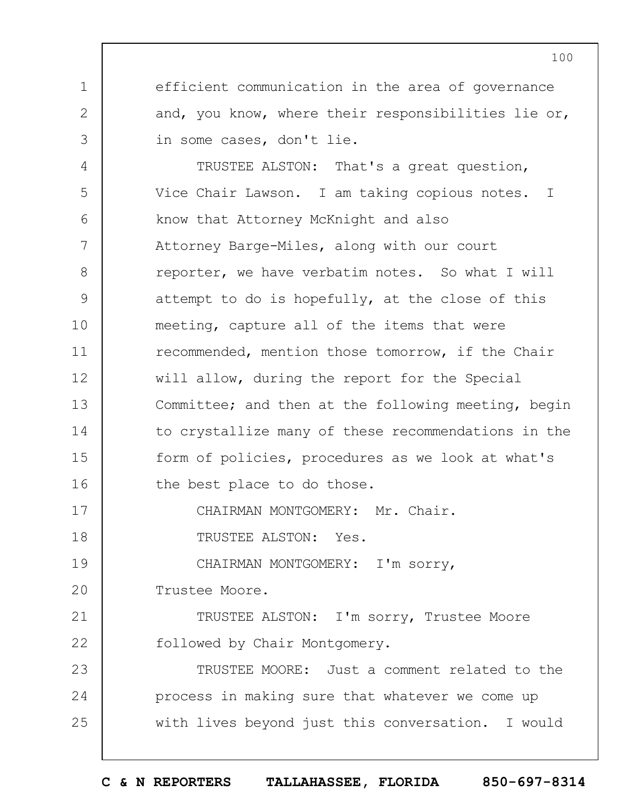efficient communication in the area of governance and, you know, where their responsibilities lie or, in some cases, don't lie.

4 5 6 7 8 9 10 11 12 13 14 15 16 TRUSTEE ALSTON: That's a great question, Vice Chair Lawson. I am taking copious notes. I know that Attorney McKnight and also Attorney Barge-Miles, along with our court reporter, we have verbatim notes. So what I will attempt to do is hopefully, at the close of this meeting, capture all of the items that were recommended, mention those tomorrow, if the Chair will allow, during the report for the Special Committee; and then at the following meeting, begin to crystallize many of these recommendations in the form of policies, procedures as we look at what's the best place to do those.

CHAIRMAN MONTGOMERY: Mr. Chair.

TRUSTEE ALSTON: Yes.

19 CHAIRMAN MONTGOMERY: I'm sorry,

 $20$ Trustee Moore.

1

2

3

17

18

21 22 TRUSTEE ALSTON: I'm sorry, Trustee Moore followed by Chair Montgomery.

23 24 25 TRUSTEE MOORE: Just a comment related to the process in making sure that whatever we come up with lives beyond just this conversation. I would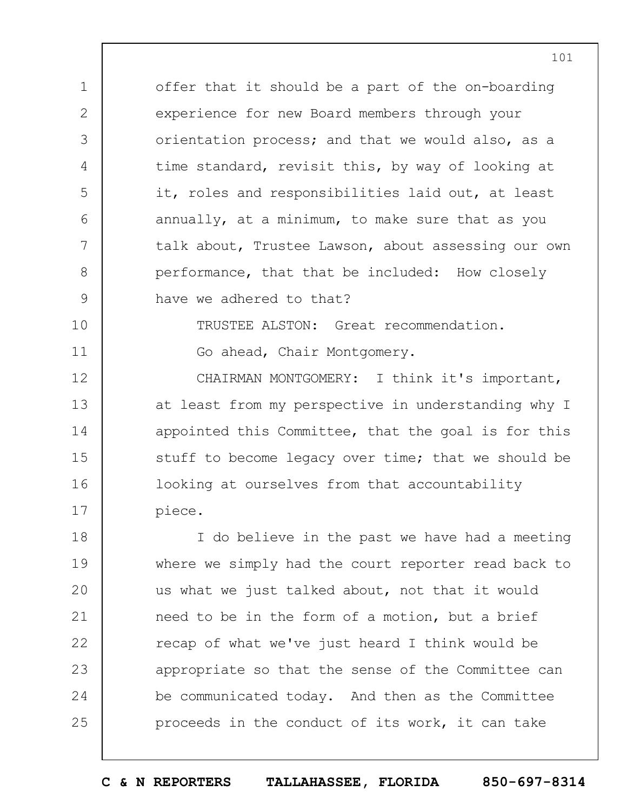offer that it should be a part of the on-boarding experience for new Board members through your orientation process; and that we would also, as a time standard, revisit this, by way of looking at it, roles and responsibilities laid out, at least annually, at a minimum, to make sure that as you talk about, Trustee Lawson, about assessing our own performance, that that be included: How closely have we adhered to that?

10

11

1

2

3

4

5

6

7

8

9

TRUSTEE ALSTON: Great recommendation.

Go ahead, Chair Montgomery.

12 13 14 15 16 17 CHAIRMAN MONTGOMERY: I think it's important, at least from my perspective in understanding why I appointed this Committee, that the goal is for this stuff to become legacy over time; that we should be looking at ourselves from that accountability piece.

18 19  $20$ 21 22 23 24 25 I do believe in the past we have had a meeting where we simply had the court reporter read back to us what we just talked about, not that it would need to be in the form of a motion, but a brief recap of what we've just heard I think would be appropriate so that the sense of the Committee can be communicated today. And then as the Committee proceeds in the conduct of its work, it can take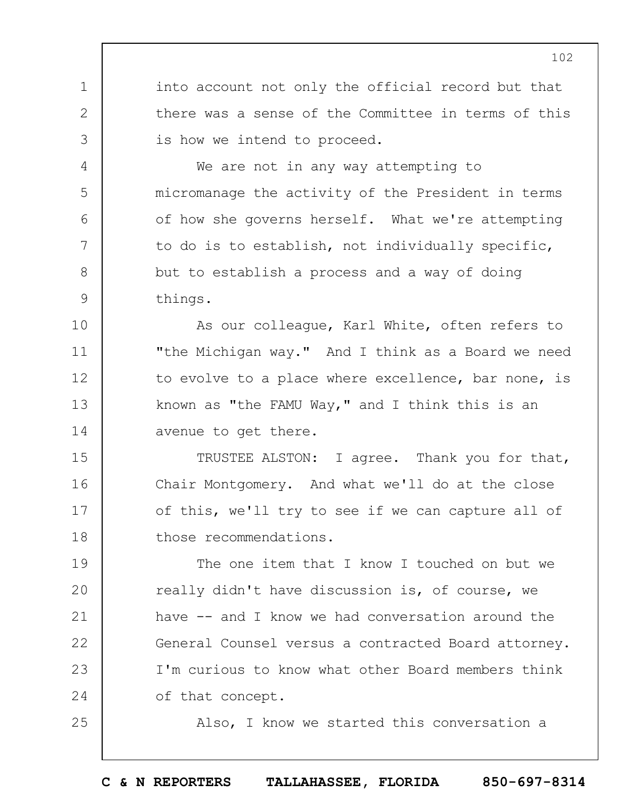into account not only the official record but that there was a sense of the Committee in terms of this is how we intend to proceed.

1

2

3

4

5

6

7

8

9

10

11

25

We are not in any way attempting to micromanage the activity of the President in terms of how she governs herself. What we're attempting to do is to establish, not individually specific, but to establish a process and a way of doing things.

12 13 14 As our colleague, Karl White, often refers to "the Michigan way." And I think as a Board we need to evolve to a place where excellence, bar none, is known as "the FAMU Way," and I think this is an avenue to get there.

15 16 17 18 TRUSTEE ALSTON: I agree. Thank you for that, Chair Montgomery. And what we'll do at the close of this, we'll try to see if we can capture all of those recommendations.

19  $20$ 21 22 23 24 The one item that I know I touched on but we really didn't have discussion is, of course, we have  $--$  and I know we had conversation around the General Counsel versus a contracted Board attorney. I'm curious to know what other Board members think of that concept.

Also, I know we started this conversation a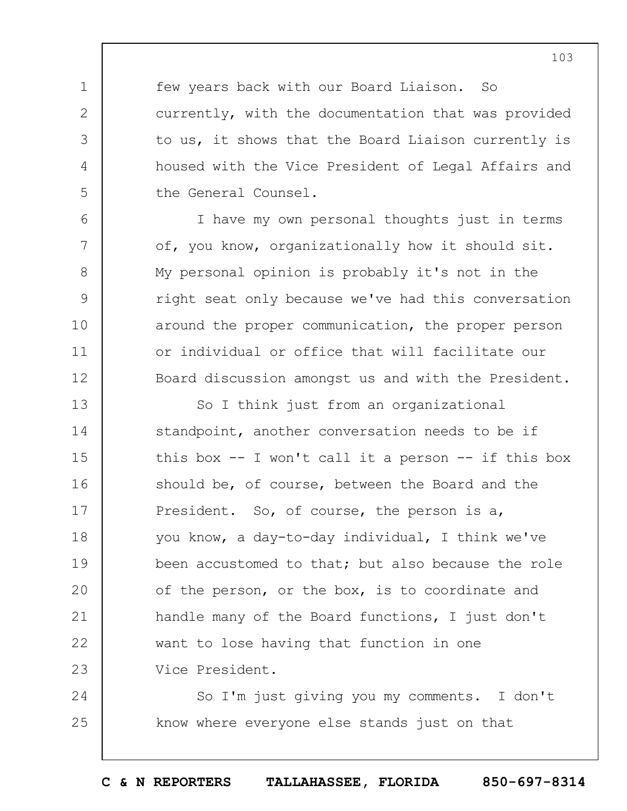few years back with our Board Liaison. So currently, with the documentation that was provided to us, it shows that the Board Liaison currently is housed with the Vice President of Legal Affairs and the General Counsel.

1

2

3

4

5

6

7

8

9

10

11

12

I have my own personal thoughts just in terms of, you know, organizationally how it should sit. My personal opinion is probably it's not in the right seat only because we've had this conversation around the proper communication, the proper person or individual or office that will facilitate our Board discussion amongst us and with the President.

13 14 15 16 17 18 19  $20$ 21 22 23 So I think just from an organizational standpoint, another conversation needs to be if this box  $-$ - I won't call it a person  $-$ - if this box should be, of course, between the Board and the President. So, of course, the person is a, you know, a day-to-day individual, I think we've been accustomed to that; but also because the role of the person, or the box, is to coordinate and handle many of the Board functions, I just don't want to lose having that function in one Vice President.

24 25 So I'm just giving you my comments. I don't know where everyone else stands just on that

**C & N REPORTERS TALLAHASSEE, FLORIDA 850-697-8314**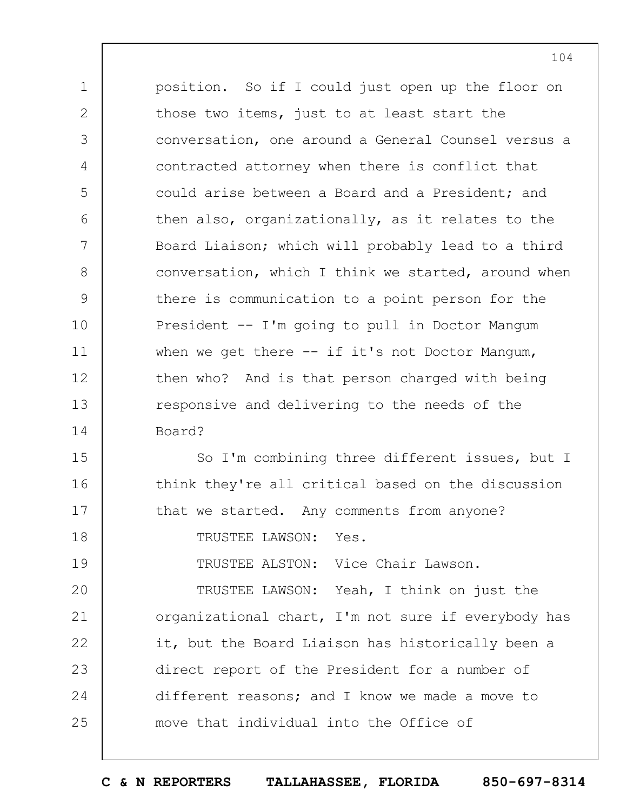1 2 3 4 5 6 7 8 9 10 11 12 13 14 position. So if I could just open up the floor on those two items, just to at least start the conversation, one around a General Counsel versus a contracted attorney when there is conflict that could arise between a Board and a President; and then also, organizationally, as it relates to the Board Liaison; which will probably lead to a third conversation, which I think we started, around when there is communication to a point person for the President -- I'm going to pull in Doctor Mangum when we get there  $--$  if it's not Doctor Mangum, then who? And is that person charged with being responsive and delivering to the needs of the Board?

15 16 17 So I'm combining three different issues, but I think they're all critical based on the discussion that we started. Any comments from anyone?

TRUSTEE LAWSON: Yes.

18

19

TRUSTEE ALSTON: Vice Chair Lawson.

 $20$ 21 22 23 24 25 TRUSTEE LAWSON: Yeah, I think on just the organizational chart, I'm not sure if everybody has it, but the Board Liaison has historically been a direct report of the President for a number of different reasons; and I know we made a move to move that individual into the Office of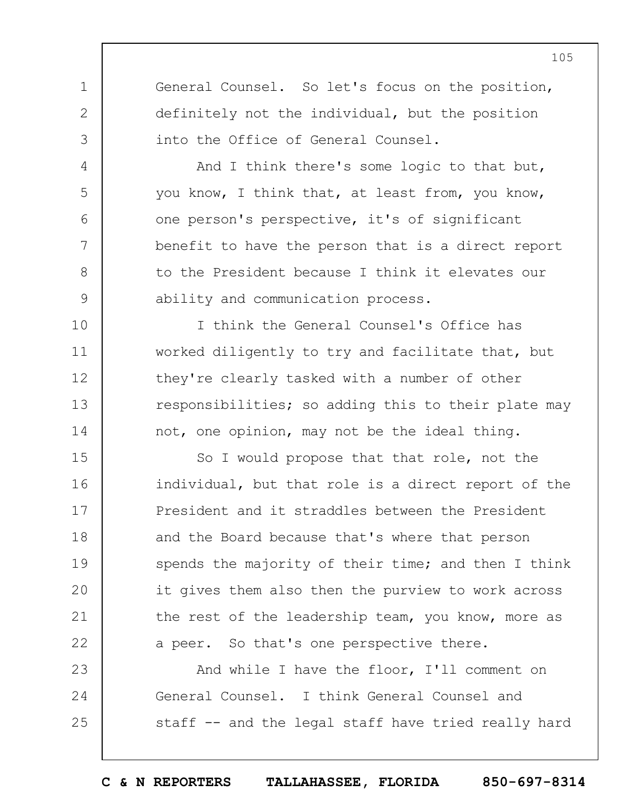General Counsel. So let's focus on the position, definitely not the individual, but the position into the Office of General Counsel.

1

2

3

4

5

6

7

8

9

10

11

12

13

14

And I think there's some logic to that but, you know, I think that, at least from, you know, one person's perspective, it's of significant benefit to have the person that is a direct report to the President because I think it elevates our ability and communication process.

I think the General Counsel's Office has worked diligently to try and facilitate that, but they're clearly tasked with a number of other responsibilities; so adding this to their plate may not, one opinion, may not be the ideal thing.

15 16 17 18 19  $20$ 21 22 So I would propose that that role, not the individual, but that role is a direct report of the President and it straddles between the President and the Board because that's where that person spends the majority of their time; and then I think it gives them also then the purview to work across the rest of the leadership team, you know, more as a peer. So that's one perspective there.

23 24 25 And while I have the floor, I'll comment on General Counsel. I think General Counsel and staff -- and the legal staff have tried really hard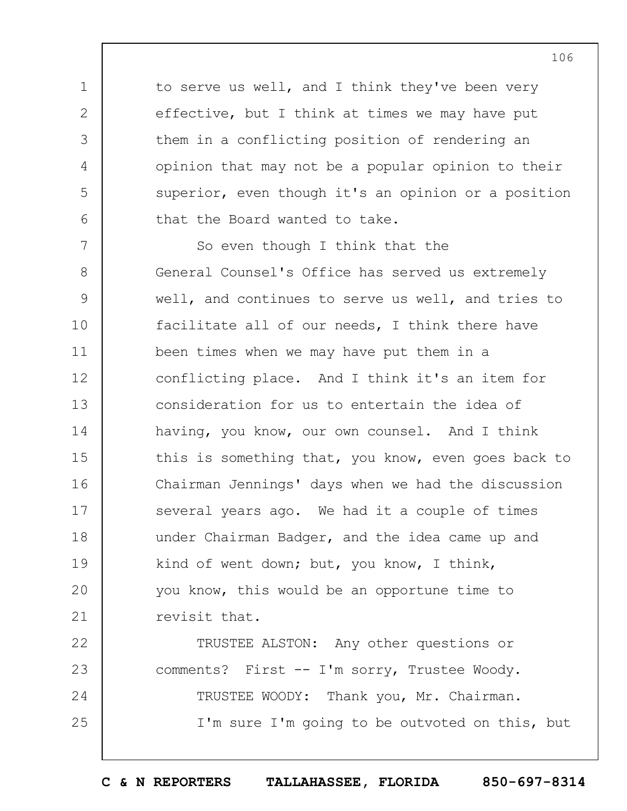to serve us well, and I think they've been very effective, but I think at times we may have put them in a conflicting position of rendering an opinion that may not be a popular opinion to their superior, even though it's an opinion or a position that the Board wanted to take.

1

2

3

4

5

6

7 8 9 10 11 12 13 14 15 16 17 18 19  $20$ 21 So even though I think that the General Counsel's Office has served us extremely well, and continues to serve us well, and tries to facilitate all of our needs, I think there have been times when we may have put them in a conflicting place. And I think it's an item for consideration for us to entertain the idea of having, you know, our own counsel. And I think this is something that, you know, even goes back to Chairman Jennings' days when we had the discussion several years ago. We had it a couple of times under Chairman Badger, and the idea came up and kind of went down; but, you know, I think, you know, this would be an opportune time to revisit that.

22 23 24 25 TRUSTEE ALSTON: Any other questions or comments? First -- I'm sorry, Trustee Woody. TRUSTEE WOODY: Thank you, Mr. Chairman. I'm sure I'm going to be outvoted on this, but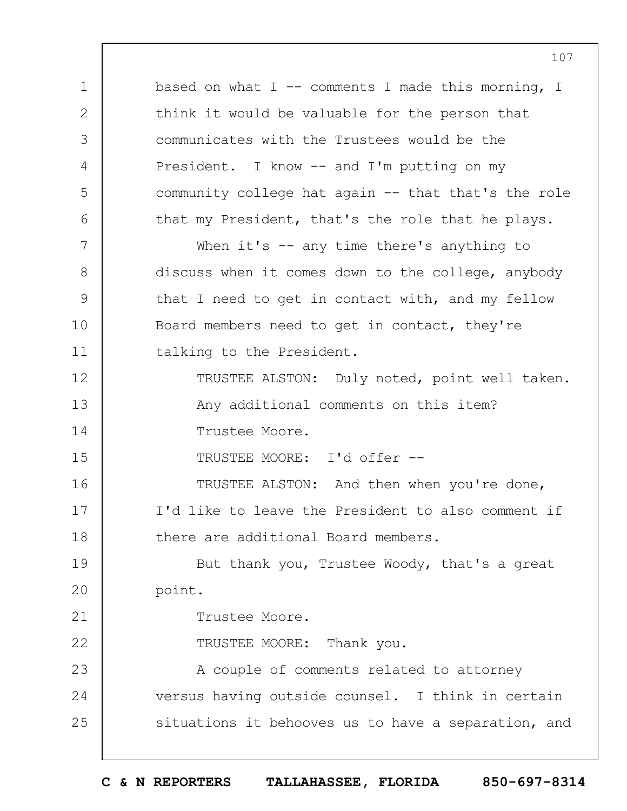1 2 3 4 5 6 7 8 9 10 11 12 13 14 15 16 17 18 19  $20$ 21 22 23 24 25 107 based on what  $I$  -- comments I made this morning, I think it would be valuable for the person that communicates with the Trustees would be the President. I know -- and I'm putting on my community college hat again -- that that's the role that my President, that's the role that he plays. When it's -- any time there's anything to discuss when it comes down to the college, anybody that I need to get in contact with, and my fellow Board members need to get in contact, they're talking to the President. TRUSTEE ALSTON: Duly noted, point well taken. Any additional comments on this item? Trustee Moore. TRUSTEE MOORE: I'd offer -- TRUSTEE ALSTON: And then when you're done, I'd like to leave the President to also comment if there are additional Board members. But thank you, Trustee Woody, that's a great point. Trustee Moore. TRUSTEE MOORE: Thank you. A couple of comments related to attorney versus having outside counsel. I think in certain situations it behooves us to have a separation, and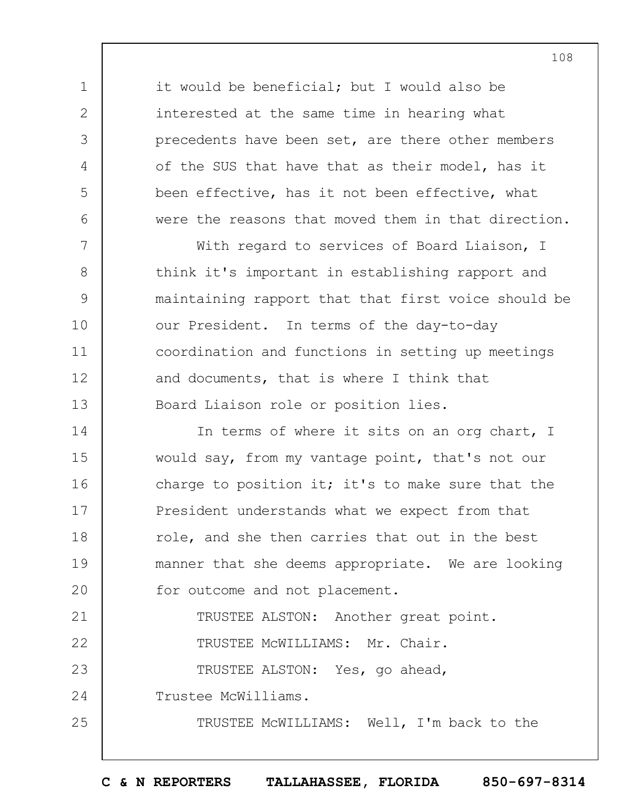it would be beneficial; but I would also be interested at the same time in hearing what precedents have been set, are there other members of the SUS that have that as their model, has it been effective, has it not been effective, what were the reasons that moved them in that direction.

7 8 9 10 11 12 13 With regard to services of Board Liaison, I think it's important in establishing rapport and maintaining rapport that that first voice should be our President. In terms of the day-to-day coordination and functions in setting up meetings and documents, that is where I think that Board Liaison role or position lies.

14 15 16 17 18 19  $20$ 21 22 23 In terms of where it sits on an org chart, I would say, from my vantage point, that's not our charge to position it; it's to make sure that the President understands what we expect from that role, and she then carries that out in the best manner that she deems appropriate. We are looking for outcome and not placement. TRUSTEE ALSTON: Another great point. TRUSTEE McWILLIAMS: Mr. Chair. TRUSTEE ALSTON: Yes, go ahead,

24 Trustee McWilliams.

1

2

3

4

5

6

25

TRUSTEE McWILLIAMS: Well, I'm back to the

108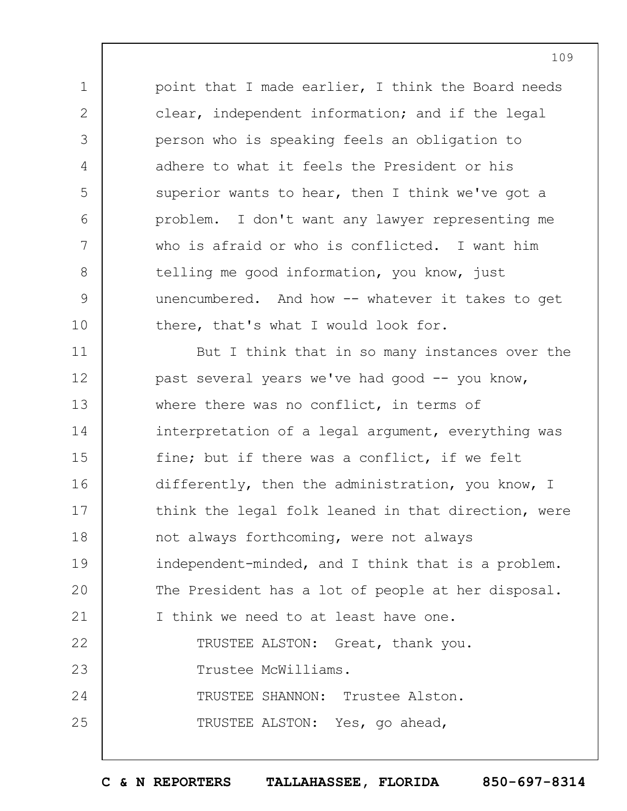point that I made earlier, I think the Board needs clear, independent information; and if the legal person who is speaking feels an obligation to adhere to what it feels the President or his superior wants to hear, then I think we've got a problem. I don't want any lawyer representing me who is afraid or who is conflicted. I want him telling me good information, you know, just unencumbered. And how -- whatever it takes to get there, that's what I would look for.

1

2

3

4

5

6

7

8

9

10

11 12 13 14 15 16 17 18 19  $20$ 21 22 23 24 25 But I think that in so many instances over the past several years we've had good -- you know, where there was no conflict, in terms of interpretation of a legal argument, everything was fine; but if there was a conflict, if we felt differently, then the administration, you know, I think the legal folk leaned in that direction, were not always forthcoming, were not always independent-minded, and I think that is a problem. The President has a lot of people at her disposal. I think we need to at least have one. TRUSTEE ALSTON: Great, thank you. Trustee McWilliams. TRUSTEE SHANNON: Trustee Alston. TRUSTEE ALSTON: Yes, go ahead,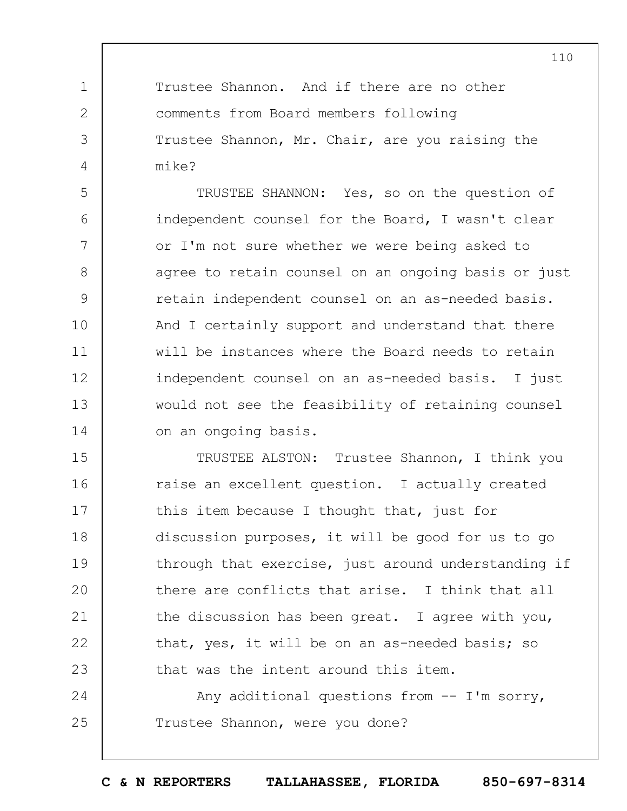Trustee Shannon. And if there are no other comments from Board members following Trustee Shannon, Mr. Chair, are you raising the mike?

1

2

3

4

5 6 7 8 9 10 11 12 13 14 TRUSTEE SHANNON: Yes, so on the question of independent counsel for the Board, I wasn't clear or I'm not sure whether we were being asked to agree to retain counsel on an ongoing basis or just retain independent counsel on an as-needed basis. And I certainly support and understand that there will be instances where the Board needs to retain independent counsel on an as-needed basis. I just would not see the feasibility of retaining counsel on an ongoing basis.

15 16 17 18 19  $20$ 21 22 23 TRUSTEE ALSTON: Trustee Shannon, I think you raise an excellent question. I actually created this item because I thought that, just for discussion purposes, it will be good for us to go through that exercise, just around understanding if there are conflicts that arise. I think that all the discussion has been great. I agree with you, that, yes, it will be on an as-needed basis; so that was the intent around this item.

24 25 Any additional questions from -- I'm sorry, Trustee Shannon, were you done?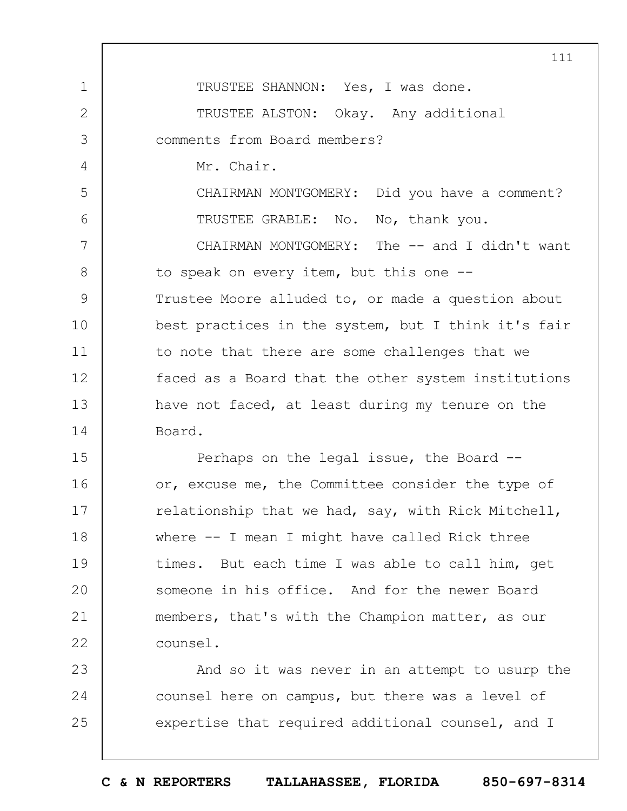1 2 3 4 5 6 7 8 9 10 11 12 13 14 15 16 17 18 19  $20$ 21 22 23 24 25 111 TRUSTEE SHANNON: Yes, I was done. TRUSTEE ALSTON: Okay. Any additional comments from Board members? Mr. Chair. CHAIRMAN MONTGOMERY: Did you have a comment? TRUSTEE GRABLE: No. No, thank you. CHAIRMAN MONTGOMERY: The -- and I didn't want to speak on every item, but this one -- Trustee Moore alluded to, or made a question about best practices in the system, but I think it's fair to note that there are some challenges that we faced as a Board that the other system institutions have not faced, at least during my tenure on the Board. Perhaps on the legal issue, the Board - or, excuse me, the Committee consider the type of relationship that we had, say, with Rick Mitchell, where -- I mean I might have called Rick three times. But each time I was able to call him, get someone in his office. And for the newer Board members, that's with the Champion matter, as our counsel. And so it was never in an attempt to usurp the counsel here on campus, but there was a level of expertise that required additional counsel, and I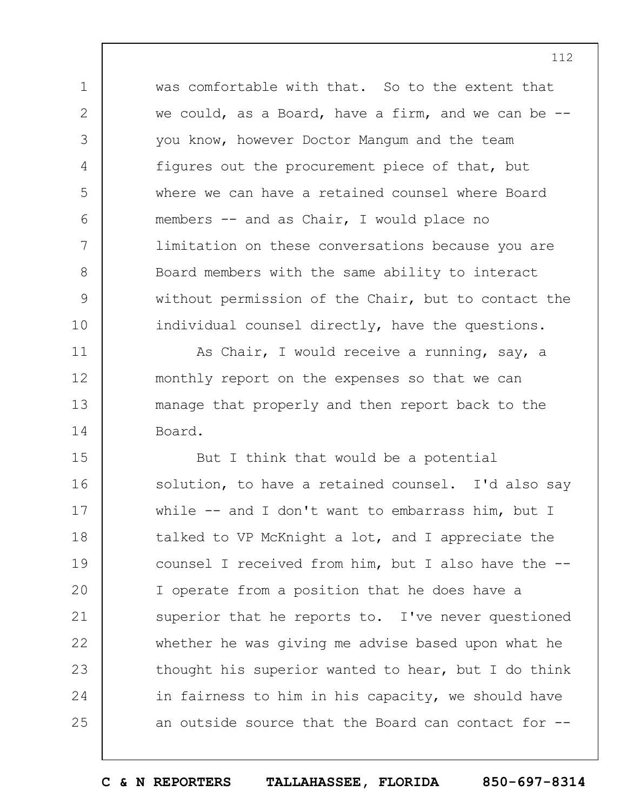was comfortable with that. So to the extent that we could, as a Board, have a firm, and we can be -you know, however Doctor Mangum and the team figures out the procurement piece of that, but where we can have a retained counsel where Board members -- and as Chair, I would place no limitation on these conversations because you are Board members with the same ability to interact without permission of the Chair, but to contact the individual counsel directly, have the questions.

1

2

3

4

5

6

7

8

9

10

11

12

13

14

As Chair, I would receive a running, say, a monthly report on the expenses so that we can manage that properly and then report back to the Board.

15 16 17 18 19  $20$ 21 22 23 24 25 But I think that would be a potential solution, to have a retained counsel. I'd also say while -- and I don't want to embarrass him, but I talked to VP McKnight a lot, and I appreciate the counsel I received from him, but I also have the -- I operate from a position that he does have a superior that he reports to. I've never questioned whether he was giving me advise based upon what he thought his superior wanted to hear, but I do think in fairness to him in his capacity, we should have an outside source that the Board can contact for --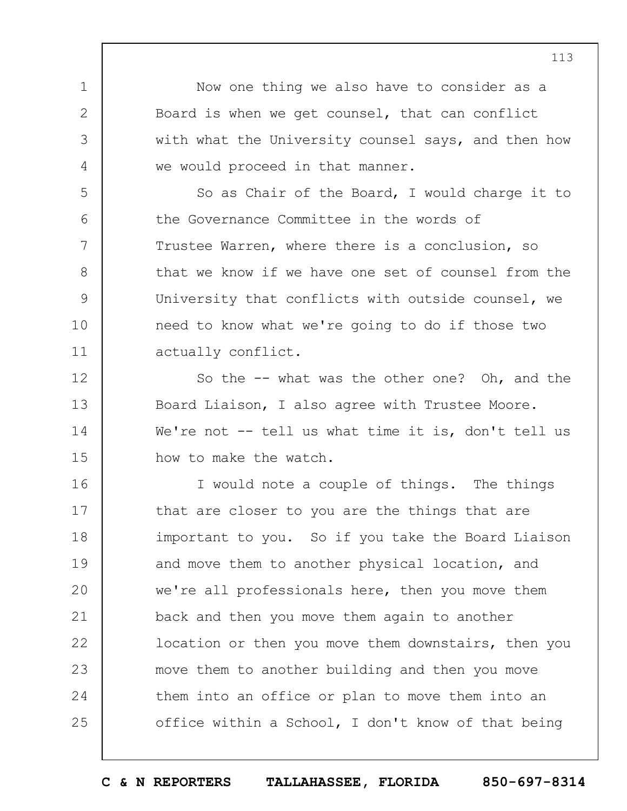Now one thing we also have to consider as a Board is when we get counsel, that can conflict with what the University counsel says, and then how we would proceed in that manner.

1

2

3

4

5

6

7

8

9

10

11

So as Chair of the Board, I would charge it to the Governance Committee in the words of Trustee Warren, where there is a conclusion, so that we know if we have one set of counsel from the University that conflicts with outside counsel, we need to know what we're going to do if those two actually conflict.

12 13 14 15 So the -- what was the other one? Oh, and the Board Liaison, I also agree with Trustee Moore. We're not  $-$  tell us what time it is, don't tell us how to make the watch.

16 17 18 19  $20$ 21 22 23 24 25 I would note a couple of things. The things that are closer to you are the things that are important to you. So if you take the Board Liaison and move them to another physical location, and we're all professionals here, then you move them back and then you move them again to another location or then you move them downstairs, then you move them to another building and then you move them into an office or plan to move them into an office within a School, I don't know of that being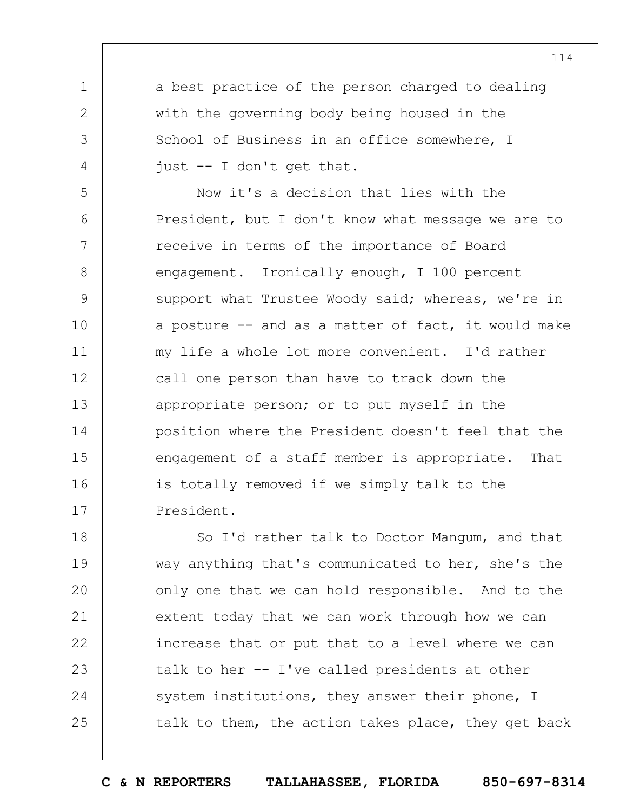a best practice of the person charged to dealing with the governing body being housed in the School of Business in an office somewhere, I just -- I don't get that.

1

2

3

4

5 6 7 8 9 10 11 12 13 14 15 16 17 Now it's a decision that lies with the President, but I don't know what message we are to receive in terms of the importance of Board engagement. Ironically enough, I 100 percent support what Trustee Woody said; whereas, we're in a posture  $-$  and as a matter of fact, it would make my life a whole lot more convenient. I'd rather call one person than have to track down the appropriate person; or to put myself in the position where the President doesn't feel that the engagement of a staff member is appropriate. That is totally removed if we simply talk to the President.

18 19  $20$ 21 22 23 24 25 So I'd rather talk to Doctor Mangum, and that way anything that's communicated to her, she's the only one that we can hold responsible. And to the extent today that we can work through how we can increase that or put that to a level where we can talk to her -- I've called presidents at other system institutions, they answer their phone, I talk to them, the action takes place, they get back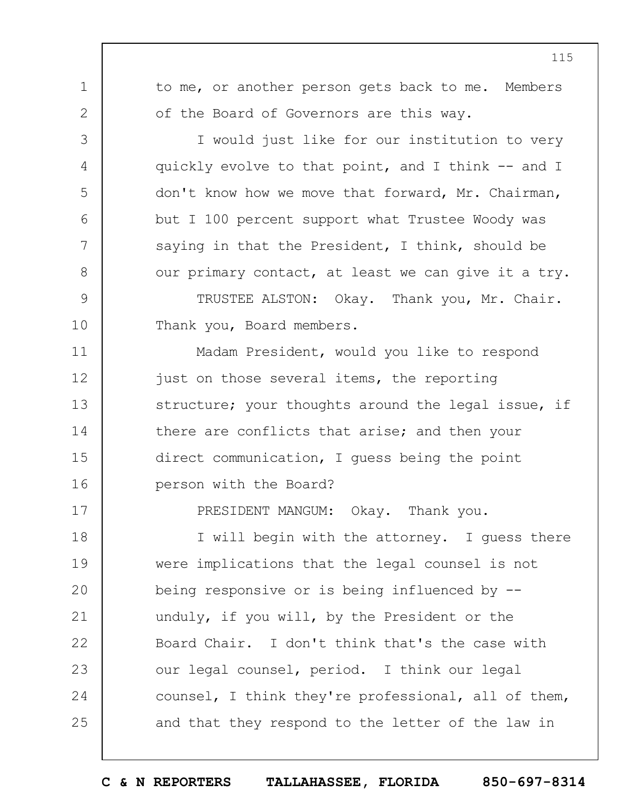to me, or another person gets back to me. Members of the Board of Governors are this way. I would just like for our institution to very quickly evolve to that point, and I think -- and I

1

2

3

4

5

6

7

8

9

10

11

12

13

14

15

16

17

don't know how we move that forward, Mr. Chairman, but I 100 percent support what Trustee Woody was saying in that the President, I think, should be our primary contact, at least we can give it a try.

TRUSTEE ALSTON: Okay. Thank you, Mr. Chair. Thank you, Board members.

Madam President, would you like to respond just on those several items, the reporting structure; your thoughts around the legal issue, if there are conflicts that arise; and then your direct communication, I guess being the point person with the Board?

PRESIDENT MANGUM: Okay. Thank you.

18 19  $20$ 21 22 23 24 25 I will begin with the attorney. I guess there were implications that the legal counsel is not being responsive or is being influenced by - unduly, if you will, by the President or the Board Chair. I don't think that's the case with our legal counsel, period. I think our legal counsel, I think they're professional, all of them, and that they respond to the letter of the law in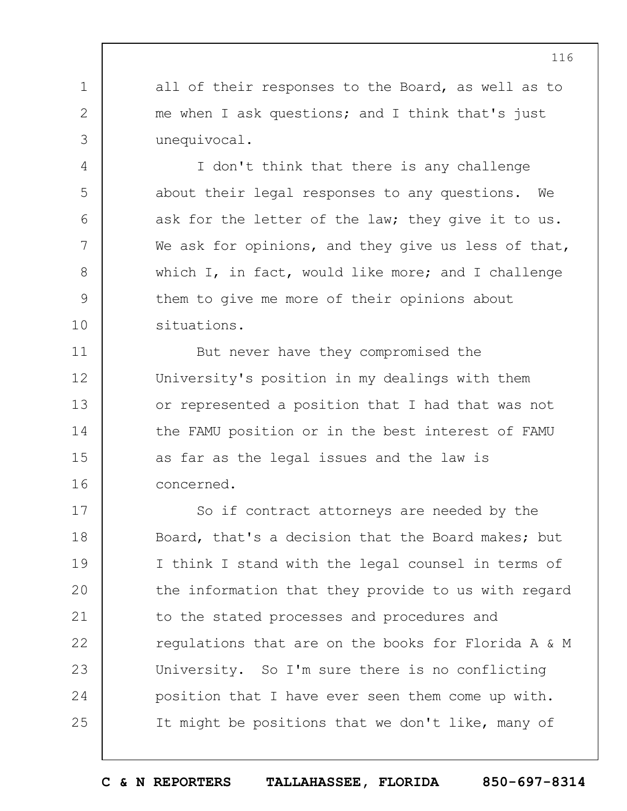all of their responses to the Board, as well as to me when I ask questions; and I think that's just unequivocal.

1

2

3

4

5

6

7

8

9

10

11

12

13

14

15

16

I don't think that there is any challenge about their legal responses to any questions. We ask for the letter of the law; they give it to us. We ask for opinions, and they give us less of that, which I, in fact, would like more; and I challenge them to give me more of their opinions about situations.

But never have they compromised the University's position in my dealings with them or represented a position that I had that was not the FAMU position or in the best interest of FAMU as far as the legal issues and the law is concerned.

17 18 19  $20$ 21 22 23 24 25 So if contract attorneys are needed by the Board, that's a decision that the Board makes; but I think I stand with the legal counsel in terms of the information that they provide to us with regard to the stated processes and procedures and regulations that are on the books for Florida A & M University. So I'm sure there is no conflicting position that I have ever seen them come up with. It might be positions that we don't like, many of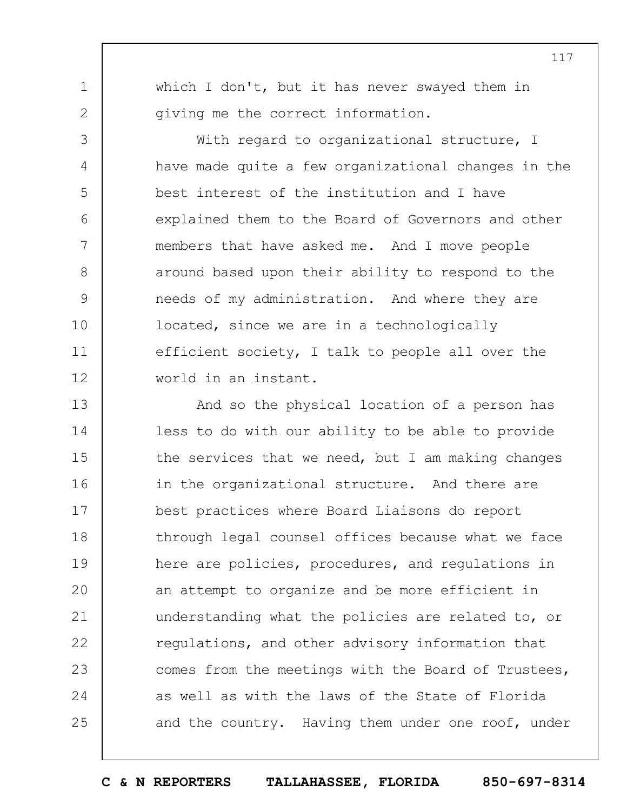which I don't, but it has never swayed them in giving me the correct information.

1

2

3

4

5

6

7

8

9

10

11

12

With regard to organizational structure, I have made quite a few organizational changes in the best interest of the institution and I have explained them to the Board of Governors and other members that have asked me. And I move people around based upon their ability to respond to the needs of my administration. And where they are located, since we are in a technologically efficient society, I talk to people all over the world in an instant.

13 14 15 16 17 18 19  $20$ 21 22 23 24 25 And so the physical location of a person has less to do with our ability to be able to provide the services that we need, but I am making changes in the organizational structure. And there are best practices where Board Liaisons do report through legal counsel offices because what we face here are policies, procedures, and regulations in an attempt to organize and be more efficient in understanding what the policies are related to, or regulations, and other advisory information that comes from the meetings with the Board of Trustees, as well as with the laws of the State of Florida and the country. Having them under one roof, under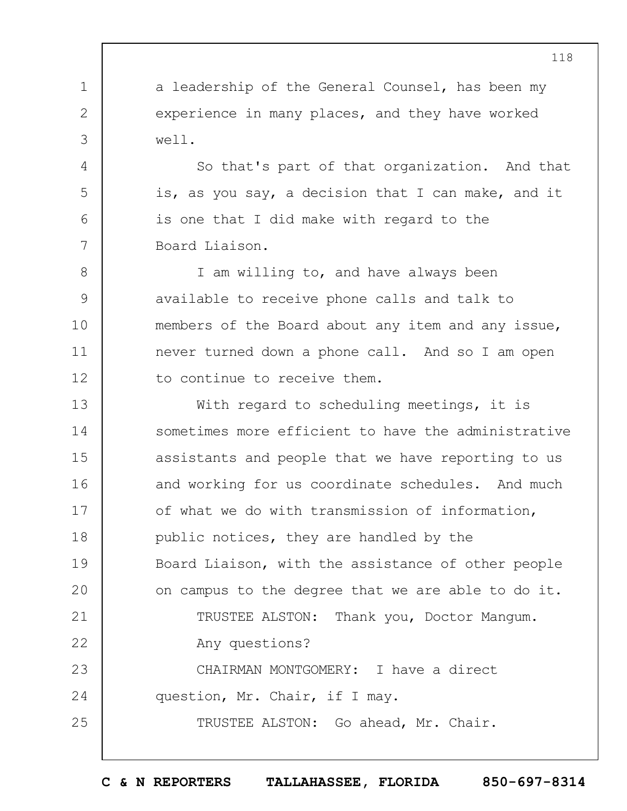a leadership of the General Counsel, has been my experience in many places, and they have worked well.

1

2

3

4

5

6

7

So that's part of that organization. And that is, as you say, a decision that I can make, and it is one that I did make with regard to the Board Liaison.

8 9 10 11 12 I am willing to, and have always been available to receive phone calls and talk to members of the Board about any item and any issue, never turned down a phone call. And so I am open to continue to receive them.

13 14 15 16 17 18 19  $20$ 21 22 23 24 25 With regard to scheduling meetings, it is sometimes more efficient to have the administrative assistants and people that we have reporting to us and working for us coordinate schedules. And much of what we do with transmission of information, public notices, they are handled by the Board Liaison, with the assistance of other people on campus to the degree that we are able to do it. TRUSTEE ALSTON: Thank you, Doctor Mangum. Any questions? CHAIRMAN MONTGOMERY: I have a direct question, Mr. Chair, if I may. TRUSTEE ALSTON: Go ahead, Mr. Chair.

**C & N REPORTERS TALLAHASSEE, FLORIDA 850-697-8314**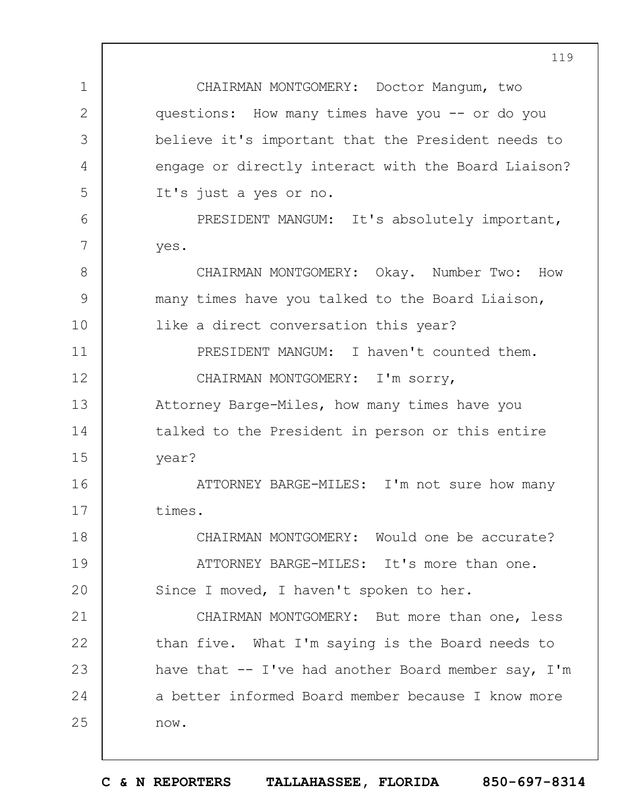1 2 3 4 5 6 7 8 9 10 11 12 13 14 15 16 17 18 19  $20$ 21 22 23 24 25 119 CHAIRMAN MONTGOMERY: Doctor Mangum, two questions: How many times have you -- or do you believe it's important that the President needs to engage or directly interact with the Board Liaison? It's just a yes or no. PRESIDENT MANGUM: It's absolutely important, yes. CHAIRMAN MONTGOMERY: Okay. Number Two: How many times have you talked to the Board Liaison, like a direct conversation this year? PRESIDENT MANGUM: I haven't counted them. CHAIRMAN MONTGOMERY: I'm sorry, Attorney Barge-Miles, how many times have you talked to the President in person or this entire year? ATTORNEY BARGE-MILES: I'm not sure how many times. CHAIRMAN MONTGOMERY: Would one be accurate? ATTORNEY BARGE-MILES: It's more than one. Since I moved, I haven't spoken to her. CHAIRMAN MONTGOMERY: But more than one, less than five. What I'm saying is the Board needs to have that  $-$  I've had another Board member say, I'm a better informed Board member because I know more now.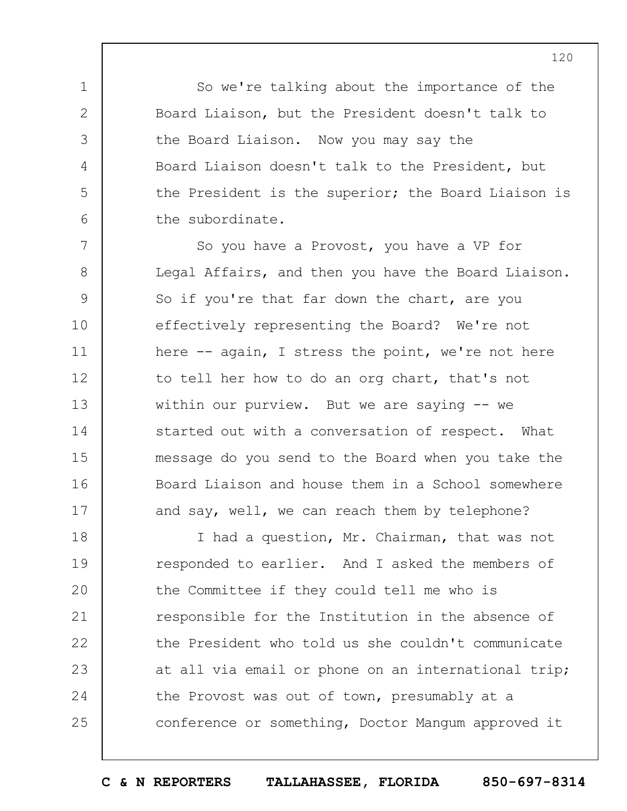So we're talking about the importance of the Board Liaison, but the President doesn't talk to the Board Liaison. Now you may say the Board Liaison doesn't talk to the President, but the President is the superior; the Board Liaison is the subordinate.

1

2

3

4

5

6

7 8 9 10 11 12 13 14 15 16 17 So you have a Provost, you have a VP for Legal Affairs, and then you have the Board Liaison. So if you're that far down the chart, are you effectively representing the Board? We're not here -- again, I stress the point, we're not here to tell her how to do an org chart, that's not within our purview. But we are saying -- we started out with a conversation of respect. What message do you send to the Board when you take the Board Liaison and house them in a School somewhere and say, well, we can reach them by telephone?

18 19  $20$ 21 22 23 24 25 I had a question, Mr. Chairman, that was not responded to earlier. And I asked the members of the Committee if they could tell me who is responsible for the Institution in the absence of the President who told us she couldn't communicate at all via email or phone on an international trip; the Provost was out of town, presumably at a conference or something, Doctor Mangum approved it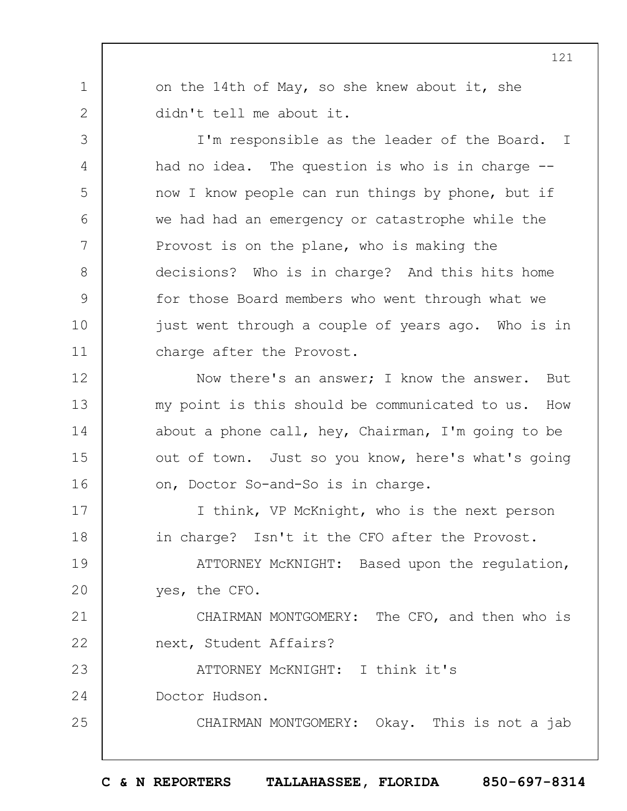on the 14th of May, so she knew about it, she didn't tell me about it.

I'm responsible as the leader of the Board. I had no idea. The question is who is in charge - now I know people can run things by phone, but if we had had an emergency or catastrophe while the Provost is on the plane, who is making the decisions? Who is in charge? And this hits home for those Board members who went through what we just went through a couple of years ago. Who is in charge after the Provost.

Now there's an answer; I know the answer. But my point is this should be communicated to us. How about a phone call, hey, Chairman, I'm going to be out of town. Just so you know, here's what's going on, Doctor So-and-So is in charge.

17 18 I think, VP McKnight, who is the next person in charge? Isn't it the CFO after the Provost.

19  $20$ ATTORNEY McKNIGHT: Based upon the regulation, yes, the CFO.

21 22 23 CHAIRMAN MONTGOMERY: The CFO, and then who is next, Student Affairs? ATTORNEY McKNIGHT: I think it's

24 Doctor Hudson.

1

2

3

4

5

6

7

8

9

10

11

12

13

14

15

16

25

CHAIRMAN MONTGOMERY: Okay. This is not a jab

**C & N REPORTERS TALLAHASSEE, FLORIDA 850-697-8314**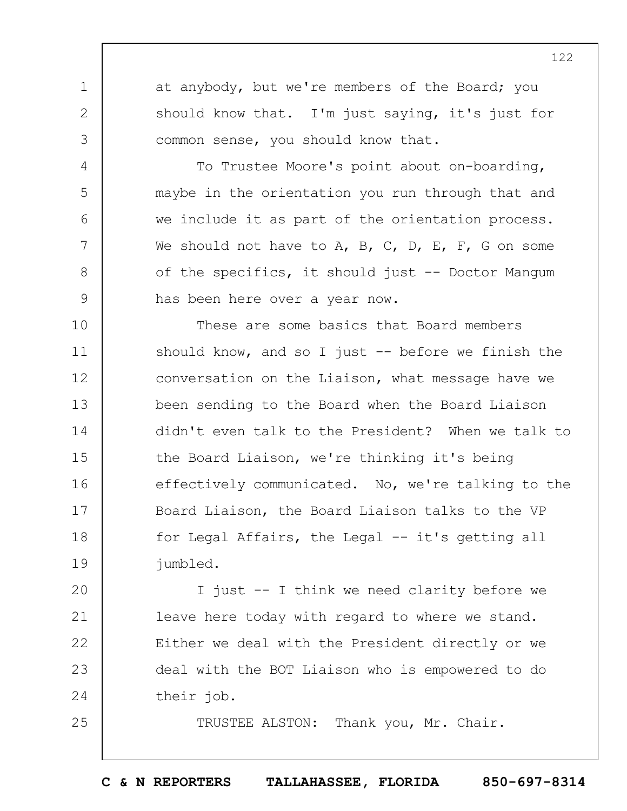at anybody, but we're members of the Board; you should know that. I'm just saying, it's just for common sense, you should know that.

1

2

3

4

5

6

7

8

9

25

To Trustee Moore's point about on-boarding, maybe in the orientation you run through that and we include it as part of the orientation process. We should not have to A, B, C, D, E, F, G on some of the specifics, it should just -- Doctor Mangum has been here over a year now.

10 11 12 13 14 15 16 17 18 19 These are some basics that Board members should know, and so I just  $-$  before we finish the conversation on the Liaison, what message have we been sending to the Board when the Board Liaison didn't even talk to the President? When we talk to the Board Liaison, we're thinking it's being effectively communicated. No, we're talking to the Board Liaison, the Board Liaison talks to the VP for Legal Affairs, the Legal -- it's getting all jumbled.

 $20$ 21 22 23 24 I just -- I think we need clarity before we leave here today with regard to where we stand. Either we deal with the President directly or we deal with the BOT Liaison who is empowered to do their job.

TRUSTEE ALSTON: Thank you, Mr. Chair.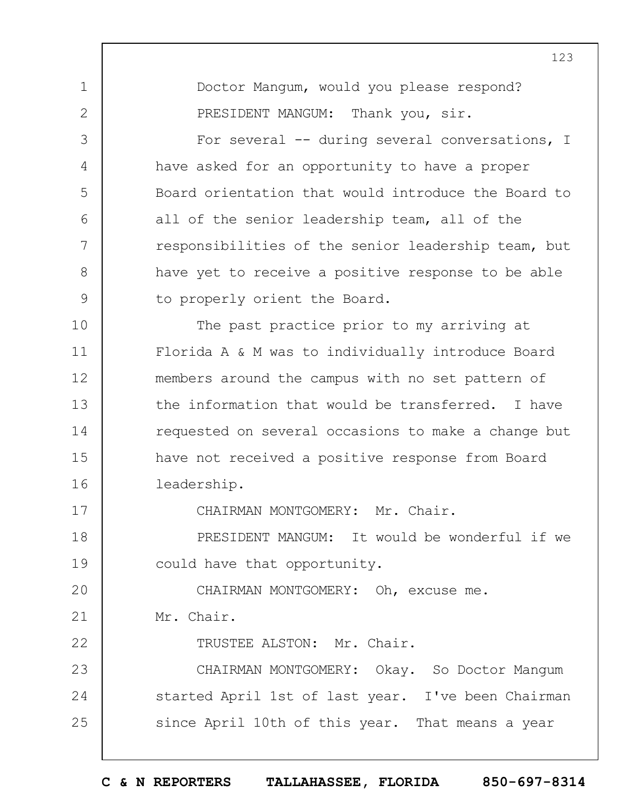1 2 3 4 5 6 7 8 9 10 11 12 13 14 15 16 17 18 19  $20$ 21 22 23 24 25 123 Doctor Mangum, would you please respond? PRESIDENT MANGUM: Thank you, sir. For several -- during several conversations, I have asked for an opportunity to have a proper Board orientation that would introduce the Board to all of the senior leadership team, all of the responsibilities of the senior leadership team, but have yet to receive a positive response to be able to properly orient the Board. The past practice prior to my arriving at Florida A & M was to individually introduce Board members around the campus with no set pattern of the information that would be transferred. I have requested on several occasions to make a change but have not received a positive response from Board leadership. CHAIRMAN MONTGOMERY: Mr. Chair. PRESIDENT MANGUM: It would be wonderful if we could have that opportunity. CHAIRMAN MONTGOMERY: Oh, excuse me. Mr. Chair. TRUSTEE ALSTON: Mr. Chair. CHAIRMAN MONTGOMERY: Okay. So Doctor Mangum started April 1st of last year. I've been Chairman since April 10th of this year. That means a year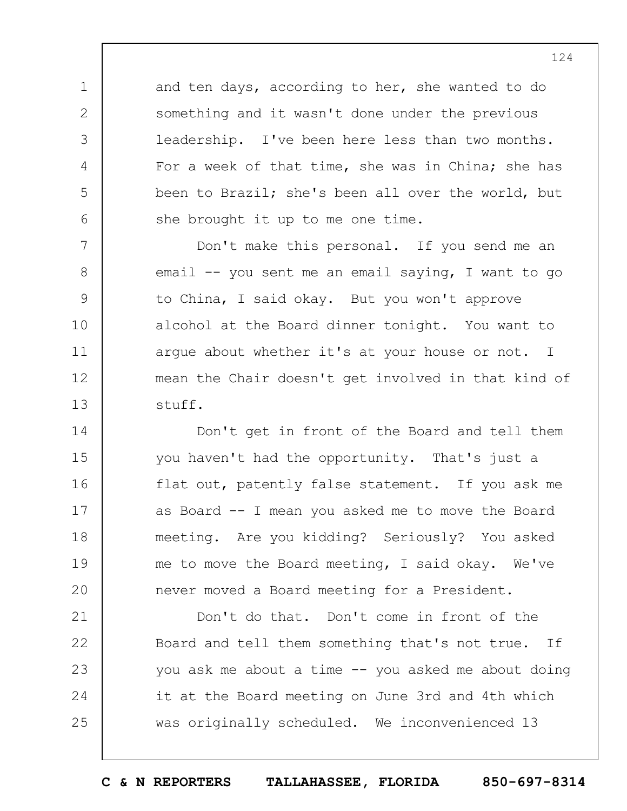and ten days, according to her, she wanted to do something and it wasn't done under the previous leadership. I've been here less than two months. For a week of that time, she was in China; she has been to Brazil; she's been all over the world, but she brought it up to me one time.

1

2

3

4

5

6

7 8 9 10 11 12 13 Don't make this personal. If you send me an email -- you sent me an email saying, I want to go to China, I said okay. But you won't approve alcohol at the Board dinner tonight. You want to argue about whether it's at your house or not. I mean the Chair doesn't get involved in that kind of stuff.

14 15 16 17 18 19  $20$ Don't get in front of the Board and tell them you haven't had the opportunity. That's just a flat out, patently false statement. If you ask me as Board -- I mean you asked me to move the Board meeting. Are you kidding? Seriously? You asked me to move the Board meeting, I said okay. We've never moved a Board meeting for a President.

21 22 23 24 25 Don't do that. Don't come in front of the Board and tell them something that's not true. If you ask me about a time -- you asked me about doing it at the Board meeting on June 3rd and 4th which was originally scheduled. We inconvenienced 13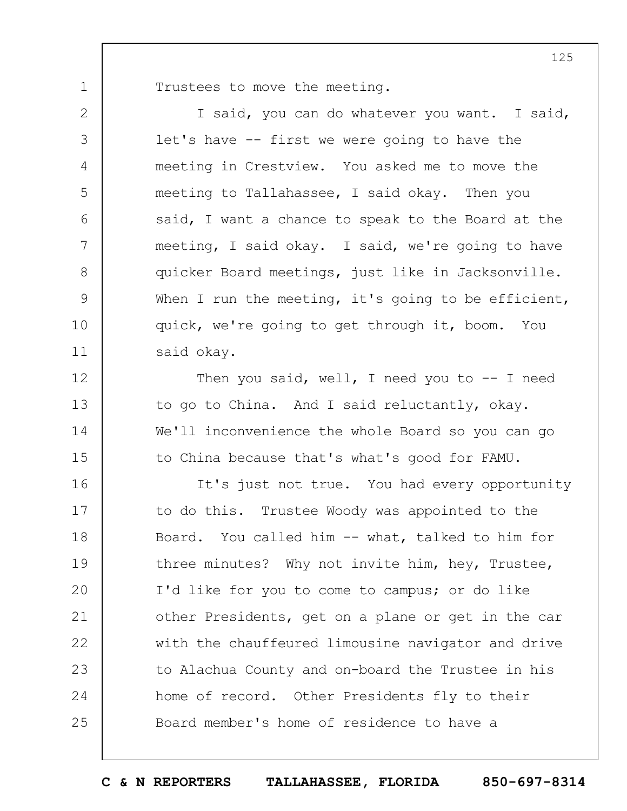Trustees to move the meeting.

1

2

3

4

5

6

7

8

9

10

11

12

13

14

15

I said, you can do whatever you want. I said, let's have -- first we were going to have the meeting in Crestview. You asked me to move the meeting to Tallahassee, I said okay. Then you said, I want a chance to speak to the Board at the meeting, I said okay. I said, we're going to have quicker Board meetings, just like in Jacksonville. When I run the meeting, it's going to be efficient, quick, we're going to get through it, boom. You said okay.

Then you said, well, I need you to  $-$ - I need to go to China. And I said reluctantly, okay. We'll inconvenience the whole Board so you can go to China because that's what's good for FAMU.

16 17 18 19  $20$ 21 22 23 24 25 It's just not true. You had every opportunity to do this. Trustee Woody was appointed to the Board. You called him -- what, talked to him for three minutes? Why not invite him, hey, Trustee, I'd like for you to come to campus; or do like other Presidents, get on a plane or get in the car with the chauffeured limousine navigator and drive to Alachua County and on-board the Trustee in his home of record. Other Presidents fly to their Board member's home of residence to have a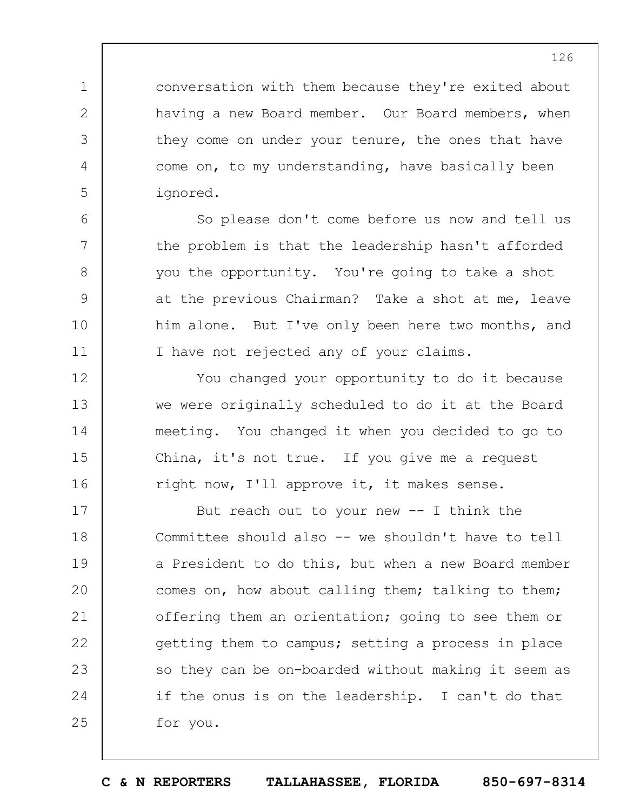conversation with them because they're exited about having a new Board member. Our Board members, when they come on under your tenure, the ones that have come on, to my understanding, have basically been ignored.

1

2

3

4

5

6

7

8

9

10

11

12

13

14

15

16

So please don't come before us now and tell us the problem is that the leadership hasn't afforded you the opportunity. You're going to take a shot at the previous Chairman? Take a shot at me, leave him alone. But I've only been here two months, and I have not rejected any of your claims.

You changed your opportunity to do it because we were originally scheduled to do it at the Board meeting. You changed it when you decided to go to China, it's not true. If you give me a request right now, I'll approve it, it makes sense.

17 18 19  $20$ 21 22 23 24 25 But reach out to your new  $-$ - I think the Committee should also -- we shouldn't have to tell a President to do this, but when a new Board member comes on, how about calling them; talking to them; offering them an orientation; going to see them or getting them to campus; setting a process in place so they can be on-boarded without making it seem as if the onus is on the leadership. I can't do that for you.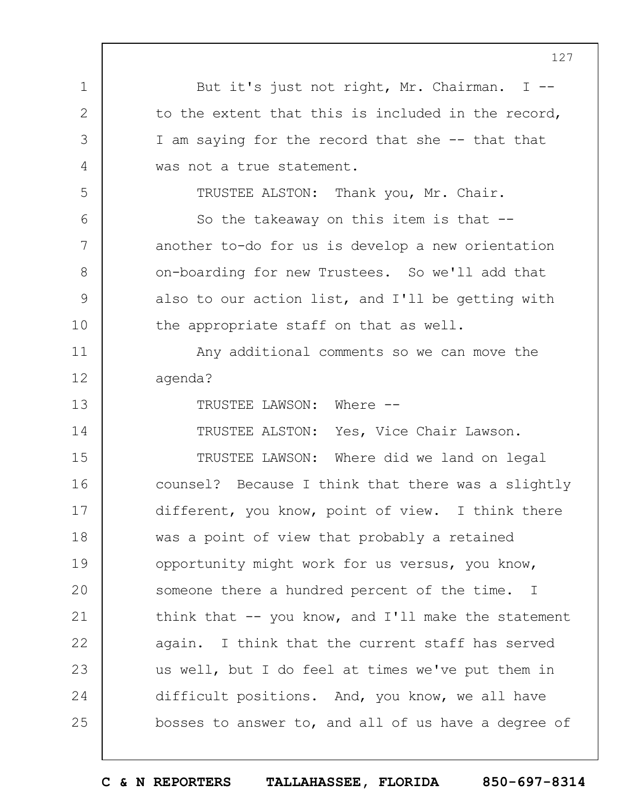1 2 3 4 5 6 7 8 9 10 11 12 13 14 15 16 17 18 19  $20$ 21 22 23 24 25 127 But it's just not right, Mr. Chairman. I - to the extent that this is included in the record, I am saying for the record that she -- that that was not a true statement. TRUSTEE ALSTON: Thank you, Mr. Chair. So the takeaway on this item is that - another to-do for us is develop a new orientation on-boarding for new Trustees. So we'll add that also to our action list, and I'll be getting with the appropriate staff on that as well. Any additional comments so we can move the agenda? TRUSTEE LAWSON: Where -- TRUSTEE ALSTON: Yes, Vice Chair Lawson. TRUSTEE LAWSON: Where did we land on legal counsel? Because I think that there was a slightly different, you know, point of view. I think there was a point of view that probably a retained opportunity might work for us versus, you know, someone there a hundred percent of the time. I think that  $--$  you know, and I'll make the statement again. I think that the current staff has served us well, but I do feel at times we've put them in difficult positions. And, you know, we all have bosses to answer to, and all of us have a degree of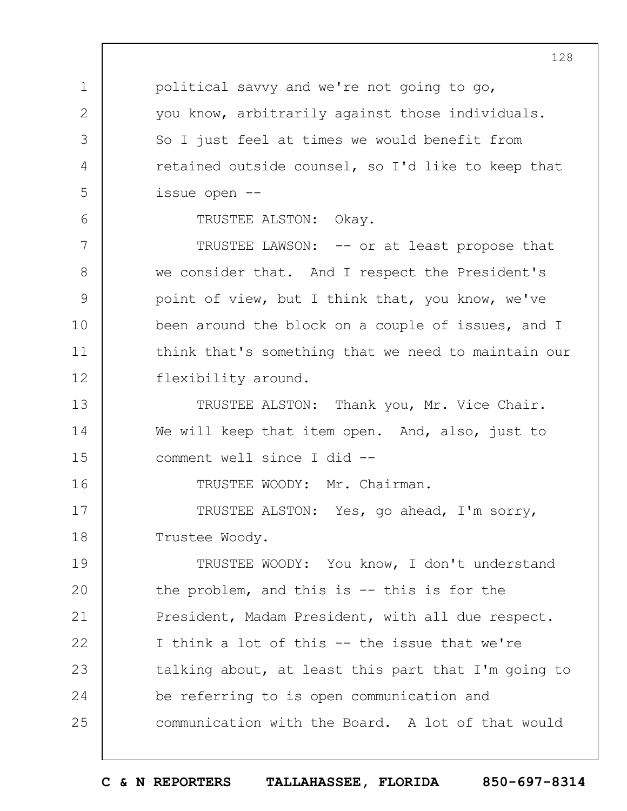political savvy and we're not going to go, you know, arbitrarily against those individuals. So I just feel at times we would benefit from retained outside counsel, so I'd like to keep that issue open --

TRUSTEE ALSTON: Okay.

1

2

3

4

5

6

16

7 8 9 10 11 12 TRUSTEE LAWSON: -- or at least propose that we consider that. And I respect the President's point of view, but I think that, you know, we've been around the block on a couple of issues, and I think that's something that we need to maintain our flexibility around.

13 14 15 TRUSTEE ALSTON: Thank you, Mr. Vice Chair. We will keep that item open. And, also, just to comment well since I did --

TRUSTEE WOODY: Mr. Chairman.

17 18 TRUSTEE ALSTON: Yes, go ahead, I'm sorry, Trustee Woody.

19  $20$ 21 22 23 24 25 TRUSTEE WOODY: You know, I don't understand the problem, and this is -- this is for the President, Madam President, with all due respect. I think a lot of this -- the issue that we're talking about, at least this part that I'm going to be referring to is open communication and communication with the Board. A lot of that would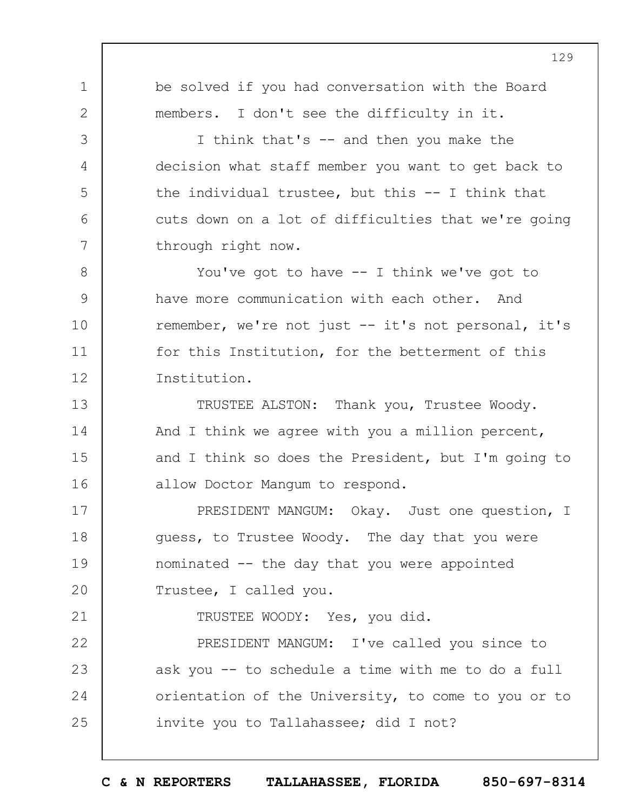1 2 3 4 5 6 7 8 9 10 11 12 13 14 15 16 17 18 19  $20$ 21 22 23 24 25 129 be solved if you had conversation with the Board members. I don't see the difficulty in it. I think that's -- and then you make the decision what staff member you want to get back to the individual trustee, but this -- I think that cuts down on a lot of difficulties that we're going through right now. You've got to have  $-$  I think we've got to have more communication with each other. And remember, we're not just -- it's not personal, it's for this Institution, for the betterment of this Institution. TRUSTEE ALSTON: Thank you, Trustee Woody. And I think we agree with you a million percent, and I think so does the President, but I'm going to allow Doctor Mangum to respond. PRESIDENT MANGUM: Okay. Just one question, I guess, to Trustee Woody. The day that you were nominated -- the day that you were appointed Trustee, I called you. TRUSTEE WOODY: Yes, you did. PRESIDENT MANGUM: I've called you since to ask you -- to schedule a time with me to do a full orientation of the University, to come to you or to invite you to Tallahassee; did I not?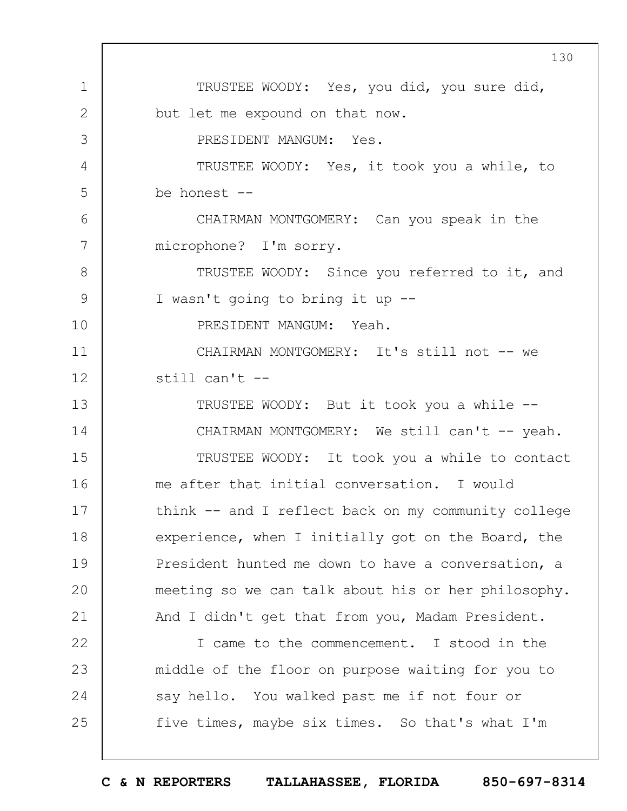1 2 3 4 5 6 7 8 9 10 11 12 13 14 15 16 17 18 19  $20$ 21 22 23 24 25 130 TRUSTEE WOODY: Yes, you did, you sure did, but let me expound on that now. PRESIDENT MANGUM: Yes. TRUSTEE WOODY: Yes, it took you a while, to be honest -- CHAIRMAN MONTGOMERY: Can you speak in the microphone? I'm sorry. TRUSTEE WOODY: Since you referred to it, and I wasn't going to bring it up -- PRESIDENT MANGUM: Yeah. CHAIRMAN MONTGOMERY: It's still not -- we still can't -- TRUSTEE WOODY: But it took you a while -- CHAIRMAN MONTGOMERY: We still can't -- yeah. TRUSTEE WOODY: It took you a while to contact me after that initial conversation. I would think -- and I reflect back on my community college experience, when I initially got on the Board, the President hunted me down to have a conversation, a meeting so we can talk about his or her philosophy. And I didn't get that from you, Madam President. I came to the commencement. I stood in the middle of the floor on purpose waiting for you to say hello. You walked past me if not four or five times, maybe six times. So that's what I'm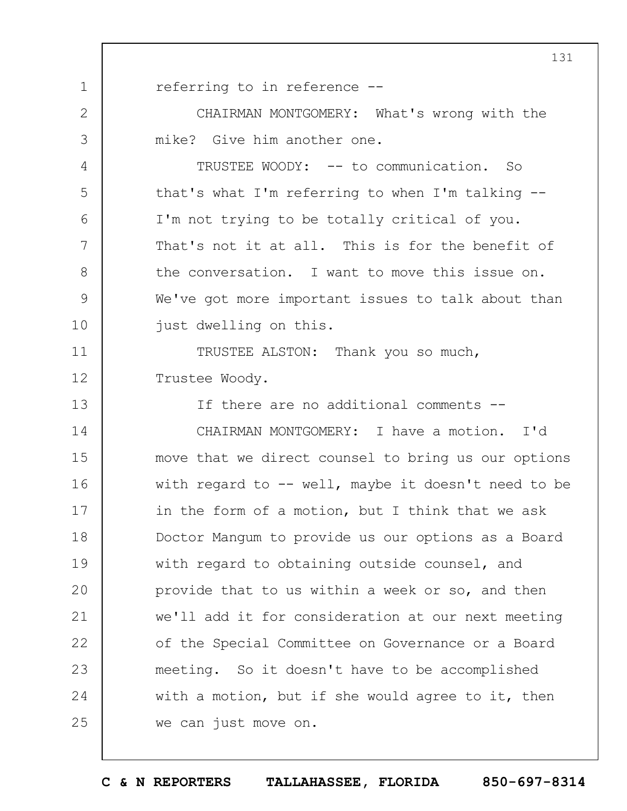1 referring to in reference --

2

3

4

5

6

7

8

9

10

CHAIRMAN MONTGOMERY: What's wrong with the mike? Give him another one.

TRUSTEE WOODY: -- to communication. So that's what I'm referring to when I'm talking -- I'm not trying to be totally critical of you. That's not it at all. This is for the benefit of the conversation. I want to move this issue on. We've got more important issues to talk about than just dwelling on this.

11 12 TRUSTEE ALSTON: Thank you so much, Trustee Woody.

13 14 15 16 17 18 19  $20$ 21 22 23 If there are no additional comments -- CHAIRMAN MONTGOMERY: I have a motion. I'd move that we direct counsel to bring us our options with regard to  $-$ - well, maybe it doesn't need to be in the form of a motion, but I think that we ask Doctor Mangum to provide us our options as a Board with regard to obtaining outside counsel, and provide that to us within a week or so, and then we'll add it for consideration at our next meeting of the Special Committee on Governance or a Board meeting. So it doesn't have to be accomplished

24 25 with a motion, but if she would agree to it, then we can just move on.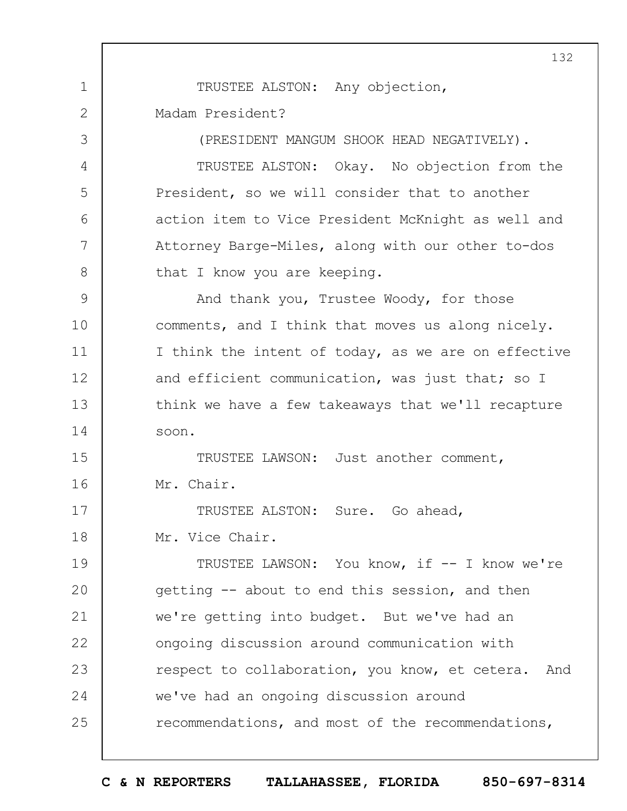1 2 3 4 5 6 7 8 9 10 11 12 13 14 15 16 17 18 19  $20$ 21 22 23 24 25 132 TRUSTEE ALSTON: Any objection, Madam President? (PRESIDENT MANGUM SHOOK HEAD NEGATIVELY). TRUSTEE ALSTON: Okay. No objection from the President, so we will consider that to another action item to Vice President McKnight as well and Attorney Barge-Miles, along with our other to-dos that I know you are keeping. And thank you, Trustee Woody, for those comments, and I think that moves us along nicely. I think the intent of today, as we are on effective and efficient communication, was just that; so I think we have a few takeaways that we'll recapture soon. TRUSTEE LAWSON: Just another comment, Mr. Chair. TRUSTEE ALSTON: Sure. Go ahead, Mr. Vice Chair. TRUSTEE LAWSON: You know, if -- I know we're getting -- about to end this session, and then we're getting into budget. But we've had an ongoing discussion around communication with respect to collaboration, you know, et cetera. And we've had an ongoing discussion around recommendations, and most of the recommendations,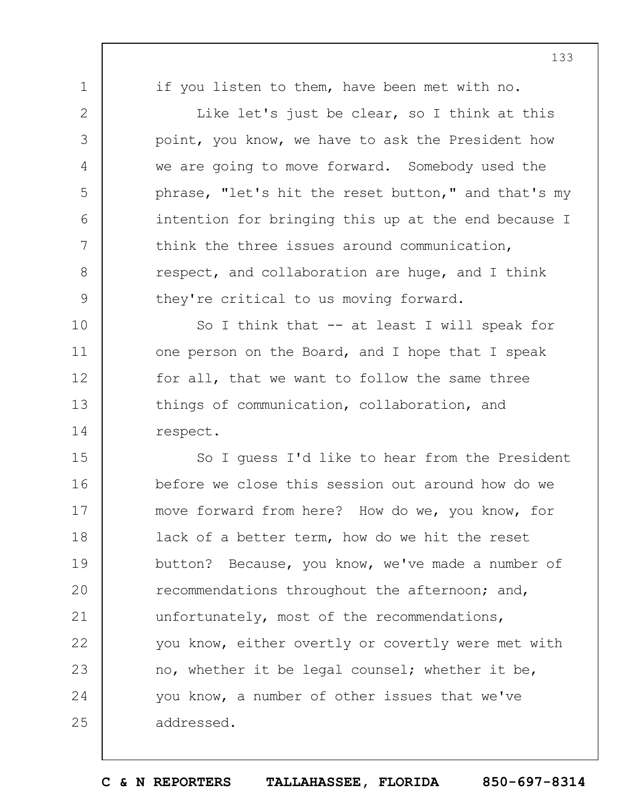1

2

3

4

5

6

7

8

9

if you listen to them, have been met with no.

Like let's just be clear, so I think at this point, you know, we have to ask the President how we are going to move forward. Somebody used the phrase, "let's hit the reset button," and that's my intention for bringing this up at the end because I think the three issues around communication, respect, and collaboration are huge, and I think they're critical to us moving forward.

10 11 12 13 14 So I think that -- at least I will speak for one person on the Board, and I hope that I speak for all, that we want to follow the same three things of communication, collaboration, and respect.

15 16 17 18 19  $20$ 21 22 23 24 25 So I guess I'd like to hear from the President before we close this session out around how do we move forward from here? How do we, you know, for lack of a better term, how do we hit the reset button? Because, you know, we've made a number of recommendations throughout the afternoon; and, unfortunately, most of the recommendations, you know, either overtly or covertly were met with no, whether it be legal counsel; whether it be, you know, a number of other issues that we've addressed.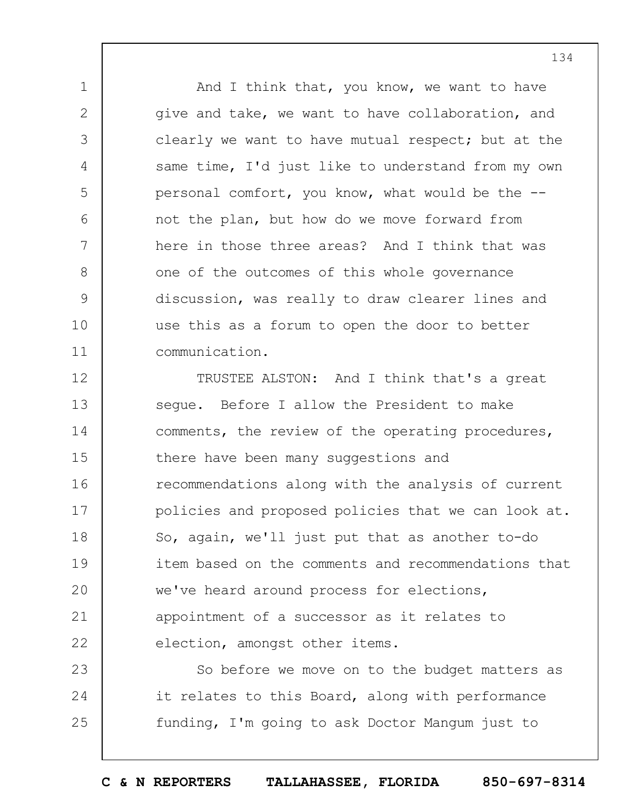And I think that, you know, we want to have give and take, we want to have collaboration, and clearly we want to have mutual respect; but at the same time, I'd just like to understand from my own personal comfort, you know, what would be the - not the plan, but how do we move forward from here in those three areas? And I think that was one of the outcomes of this whole governance discussion, was really to draw clearer lines and use this as a forum to open the door to better communication.

1

2

3

4

5

6

7

8

9

10

11

12 13 14 15 16 17 18 19  $20$ 21 22 TRUSTEE ALSTON: And I think that's a great segue. Before I allow the President to make comments, the review of the operating procedures, there have been many suggestions and recommendations along with the analysis of current policies and proposed policies that we can look at. So, again, we'll just put that as another to-do item based on the comments and recommendations that we've heard around process for elections, appointment of a successor as it relates to election, amongst other items.

23 24 25 So before we move on to the budget matters as it relates to this Board, along with performance funding, I'm going to ask Doctor Mangum just to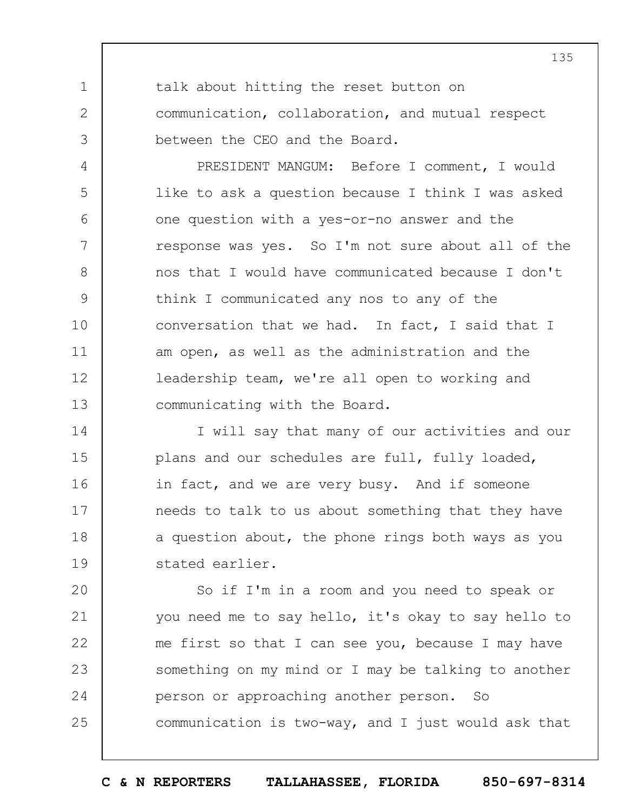talk about hitting the reset button on communication, collaboration, and mutual respect between the CEO and the Board.

1

2

3

4

5

6

7

8

9

10

11

12

13

PRESIDENT MANGUM: Before I comment, I would like to ask a question because I think I was asked one question with a yes-or-no answer and the response was yes. So I'm not sure about all of the nos that I would have communicated because I don't think I communicated any nos to any of the conversation that we had. In fact, I said that I am open, as well as the administration and the leadership team, we're all open to working and communicating with the Board.

14 15 16 17 18 19 I will say that many of our activities and our plans and our schedules are full, fully loaded, in fact, and we are very busy. And if someone needs to talk to us about something that they have a question about, the phone rings both ways as you stated earlier.

 $20$ 21 22 23 24 25 So if I'm in a room and you need to speak or you need me to say hello, it's okay to say hello to me first so that I can see you, because I may have something on my mind or I may be talking to another person or approaching another person. So communication is two-way, and I just would ask that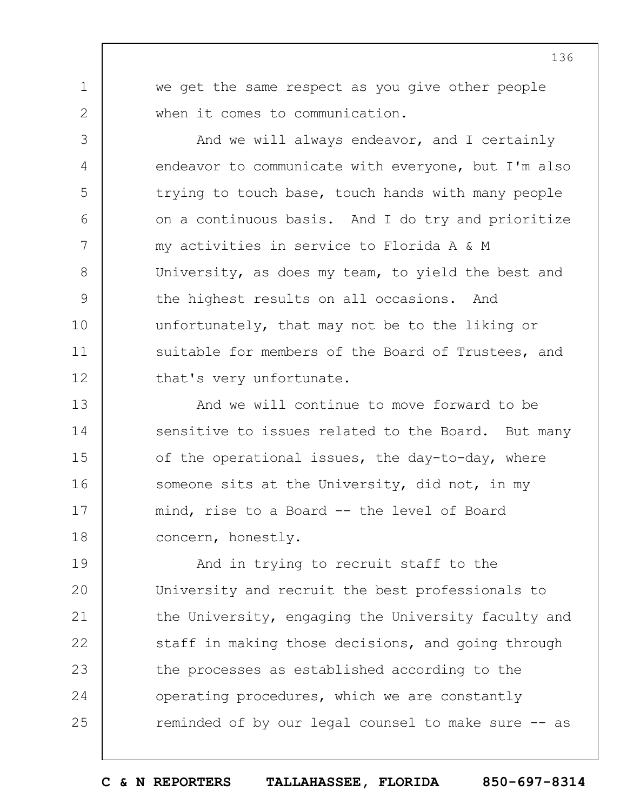we get the same respect as you give other people when it comes to communication.

1

2

3

4

5

6

7

8

9

10

11

12

And we will always endeavor, and I certainly endeavor to communicate with everyone, but I'm also trying to touch base, touch hands with many people on a continuous basis. And I do try and prioritize my activities in service to Florida A & M University, as does my team, to yield the best and the highest results on all occasions. And unfortunately, that may not be to the liking or suitable for members of the Board of Trustees, and that's very unfortunate.

13 14 15 16 17 18 And we will continue to move forward to be sensitive to issues related to the Board. But many of the operational issues, the day-to-day, where someone sits at the University, did not, in my mind, rise to a Board -- the level of Board concern, honestly.

19  $20$ 21 22 23 24 25 And in trying to recruit staff to the University and recruit the best professionals to the University, engaging the University faculty and staff in making those decisions, and going through the processes as established according to the operating procedures, which we are constantly reminded of by our legal counsel to make sure -- as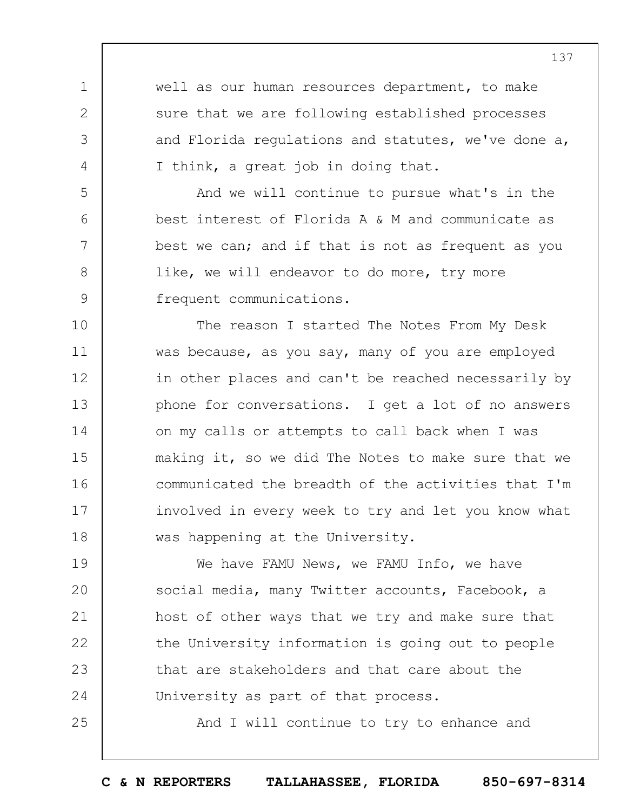well as our human resources department, to make sure that we are following established processes and Florida regulations and statutes, we've done a, I think, a great job in doing that.

1

2

3

4

5

6

7

8

9

25

And we will continue to pursue what's in the best interest of Florida A & M and communicate as best we can; and if that is not as frequent as you like, we will endeavor to do more, try more frequent communications.

10 11 12 13 14 15 16 17 18 The reason I started The Notes From My Desk was because, as you say, many of you are employed in other places and can't be reached necessarily by phone for conversations. I get a lot of no answers on my calls or attempts to call back when I was making it, so we did The Notes to make sure that we communicated the breadth of the activities that I'm involved in every week to try and let you know what was happening at the University.

19  $20$ 21 22 23 24 We have FAMU News, we FAMU Info, we have social media, many Twitter accounts, Facebook, a host of other ways that we try and make sure that the University information is going out to people that are stakeholders and that care about the University as part of that process.

And I will continue to try to enhance and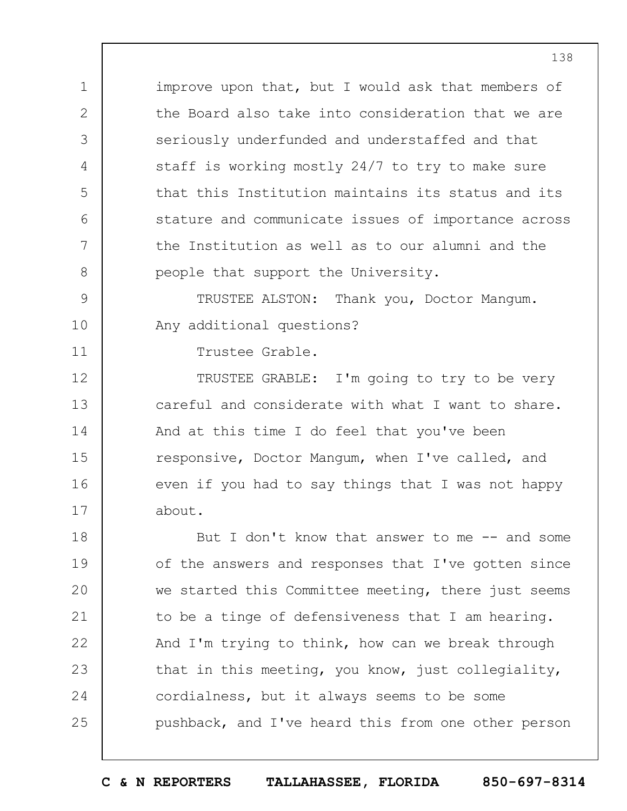improve upon that, but I would ask that members of the Board also take into consideration that we are seriously underfunded and understaffed and that staff is working mostly 24/7 to try to make sure that this Institution maintains its status and its stature and communicate issues of importance across the Institution as well as to our alumni and the people that support the University.

9 10 TRUSTEE ALSTON: Thank you, Doctor Mangum. Any additional questions?

Trustee Grable.

1

2

3

4

5

6

7

8

11

12 13 14 15 16 17 TRUSTEE GRABLE: I'm going to try to be very careful and considerate with what I want to share. And at this time I do feel that you've been responsive, Doctor Mangum, when I've called, and even if you had to say things that I was not happy about.

18 19  $20$ 21 22 23 24 25 But I don't know that answer to me  $-$  and some of the answers and responses that I've gotten since we started this Committee meeting, there just seems to be a tinge of defensiveness that I am hearing. And I'm trying to think, how can we break through that in this meeting, you know, just collegiality, cordialness, but it always seems to be some pushback, and I've heard this from one other person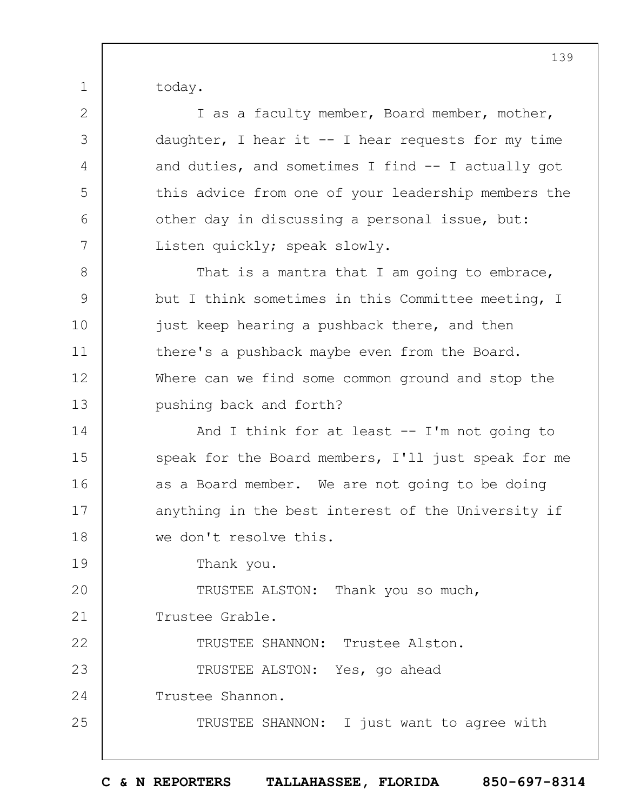today.

1

2 3 4 5 6 7 8 9 10 11 12 13 14 15 16 17 18 19  $20$ 21 22 23 24 25 I as a faculty member, Board member, mother, daughter, I hear it  $-$  I hear requests for my time and duties, and sometimes I find -- I actually got this advice from one of your leadership members the other day in discussing a personal issue, but: Listen quickly; speak slowly. That is a mantra that I am going to embrace, but I think sometimes in this Committee meeting, I just keep hearing a pushback there, and then there's a pushback maybe even from the Board. Where can we find some common ground and stop the pushing back and forth? And I think for at least  $--$  I'm not going to speak for the Board members, I'll just speak for me as a Board member. We are not going to be doing anything in the best interest of the University if we don't resolve this. Thank you. TRUSTEE ALSTON: Thank you so much, Trustee Grable. TRUSTEE SHANNON: Trustee Alston. TRUSTEE ALSTON: Yes, go ahead Trustee Shannon. TRUSTEE SHANNON: I just want to agree with

**C & N REPORTERS TALLAHASSEE, FLORIDA 850-697-8314**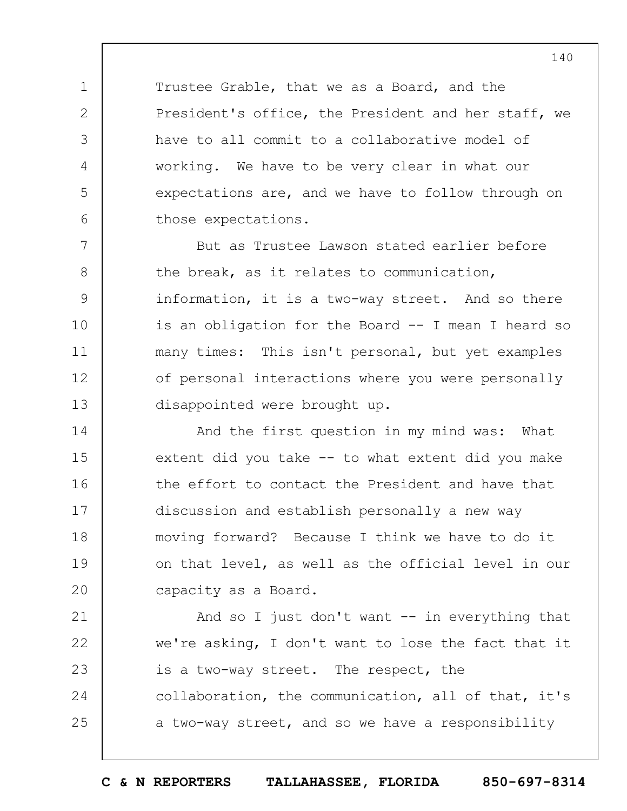Trustee Grable, that we as a Board, and the President's office, the President and her staff, we have to all commit to a collaborative model of working. We have to be very clear in what our expectations are, and we have to follow through on those expectations.

1

2

3

4

5

6

7 8 9 10 11 12 13 But as Trustee Lawson stated earlier before the break, as it relates to communication, information, it is a two-way street. And so there is an obligation for the Board -- I mean I heard so many times: This isn't personal, but yet examples of personal interactions where you were personally disappointed were brought up.

14 15 16 17 18 19  $20$ And the first question in my mind was: What extent did you take -- to what extent did you make the effort to contact the President and have that discussion and establish personally a new way moving forward? Because I think we have to do it on that level, as well as the official level in our capacity as a Board.

21 22 23 24 25 And so I just don't want  $--$  in everything that we're asking, I don't want to lose the fact that it is a two-way street. The respect, the collaboration, the communication, all of that, it's a two-way street, and so we have a responsibility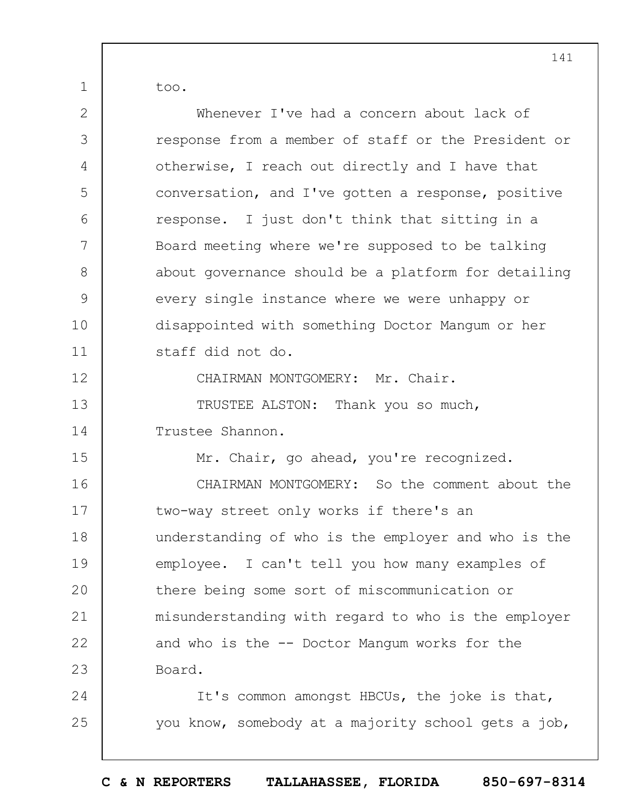too.

| $\mathbf{2}$ | Whenever I've had a concern about lack of           |
|--------------|-----------------------------------------------------|
| 3            | response from a member of staff or the President or |
| 4            | otherwise, I reach out directly and I have that     |
| 5            | conversation, and I've gotten a response, positive  |
| 6            | response. I just don't think that sitting in a      |
| 7            | Board meeting where we're supposed to be talking    |
| 8            | about governance should be a platform for detailing |
| 9            | every single instance where we were unhappy or      |
| 10           | disappointed with something Doctor Mangum or her    |
| 11           | staff did not do.                                   |
| 12           | CHAIRMAN MONTGOMERY: Mr. Chair.                     |
| 13           | TRUSTEE ALSTON: Thank you so much,                  |
| 14           | Trustee Shannon.                                    |
| 15           | Mr. Chair, go ahead, you're recognized.             |
| 16           | CHAIRMAN MONTGOMERY: So the comment about the       |
| 17           | two-way street only works if there's an             |
| 18           | understanding of who is the employer and who is the |
| 19           | employee. I can't tell you how many examples of     |
| 20           | there being some sort of miscommunication or        |
| 21           | misunderstanding with regard to who is the employer |
| 22           | and who is the -- Doctor Mangum works for the       |
| 23           | Board.                                              |
| 24           | It's common amongst HBCUs, the joke is that,        |
| 25           | you know, somebody at a majority school gets a job, |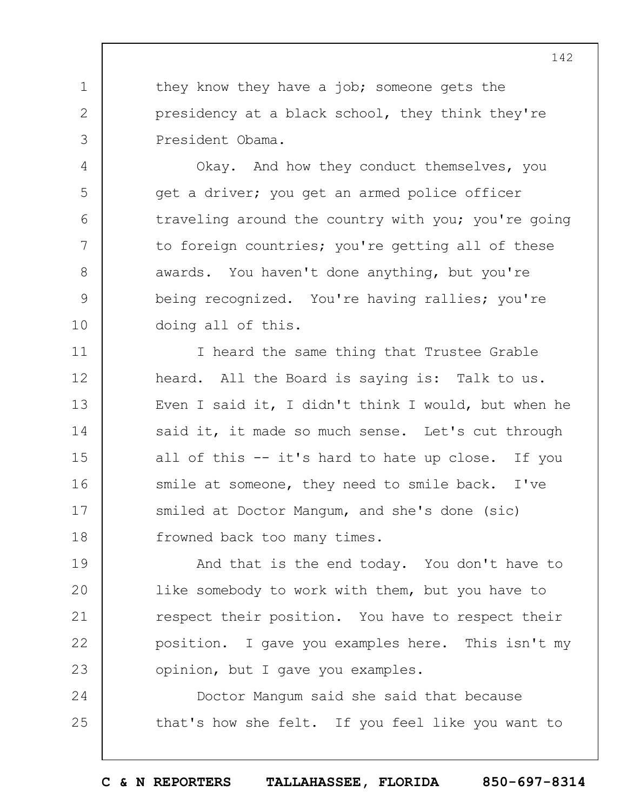they know they have a job; someone gets the presidency at a black school, they think they're President Obama.

1

2

3

4

5

6

7

8

9

10

Okay. And how they conduct themselves, you get a driver; you get an armed police officer traveling around the country with you; you're going to foreign countries; you're getting all of these awards. You haven't done anything, but you're being recognized. You're having rallies; you're doing all of this.

11 12 13 14 15 16 17 18 I heard the same thing that Trustee Grable heard. All the Board is saying is: Talk to us. Even I said it, I didn't think I would, but when he said it, it made so much sense. Let's cut through all of this -- it's hard to hate up close. If you smile at someone, they need to smile back. I've smiled at Doctor Mangum, and she's done (sic) frowned back too many times.

19  $20$ 21 22 23 And that is the end today. You don't have to like somebody to work with them, but you have to respect their position. You have to respect their position. I gave you examples here. This isn't my opinion, but I gave you examples.

24 25 Doctor Mangum said she said that because that's how she felt. If you feel like you want to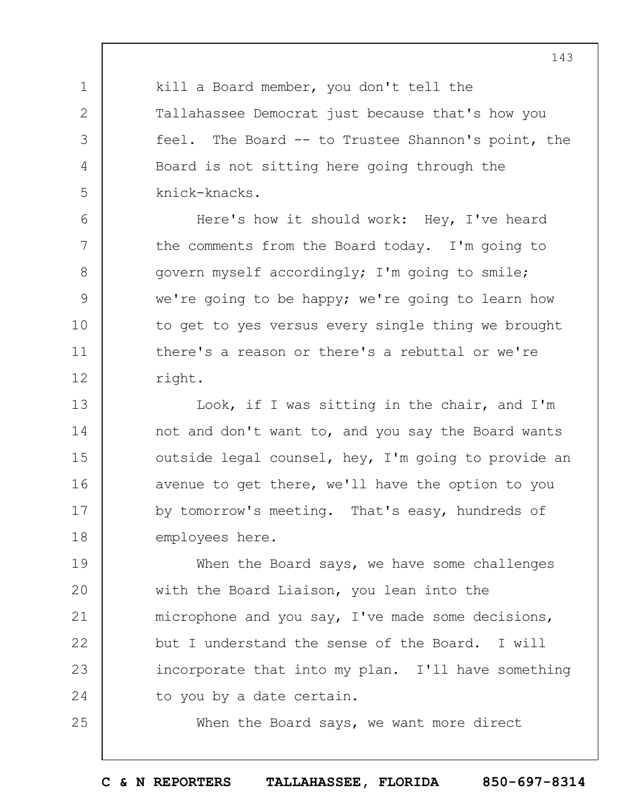kill a Board member, you don't tell the Tallahassee Democrat just because that's how you feel. The Board -- to Trustee Shannon's point, the Board is not sitting here going through the knick-knacks.

1

2

3

4

5

6

7

8

9

10

11

12

25

Here's how it should work: Hey, I've heard the comments from the Board today. I'm going to govern myself accordingly; I'm going to smile; we're going to be happy; we're going to learn how to get to yes versus every single thing we brought there's a reason or there's a rebuttal or we're right.

13 14 15 16 17 18 Look, if I was sitting in the chair, and I'm not and don't want to, and you say the Board wants outside legal counsel, hey, I'm going to provide an avenue to get there, we'll have the option to you by tomorrow's meeting. That's easy, hundreds of employees here.

19  $20$ 21 22 23 24 When the Board says, we have some challenges with the Board Liaison, you lean into the microphone and you say, I've made some decisions, but I understand the sense of the Board. I will incorporate that into my plan. I'll have something to you by a date certain.

When the Board says, we want more direct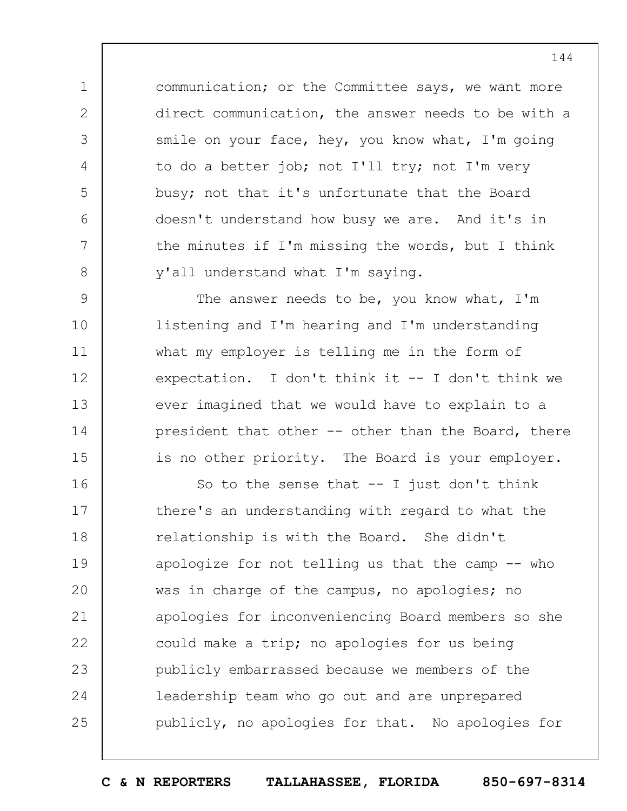communication; or the Committee says, we want more direct communication, the answer needs to be with a smile on your face, hey, you know what, I'm going to do a better job; not I'll try; not I'm very busy; not that it's unfortunate that the Board doesn't understand how busy we are. And it's in the minutes if I'm missing the words, but I think y'all understand what I'm saying.

1

2

3

4

5

6

7

8

9 10 11 12 13 14 15 The answer needs to be, you know what, I'm listening and I'm hearing and I'm understanding what my employer is telling me in the form of expectation. I don't think it -- I don't think we ever imagined that we would have to explain to a president that other -- other than the Board, there is no other priority. The Board is your employer.

16 17 18 19  $20$ 21 22 23 24 25 So to the sense that  $-$ - I just don't think there's an understanding with regard to what the relationship is with the Board. She didn't apologize for not telling us that the camp -- who was in charge of the campus, no apologies; no apologies for inconveniencing Board members so she could make a trip; no apologies for us being publicly embarrassed because we members of the leadership team who go out and are unprepared publicly, no apologies for that. No apologies for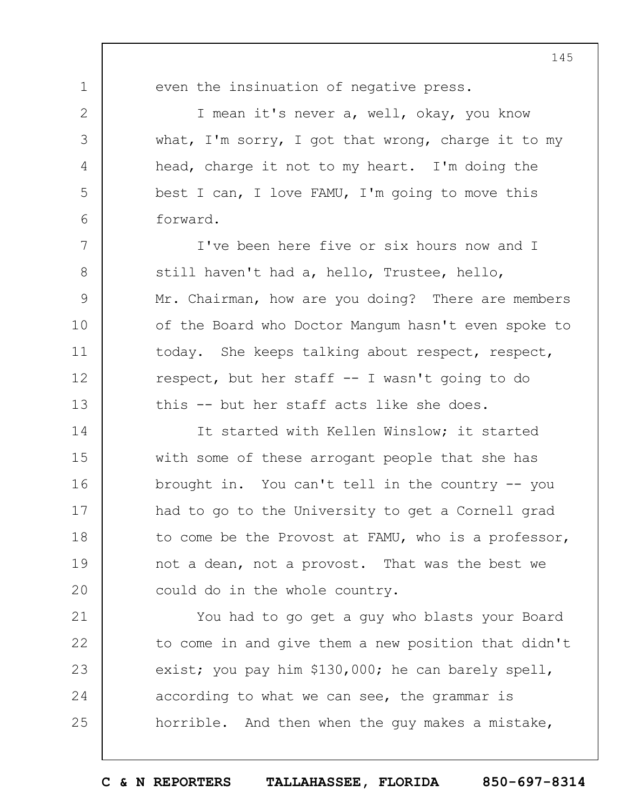1 2 3 4 5 6 7 8 9 10 11 12 13 14 15 16 17 18 19  $20$ 21 22 23 even the insinuation of negative press. I mean it's never a, well, okay, you know what, I'm sorry, I got that wrong, charge it to my head, charge it not to my heart. I'm doing the best I can, I love FAMU, I'm going to move this forward. I've been here five or six hours now and I still haven't had a, hello, Trustee, hello, Mr. Chairman, how are you doing? There are members of the Board who Doctor Mangum hasn't even spoke to today. She keeps talking about respect, respect, respect, but her staff -- I wasn't going to do this -- but her staff acts like she does. It started with Kellen Winslow; it started with some of these arrogant people that she has brought in. You can't tell in the country -- you had to go to the University to get a Cornell grad to come be the Provost at FAMU, who is a professor, not a dean, not a provost. That was the best we could do in the whole country. You had to go get a guy who blasts your Board to come in and give them a new position that didn't exist; you pay him \$130,000; he can barely spell,

horrible. And then when the guy makes a mistake,

according to what we can see, the grammar is

24

25

**C & N REPORTERS TALLAHASSEE, FLORIDA 850-697-8314**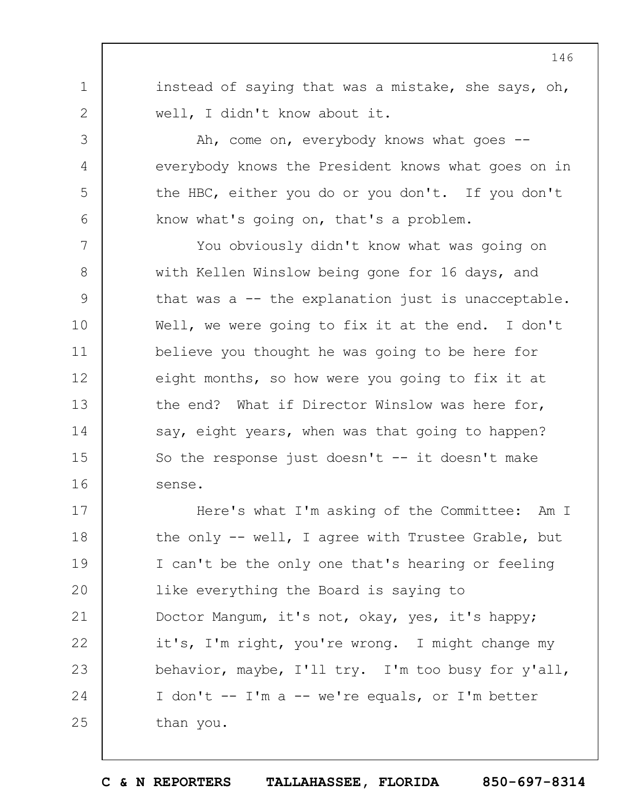instead of saying that was a mistake, she says, oh, well, I didn't know about it.

1

2

3

4

5

6

Ah, come on, everybody knows what goes -everybody knows the President knows what goes on in the HBC, either you do or you don't. If you don't know what's going on, that's a problem.

7 8 9 10 11 12 13 14 15 16 You obviously didn't know what was going on with Kellen Winslow being gone for 16 days, and that was a -- the explanation just is unacceptable. Well, we were going to fix it at the end. I don't believe you thought he was going to be here for eight months, so how were you going to fix it at the end? What if Director Winslow was here for, say, eight years, when was that going to happen? So the response just doesn't  $--$  it doesn't make sense.

17 18 19  $20$ 21 22 23 24 25 Here's what I'm asking of the Committee: Am I the only -- well, I agree with Trustee Grable, but I can't be the only one that's hearing or feeling like everything the Board is saying to Doctor Mangum, it's not, okay, yes, it's happy; it's, I'm right, you're wrong. I might change my behavior, maybe, I'll try. I'm too busy for y'all, I don't -- I'm a -- we're equals, or I'm better than you.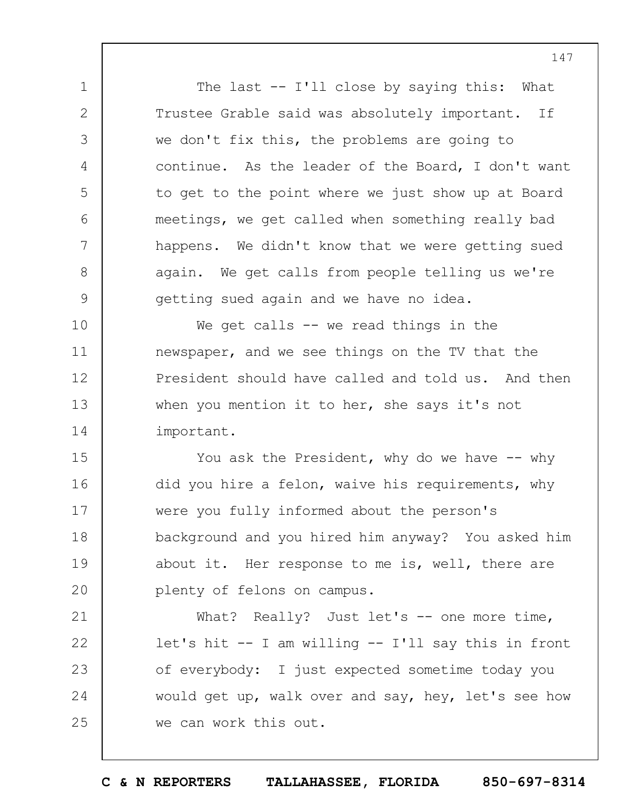The last -- I'll close by saying this: What Trustee Grable said was absolutely important. If we don't fix this, the problems are going to continue. As the leader of the Board, I don't want to get to the point where we just show up at Board meetings, we get called when something really bad happens. We didn't know that we were getting sued again. We get calls from people telling us we're getting sued again and we have no idea.

1

2

3

4

5

6

7

8

9

10 11 12 13 14 We get calls  $-$  we read things in the newspaper, and we see things on the TV that the President should have called and told us. And then when you mention it to her, she says it's not important.

15 16 17 18 19  $20$ You ask the President, why do we have  $--$  why did you hire a felon, waive his requirements, why were you fully informed about the person's background and you hired him anyway? You asked him about it. Her response to me is, well, there are plenty of felons on campus.

21 22 23 24 25 What? Really? Just let's -- one more time, let's hit -- I am willing -- I'll say this in front of everybody: I just expected sometime today you would get up, walk over and say, hey, let's see how we can work this out.

147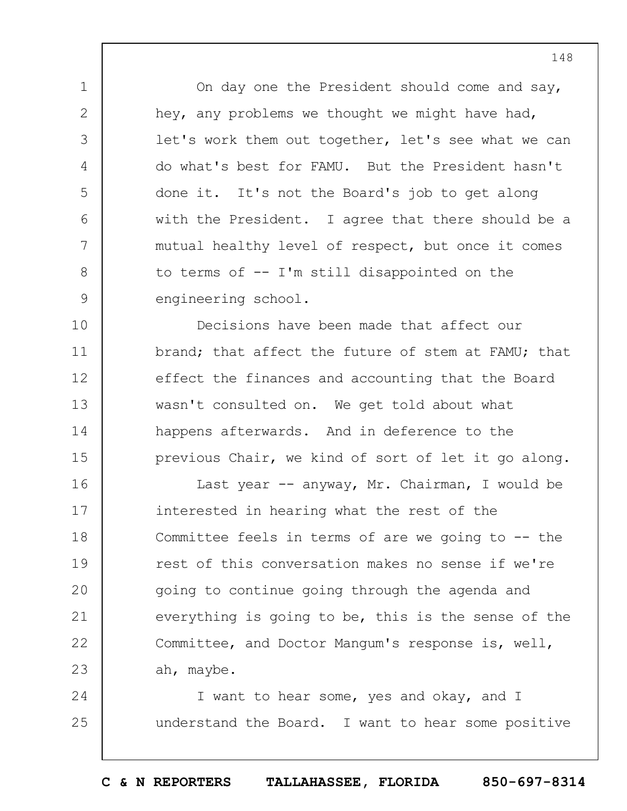On day one the President should come and say, hey, any problems we thought we might have had, let's work them out together, let's see what we can do what's best for FAMU. But the President hasn't done it. It's not the Board's job to get along with the President. I agree that there should be a mutual healthy level of respect, but once it comes to terms of -- I'm still disappointed on the engineering school.

1

2

3

4

5

6

7

8

9

10 11 12 13 14 15 Decisions have been made that affect our brand; that affect the future of stem at FAMU; that effect the finances and accounting that the Board wasn't consulted on. We get told about what happens afterwards. And in deference to the previous Chair, we kind of sort of let it go along.

16 17 18 19  $20$ 21 22 23 Last year -- anyway, Mr. Chairman, I would be interested in hearing what the rest of the Committee feels in terms of are we going to -- the rest of this conversation makes no sense if we're going to continue going through the agenda and everything is going to be, this is the sense of the Committee, and Doctor Mangum's response is, well, ah, maybe.

24 25 I want to hear some, yes and okay, and I understand the Board. I want to hear some positive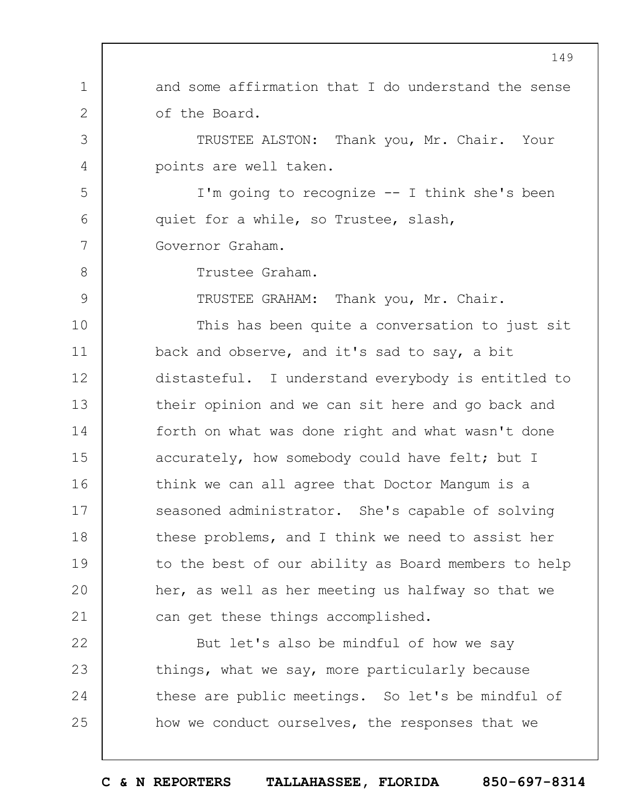1 2 3 4 5 6 7 8 9 10 11 12 13 14 15 16 17 18 19  $20$ 21 22 23 24 25 149 and some affirmation that I do understand the sense of the Board. TRUSTEE ALSTON: Thank you, Mr. Chair. Your points are well taken. I'm going to recognize -- I think she's been quiet for a while, so Trustee, slash, Governor Graham. Trustee Graham. TRUSTEE GRAHAM: Thank you, Mr. Chair. This has been quite a conversation to just sit back and observe, and it's sad to say, a bit distasteful. I understand everybody is entitled to their opinion and we can sit here and go back and forth on what was done right and what wasn't done accurately, how somebody could have felt; but I think we can all agree that Doctor Mangum is a seasoned administrator. She's capable of solving these problems, and I think we need to assist her to the best of our ability as Board members to help her, as well as her meeting us halfway so that we can get these things accomplished. But let's also be mindful of how we say things, what we say, more particularly because these are public meetings. So let's be mindful of how we conduct ourselves, the responses that we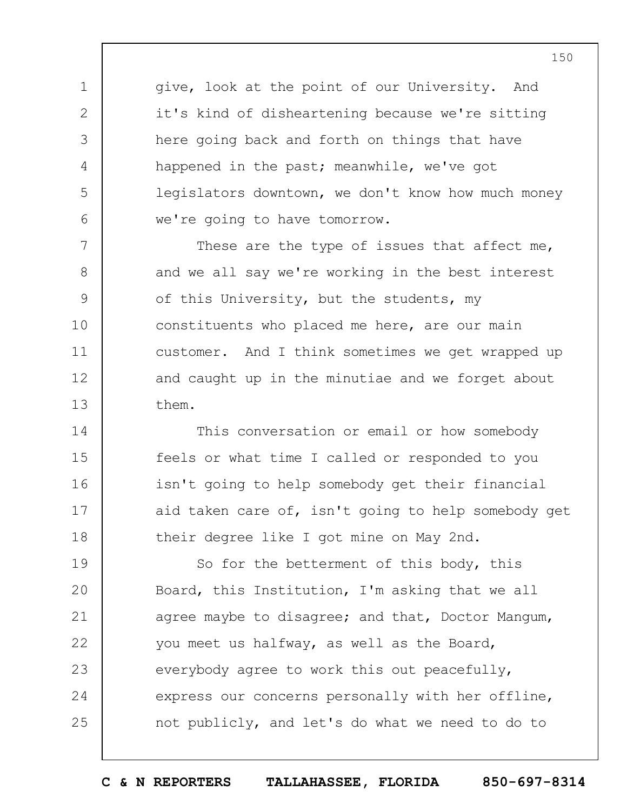give, look at the point of our University. And it's kind of disheartening because we're sitting here going back and forth on things that have happened in the past; meanwhile, we've got legislators downtown, we don't know how much money we're going to have tomorrow.

1

2

3

4

5

6

7 8 9 10 11 12 13 These are the type of issues that affect me, and we all say we're working in the best interest of this University, but the students, my constituents who placed me here, are our main customer. And I think sometimes we get wrapped up and caught up in the minutiae and we forget about them.

14 15 16 17 18 This conversation or email or how somebody feels or what time I called or responded to you isn't going to help somebody get their financial aid taken care of, isn't going to help somebody get their degree like I got mine on May 2nd.

19  $20$ 21 22 23 24 25 So for the betterment of this body, this Board, this Institution, I'm asking that we all agree maybe to disagree; and that, Doctor Mangum, you meet us halfway, as well as the Board, everybody agree to work this out peacefully, express our concerns personally with her offline, not publicly, and let's do what we need to do to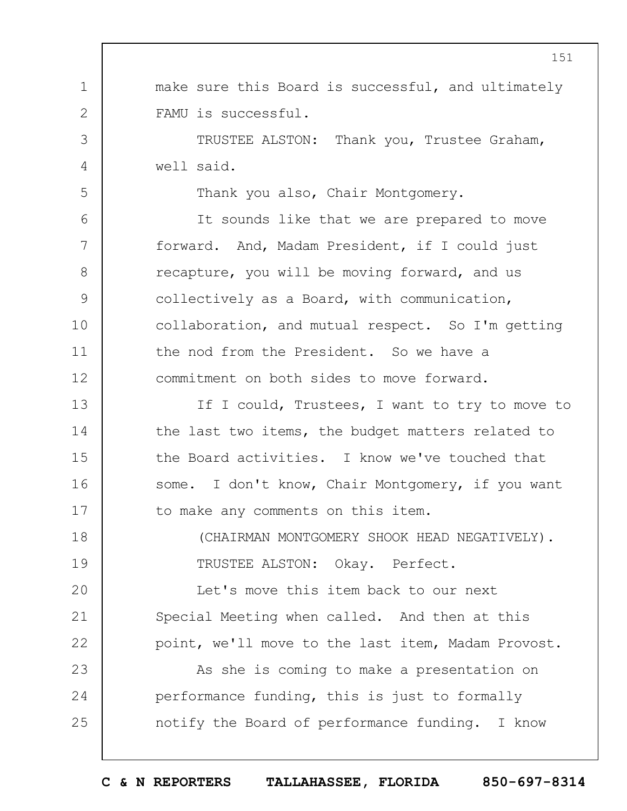1 2 3 4 5 6 7 8 9 10 11 12 13 14 15 16 17 18 19  $20$ 21 22 23 24 25 make sure this Board is successful, and ultimately FAMU is successful. TRUSTEE ALSTON: Thank you, Trustee Graham, well said. Thank you also, Chair Montgomery. It sounds like that we are prepared to move forward. And, Madam President, if I could just recapture, you will be moving forward, and us collectively as a Board, with communication, collaboration, and mutual respect. So I'm getting the nod from the President. So we have a commitment on both sides to move forward. If I could, Trustees, I want to try to move to the last two items, the budget matters related to the Board activities. I know we've touched that some. I don't know, Chair Montgomery, if you want to make any comments on this item. (CHAIRMAN MONTGOMERY SHOOK HEAD NEGATIVELY). TRUSTEE ALSTON: Okay. Perfect. Let's move this item back to our next Special Meeting when called. And then at this point, we'll move to the last item, Madam Provost. As she is coming to make a presentation on performance funding, this is just to formally notify the Board of performance funding. I know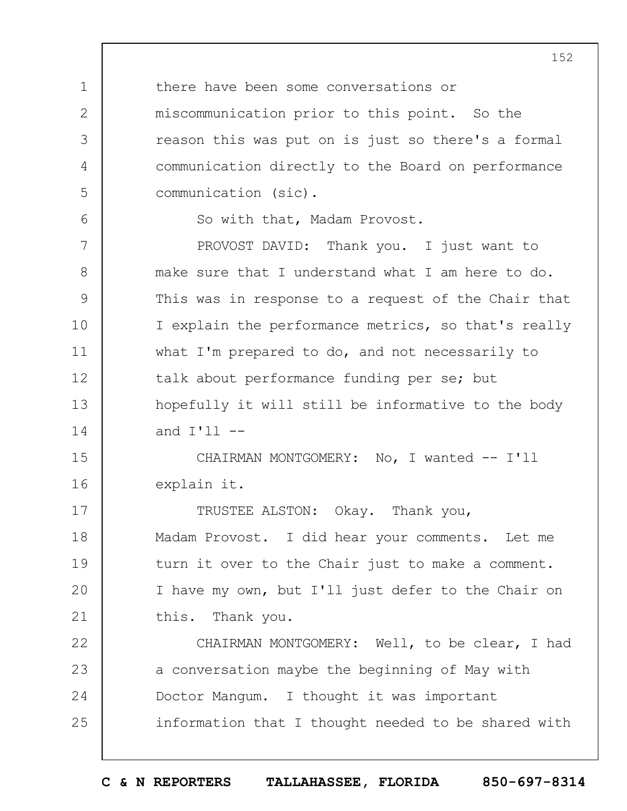there have been some conversations or miscommunication prior to this point. So the reason this was put on is just so there's a formal communication directly to the Board on performance communication (sic).

So with that, Madam Provost.

1

2

3

4

5

6

7 8 9 10 11 12 13 14 PROVOST DAVID: Thank you. I just want to make sure that I understand what I am here to do. This was in response to a request of the Chair that I explain the performance metrics, so that's really what I'm prepared to do, and not necessarily to talk about performance funding per se; but hopefully it will still be informative to the body and  $I'$ ll  $-$ 

15 16 CHAIRMAN MONTGOMERY: No, I wanted -- I'll explain it.

17 18 19  $20$ 21 TRUSTEE ALSTON: Okay. Thank you, Madam Provost. I did hear your comments. Let me turn it over to the Chair just to make a comment. I have my own, but I'll just defer to the Chair on this. Thank you.

22 23 24 25 CHAIRMAN MONTGOMERY: Well, to be clear, I had a conversation maybe the beginning of May with Doctor Mangum. I thought it was important information that I thought needed to be shared with

**C & N REPORTERS TALLAHASSEE, FLORIDA 850-697-8314**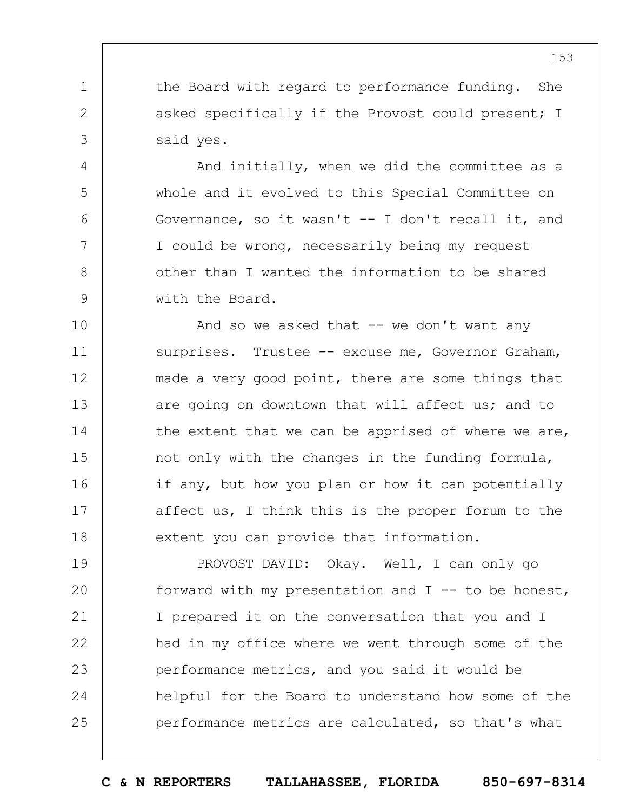the Board with regard to performance funding. She asked specifically if the Provost could present; I said yes.

1

2

3

4

5

6

7

8

9

And initially, when we did the committee as a whole and it evolved to this Special Committee on Governance, so it wasn't -- I don't recall it, and I could be wrong, necessarily being my request other than I wanted the information to be shared with the Board.

10 11 12 13 14 15 16 17 18 And so we asked that  $-$  we don't want any surprises. Trustee -- excuse me, Governor Graham, made a very good point, there are some things that are going on downtown that will affect us; and to the extent that we can be apprised of where we are, not only with the changes in the funding formula, if any, but how you plan or how it can potentially affect us, I think this is the proper forum to the extent you can provide that information.

19  $20$ 21 22 23 24 25 PROVOST DAVID: Okay. Well, I can only go forward with my presentation and  $I$  -- to be honest, I prepared it on the conversation that you and I had in my office where we went through some of the performance metrics, and you said it would be helpful for the Board to understand how some of the performance metrics are calculated, so that's what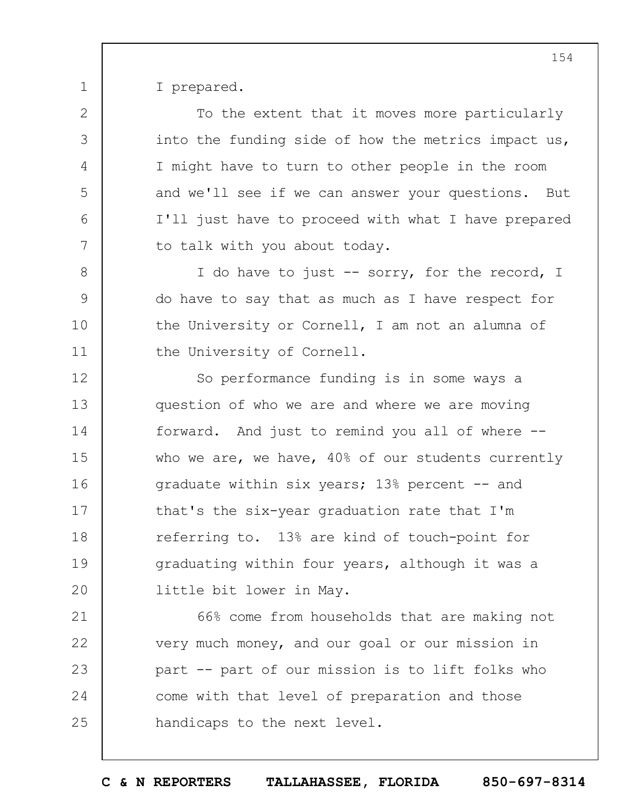I prepared.

1

2

3

4

5

6

7

8

9

10

11

To the extent that it moves more particularly into the funding side of how the metrics impact us, I might have to turn to other people in the room and we'll see if we can answer your questions. But I'll just have to proceed with what I have prepared to talk with you about today.

I do have to just -- sorry, for the record, I do have to say that as much as I have respect for the University or Cornell, I am not an alumna of the University of Cornell.

12 13 14 15 16 17 18 19  $20$ So performance funding is in some ways a question of who we are and where we are moving forward. And just to remind you all of where - who we are, we have, 40% of our students currently graduate within six years; 13% percent -- and that's the six-year graduation rate that I'm referring to. 13% are kind of touch-point for graduating within four years, although it was a little bit lower in May.

21 22 23 24 25 66% come from households that are making not very much money, and our goal or our mission in part -- part of our mission is to lift folks who come with that level of preparation and those handicaps to the next level.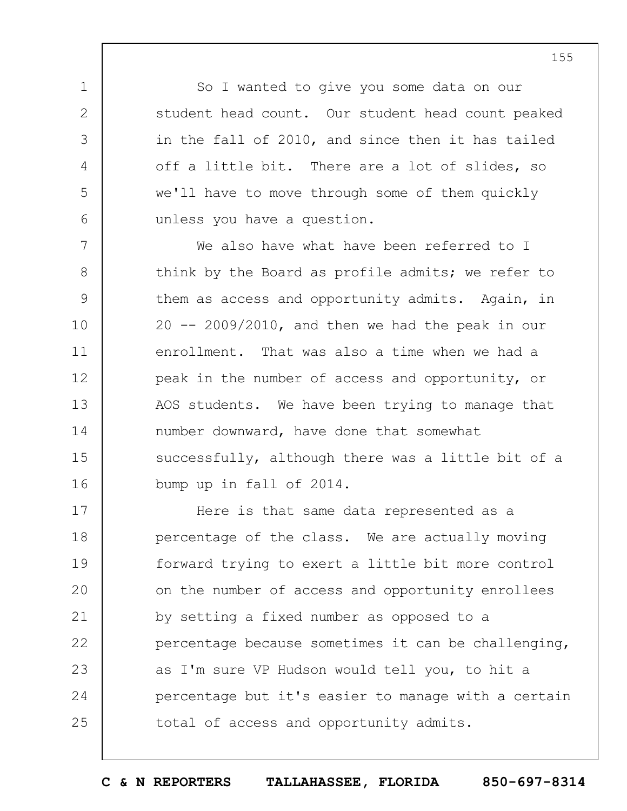So I wanted to give you some data on our student head count. Our student head count peaked in the fall of 2010, and since then it has tailed off a little bit. There are a lot of slides, so we'll have to move through some of them quickly unless you have a question.

1

2

3

4

5

6

7 8 9 10 11 12 13 14 15 16 We also have what have been referred to I think by the Board as profile admits; we refer to them as access and opportunity admits. Again, in  $20$  --  $2009/2010$ , and then we had the peak in our enrollment. That was also a time when we had a peak in the number of access and opportunity, or AOS students. We have been trying to manage that number downward, have done that somewhat successfully, although there was a little bit of a bump up in fall of 2014.

17 18 19  $20$ 21 22 23 24 25 Here is that same data represented as a percentage of the class. We are actually moving forward trying to exert a little bit more control on the number of access and opportunity enrollees by setting a fixed number as opposed to a percentage because sometimes it can be challenging, as I'm sure VP Hudson would tell you, to hit a percentage but it's easier to manage with a certain total of access and opportunity admits.

155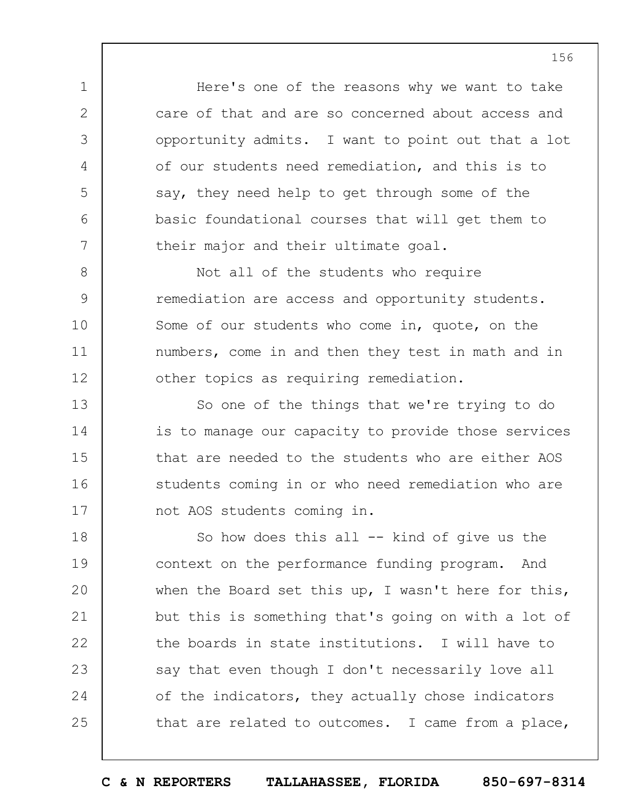Here's one of the reasons why we want to take care of that and are so concerned about access and opportunity admits. I want to point out that a lot of our students need remediation, and this is to say, they need help to get through some of the basic foundational courses that will get them to their major and their ultimate goal.

1

2

3

4

5

6

7

8 9 10 11 12 Not all of the students who require remediation are access and opportunity students. Some of our students who come in, quote, on the numbers, come in and then they test in math and in other topics as requiring remediation.

13 14 15 16 17 So one of the things that we're trying to do is to manage our capacity to provide those services that are needed to the students who are either AOS students coming in or who need remediation who are not AOS students coming in.

18 19  $20$ 21 22 23 24 25 So how does this all -- kind of give us the context on the performance funding program. And when the Board set this up, I wasn't here for this, but this is something that's going on with a lot of the boards in state institutions. I will have to say that even though I don't necessarily love all of the indicators, they actually chose indicators that are related to outcomes. I came from a place,

**C & N REPORTERS TALLAHASSEE, FLORIDA 850-697-8314**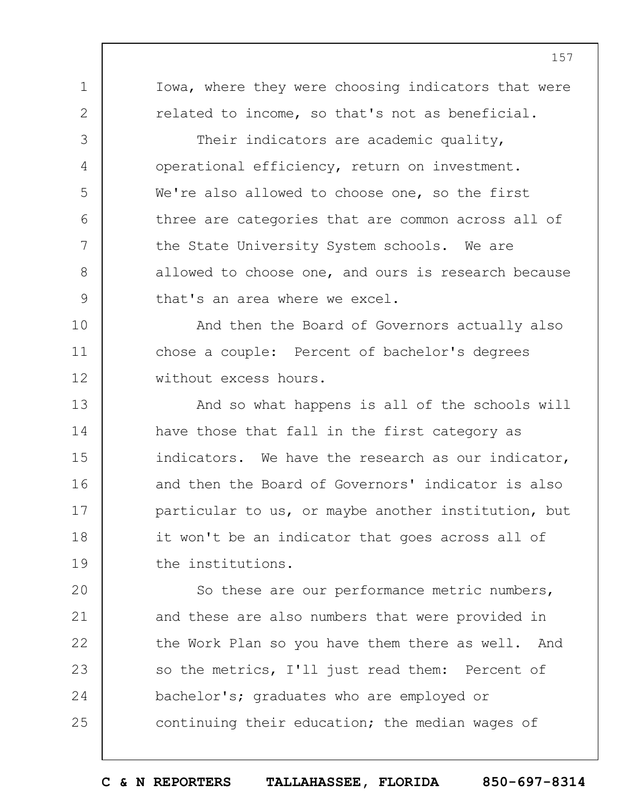1 2 3 4 5 6 7 8 9 10 11 12 13 14 15 16 17 18 19  $20$ Iowa, where they were choosing indicators that were related to income, so that's not as beneficial. Their indicators are academic quality, operational efficiency, return on investment. We're also allowed to choose one, so the first three are categories that are common across all of the State University System schools. We are allowed to choose one, and ours is research because that's an area where we excel. And then the Board of Governors actually also chose a couple: Percent of bachelor's degrees without excess hours. And so what happens is all of the schools will have those that fall in the first category as indicators. We have the research as our indicator, and then the Board of Governors' indicator is also particular to us, or maybe another institution, but it won't be an indicator that goes across all of the institutions. So these are our performance metric numbers,

21 22 23 24 25 and these are also numbers that were provided in the Work Plan so you have them there as well. And so the metrics, I'll just read them: Percent of bachelor's; graduates who are employed or continuing their education; the median wages of

**C & N REPORTERS TALLAHASSEE, FLORIDA 850-697-8314**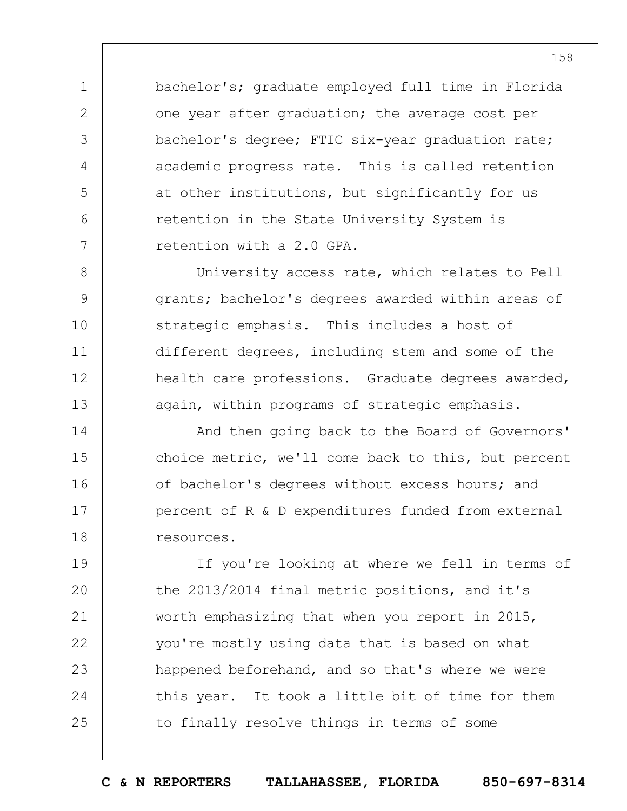bachelor's; graduate employed full time in Florida one year after graduation; the average cost per bachelor's degree; FTIC six-year graduation rate; academic progress rate. This is called retention at other institutions, but significantly for us retention in the State University System is retention with a 2.0 GPA.

1

2

3

4

5

6

7

8 9 10 11 12 13 University access rate, which relates to Pell grants; bachelor's degrees awarded within areas of strategic emphasis. This includes a host of different degrees, including stem and some of the health care professions. Graduate degrees awarded, again, within programs of strategic emphasis.

14 15 16 17 18 And then going back to the Board of Governors' choice metric, we'll come back to this, but percent of bachelor's degrees without excess hours; and percent of R & D expenditures funded from external resources.

19  $20$ 21 22 23 24 25 If you're looking at where we fell in terms of the 2013/2014 final metric positions, and it's worth emphasizing that when you report in 2015, you're mostly using data that is based on what happened beforehand, and so that's where we were this year. It took a little bit of time for them to finally resolve things in terms of some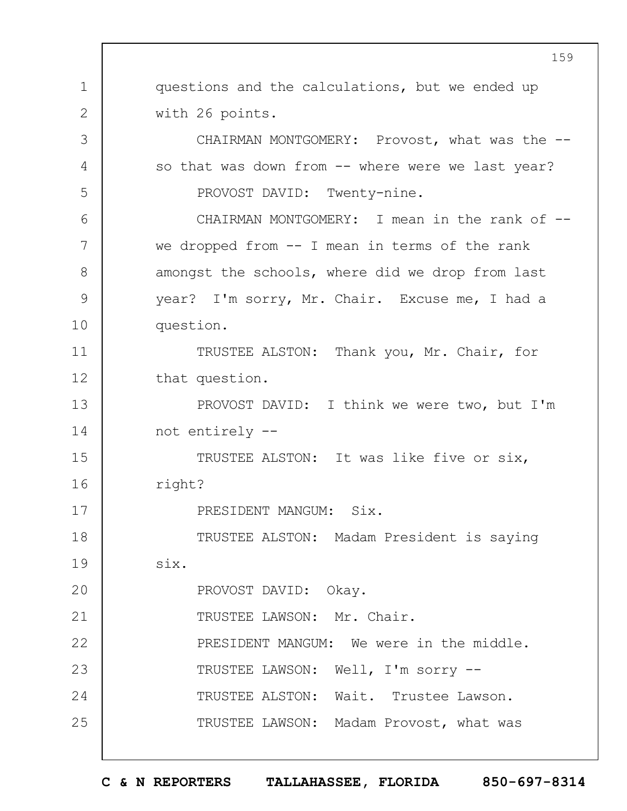1 2 3 4 5 6 7 8 9 10 11 12 13 14 15 16 17 18 19  $20$ 21 22 23 24 25 159 questions and the calculations, but we ended up with 26 points. CHAIRMAN MONTGOMERY: Provost, what was the -so that was down from -- where were we last year? PROVOST DAVID: Twenty-nine. CHAIRMAN MONTGOMERY: I mean in the rank of -we dropped from -- I mean in terms of the rank amongst the schools, where did we drop from last year? I'm sorry, Mr. Chair. Excuse me, I had a question. TRUSTEE ALSTON: Thank you, Mr. Chair, for that question. PROVOST DAVID: I think we were two, but I'm not entirely -- TRUSTEE ALSTON: It was like five or six, right? PRESIDENT MANGUM: Six. TRUSTEE ALSTON: Madam President is saying six. PROVOST DAVID: Okay. TRUSTEE LAWSON: Mr. Chair. PRESIDENT MANGUM: We were in the middle. TRUSTEE LAWSON: Well, I'm sorry -- TRUSTEE ALSTON: Wait. Trustee Lawson. TRUSTEE LAWSON: Madam Provost, what was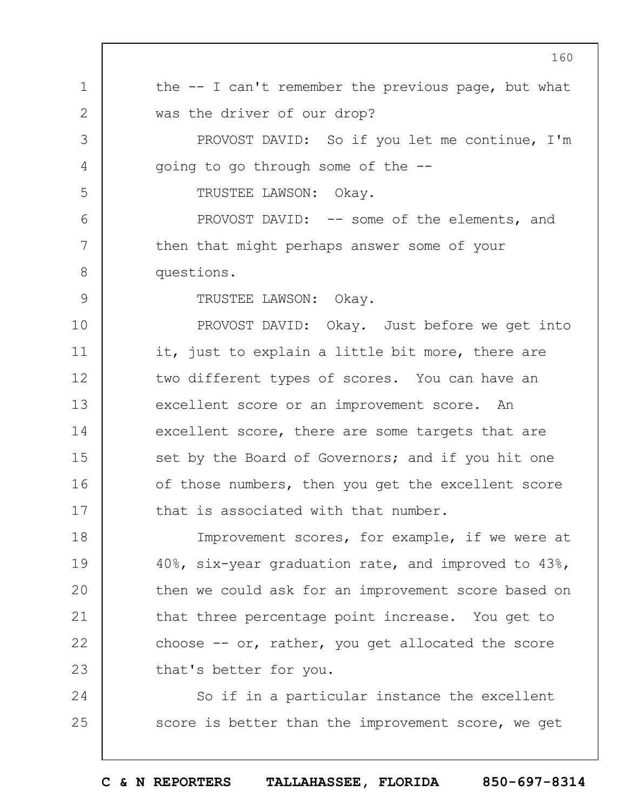|               | 160                                                    |
|---------------|--------------------------------------------------------|
| $\mathbf{1}$  | the $-$ - I can't remember the previous page, but what |
| 2             | was the driver of our drop?                            |
| 3             | PROVOST DAVID: So if you let me continue, I'm          |
| 4             | going to go through some of the --                     |
| 5             | TRUSTEE LAWSON: Okay.                                  |
| 6             | PROVOST DAVID: -- some of the elements, and            |
| 7             | then that might perhaps answer some of your            |
| $8\,$         | questions.                                             |
| $\mathcal{G}$ | TRUSTEE LAWSON: Okay.                                  |
| 10            | PROVOST DAVID: Okay. Just before we get into           |
| 11            | it, just to explain a little bit more, there are       |
| 12            | two different types of scores. You can have an         |
| 13            | excellent score or an improvement score. An            |
| 14            | excellent score, there are some targets that are       |
| 15            | set by the Board of Governors; and if you hit one      |
| 16            | of those numbers, then you get the excellent score     |
| 17            | that is associated with that number.                   |
| 18            | Improvement scores, for example, if we were at         |
| 19            | 40%, six-year graduation rate, and improved to 43%,    |
| 20            | then we could ask for an improvement score based on    |
| 21            | that three percentage point increase. You get to       |
| 22            | choose $--$ or, rather, you get allocated the score    |
| 23            | that's better for you.                                 |
| 24            | So if in a particular instance the excellent           |
| 25            | score is better than the improvement score, we get     |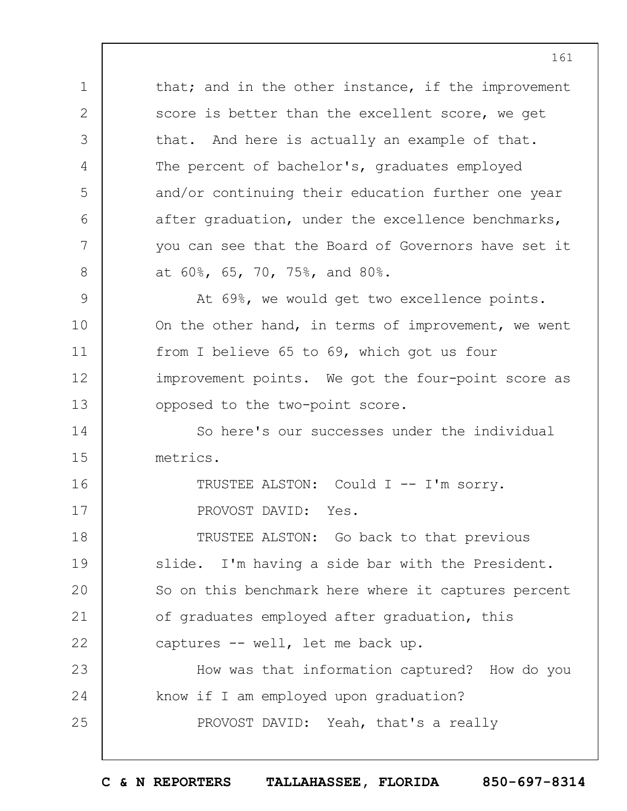1 2 3 4 5 6 7 8 9 10 11 12 13 14 15 16 17 18 19  $20$ 21 22 23 24 25 that; and in the other instance, if the improvement score is better than the excellent score, we get that. And here is actually an example of that. The percent of bachelor's, graduates employed and/or continuing their education further one year after graduation, under the excellence benchmarks, you can see that the Board of Governors have set it at 60%, 65, 70, 75%, and 80%. At 69%, we would get two excellence points. On the other hand, in terms of improvement, we went from I believe 65 to 69, which got us four improvement points. We got the four-point score as opposed to the two-point score. So here's our successes under the individual metrics. TRUSTEE ALSTON: Could I -- I'm sorry. PROVOST DAVID: Yes. TRUSTEE ALSTON: Go back to that previous slide. I'm having a side bar with the President. So on this benchmark here where it captures percent of graduates employed after graduation, this captures -- well, let me back up. How was that information captured? How do you know if I am employed upon graduation? PROVOST DAVID: Yeah, that's a really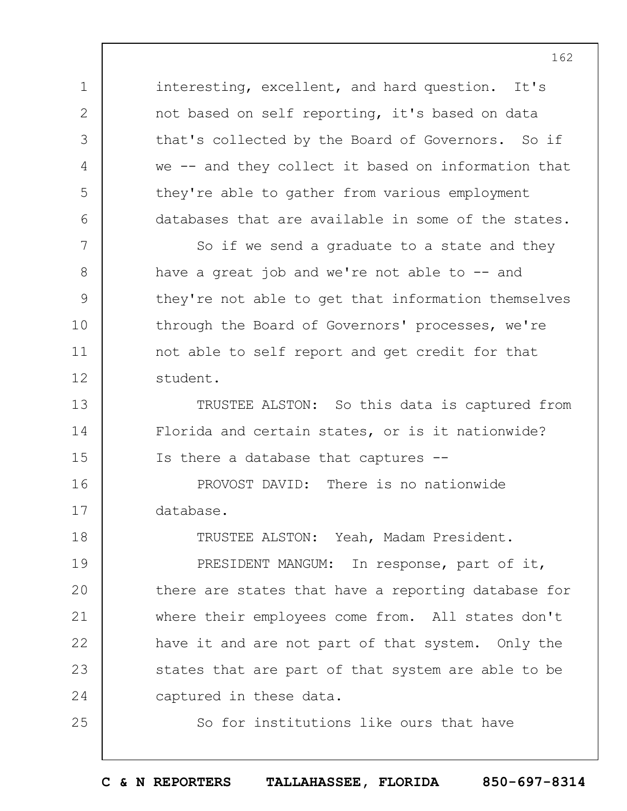interesting, excellent, and hard question. It's not based on self reporting, it's based on data that's collected by the Board of Governors. So if we -- and they collect it based on information that they're able to gather from various employment databases that are available in some of the states.

1

2

3

4

5

6

13

14

15

25

7 8 9 10 11 12 So if we send a graduate to a state and they have a great job and we're not able to  $-$  and they're not able to get that information themselves through the Board of Governors' processes, we're not able to self report and get credit for that student.

TRUSTEE ALSTON: So this data is captured from Florida and certain states, or is it nationwide? Is there a database that captures --

16 17 PROVOST DAVID: There is no nationwide database.

18 19  $20$ 21 22 23 24 TRUSTEE ALSTON: Yeah, Madam President. PRESIDENT MANGUM: In response, part of it, there are states that have a reporting database for where their employees come from. All states don't have it and are not part of that system. Only the states that are part of that system are able to be captured in these data.

So for institutions like ours that have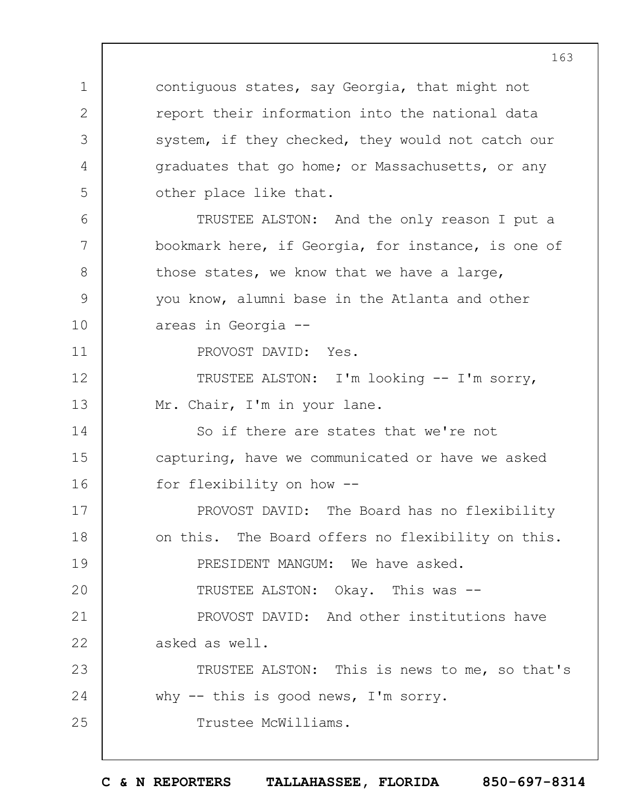contiguous states, say Georgia, that might not report their information into the national data system, if they checked, they would not catch our graduates that go home; or Massachusetts, or any other place like that.

TRUSTEE ALSTON: And the only reason I put a bookmark here, if Georgia, for instance, is one of those states, we know that we have a large, you know, alumni base in the Atlanta and other areas in Georgia --

PROVOST DAVID: Yes.

1

2

3

4

5

 $6 \overline{6}$ 

7

8

9

10

11

25

12 13 TRUSTEE ALSTON: I'm looking -- I'm sorry, Mr. Chair, I'm in your lane.

14 15 16 So if there are states that we're not capturing, have we communicated or have we asked for flexibility on how --

17 18 19  $20$ 21 22 PROVOST DAVID: The Board has no flexibility on this. The Board offers no flexibility on this. PRESIDENT MANGUM: We have asked. TRUSTEE ALSTON: Okay. This was -- PROVOST DAVID: And other institutions have asked as well.

23 24 TRUSTEE ALSTON: This is news to me, so that's why -- this is good news, I'm sorry.

Trustee McWilliams.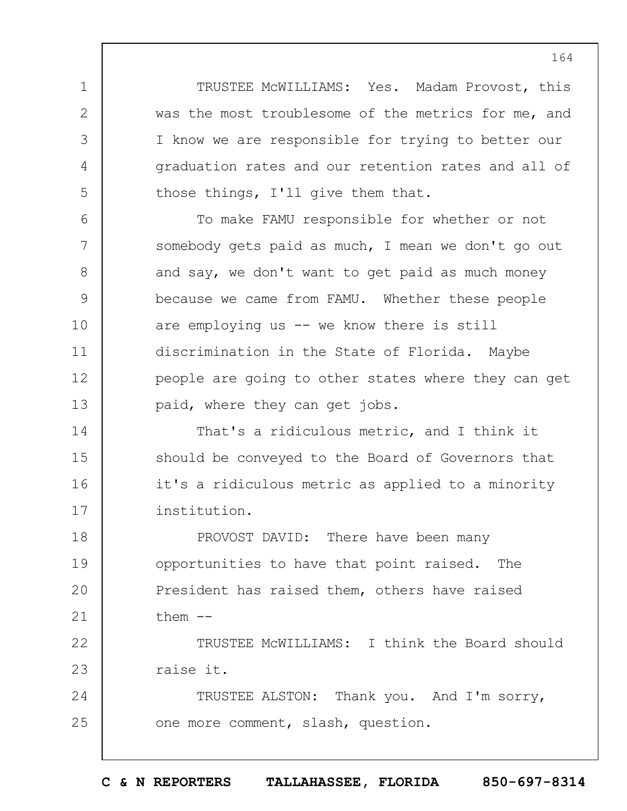TRUSTEE McWILLIAMS: Yes. Madam Provost, this was the most troublesome of the metrics for me, and I know we are responsible for trying to better our graduation rates and our retention rates and all of those things, I'll give them that.

1

2

3

4

5

6 7 8 9 10 11 12 13 To make FAMU responsible for whether or not somebody gets paid as much, I mean we don't go out and say, we don't want to get paid as much money because we came from FAMU. Whether these people are employing us -- we know there is still discrimination in the State of Florida. Maybe people are going to other states where they can get paid, where they can get jobs.

14 15 16 17 That's a ridiculous metric, and I think it should be conveyed to the Board of Governors that it's a ridiculous metric as applied to a minority institution.

18 19  $20$ 21 PROVOST DAVID: There have been many opportunities to have that point raised. The President has raised them, others have raised them --

22 23 TRUSTEE McWILLIAMS: I think the Board should raise it.

24 25 TRUSTEE ALSTON: Thank you. And I'm sorry, one more comment, slash, question.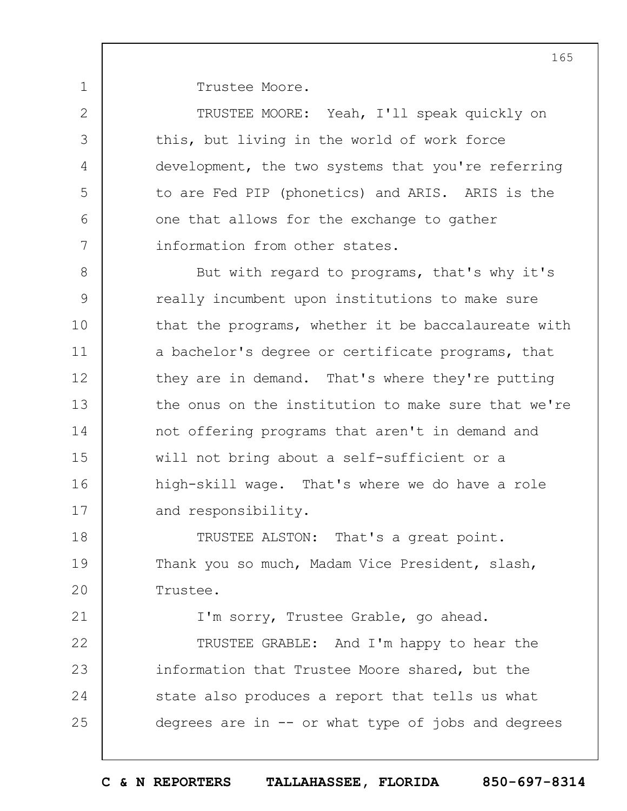Trustee Moore.

1

2

3

4

5

6

7

21

TRUSTEE MOORE: Yeah, I'll speak quickly on this, but living in the world of work force development, the two systems that you're referring to are Fed PIP (phonetics) and ARIS. ARIS is the one that allows for the exchange to gather information from other states.

8 9 10 11 12 13 14 15 16 17 But with regard to programs, that's why it's really incumbent upon institutions to make sure that the programs, whether it be baccalaureate with a bachelor's degree or certificate programs, that they are in demand. That's where they're putting the onus on the institution to make sure that we're not offering programs that aren't in demand and will not bring about a self-sufficient or a high-skill wage. That's where we do have a role and responsibility.

18 19  $20$ TRUSTEE ALSTON: That's a great point. Thank you so much, Madam Vice President, slash, Trustee.

I'm sorry, Trustee Grable, go ahead.

22 23 24 25 TRUSTEE GRABLE: And I'm happy to hear the information that Trustee Moore shared, but the state also produces a report that tells us what degrees are in -- or what type of jobs and degrees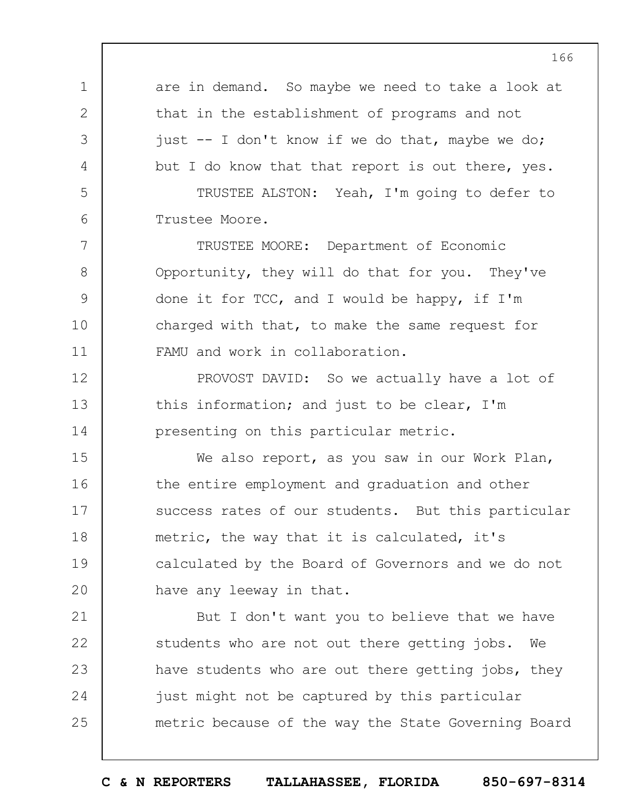1 2 3 4 5 6 7 8 9 10 11 12 13 14 15 16 17 18 19  $20$ 21 22 23 24 25 are in demand. So maybe we need to take a look at that in the establishment of programs and not just -- I don't know if we do that, maybe we do; but I do know that that report is out there, yes. TRUSTEE ALSTON: Yeah, I'm going to defer to Trustee Moore. TRUSTEE MOORE: Department of Economic Opportunity, they will do that for you. They've done it for TCC, and I would be happy, if I'm charged with that, to make the same request for FAMU and work in collaboration. PROVOST DAVID: So we actually have a lot of this information; and just to be clear, I'm presenting on this particular metric. We also report, as you saw in our Work Plan, the entire employment and graduation and other success rates of our students. But this particular metric, the way that it is calculated, it's calculated by the Board of Governors and we do not have any leeway in that. But I don't want you to believe that we have students who are not out there getting jobs. We have students who are out there getting jobs, they just might not be captured by this particular metric because of the way the State Governing Board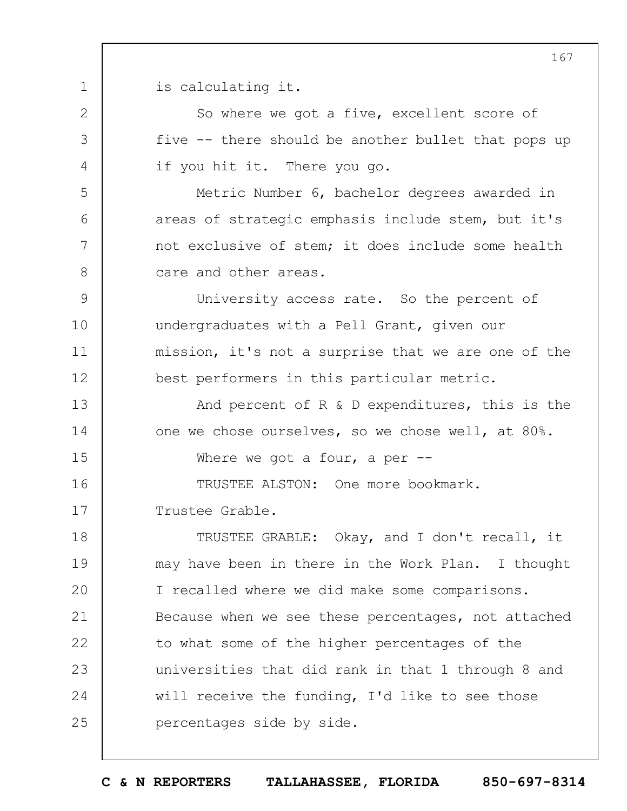1 is calculating it.

2

3

4

5

6

7

8

So where we got a five, excellent score of five -- there should be another bullet that pops up if you hit it. There you go.

Metric Number 6, bachelor degrees awarded in areas of strategic emphasis include stem, but it's not exclusive of stem; it does include some health care and other areas.

9 10 11 12 University access rate. So the percent of undergraduates with a Pell Grant, given our mission, it's not a surprise that we are one of the best performers in this particular metric.

13 14 15 16 And percent of R & D expenditures, this is the one we chose ourselves, so we chose well, at 80%. Where we got a four, a per  $-$ TRUSTEE ALSTON: One more bookmark.

17 Trustee Grable.

18 19  $20$ 21 22 23 24 25 TRUSTEE GRABLE: Okay, and I don't recall, it may have been in there in the Work Plan. I thought I recalled where we did make some comparisons. Because when we see these percentages, not attached to what some of the higher percentages of the universities that did rank in that 1 through 8 and will receive the funding, I'd like to see those percentages side by side.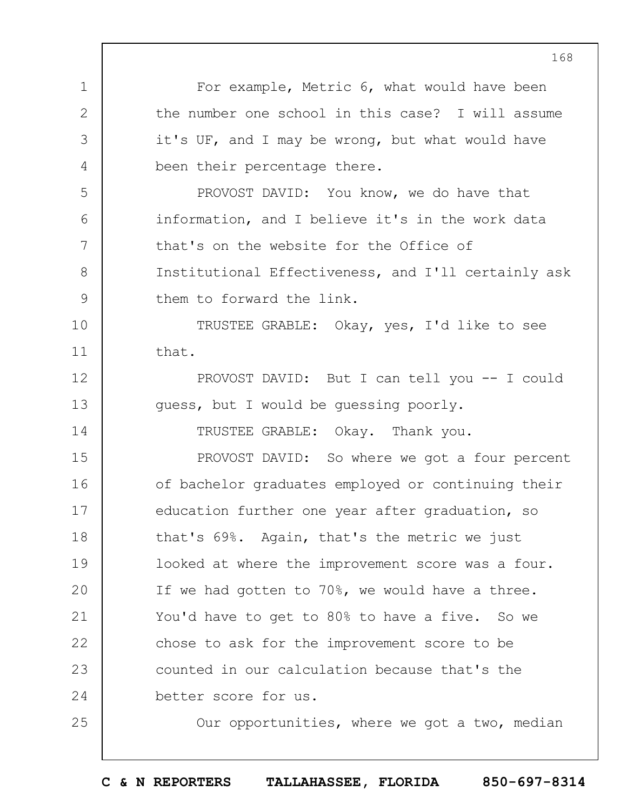1 2 3 4 5 6 7 8 9 10 11 12 13 14 15 16 17 18 19  $20$ 21 22 23 24 25 For example, Metric 6, what would have been the number one school in this case? I will assume it's UF, and I may be wrong, but what would have been their percentage there. PROVOST DAVID: You know, we do have that information, and I believe it's in the work data that's on the website for the Office of Institutional Effectiveness, and I'll certainly ask them to forward the link. TRUSTEE GRABLE: Okay, yes, I'd like to see that. PROVOST DAVID: But I can tell you -- I could guess, but I would be guessing poorly. TRUSTEE GRABLE: Okay. Thank you. PROVOST DAVID: So where we got a four percent of bachelor graduates employed or continuing their education further one year after graduation, so that's 69%. Again, that's the metric we just looked at where the improvement score was a four. If we had gotten to 70%, we would have a three. You'd have to get to 80% to have a five. So we chose to ask for the improvement score to be counted in our calculation because that's the better score for us. Our opportunities, where we got a two, median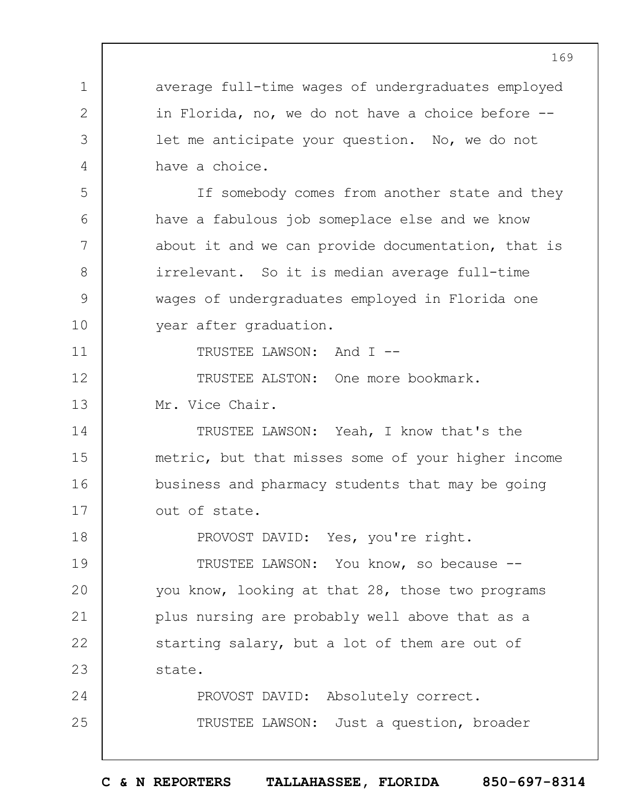1 2 3 4 5 6 7 8 9 10 11 12 13 14 15 16 17 18 19  $20$ 21 22 23 24 25 average full-time wages of undergraduates employed in Florida, no, we do not have a choice before - let me anticipate your question. No, we do not have a choice. If somebody comes from another state and they have a fabulous job someplace else and we know about it and we can provide documentation, that is irrelevant. So it is median average full-time wages of undergraduates employed in Florida one year after graduation. TRUSTEE LAWSON: And I -- TRUSTEE ALSTON: One more bookmark. Mr. Vice Chair. TRUSTEE LAWSON: Yeah, I know that's the metric, but that misses some of your higher income business and pharmacy students that may be going out of state. PROVOST DAVID: Yes, you're right. TRUSTEE LAWSON: You know, so because - you know, looking at that 28, those two programs plus nursing are probably well above that as a starting salary, but a lot of them are out of state. PROVOST DAVID: Absolutely correct. TRUSTEE LAWSON: Just a question, broader

169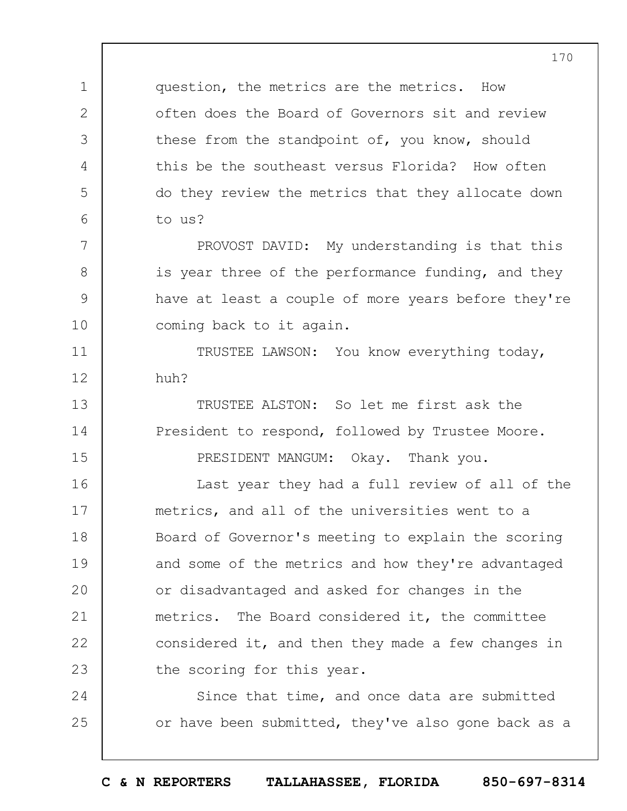question, the metrics are the metrics. How often does the Board of Governors sit and review these from the standpoint of, you know, should this be the southeast versus Florida? How often do they review the metrics that they allocate down to us?

1

2

3

4

5

6

7

8

9

10

11

12

13

14

15

PROVOST DAVID: My understanding is that this is year three of the performance funding, and they have at least a couple of more years before they're coming back to it again.

TRUSTEE LAWSON: You know everything today, huh?

TRUSTEE ALSTON: So let me first ask the President to respond, followed by Trustee Moore. PRESIDENT MANGUM: Okay. Thank you.

16 17 18 19  $20$ 21 22 23 Last year they had a full review of all of the metrics, and all of the universities went to a Board of Governor's meeting to explain the scoring and some of the metrics and how they're advantaged or disadvantaged and asked for changes in the metrics. The Board considered it, the committee considered it, and then they made a few changes in the scoring for this year.

24 25 Since that time, and once data are submitted or have been submitted, they've also gone back as a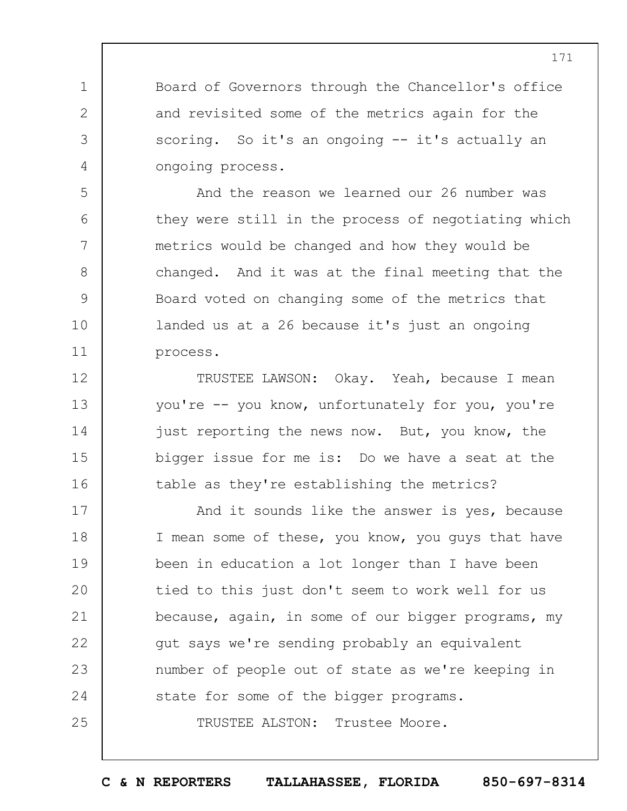Board of Governors through the Chancellor's office and revisited some of the metrics again for the scoring. So it's an ongoing -- it's actually an ongoing process.

1

2

3

4

5

6

7

8

9

10

11

And the reason we learned our 26 number was they were still in the process of negotiating which metrics would be changed and how they would be changed. And it was at the final meeting that the Board voted on changing some of the metrics that landed us at a 26 because it's just an ongoing process.

12 13 14 15 16 TRUSTEE LAWSON: Okay. Yeah, because I mean you're -- you know, unfortunately for you, you're just reporting the news now. But, you know, the bigger issue for me is: Do we have a seat at the table as they're establishing the metrics?

17 18 19  $20$ 21 22 23 24 25 And it sounds like the answer is yes, because I mean some of these, you know, you guys that have been in education a lot longer than I have been tied to this just don't seem to work well for us because, again, in some of our bigger programs, my gut says we're sending probably an equivalent number of people out of state as we're keeping in state for some of the bigger programs. TRUSTEE ALSTON: Trustee Moore.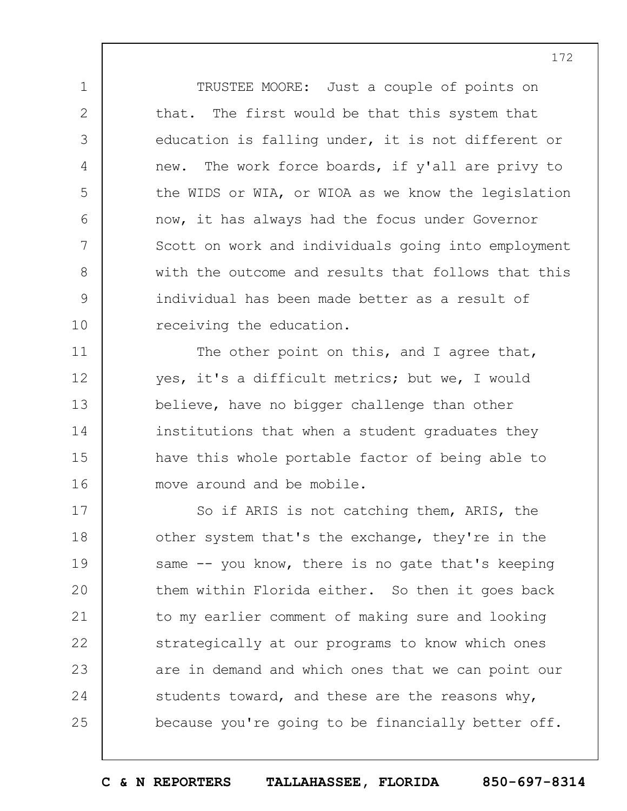TRUSTEE MOORE: Just a couple of points on that. The first would be that this system that education is falling under, it is not different or new. The work force boards, if y'all are privy to the WIDS or WIA, or WIOA as we know the legislation now, it has always had the focus under Governor Scott on work and individuals going into employment with the outcome and results that follows that this individual has been made better as a result of receiving the education.

1

2

3

4

5

6

7

8

9

10

11

12

13

14

15

16

The other point on this, and I agree that, yes, it's a difficult metrics; but we, I would believe, have no bigger challenge than other institutions that when a student graduates they have this whole portable factor of being able to move around and be mobile.

17 18 19  $20$ 21 22 23 24 25 So if ARIS is not catching them, ARIS, the other system that's the exchange, they're in the same -- you know, there is no gate that's keeping them within Florida either. So then it goes back to my earlier comment of making sure and looking strategically at our programs to know which ones are in demand and which ones that we can point our students toward, and these are the reasons why, because you're going to be financially better off.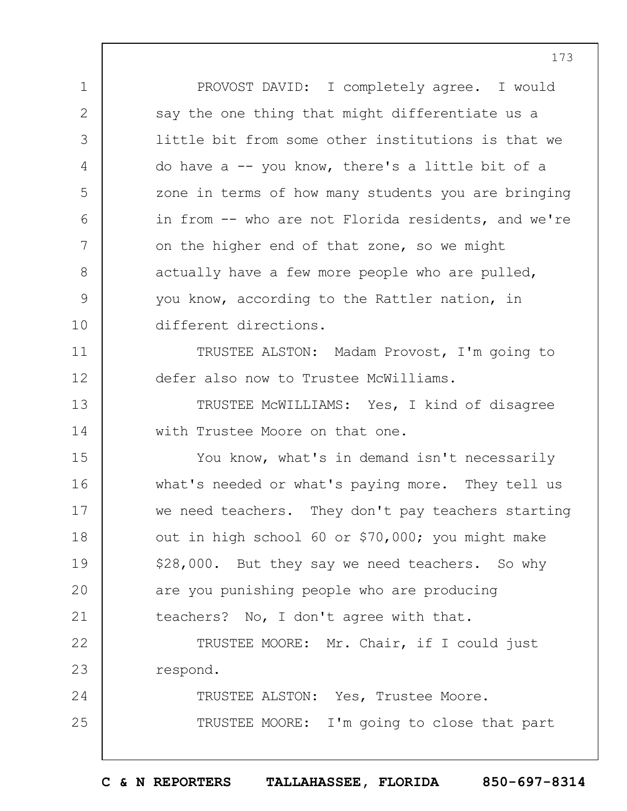1 2 3 4 5 6 7 8 9 10 11 12 13 14 15 16 17 18 19  $20$ 21 22 23 24 25 PROVOST DAVID: I completely agree. I would say the one thing that might differentiate us a little bit from some other institutions is that we do have a -- you know, there's a little bit of a zone in terms of how many students you are bringing in from -- who are not Florida residents, and we're on the higher end of that zone, so we might actually have a few more people who are pulled, you know, according to the Rattler nation, in different directions. TRUSTEE ALSTON: Madam Provost, I'm going to defer also now to Trustee McWilliams. TRUSTEE McWILLIAMS: Yes, I kind of disagree with Trustee Moore on that one. You know, what's in demand isn't necessarily what's needed or what's paying more. They tell us we need teachers. They don't pay teachers starting out in high school 60 or \$70,000; you might make \$28,000. But they say we need teachers. So why are you punishing people who are producing teachers? No, I don't agree with that. TRUSTEE MOORE: Mr. Chair, if I could just respond. TRUSTEE ALSTON: Yes, Trustee Moore. TRUSTEE MOORE: I'm going to close that part

**C & N REPORTERS TALLAHASSEE, FLORIDA 850-697-8314**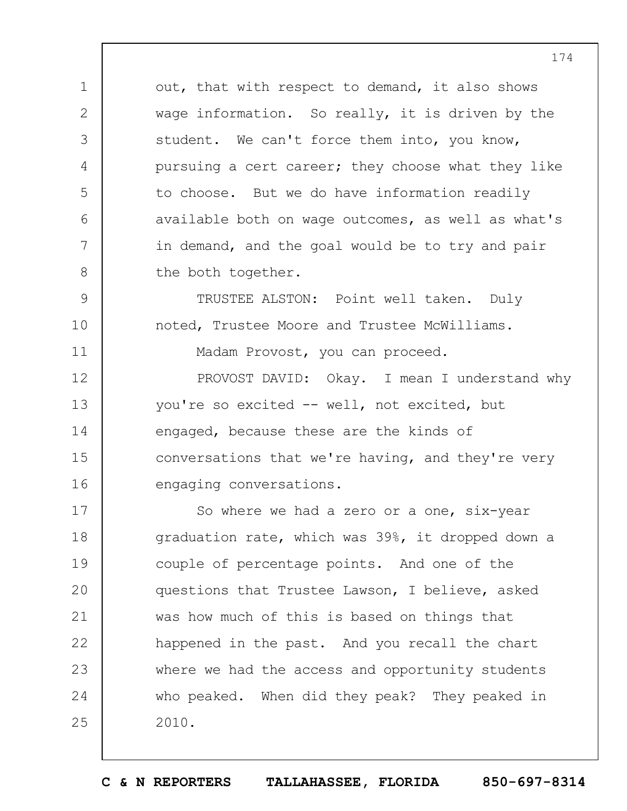out, that with respect to demand, it also shows wage information. So really, it is driven by the student. We can't force them into, you know, pursuing a cert career; they choose what they like to choose. But we do have information readily available both on wage outcomes, as well as what's in demand, and the goal would be to try and pair the both together.

1

2

3

4

5

6

7

8

9

10

11

TRUSTEE ALSTON: Point well taken. Duly noted, Trustee Moore and Trustee McWilliams.

Madam Provost, you can proceed.

12 13 14 15 16 PROVOST DAVID: Okay. I mean I understand why you're so excited -- well, not excited, but engaged, because these are the kinds of conversations that we're having, and they're very engaging conversations.

17 18 19  $20$ 21 22 23 24 25 So where we had a zero or a one, six-year graduation rate, which was 39%, it dropped down a couple of percentage points. And one of the questions that Trustee Lawson, I believe, asked was how much of this is based on things that happened in the past. And you recall the chart where we had the access and opportunity students who peaked. When did they peak? They peaked in 2010.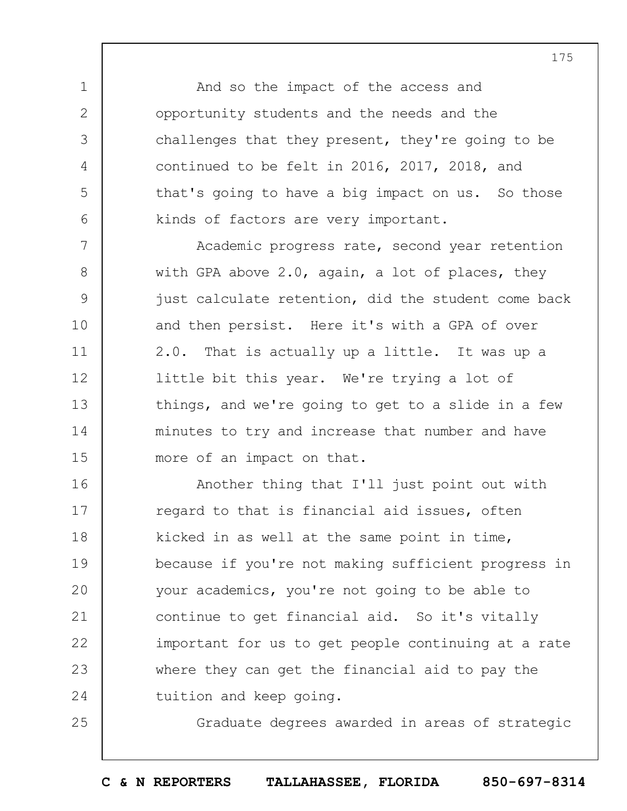And so the impact of the access and opportunity students and the needs and the challenges that they present, they're going to be continued to be felt in 2016, 2017, 2018, and that's going to have a big impact on us. So those kinds of factors are very important.

1

2

3

4

5

6

25

7 8 9 10 11 12 13 14 15 Academic progress rate, second year retention with GPA above 2.0, again, a lot of places, they just calculate retention, did the student come back and then persist. Here it's with a GPA of over 2.0. That is actually up a little. It was up a little bit this year. We're trying a lot of things, and we're going to get to a slide in a few minutes to try and increase that number and have more of an impact on that.

16 17 18 19  $20$ 21 22 23 24 Another thing that I'll just point out with regard to that is financial aid issues, often kicked in as well at the same point in time, because if you're not making sufficient progress in your academics, you're not going to be able to continue to get financial aid. So it's vitally important for us to get people continuing at a rate where they can get the financial aid to pay the tuition and keep going.

Graduate degrees awarded in areas of strategic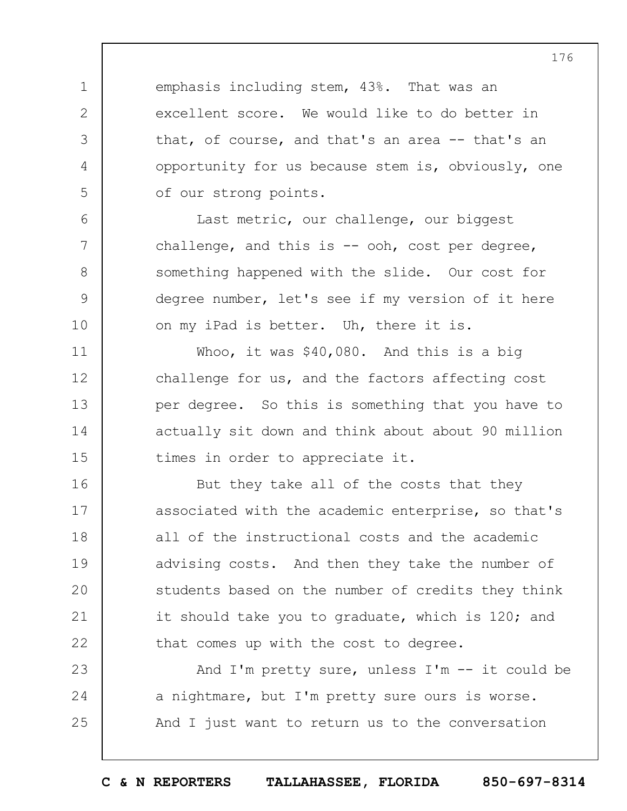emphasis including stem, 43%. That was an excellent score. We would like to do better in that, of course, and that's an area -- that's an opportunity for us because stem is, obviously, one of our strong points.

1

2

3

4

5

6

7

8

9

10

11

12

13

14

15

Last metric, our challenge, our biggest challenge, and this is  $-$  ooh, cost per degree, something happened with the slide. Our cost for degree number, let's see if my version of it here on my iPad is better. Uh, there it is.

Whoo, it was \$40,080. And this is a big challenge for us, and the factors affecting cost per degree. So this is something that you have to actually sit down and think about about 90 million times in order to appreciate it.

16 17 18 19  $20$ 21 22 But they take all of the costs that they associated with the academic enterprise, so that's all of the instructional costs and the academic advising costs. And then they take the number of students based on the number of credits they think it should take you to graduate, which is 120; and that comes up with the cost to degree.

23 24 25 And I'm pretty sure, unless I'm -- it could be a nightmare, but I'm pretty sure ours is worse. And I just want to return us to the conversation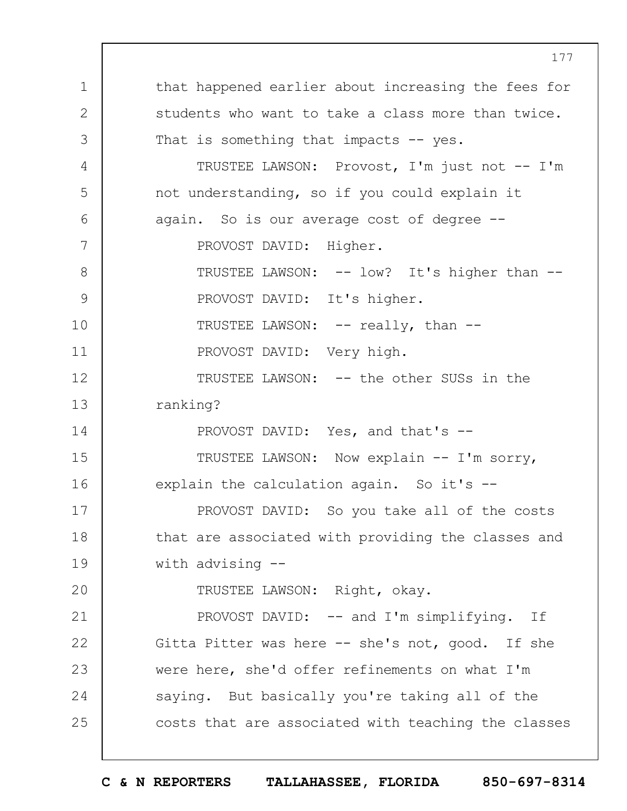1 2 3 4 5 6 7 8 9 10 11 12 13 14 15 16 17 18 19  $20$ 21 22 23 24 25 that happened earlier about increasing the fees for students who want to take a class more than twice. That is something that impacts -- yes. TRUSTEE LAWSON: Provost, I'm just not -- I'm not understanding, so if you could explain it again. So is our average cost of degree -- PROVOST DAVID: Higher. TRUSTEE LAWSON: -- low? It's higher than --PROVOST DAVID: It's higher. TRUSTEE LAWSON: -- really, than --PROVOST DAVID: Very high. TRUSTEE LAWSON: -- the other SUSs in the ranking? PROVOST DAVID: Yes, and that's -- TRUSTEE LAWSON: Now explain -- I'm sorry, explain the calculation again. So it's --PROVOST DAVID: So you take all of the costs that are associated with providing the classes and with advising -- TRUSTEE LAWSON: Right, okay. PROVOST DAVID: -- and I'm simplifying. If Gitta Pitter was here -- she's not, good. If she were here, she'd offer refinements on what I'm saying. But basically you're taking all of the costs that are associated with teaching the classes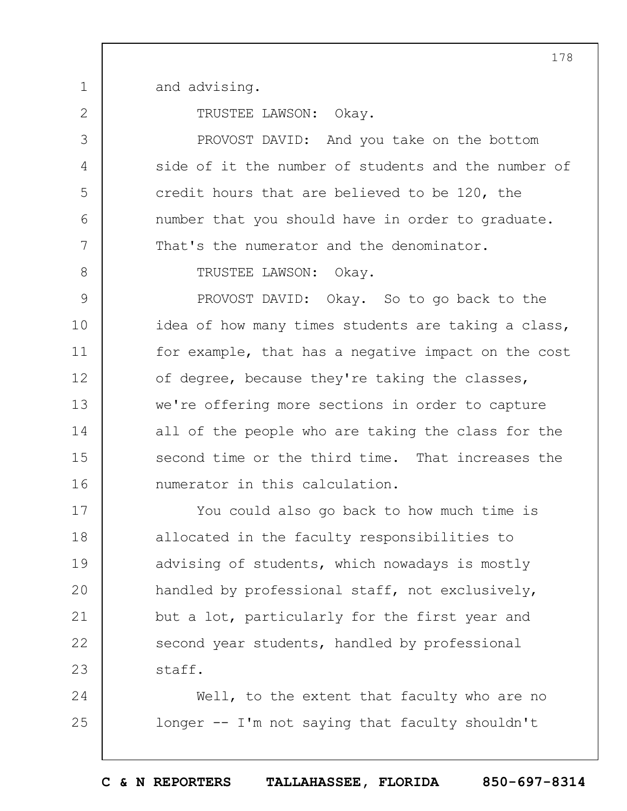and advising.

1

2

3

4

5

6

7

8

TRUSTEE LAWSON: Okay.

PROVOST DAVID: And you take on the bottom side of it the number of students and the number of credit hours that are believed to be 120, the number that you should have in order to graduate. That's the numerator and the denominator.

TRUSTEE LAWSON: Okay.

9 10 11 12 13 14 15 16 PROVOST DAVID: Okay. So to go back to the idea of how many times students are taking a class, for example, that has a negative impact on the cost of degree, because they're taking the classes, we're offering more sections in order to capture all of the people who are taking the class for the second time or the third time. That increases the numerator in this calculation.

17 18 19  $20$ 21 22 23 You could also go back to how much time is allocated in the faculty responsibilities to advising of students, which nowadays is mostly handled by professional staff, not exclusively, but a lot, particularly for the first year and second year students, handled by professional staff.

24 25 Well, to the extent that faculty who are no longer -- I'm not saying that faculty shouldn't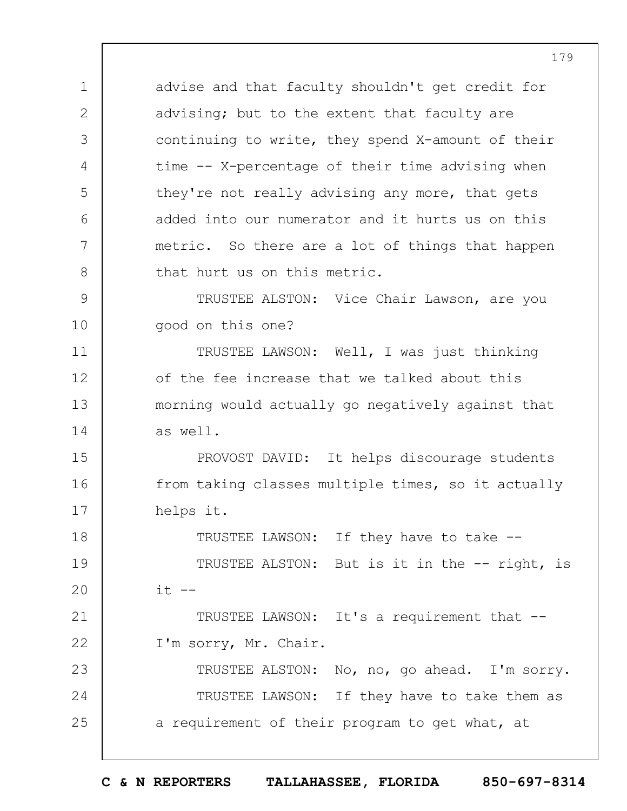advise and that faculty shouldn't get credit for advising; but to the extent that faculty are continuing to write, they spend X-amount of their time -- X-percentage of their time advising when they're not really advising any more, that gets added into our numerator and it hurts us on this metric. So there are a lot of things that happen that hurt us on this metric.

9 10 TRUSTEE ALSTON: Vice Chair Lawson, are you good on this one?

11 12 13 14 TRUSTEE LAWSON: Well, I was just thinking of the fee increase that we talked about this morning would actually go negatively against that as well.

15 16 17 PROVOST DAVID: It helps discourage students from taking classes multiple times, so it actually helps it.

18 19  $20$ 21 TRUSTEE LAWSON: If they have to take -- TRUSTEE ALSTON: But is it in the -- right, is  $it$   $--$ TRUSTEE LAWSON: It's a requirement that --

22 I'm sorry, Mr. Chair.

1

2

3

4

5

6

7

8

23 24 25 TRUSTEE ALSTON: No, no, go ahead. I'm sorry. TRUSTEE LAWSON: If they have to take them as a requirement of their program to get what, at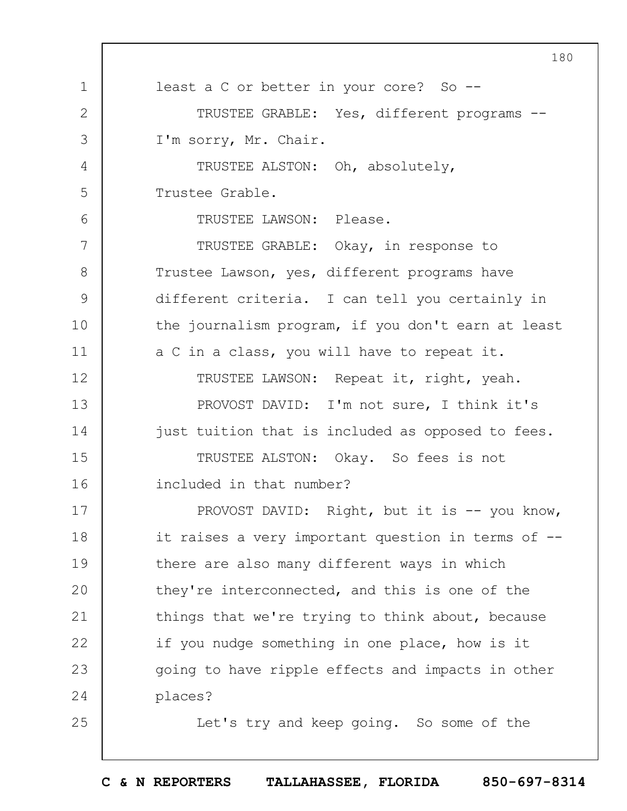1 2 3 4 5 6 7 8 9 10 11 12 13 14 15 16 17 18 19  $20$ 21 22 23 24 25 180 least a C or better in your core? So --TRUSTEE GRABLE: Yes, different programs -- I'm sorry, Mr. Chair. TRUSTEE ALSTON: Oh, absolutely, Trustee Grable. TRUSTEE LAWSON: Please. TRUSTEE GRABLE: Okay, in response to Trustee Lawson, yes, different programs have different criteria. I can tell you certainly in the journalism program, if you don't earn at least a C in a class, you will have to repeat it. TRUSTEE LAWSON: Repeat it, right, yeah. PROVOST DAVID: I'm not sure, I think it's just tuition that is included as opposed to fees. TRUSTEE ALSTON: Okay. So fees is not included in that number? PROVOST DAVID: Right, but it is -- you know, it raises a very important question in terms of - there are also many different ways in which they're interconnected, and this is one of the things that we're trying to think about, because if you nudge something in one place, how is it going to have ripple effects and impacts in other places? Let's try and keep going. So some of the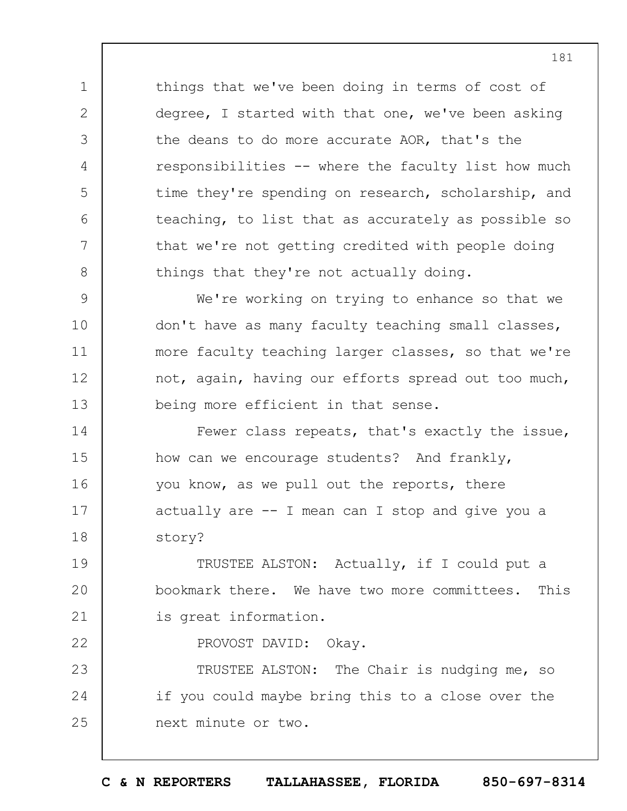things that we've been doing in terms of cost of degree, I started with that one, we've been asking the deans to do more accurate AOR, that's the responsibilities -- where the faculty list how much time they're spending on research, scholarship, and teaching, to list that as accurately as possible so that we're not getting credited with people doing things that they're not actually doing.

1

2

3

4

5

6

7

8

22

9 10 11 12 13 We're working on trying to enhance so that we don't have as many faculty teaching small classes, more faculty teaching larger classes, so that we're not, again, having our efforts spread out too much, being more efficient in that sense.

14 15 16 17 18 Fewer class repeats, that's exactly the issue, how can we encourage students? And frankly, you know, as we pull out the reports, there actually are -- I mean can I stop and give you a story?

19  $20$ 21 TRUSTEE ALSTON: Actually, if I could put a bookmark there. We have two more committees. This is great information.

PROVOST DAVID: Okay.

23 24 25 TRUSTEE ALSTON: The Chair is nudging me, so if you could maybe bring this to a close over the next minute or two.

181

**C & N REPORTERS TALLAHASSEE, FLORIDA 850-697-8314**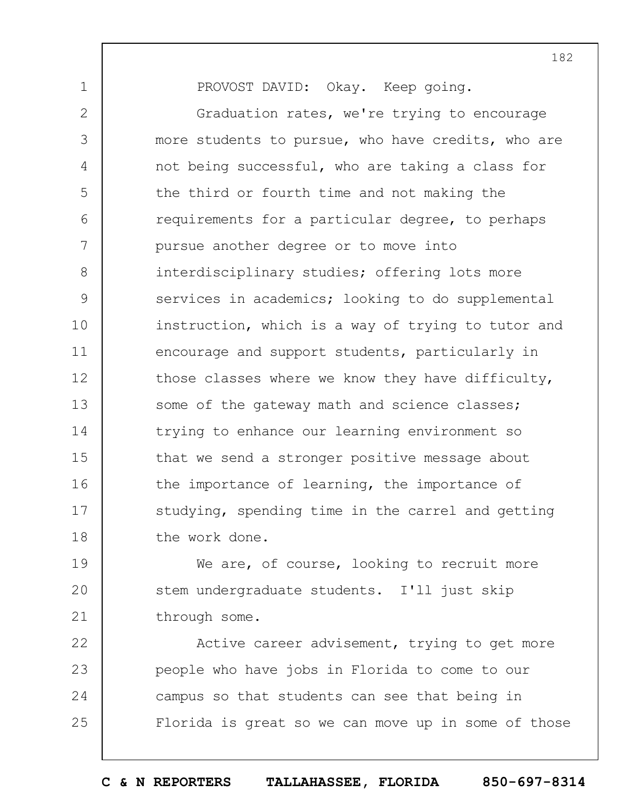PROVOST DAVID: Okay. Keep going.

1

2 3 4 5 6 7 8 9 10 11 12 13 14 15 16 17 18 Graduation rates, we're trying to encourage more students to pursue, who have credits, who are not being successful, who are taking a class for the third or fourth time and not making the requirements for a particular degree, to perhaps pursue another degree or to move into interdisciplinary studies; offering lots more services in academics; looking to do supplemental instruction, which is a way of trying to tutor and encourage and support students, particularly in those classes where we know they have difficulty, some of the gateway math and science classes; trying to enhance our learning environment so that we send a stronger positive message about the importance of learning, the importance of studying, spending time in the carrel and getting the work done.

19  $20$ 21 We are, of course, looking to recruit more stem undergraduate students. I'll just skip through some.

22 23 24 25 Active career advisement, trying to get more people who have jobs in Florida to come to our campus so that students can see that being in Florida is great so we can move up in some of those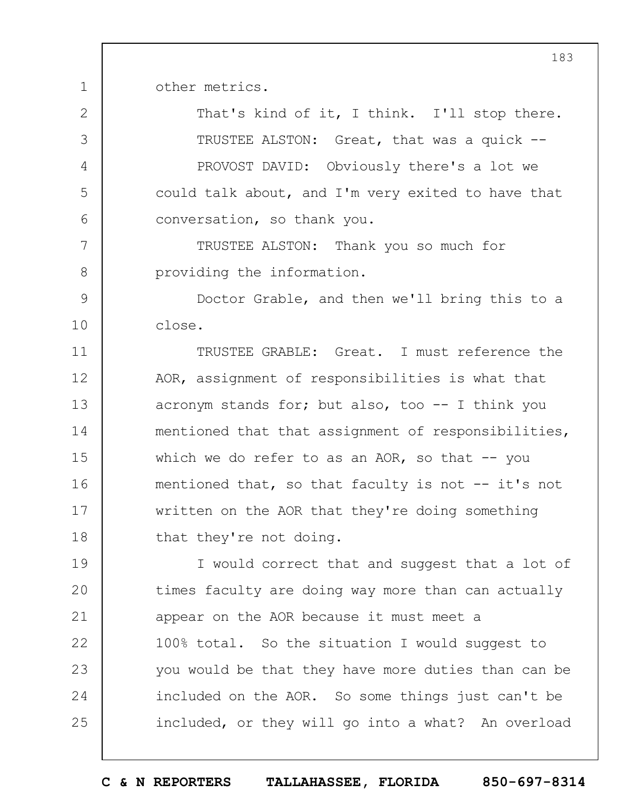other metrics.

1

7

8

2 3 4 5 6 That's kind of it, I think. I'll stop there. TRUSTEE ALSTON: Great, that was a quick -- PROVOST DAVID: Obviously there's a lot we could talk about, and I'm very exited to have that conversation, so thank you.

TRUSTEE ALSTON: Thank you so much for providing the information.

9 10 Doctor Grable, and then we'll bring this to a close.

11 12 13 14 15 16 17 18 TRUSTEE GRABLE: Great. I must reference the AOR, assignment of responsibilities is what that acronym stands for; but also, too  $--$  I think you mentioned that that assignment of responsibilities, which we do refer to as an AOR, so that  $-$ - you mentioned that, so that faculty is not -- it's not written on the AOR that they're doing something that they're not doing.

19  $20$ 21 22 23 24 25 I would correct that and suggest that a lot of times faculty are doing way more than can actually appear on the AOR because it must meet a 100% total. So the situation I would suggest to you would be that they have more duties than can be included on the AOR. So some things just can't be included, or they will go into a what? An overload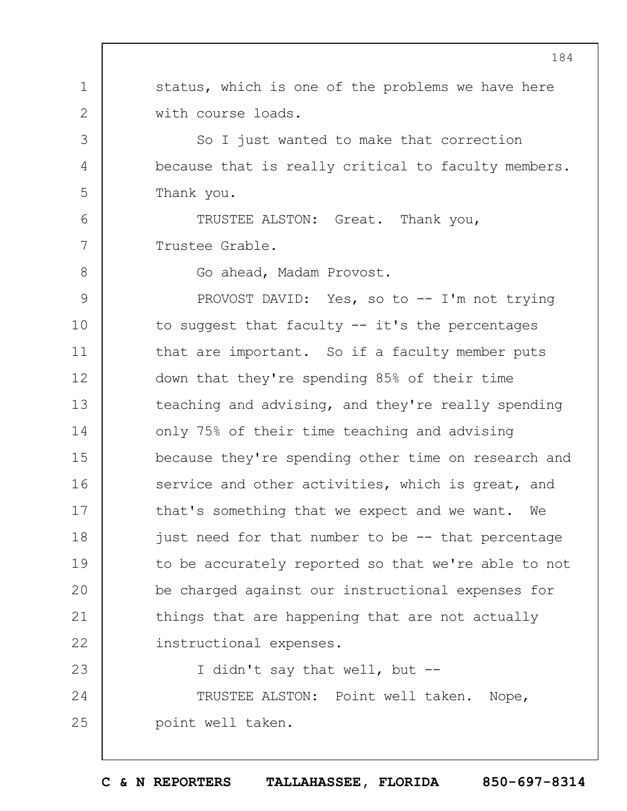1 2 3 4 5 6 7 8 9 10 11 12 13 14 15 16 17 18 19  $20$ 21 22 23 24 25 status, which is one of the problems we have here with course loads. So I just wanted to make that correction because that is really critical to faculty members. Thank you. TRUSTEE ALSTON: Great. Thank you, Trustee Grable. Go ahead, Madam Provost. PROVOST DAVID: Yes, so to -- I'm not trying to suggest that faculty -- it's the percentages that are important. So if a faculty member puts down that they're spending 85% of their time teaching and advising, and they're really spending only 75% of their time teaching and advising because they're spending other time on research and service and other activities, which is great, and that's something that we expect and we want. We just need for that number to be -- that percentage to be accurately reported so that we're able to not be charged against our instructional expenses for things that are happening that are not actually instructional expenses. I didn't say that well, but -- TRUSTEE ALSTON: Point well taken. Nope, point well taken.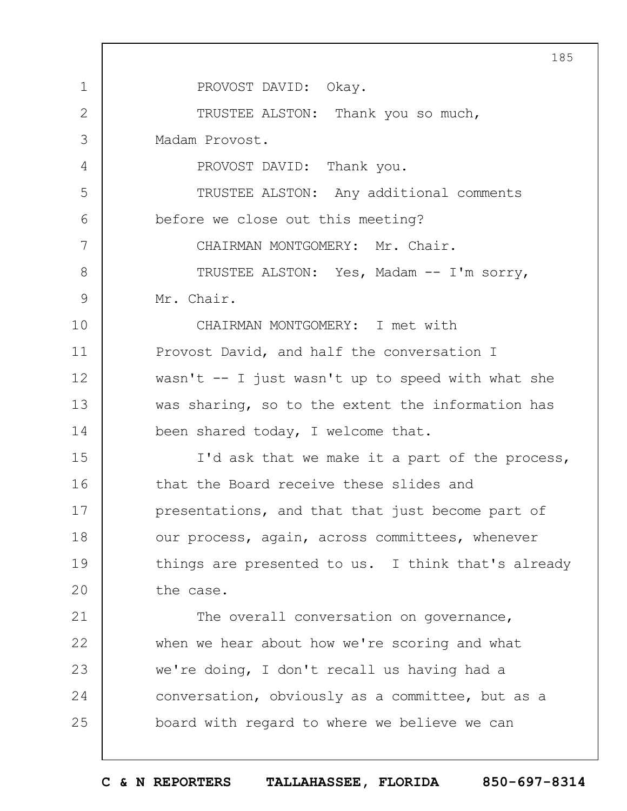1 2 3 4 5 6 7 8 9 10 11 12 13 14 15 16 17 18 19  $20$ 21 22 23 24 25 185 PROVOST DAVID: Okay. TRUSTEE ALSTON: Thank you so much, Madam Provost. PROVOST DAVID: Thank you. TRUSTEE ALSTON: Any additional comments before we close out this meeting? CHAIRMAN MONTGOMERY: Mr. Chair. TRUSTEE ALSTON: Yes, Madam -- I'm sorry, Mr. Chair. CHAIRMAN MONTGOMERY: I met with Provost David, and half the conversation I wasn't  $--$  I just wasn't up to speed with what she was sharing, so to the extent the information has been shared today, I welcome that. I'd ask that we make it a part of the process, that the Board receive these slides and presentations, and that that just become part of our process, again, across committees, whenever things are presented to us. I think that's already the case. The overall conversation on governance, when we hear about how we're scoring and what we're doing, I don't recall us having had a conversation, obviously as a committee, but as a board with regard to where we believe we can

**C & N REPORTERS TALLAHASSEE, FLORIDA 850-697-8314**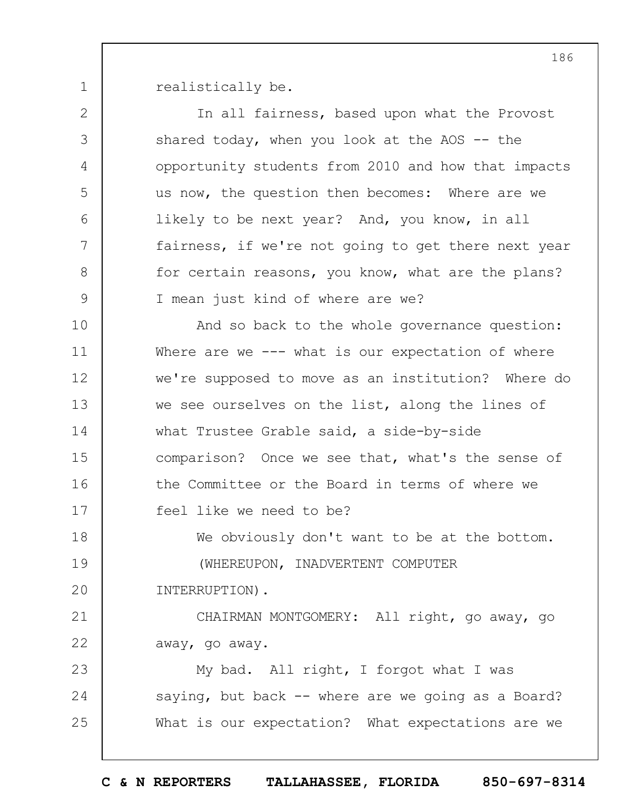1

realistically be.

2 3 4 5 6 7 8 9 10 11 12 13 14 15 16 17 18 19  $20$ 21 22 23 24 25 In all fairness, based upon what the Provost shared today, when you look at the AOS -- the opportunity students from 2010 and how that impacts us now, the question then becomes: Where are we likely to be next year? And, you know, in all fairness, if we're not going to get there next year for certain reasons, you know, what are the plans? I mean just kind of where are we? And so back to the whole governance question: Where are we --- what is our expectation of where we're supposed to move as an institution? Where do we see ourselves on the list, along the lines of what Trustee Grable said, a side-by-side comparison? Once we see that, what's the sense of the Committee or the Board in terms of where we feel like we need to be? We obviously don't want to be at the bottom. (WHEREUPON, INADVERTENT COMPUTER INTERRUPTION). CHAIRMAN MONTGOMERY: All right, go away, go away, go away. My bad. All right, I forgot what I was saying, but back -- where are we going as a Board? What is our expectation? What expectations are we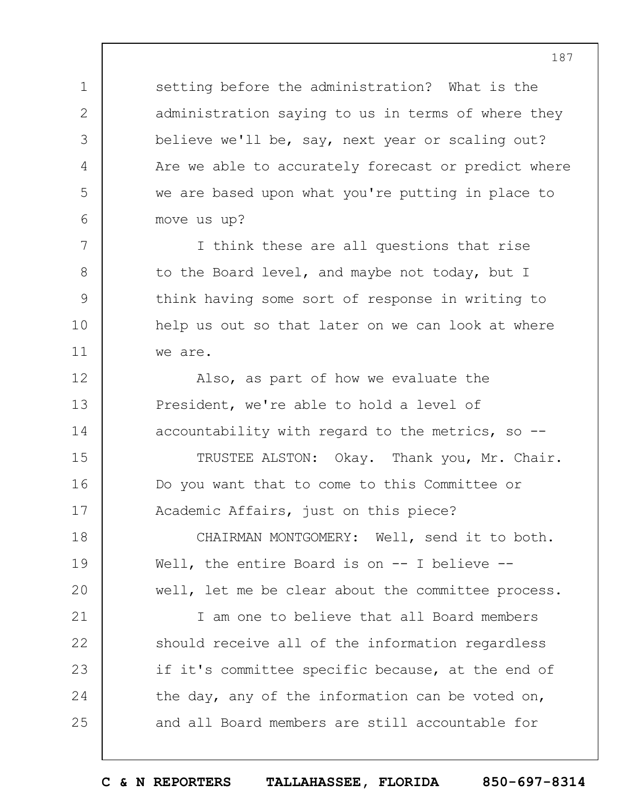setting before the administration? What is the administration saying to us in terms of where they believe we'll be, say, next year or scaling out? Are we able to accurately forecast or predict where we are based upon what you're putting in place to move us up?

1

2

3

4

5

6

7

8

9

10

11

12

13

14

15

16

17

I think these are all questions that rise to the Board level, and maybe not today, but I think having some sort of response in writing to help us out so that later on we can look at where we are.

Also, as part of how we evaluate the President, we're able to hold a level of accountability with regard to the metrics, so  $-$ -

TRUSTEE ALSTON: Okay. Thank you, Mr. Chair. Do you want that to come to this Committee or Academic Affairs, just on this piece?

18 19  $20$ CHAIRMAN MONTGOMERY: Well, send it to both. Well, the entire Board is on -- I believe -well, let me be clear about the committee process.

21 22 23 24 25 I am one to believe that all Board members should receive all of the information regardless if it's committee specific because, at the end of the day, any of the information can be voted on, and all Board members are still accountable for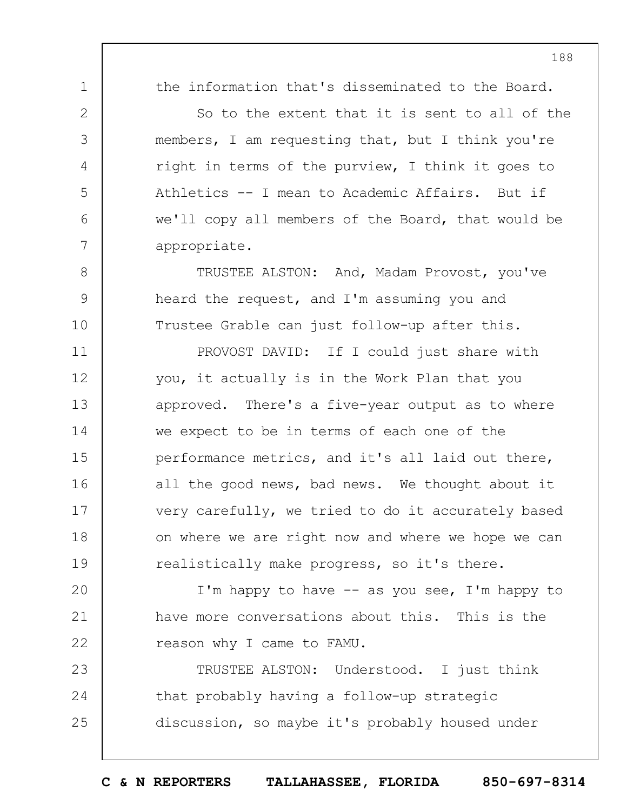1

2

3

4

5

6

7

8

9

10

the information that's disseminated to the Board.

So to the extent that it is sent to all of the members, I am requesting that, but I think you're right in terms of the purview, I think it goes to Athletics -- I mean to Academic Affairs. But if we'll copy all members of the Board, that would be appropriate.

TRUSTEE ALSTON: And, Madam Provost, you've heard the request, and I'm assuming you and Trustee Grable can just follow-up after this.

11 12 13 14 15 16 17 18 19 PROVOST DAVID: If I could just share with you, it actually is in the Work Plan that you approved. There's a five-year output as to where we expect to be in terms of each one of the performance metrics, and it's all laid out there, all the good news, bad news. We thought about it very carefully, we tried to do it accurately based on where we are right now and where we hope we can realistically make progress, so it's there.

 $20$ 21 22 I'm happy to have  $--$  as you see, I'm happy to have more conversations about this. This is the reason why I came to FAMU.

23 24 25 TRUSTEE ALSTON: Understood. I just think that probably having a follow-up strategic discussion, so maybe it's probably housed under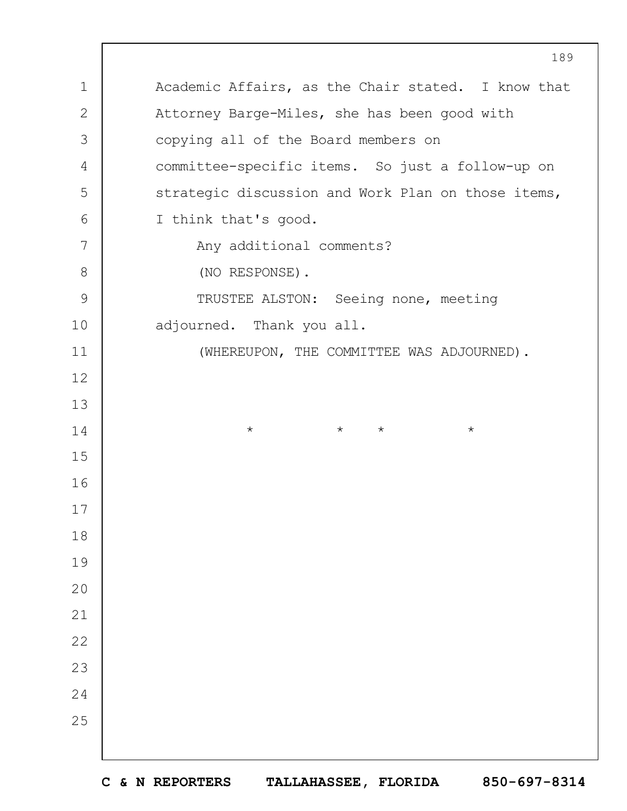Academic Affairs, as the Chair stated. I know that Attorney Barge-Miles, she has been good with copying all of the Board members on committee-specific items. So just a follow-up on strategic discussion and Work Plan on those items, I think that's good. Any additional comments? (NO RESPONSE). TRUSTEE ALSTON: Seeing none, meeting adjourned. Thank you all. (WHEREUPON, THE COMMITTEE WAS ADJOURNED). \* \* \* \*